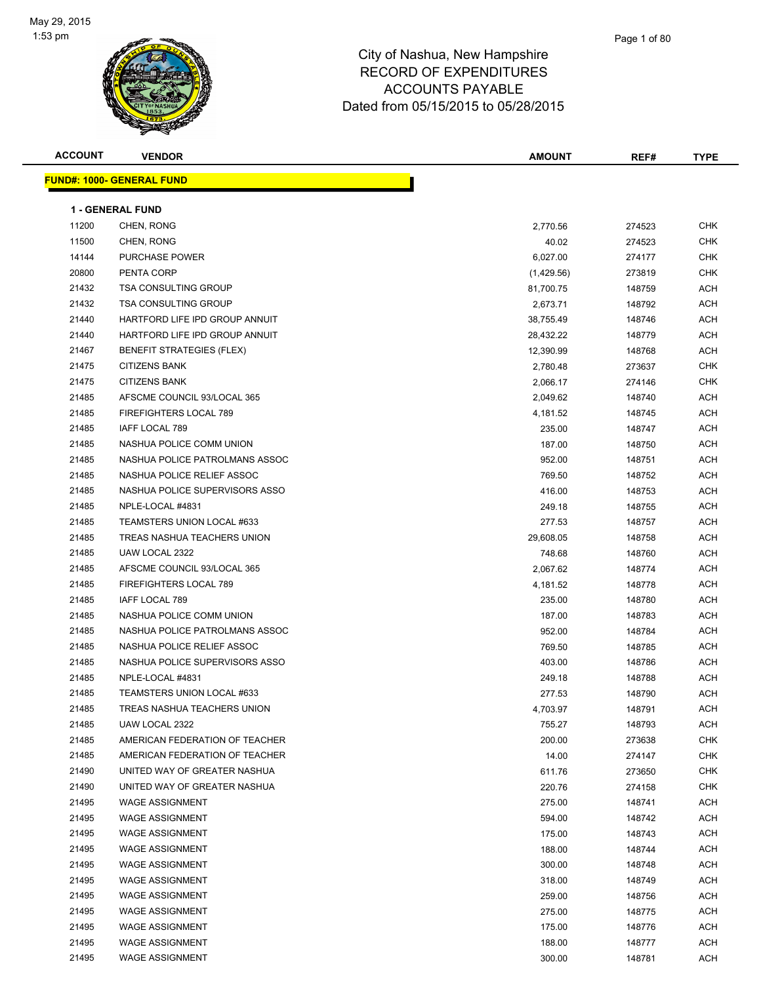

| <b>ACCOUNT</b> | <b>VENDOR</b>                    | <b>AMOUNT</b> | REF#   | <b>TYPE</b> |
|----------------|----------------------------------|---------------|--------|-------------|
|                | <b>FUND#: 1000- GENERAL FUND</b> |               |        |             |
|                | <b>1 - GENERAL FUND</b>          |               |        |             |
| 11200          | CHEN, RONG                       | 2,770.56      | 274523 | CHK         |
| 11500          | CHEN, RONG                       | 40.02         | 274523 | <b>CHK</b>  |
| 14144          | PURCHASE POWER                   | 6,027.00      | 274177 | <b>CHK</b>  |
| 20800          | PENTA CORP                       | (1,429.56)    | 273819 | <b>CHK</b>  |
| 21432          | <b>TSA CONSULTING GROUP</b>      | 81,700.75     | 148759 | ACH         |
| 21432          | <b>TSA CONSULTING GROUP</b>      | 2,673.71      | 148792 | ACH         |
| 21440          | HARTFORD LIFE IPD GROUP ANNUIT   | 38,755.49     | 148746 | ACH         |
| 21440          | HARTFORD LIFE IPD GROUP ANNUIT   | 28,432.22     | 148779 | ACH         |
| 21467          | BENEFIT STRATEGIES (FLEX)        | 12,390.99     | 148768 | ACH         |
| 21475          | <b>CITIZENS BANK</b>             | 2,780.48      | 273637 | <b>CHK</b>  |
| 21475          | <b>CITIZENS BANK</b>             | 2,066.17      | 274146 | <b>CHK</b>  |
| 21485          | AFSCME COUNCIL 93/LOCAL 365      | 2,049.62      | 148740 | ACH         |
| 21485          | FIREFIGHTERS LOCAL 789           | 4,181.52      | 148745 | ACH         |
| 21485          | <b>IAFF LOCAL 789</b>            | 235.00        | 148747 | ACH         |
| 21485          | NASHUA POLICE COMM UNION         | 187.00        | 148750 | ACH         |
| 21485          | NASHUA POLICE PATROLMANS ASSOC   | 952.00        | 148751 | ACH         |
| 21485          | NASHUA POLICE RELIEF ASSOC       | 769.50        | 148752 | ACH         |
| 21485          | NASHUA POLICE SUPERVISORS ASSO   | 416.00        | 148753 | ACH         |
| 21485          | NPLE-LOCAL #4831                 | 249.18        | 148755 | ACH         |
| 21485          | TEAMSTERS UNION LOCAL #633       | 277.53        | 148757 | ACH         |
| 21485          | TREAS NASHUA TEACHERS UNION      | 29,608.05     | 148758 | ACH         |
| 21485          | UAW LOCAL 2322                   | 748.68        | 148760 | ACH         |
| 21485          | AFSCME COUNCIL 93/LOCAL 365      | 2,067.62      | 148774 | ACH         |
| 21485          | FIREFIGHTERS LOCAL 789           | 4,181.52      | 148778 | <b>ACH</b>  |
| 21485          | IAFF LOCAL 789                   | 235.00        | 148780 | ACH         |
| 21485          | NASHUA POLICE COMM UNION         | 187.00        | 148783 | ACH         |
| 21485          | NASHUA POLICE PATROLMANS ASSOC   | 952.00        | 148784 | ACH         |
| 21485          | NASHUA POLICE RELIEF ASSOC       | 769.50        | 148785 | ACH         |
| 21485          | NASHUA POLICE SUPERVISORS ASSO   | 403.00        | 148786 | ACH         |
| 21485          | NPLE-LOCAL #4831                 | 249.18        | 148788 | ACH         |
| 21485          | TEAMSTERS UNION LOCAL #633       | 277.53        | 148790 | ACH         |
| 21485          | TREAS NASHUA TEACHERS UNION      | 4,703.97      | 148791 | ACH         |
| 21485          | UAW LOCAL 2322                   | 755.27        | 148793 | ACH         |
| 21485          | AMERICAN FEDERATION OF TEACHER   | 200.00        | 273638 | CHK         |
| 21485          | AMERICAN FEDERATION OF TEACHER   | 14.00         | 274147 | <b>CHK</b>  |
| 21490          | UNITED WAY OF GREATER NASHUA     | 611.76        | 273650 | <b>CHK</b>  |
| 21490          | UNITED WAY OF GREATER NASHUA     | 220.76        | 274158 | <b>CHK</b>  |
| 21495          | <b>WAGE ASSIGNMENT</b>           | 275.00        | 148741 | ACH         |
| 21495          | <b>WAGE ASSIGNMENT</b>           | 594.00        | 148742 | ACH         |
| 21495          | <b>WAGE ASSIGNMENT</b>           | 175.00        | 148743 | ACH         |
| 21495          | <b>WAGE ASSIGNMENT</b>           | 188.00        | 148744 | ACH         |
| 21495          | <b>WAGE ASSIGNMENT</b>           | 300.00        | 148748 | ACH         |
| 21495          | <b>WAGE ASSIGNMENT</b>           | 318.00        | 148749 | ACH         |
| 21495          | <b>WAGE ASSIGNMENT</b>           | 259.00        | 148756 | ACH         |
| 21495          | <b>WAGE ASSIGNMENT</b>           | 275.00        | 148775 | ACH         |
| 21495          | <b>WAGE ASSIGNMENT</b>           | 175.00        | 148776 | ACH         |
| 21495          | <b>WAGE ASSIGNMENT</b>           | 188.00        | 148777 | ACH         |
| 21495          | <b>WAGE ASSIGNMENT</b>           | 300.00        | 148781 | ACH         |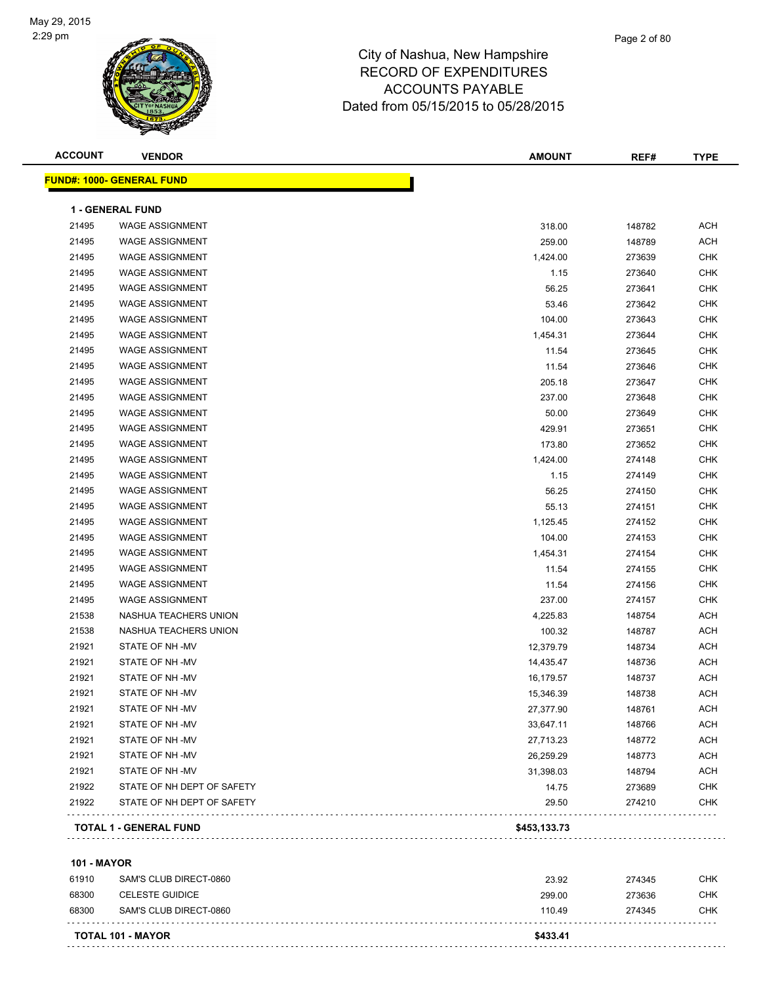

| <b>ACCOUNT</b> | <b>VENDOR</b>                    | AMOUNT    | REF#   | <b>TYPE</b> |
|----------------|----------------------------------|-----------|--------|-------------|
|                | <b>FUND#: 1000- GENERAL FUND</b> |           |        |             |
|                | <b>1 - GENERAL FUND</b>          |           |        |             |
| 21495          | <b>WAGE ASSIGNMENT</b>           | 318.00    | 148782 | ACH         |
| 21495          | <b>WAGE ASSIGNMENT</b>           | 259.00    | 148789 | <b>ACH</b>  |
| 21495          | <b>WAGE ASSIGNMENT</b>           | 1,424.00  | 273639 | <b>CHK</b>  |
| 21495          | <b>WAGE ASSIGNMENT</b>           | 1.15      | 273640 | <b>CHK</b>  |
| 21495          | <b>WAGE ASSIGNMENT</b>           | 56.25     | 273641 | <b>CHK</b>  |
| 21495          | <b>WAGE ASSIGNMENT</b>           | 53.46     | 273642 | <b>CHK</b>  |
| 21495          | <b>WAGE ASSIGNMENT</b>           | 104.00    | 273643 | <b>CHK</b>  |
| 21495          | <b>WAGE ASSIGNMENT</b>           | 1,454.31  | 273644 | <b>CHK</b>  |
| 21495          | <b>WAGE ASSIGNMENT</b>           | 11.54     | 273645 | <b>CHK</b>  |
| 21495          | <b>WAGE ASSIGNMENT</b>           | 11.54     | 273646 | <b>CHK</b>  |
| 21495          | <b>WAGE ASSIGNMENT</b>           | 205.18    | 273647 | <b>CHK</b>  |
| 21495          | <b>WAGE ASSIGNMENT</b>           | 237.00    | 273648 | CHK         |
| 21495          | <b>WAGE ASSIGNMENT</b>           | 50.00     | 273649 | <b>CHK</b>  |
| 21495          | WAGE ASSIGNMENT                  | 429.91    | 273651 | <b>CHK</b>  |
| 21495          | <b>WAGE ASSIGNMENT</b>           | 173.80    | 273652 | <b>CHK</b>  |
| 21495          | <b>WAGE ASSIGNMENT</b>           | 1,424.00  | 274148 | <b>CHK</b>  |
| 21495          | <b>WAGE ASSIGNMENT</b>           | 1.15      | 274149 | <b>CHK</b>  |
| 21495          | <b>WAGE ASSIGNMENT</b>           | 56.25     | 274150 | <b>CHK</b>  |
| 21495          | <b>WAGE ASSIGNMENT</b>           | 55.13     | 274151 | <b>CHK</b>  |
| 21495          | <b>WAGE ASSIGNMENT</b>           | 1,125.45  | 274152 | <b>CHK</b>  |
| 21495          | <b>WAGE ASSIGNMENT</b>           | 104.00    | 274153 | <b>CHK</b>  |
| 21495          | <b>WAGE ASSIGNMENT</b>           | 1,454.31  | 274154 | <b>CHK</b>  |
| 21495          | <b>WAGE ASSIGNMENT</b>           | 11.54     | 274155 | CHK         |
| 21495          | <b>WAGE ASSIGNMENT</b>           | 11.54     | 274156 | <b>CHK</b>  |
| 21495          | <b>WAGE ASSIGNMENT</b>           | 237.00    | 274157 | <b>CHK</b>  |
| 21538          | NASHUA TEACHERS UNION            | 4,225.83  | 148754 | ACH         |
| 21538          | NASHUA TEACHERS UNION            | 100.32    | 148787 | <b>ACH</b>  |
| 21921          | STATE OF NH-MV                   | 12,379.79 | 148734 | ACH         |
| 21921          | STATE OF NH-MV                   | 14,435.47 | 148736 | ACH         |
| 21921          | STATE OF NH-MV                   | 16,179.57 | 148737 | <b>ACH</b>  |
| 21921          | STATE OF NH-MV                   | 15,346.39 | 148738 | ACH         |
| 21921          | STATE OF NH-MV                   | 27,377.90 | 148761 | <b>ACH</b>  |
| 21921          | STATE OF NH-MV                   | 33,647.11 | 148766 | ACH         |
| 21921          | STATE OF NH-MV                   | 27,713.23 | 148772 | <b>ACH</b>  |
| 21921          | STATE OF NH-MV                   | 26,259.29 | 148773 | <b>ACH</b>  |
| 21921          | STATE OF NH-MV                   | 31,398.03 | 148794 | <b>ACH</b>  |
| 21922          | STATE OF NH DEPT OF SAFETY       | 14.75     | 273689 | <b>CHK</b>  |
| 21922          | STATE OF NH DEPT OF SAFETY       | 29.50     | 274210 | <b>CHK</b>  |

**101 - MAYOR**

|       | TOTAL 101 - MAYOR      | \$433.41 |        |            |
|-------|------------------------|----------|--------|------------|
| 68300 | SAM'S CLUB DIRECT-0860 | 11049    | 274345 | CHK        |
| 68300 | CELESTE GUIDICE        | 299.00   | 273636 | CHK        |
| 61910 | SAM'S CLUB DIRECT-0860 | 23.92    | 274345 | <b>CHK</b> |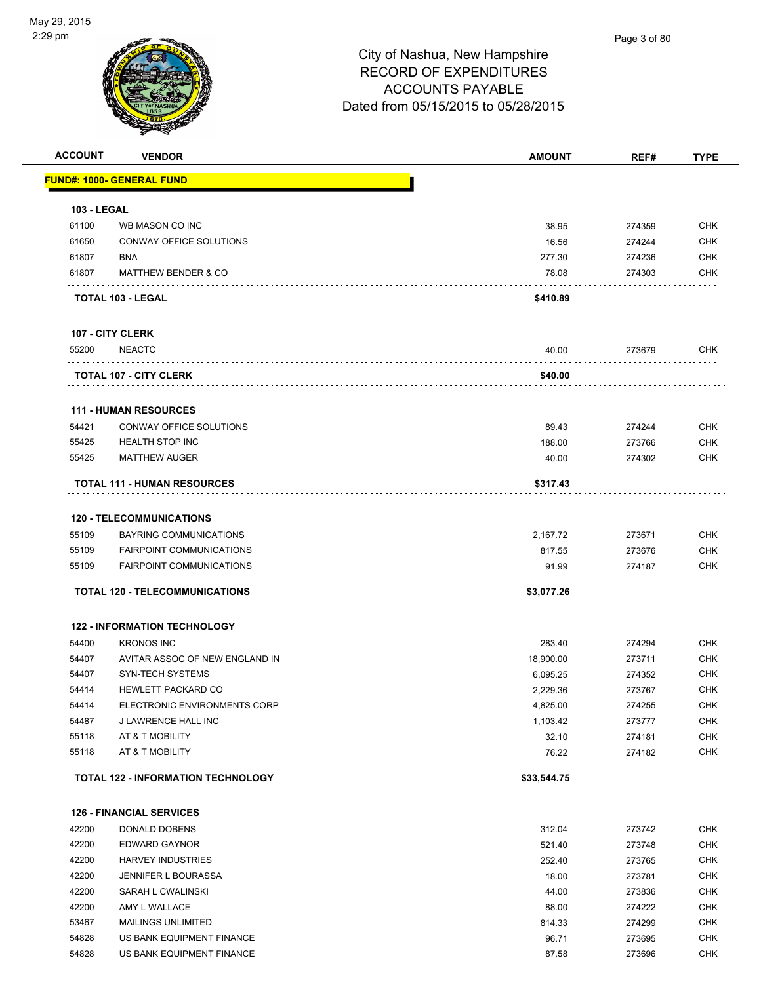

| <b>ACCOUNT</b>     | <b>VENDOR</b>                             | <b>AMOUNT</b> | REF#   | <b>TYPE</b> |
|--------------------|-------------------------------------------|---------------|--------|-------------|
|                    | <b>FUND#: 1000- GENERAL FUND</b>          |               |        |             |
| <b>103 - LEGAL</b> |                                           |               |        |             |
| 61100              | WB MASON CO INC                           | 38.95         | 274359 | <b>CHK</b>  |
| 61650              | CONWAY OFFICE SOLUTIONS                   | 16.56         | 274244 | <b>CHK</b>  |
| 61807              | BNA                                       | 277.30        | 274236 | <b>CHK</b>  |
| 61807              | <b>MATTHEW BENDER &amp; CO</b>            | 78.08         | 274303 | <b>CHK</b>  |
|                    | TOTAL 103 - LEGAL                         | \$410.89      |        |             |
|                    | 107 - CITY CLERK                          |               |        |             |
| 55200              | <b>NEACTC</b>                             | 40.00         | 273679 | <b>CHK</b>  |
|                    | <b>TOTAL 107 - CITY CLERK</b>             | \$40.00       |        |             |
|                    | <b>111 - HUMAN RESOURCES</b>              |               |        |             |
| 54421              | <b>CONWAY OFFICE SOLUTIONS</b>            | 89.43         | 274244 | <b>CHK</b>  |
| 55425              | <b>HEALTH STOP INC</b>                    | 188.00        | 273766 | <b>CHK</b>  |
| 55425              | <b>MATTHEW AUGER</b>                      | 40.00         | 274302 | <b>CHK</b>  |
|                    | <b>TOTAL 111 - HUMAN RESOURCES</b>        | \$317.43      |        |             |
|                    | <b>120 - TELECOMMUNICATIONS</b>           |               |        |             |
| 55109              | <b>BAYRING COMMUNICATIONS</b>             | 2,167.72      | 273671 | <b>CHK</b>  |
| 55109              | <b>FAIRPOINT COMMUNICATIONS</b>           | 817.55        | 273676 | <b>CHK</b>  |
| 55109              | <b>FAIRPOINT COMMUNICATIONS</b>           | 91.99         | 274187 | <b>CHK</b>  |
|                    | TOTAL 120 - TELECOMMUNICATIONS            | \$3,077.26    |        |             |
|                    | <b>122 - INFORMATION TECHNOLOGY</b>       |               |        |             |
| 54400              | <b>KRONOS INC</b>                         | 283.40        | 274294 | <b>CHK</b>  |
| 54407              | AVITAR ASSOC OF NEW ENGLAND IN            | 18,900.00     | 273711 | <b>CHK</b>  |
| 54407              | <b>SYN-TECH SYSTEMS</b>                   | 6,095.25      | 274352 | <b>CHK</b>  |
| 54414              | <b>HEWLETT PACKARD CO</b>                 | 2,229.36      | 273767 | CHK         |
| 54414              | ELECTRONIC ENVIRONMENTS CORP              | 4,825.00      | 274255 | <b>CHK</b>  |
| 54487              | J LAWRENCE HALL INC                       | 1,103.42      | 273777 | <b>CHK</b>  |
| 55118              | AT & T MOBILITY                           | 32.10         | 274181 | <b>CHK</b>  |
| 55118              | AT & T MOBILITY                           | 76.22         | 274182 | <b>CHK</b>  |
|                    | <b>TOTAL 122 - INFORMATION TECHNOLOGY</b> | \$33,544.75   |        |             |
|                    | <b>126 - FINANCIAL SERVICES</b>           |               |        |             |
| 42200              | DONALD DOBENS                             | 312.04        | 273742 | <b>CHK</b>  |
| 42200              | <b>EDWARD GAYNOR</b>                      | 521.40        | 273748 | <b>CHK</b>  |
| 42200              | <b>HARVEY INDUSTRIES</b>                  | 252.40        | 273765 | <b>CHK</b>  |
| 42200              | JENNIFER L BOURASSA                       | 18.00         | 273781 | <b>CHK</b>  |
| 42200              | SARAH L CWALINSKI                         | 44.00         | 273836 | <b>CHK</b>  |

 42200 AMY L WALLACE 88.00 274222 CHK 53467 MAILINGS UNLIMITED 814.33 274299 CHK

```
 54828 US BANK EQUIPMENT FINANCE 96.71 273695 CHK
54828 US BANK EQUIPMENT FINANCE 87.58 273696 CHK
```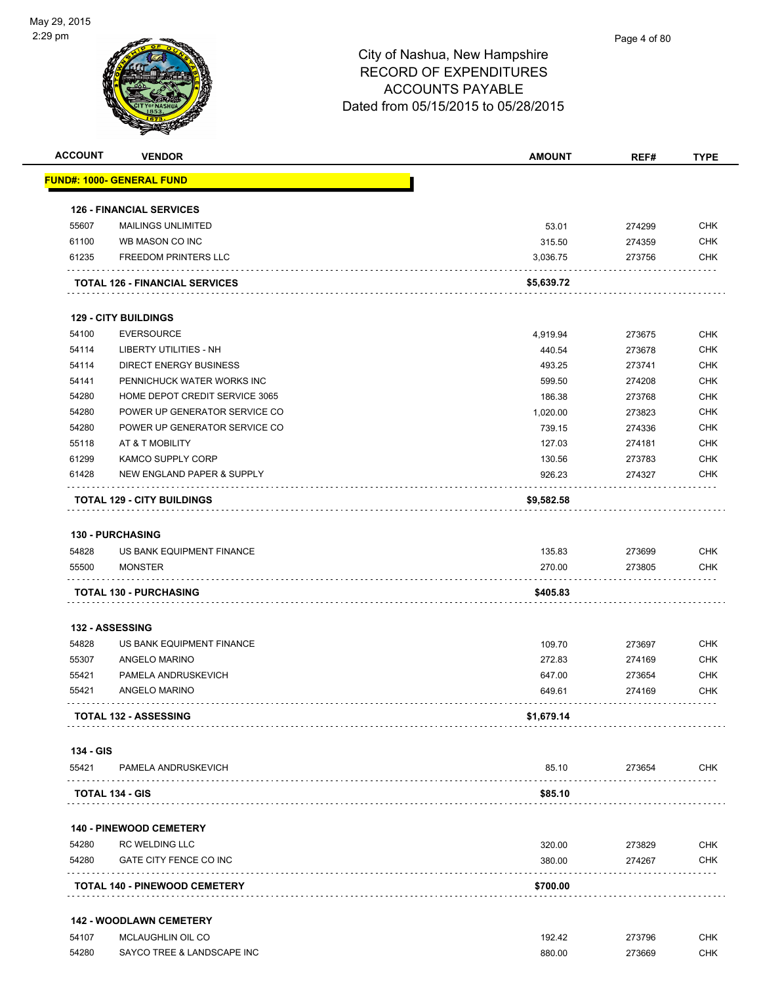

| <b>ACCOUNT</b>     | <b>VENDOR</b>                                   | <b>AMOUNT</b>    | REF#             | <b>TYPE</b>              |
|--------------------|-------------------------------------------------|------------------|------------------|--------------------------|
|                    | <u> FUND#: 1000- GENERAL FUND</u>               |                  |                  |                          |
|                    | <b>126 - FINANCIAL SERVICES</b>                 |                  |                  |                          |
| 55607              | <b>MAILINGS UNLIMITED</b>                       | 53.01            | 274299           | <b>CHK</b>               |
| 61100              | WB MASON CO INC                                 | 315.50           | 274359           | <b>CHK</b>               |
| 61235              | <b>FREEDOM PRINTERS LLC</b>                     | 3,036.75         | 273756           | <b>CHK</b>               |
|                    | <b>TOTAL 126 - FINANCIAL SERVICES</b>           | \$5,639.72       |                  |                          |
|                    | <b>129 - CITY BUILDINGS</b>                     |                  |                  |                          |
| 54100              | <b>EVERSOURCE</b>                               | 4,919.94         | 273675           | <b>CHK</b>               |
| 54114              | LIBERTY UTILITIES - NH                          | 440.54           | 273678           | <b>CHK</b>               |
| 54114              | <b>DIRECT ENERGY BUSINESS</b>                   | 493.25           | 273741           | <b>CHK</b>               |
| 54141              | PENNICHUCK WATER WORKS INC                      | 599.50           | 274208           | <b>CHK</b>               |
| 54280              | HOME DEPOT CREDIT SERVICE 3065                  | 186.38           | 273768           | <b>CHK</b>               |
| 54280              | POWER UP GENERATOR SERVICE CO                   | 1,020.00         | 273823           | <b>CHK</b>               |
| 54280              | POWER UP GENERATOR SERVICE CO                   | 739.15           | 274336           | <b>CHK</b>               |
| 55118              | AT & T MOBILITY                                 | 127.03           | 274181           | <b>CHK</b>               |
| 61299              | <b>KAMCO SUPPLY CORP</b>                        | 130.56           | 273783           | <b>CHK</b>               |
| 61428              | NEW ENGLAND PAPER & SUPPLY                      | 926.23           | 274327           | <b>CHK</b>               |
|                    |                                                 |                  |                  |                          |
|                    | <b>TOTAL 129 - CITY BUILDINGS</b>               | \$9,582.58       |                  |                          |
|                    | <b>130 - PURCHASING</b>                         |                  |                  |                          |
| 54828              | US BANK EQUIPMENT FINANCE                       | 135.83           | 273699           | <b>CHK</b>               |
| 55500              | <b>MONSTER</b>                                  | 270.00           | 273805           | <b>CHK</b>               |
|                    | <b>TOTAL 130 - PURCHASING</b>                   | \$405.83         |                  |                          |
|                    | 132 - ASSESSING                                 |                  |                  |                          |
| 54828              | US BANK EQUIPMENT FINANCE                       | 109.70           | 273697           | <b>CHK</b>               |
| 55307              | ANGELO MARINO                                   | 272.83           | 274169           | <b>CHK</b>               |
| 55421              | PAMELA ANDRUSKEVICH                             | 647.00           | 273654           | <b>CHK</b>               |
| 55421              | ANGELO MARINO                                   | 649.61           | 274169           | <b>CHK</b>               |
|                    | <b>TOTAL 132 - ASSESSING</b>                    | \$1,679.14       |                  |                          |
|                    |                                                 |                  |                  |                          |
| 134 - GIS<br>55421 | PAMELA ANDRUSKEVICH                             | 85.10            | 273654           | <b>CHK</b>               |
|                    | <b>TOTAL 134 - GIS</b>                          | \$85.10          |                  |                          |
|                    |                                                 |                  |                  |                          |
|                    | <b>140 - PINEWOOD CEMETERY</b>                  |                  |                  |                          |
| 54280<br>54280     | <b>RC WELDING LLC</b><br>GATE CITY FENCE CO INC | 320.00<br>380.00 | 273829<br>274267 | <b>CHK</b><br><b>CHK</b> |
|                    |                                                 |                  |                  |                          |
|                    | <b>TOTAL 140 - PINEWOOD CEMETERY</b>            | \$700.00         |                  |                          |
|                    | <b>142 - WOODLAWN CEMETERY</b>                  |                  |                  |                          |
| 54107              | MCLAUGHLIN OIL CO                               | 192.42           | 273796           | <b>CHK</b>               |
| 54280              | SAYCO TREE & LANDSCAPE INC                      | 880.00           | 273669           | <b>CHK</b>               |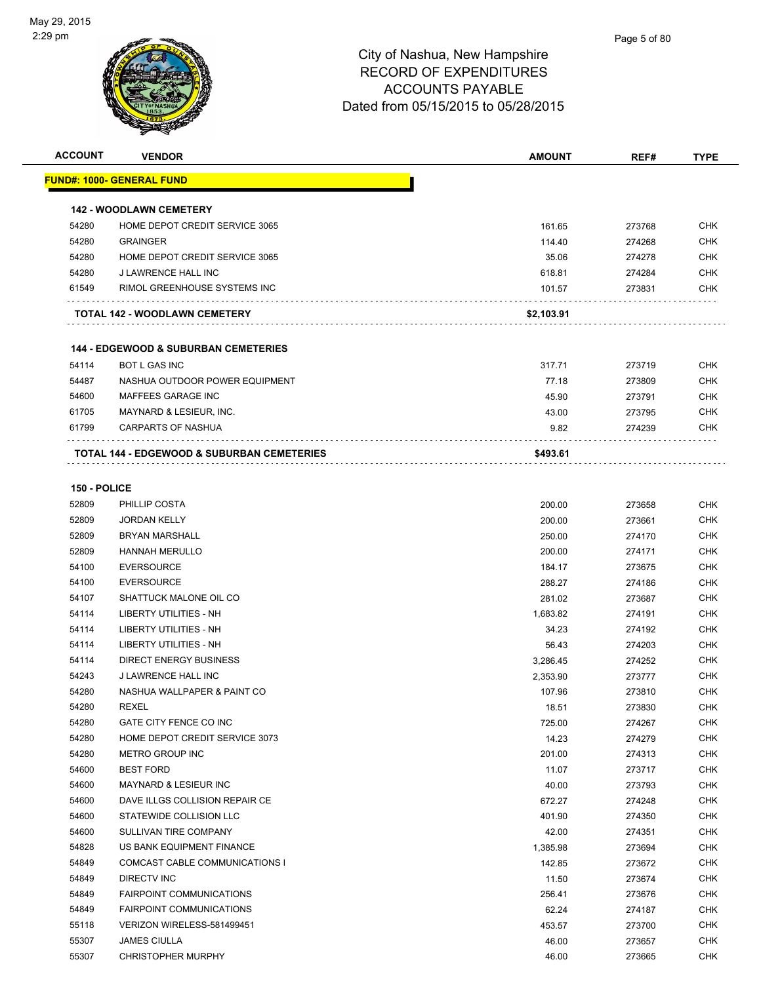

| <b>ACCOUNT</b> | <b>VENDOR</b>                                         | <b>AMOUNT</b> | REF#             | <b>TYPE</b>       |
|----------------|-------------------------------------------------------|---------------|------------------|-------------------|
|                | <u> FUND#: 1000- GENERAL FUND</u>                     |               |                  |                   |
|                | <b>142 - WOODLAWN CEMETERY</b>                        |               |                  |                   |
| 54280          | HOME DEPOT CREDIT SERVICE 3065                        | 161.65        | 273768           | <b>CHK</b>        |
| 54280          | <b>GRAINGER</b>                                       |               |                  | <b>CHK</b>        |
|                | HOME DEPOT CREDIT SERVICE 3065                        | 114.40        | 274268           |                   |
| 54280          |                                                       | 35.06         | 274278           | CHK<br><b>CHK</b> |
| 54280<br>61549 | J LAWRENCE HALL INC<br>RIMOL GREENHOUSE SYSTEMS INC   | 618.81        | 274284<br>273831 | <b>CHK</b>        |
|                |                                                       | 101.57        |                  |                   |
|                | TOTAL 142 - WOODLAWN CEMETERY                         | \$2,103.91    |                  |                   |
|                | <b>144 - EDGEWOOD &amp; SUBURBAN CEMETERIES</b>       |               |                  |                   |
| 54114          | <b>BOT L GAS INC</b>                                  | 317.71        | 273719           | CHK               |
| 54487          | NASHUA OUTDOOR POWER EQUIPMENT                        | 77.18         | 273809           | <b>CHK</b>        |
| 54600          | MAFFEES GARAGE INC                                    | 45.90         | 273791           | CHK               |
| 61705          | MAYNARD & LESIEUR, INC.                               | 43.00         | 273795           | CHK               |
| 61799          | <b>CARPARTS OF NASHUA</b>                             | 9.82          | 274239           | CHK               |
|                |                                                       |               |                  |                   |
|                | <b>TOTAL 144 - EDGEWOOD &amp; SUBURBAN CEMETERIES</b> | \$493.61      |                  |                   |
| 150 - POLICE   |                                                       |               |                  |                   |
| 52809          | PHILLIP COSTA                                         | 200.00        | 273658           | <b>CHK</b>        |
| 52809          | <b>JORDAN KELLY</b>                                   | 200.00        | 273661           | <b>CHK</b>        |
| 52809          | <b>BRYAN MARSHALL</b>                                 | 250.00        | 274170           | <b>CHK</b>        |
| 52809          | <b>HANNAH MERULLO</b>                                 | 200.00        | 274171           | CHK               |
| 54100          | <b>EVERSOURCE</b>                                     | 184.17        | 273675           | CHK               |
| 54100          | <b>EVERSOURCE</b>                                     | 288.27        | 274186           | CHK               |
| 54107          | SHATTUCK MALONE OIL CO                                | 281.02        | 273687           | CHK               |
| 54114          | LIBERTY UTILITIES - NH                                | 1,683.82      | 274191           | <b>CHK</b>        |
| 54114          | LIBERTY UTILITIES - NH                                | 34.23         | 274192           | CHK               |
| 54114          | LIBERTY UTILITIES - NH                                | 56.43         | 274203           | <b>CHK</b>        |
| 54114          | <b>DIRECT ENERGY BUSINESS</b>                         | 3,286.45      | 274252           | <b>CHK</b>        |
| 54243          | J LAWRENCE HALL INC                                   | 2,353.90      | 273777           | CHK               |
| 54280          | NASHUA WALLPAPER & PAINT CO                           | 107.96        | 273810           | <b>CHK</b>        |
| 54280          | <b>REXEL</b>                                          | 18.51         | 273830           | <b>CHK</b>        |
| 54280          | GATE CITY FENCE CO INC                                | 725.00        | 274267           | CHK               |
| 54280          | HOME DEPOT CREDIT SERVICE 3073                        | 14.23         | 274279           | <b>CHK</b>        |
| 54280          | METRO GROUP INC                                       | 201.00        | 274313           | <b>CHK</b>        |
| 54600          | <b>BEST FORD</b>                                      | 11.07         | 273717           | <b>CHK</b>        |
| 54600          | MAYNARD & LESIEUR INC                                 | 40.00         | 273793           | <b>CHK</b>        |
| 54600          | DAVE ILLGS COLLISION REPAIR CE                        | 672.27        | 274248           | <b>CHK</b>        |
| 54600          | STATEWIDE COLLISION LLC                               | 401.90        | 274350           | <b>CHK</b>        |
| 54600          | SULLIVAN TIRE COMPANY                                 | 42.00         | 274351           | <b>CHK</b>        |
| 54828          | US BANK EQUIPMENT FINANCE                             | 1,385.98      | 273694           | <b>CHK</b>        |
| 54849          | COMCAST CABLE COMMUNICATIONS I                        | 142.85        | 273672           | <b>CHK</b>        |
| 54849          | DIRECTV INC                                           | 11.50         | 273674           | <b>CHK</b>        |
| 54849          | <b>FAIRPOINT COMMUNICATIONS</b>                       | 256.41        | 273676           | <b>CHK</b>        |
| 54849          | <b>FAIRPOINT COMMUNICATIONS</b>                       | 62.24         | 274187           | <b>CHK</b>        |
| 55118          | VERIZON WIRELESS-581499451                            | 453.57        | 273700           | <b>CHK</b>        |
| 55307          | <b>JAMES CIULLA</b>                                   | 46.00         | 273657           | <b>CHK</b>        |
| 55307          | <b>CHRISTOPHER MURPHY</b>                             | 46.00         | 273665           | <b>CHK</b>        |
|                |                                                       |               |                  |                   |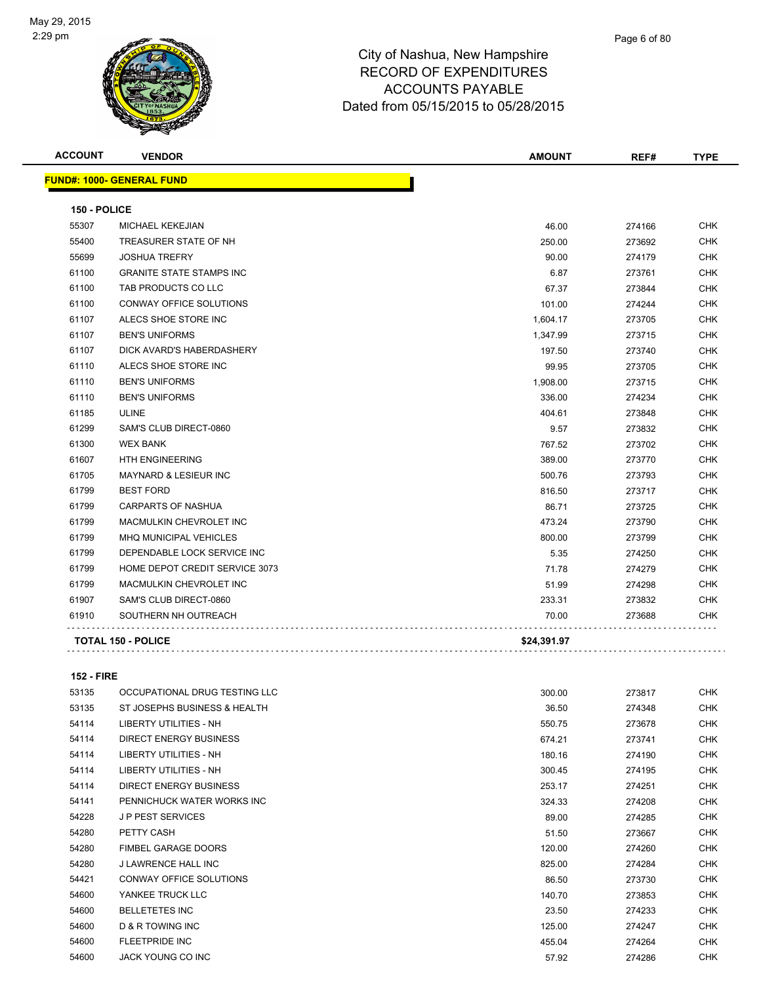

| <b>ACCOUNT</b> | <b>VENDOR</b>                    | <b>AMOUNT</b> | REF#   | <b>TYPE</b> |
|----------------|----------------------------------|---------------|--------|-------------|
|                | <b>FUND#: 1000- GENERAL FUND</b> |               |        |             |
| 150 - POLICE   |                                  |               |        |             |
| 55307          | MICHAEL KEKEJIAN                 | 46.00         | 274166 | <b>CHK</b>  |
| 55400          | TREASURER STATE OF NH            | 250.00        | 273692 | <b>CHK</b>  |
| 55699          | <b>JOSHUA TREFRY</b>             | 90.00         | 274179 | <b>CHK</b>  |
| 61100          | <b>GRANITE STATE STAMPS INC</b>  | 6.87          | 273761 | CHK         |
| 61100          | TAB PRODUCTS CO LLC              | 67.37         | 273844 | <b>CHK</b>  |
| 61100          | <b>CONWAY OFFICE SOLUTIONS</b>   | 101.00        | 274244 | <b>CHK</b>  |
| 61107          | ALECS SHOE STORE INC             | 1,604.17      | 273705 | <b>CHK</b>  |
| 61107          | <b>BEN'S UNIFORMS</b>            | 1,347.99      | 273715 | <b>CHK</b>  |
| 61107          | DICK AVARD'S HABERDASHERY        | 197.50        | 273740 | <b>CHK</b>  |
| 61110          | ALECS SHOE STORE INC             | 99.95         | 273705 | <b>CHK</b>  |
| 61110          | <b>BEN'S UNIFORMS</b>            | 1,908.00      | 273715 | <b>CHK</b>  |
| 61110          | <b>BEN'S UNIFORMS</b>            | 336.00        | 274234 | <b>CHK</b>  |
| 61185          | <b>ULINE</b>                     | 404.61        | 273848 | <b>CHK</b>  |
| 61299          | SAM'S CLUB DIRECT-0860           | 9.57          | 273832 | <b>CHK</b>  |
| 61300          | <b>WEX BANK</b>                  | 767.52        | 273702 | <b>CHK</b>  |
| 61607          | <b>HTH ENGINEERING</b>           | 389.00        | 273770 | <b>CHK</b>  |
| 61705          | MAYNARD & LESIEUR INC            | 500.76        | 273793 | <b>CHK</b>  |
| 61799          | <b>BEST FORD</b>                 | 816.50        | 273717 | <b>CHK</b>  |
| 61799          | <b>CARPARTS OF NASHUA</b>        | 86.71         | 273725 | <b>CHK</b>  |
| 61799          | MACMULKIN CHEVROLET INC          | 473.24        | 273790 | <b>CHK</b>  |
| 61799          | <b>MHQ MUNICIPAL VEHICLES</b>    | 800.00        | 273799 | CHK         |
| 61799          | DEPENDABLE LOCK SERVICE INC      | 5.35          | 274250 | <b>CHK</b>  |
| 61799          | HOME DEPOT CREDIT SERVICE 3073   | 71.78         | 274279 | CHK         |
| 61799          | MACMULKIN CHEVROLET INC          | 51.99         | 274298 | <b>CHK</b>  |
| 61907          | SAM'S CLUB DIRECT-0860           | 233.31        | 273832 | CHK         |
| 61910          | SOUTHERN NH OUTREACH             | 70.00         | 273688 | CHK         |
|                | <b>TOTAL 150 - POLICE</b>        | \$24,391.97   |        |             |

#### **152 - FIRE**

| 53135 | OCCUPATIONAL DRUG TESTING LLC | 300.00 | 273817 | <b>CHK</b> |
|-------|-------------------------------|--------|--------|------------|
| 53135 | ST JOSEPHS BUSINESS & HEALTH  | 36.50  | 274348 | <b>CHK</b> |
| 54114 | LIBERTY UTILITIES - NH        | 550.75 | 273678 | <b>CHK</b> |
| 54114 | DIRECT ENERGY BUSINESS        | 674.21 | 273741 | CHK        |
| 54114 | LIBERTY UTILITIES - NH        | 180.16 | 274190 | <b>CHK</b> |
| 54114 | <b>LIBERTY UTILITIES - NH</b> | 300.45 | 274195 | <b>CHK</b> |
| 54114 | <b>DIRECT ENERGY BUSINESS</b> | 253.17 | 274251 | CHK        |
| 54141 | PENNICHUCK WATER WORKS INC    | 324.33 | 274208 | CHK        |
| 54228 | <b>JP PEST SERVICES</b>       | 89.00  | 274285 | <b>CHK</b> |
| 54280 | PETTY CASH                    | 51.50  | 273667 | CHK        |
| 54280 | <b>FIMBEL GARAGE DOORS</b>    | 120.00 | 274260 | <b>CHK</b> |
| 54280 | J LAWRENCE HALL INC           | 825.00 | 274284 | <b>CHK</b> |
| 54421 | CONWAY OFFICE SOLUTIONS       | 86.50  | 273730 | <b>CHK</b> |
| 54600 | YANKEE TRUCK LLC              | 140.70 | 273853 | <b>CHK</b> |
| 54600 | <b>BELLETETES INC</b>         | 23.50  | 274233 | <b>CHK</b> |
| 54600 | <b>D &amp; R TOWING INC</b>   | 125.00 | 274247 | <b>CHK</b> |
| 54600 | <b>FLEETPRIDE INC</b>         | 455.04 | 274264 | <b>CHK</b> |
| 54600 | <b>JACK YOUNG CO INC</b>      | 57.92  | 274286 | <b>CHK</b> |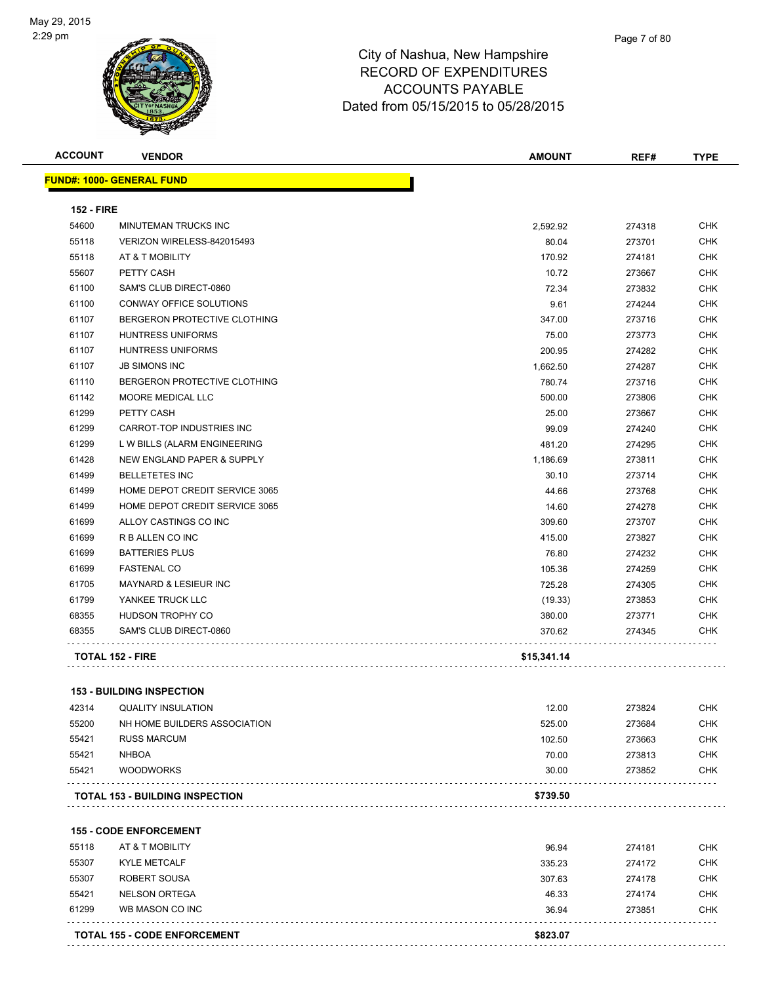

| <b>ACCOUNT</b>    | <b>VENDOR</b>                          | <b>AMOUNT</b> | REF#   | <b>TYPE</b> |
|-------------------|----------------------------------------|---------------|--------|-------------|
|                   | <b>FUND#: 1000- GENERAL FUND</b>       |               |        |             |
| <b>152 - FIRE</b> |                                        |               |        |             |
| 54600             | MINUTEMAN TRUCKS INC                   | 2,592.92      | 274318 | <b>CHK</b>  |
| 55118             | VERIZON WIRELESS-842015493             | 80.04         | 273701 | <b>CHK</b>  |
| 55118             | AT & T MOBILITY                        | 170.92        | 274181 | <b>CHK</b>  |
| 55607             | PETTY CASH                             | 10.72         | 273667 | <b>CHK</b>  |
| 61100             | SAM'S CLUB DIRECT-0860                 | 72.34         | 273832 | <b>CHK</b>  |
| 61100             | CONWAY OFFICE SOLUTIONS                | 9.61          | 274244 | <b>CHK</b>  |
| 61107             | BERGERON PROTECTIVE CLOTHING           | 347.00        | 273716 | CHK         |
| 61107             | <b>HUNTRESS UNIFORMS</b>               | 75.00         | 273773 | CHK         |
| 61107             | <b>HUNTRESS UNIFORMS</b>               | 200.95        | 274282 | <b>CHK</b>  |
| 61107             | <b>JB SIMONS INC</b>                   | 1,662.50      | 274287 | CHK         |
| 61110             | BERGERON PROTECTIVE CLOTHING           | 780.74        | 273716 | CHK         |
| 61142             | MOORE MEDICAL LLC                      | 500.00        | 273806 | <b>CHK</b>  |
| 61299             | PETTY CASH                             | 25.00         | 273667 | <b>CHK</b>  |
| 61299             | CARROT-TOP INDUSTRIES INC              | 99.09         | 274240 | <b>CHK</b>  |
| 61299             | L W BILLS (ALARM ENGINEERING           | 481.20        | 274295 | <b>CHK</b>  |
| 61428             | NEW ENGLAND PAPER & SUPPLY             | 1,186.69      | 273811 | CHK         |
| 61499             | <b>BELLETETES INC</b>                  | 30.10         | 273714 | <b>CHK</b>  |
| 61499             | HOME DEPOT CREDIT SERVICE 3065         | 44.66         | 273768 | CHK         |
| 61499             | HOME DEPOT CREDIT SERVICE 3065         | 14.60         | 274278 | CHK         |
| 61699             | ALLOY CASTINGS CO INC                  | 309.60        | 273707 | CHK         |
| 61699             | R B ALLEN CO INC                       | 415.00        | 273827 | CHK         |
| 61699             | <b>BATTERIES PLUS</b>                  | 76.80         | 274232 | <b>CHK</b>  |
| 61699             | <b>FASTENAL CO</b>                     | 105.36        | 274259 | <b>CHK</b>  |
| 61705             | MAYNARD & LESIEUR INC                  | 725.28        | 274305 | CHK         |
| 61799             | YANKEE TRUCK LLC                       | (19.33)       | 273853 | <b>CHK</b>  |
| 68355             | HUDSON TROPHY CO                       | 380.00        | 273771 | <b>CHK</b>  |
| 68355             | SAM'S CLUB DIRECT-0860                 | 370.62        | 274345 | <b>CHK</b>  |
|                   | <b>TOTAL 152 - FIRE</b>                | \$15,341.14   |        |             |
|                   | <b>153 - BUILDING INSPECTION</b>       |               |        |             |
| 42314             | <b>QUALITY INSULATION</b>              | 12.00         | 273824 | CHK         |
| 55200             | NH HOME BUILDERS ASSOCIATION           | 525.00        | 273684 | <b>CHK</b>  |
| 55421             | <b>RUSS MARCUM</b>                     | 102.50        | 273663 | <b>CHK</b>  |
| 55421             | <b>NHBOA</b>                           | 70.00         | 273813 | <b>CHK</b>  |
| 55421             | <b>WOODWORKS</b>                       | 30.00         | 273852 | <b>CHK</b>  |
|                   | <b>TOTAL 153 - BUILDING INSPECTION</b> | \$739.50      |        |             |
|                   |                                        |               |        |             |
|                   | <b>155 - CODE ENFORCEMENT</b>          |               |        |             |
| 55118             | AT & T MOBILITY                        | 96.94         | 274181 | <b>CHK</b>  |
| 55307             | <b>KYLE METCALF</b>                    | 335.23        | 274172 | CHK         |
| 55307             | ROBERT SOUSA                           | 307.63        | 274178 | CHK         |
| 55421             | <b>NELSON ORTEGA</b>                   | 46.33         | 274174 | <b>CHK</b>  |
| 61299             | WB MASON CO INC                        | 36.94         | 273851 | CHK         |
|                   |                                        |               |        |             |
|                   | <b>TOTAL 155 - CODE ENFORCEMENT</b>    | \$823.07      |        |             |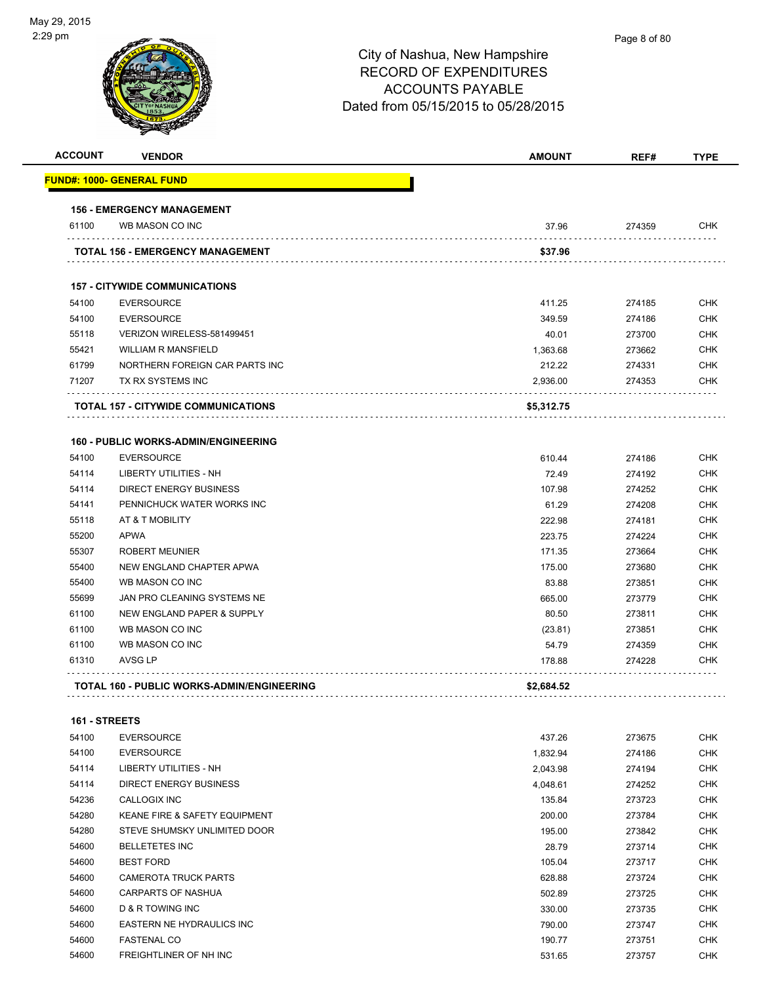

| <b>ACCOUNT</b> | <b>VENDOR</b>                                                    | <b>AMOUNT</b>   | REF#             | <b>TYPE</b> |
|----------------|------------------------------------------------------------------|-----------------|------------------|-------------|
|                | <u> FUND#: 1000- GENERAL FUND</u>                                |                 |                  |             |
|                | <b>156 - EMERGENCY MANAGEMENT</b>                                |                 |                  |             |
| 61100          | WB MASON CO INC                                                  | 37.96           | 274359           | <b>CHK</b>  |
|                | TOTAL 156 - EMERGENCY MANAGEMENT                                 | \$37.96         |                  |             |
|                | <b>157 - CITYWIDE COMMUNICATIONS</b>                             |                 |                  |             |
| 54100          | <b>EVERSOURCE</b>                                                | 411.25          | 274185           | <b>CHK</b>  |
| 54100          | <b>EVERSOURCE</b>                                                | 349.59          | 274186           | <b>CHK</b>  |
| 55118          | VERIZON WIRELESS-581499451                                       | 40.01           | 273700           | <b>CHK</b>  |
| 55421          | <b>WILLIAM R MANSFIELD</b>                                       | 1,363.68        | 273662           | <b>CHK</b>  |
| 61799          | NORTHERN FOREIGN CAR PARTS INC                                   | 212.22          | 274331           | <b>CHK</b>  |
| 71207          | TX RX SYSTEMS INC                                                | 2,936.00        | 274353           | <b>CHK</b>  |
|                | <b>TOTAL 157 - CITYWIDE COMMUNICATIONS</b>                       | \$5,312.75      |                  |             |
|                |                                                                  |                 |                  |             |
| 54100          | <b>160 - PUBLIC WORKS-ADMIN/ENGINEERING</b><br><b>EVERSOURCE</b> |                 |                  | <b>CHK</b>  |
| 54114          | LIBERTY UTILITIES - NH                                           | 610.44<br>72.49 | 274186<br>274192 | <b>CHK</b>  |
| 54114          | DIRECT ENERGY BUSINESS                                           | 107.98          | 274252           | <b>CHK</b>  |
| 54141          | PENNICHUCK WATER WORKS INC                                       | 61.29           | 274208           | <b>CHK</b>  |
| 55118          | AT & T MOBILITY                                                  | 222.98          | 274181           | <b>CHK</b>  |
| 55200          | <b>APWA</b>                                                      | 223.75          | 274224           | <b>CHK</b>  |
| 55307          | <b>ROBERT MEUNIER</b>                                            | 171.35          | 273664           | <b>CHK</b>  |
| 55400          | NEW ENGLAND CHAPTER APWA                                         | 175.00          | 273680           | <b>CHK</b>  |
| 55400          | WB MASON CO INC                                                  | 83.88           | 273851           | <b>CHK</b>  |
| 55699          | JAN PRO CLEANING SYSTEMS NE                                      | 665.00          | 273779           | <b>CHK</b>  |
| 61100          | NEW ENGLAND PAPER & SUPPLY                                       | 80.50           | 273811           | <b>CHK</b>  |
| 61100          | WB MASON CO INC                                                  | (23.81)         | 273851           | <b>CHK</b>  |
| 61100          | WB MASON CO INC                                                  | 54.79           | 274359           | <b>CHK</b>  |
| 61310          | <b>AVSG LP</b>                                                   | 178.88          | 274228           | <b>CHK</b>  |
|                | <b>TOTAL 160 - PUBLIC WORKS-ADMIN/ENGINEERING</b>                | \$2,684.52      |                  |             |
|                |                                                                  |                 |                  |             |
| 161 - STREETS  |                                                                  |                 |                  |             |
| 54100          | <b>EVERSOURCE</b>                                                | 437.26          | 273675           | <b>CHK</b>  |
| 54100          | <b>EVERSOURCE</b>                                                | 1,832.94        | 274186           | <b>CHK</b>  |
| 54114          | LIBERTY UTILITIES - NH                                           | 2,043.98        | 274194           | CHK         |
| 54114          | <b>DIRECT ENERGY BUSINESS</b>                                    | 4,048.61        | 274252           | CHK         |
| 54236          | CALLOGIX INC                                                     | 135.84          | 273723           | <b>CHK</b>  |
| 54280          | KEANE FIRE & SAFETY EQUIPMENT                                    | 200.00          | 273784           | <b>CHK</b>  |
| 54280          | STEVE SHUMSKY UNLIMITED DOOR                                     | 195.00          | 273842           | <b>CHK</b>  |
| 54600          | <b>BELLETETES INC</b>                                            | 28.79           | 273714           | <b>CHK</b>  |
| 54600          | <b>BEST FORD</b>                                                 | 105.04          | 273717           | <b>CHK</b>  |
| 54600          | <b>CAMEROTA TRUCK PARTS</b>                                      | 628.88          | 273724           | <b>CHK</b>  |
| 54600          | CARPARTS OF NASHUA                                               | 502.89          | 273725           | <b>CHK</b>  |
| 54600          | D & R TOWING INC                                                 | 330.00          | 273735           | <b>CHK</b>  |
| 54600          | EASTERN NE HYDRAULICS INC                                        | 790.00          | 273747           | <b>CHK</b>  |

 FASTENAL CO 190.77 273751 CHK 54600 FREIGHTLINER OF NH INC **STARF AND THE SET OF STARF AND STARF AND STARF AND STARF AND STARF AND STARF AND ST**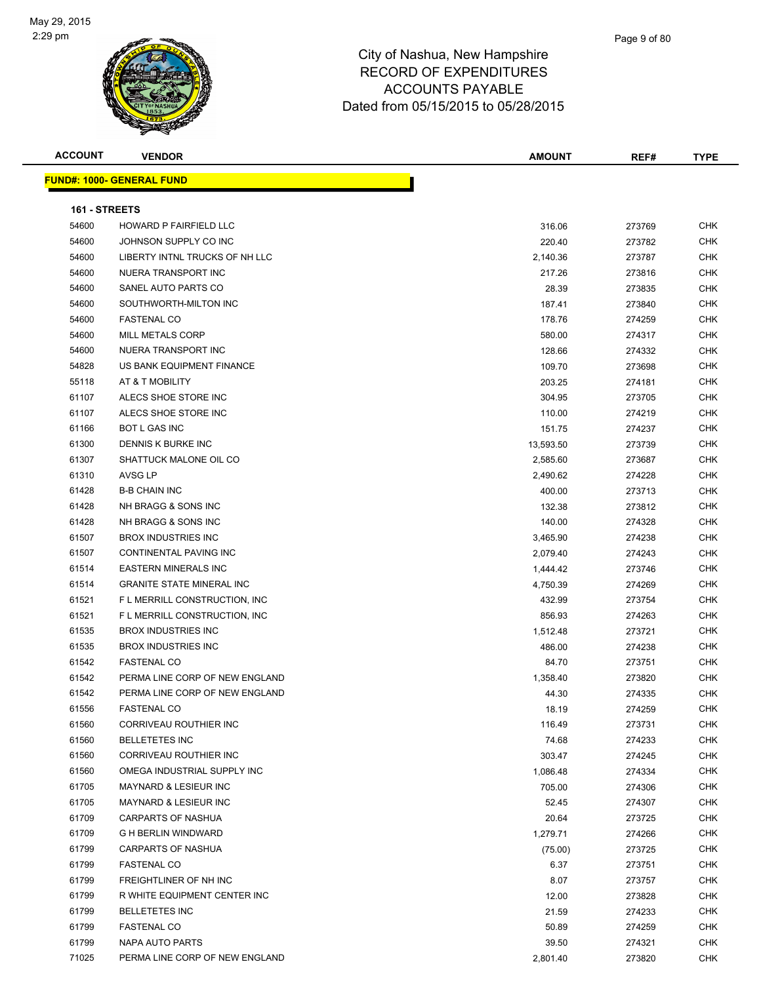

| <b>ACCOUNT</b> | <b>VENDOR</b>                     | <b>AMOUNT</b> | REF#   | <b>TYPE</b> |
|----------------|-----------------------------------|---------------|--------|-------------|
|                | <u> FUND#: 1000- GENERAL FUND</u> |               |        |             |
|                |                                   |               |        |             |
| 161 - STREETS  |                                   |               |        |             |
| 54600          | HOWARD P FAIRFIELD LLC            | 316.06        | 273769 | <b>CHK</b>  |
| 54600          | JOHNSON SUPPLY CO INC             | 220.40        | 273782 | <b>CHK</b>  |
| 54600          | LIBERTY INTNL TRUCKS OF NH LLC    | 2,140.36      | 273787 | <b>CHK</b>  |
| 54600          | NUERA TRANSPORT INC               | 217.26        | 273816 | <b>CHK</b>  |
| 54600          | SANEL AUTO PARTS CO               | 28.39         | 273835 | <b>CHK</b>  |
| 54600          | SOUTHWORTH-MILTON INC             | 187.41        | 273840 | <b>CHK</b>  |
| 54600          | <b>FASTENAL CO</b>                | 178.76        | 274259 | <b>CHK</b>  |
| 54600          | <b>MILL METALS CORP</b>           | 580.00        | 274317 | <b>CHK</b>  |
| 54600          | NUERA TRANSPORT INC               | 128.66        | 274332 | CHK         |
| 54828          | US BANK EQUIPMENT FINANCE         | 109.70        | 273698 | <b>CHK</b>  |
| 55118          | AT & T MOBILITY                   | 203.25        | 274181 | <b>CHK</b>  |
| 61107          | ALECS SHOE STORE INC              | 304.95        | 273705 | <b>CHK</b>  |
| 61107          | ALECS SHOE STORE INC              | 110.00        | 274219 | <b>CHK</b>  |
| 61166          | <b>BOT L GAS INC</b>              | 151.75        | 274237 | <b>CHK</b>  |
| 61300          | DENNIS K BURKE INC                | 13,593.50     | 273739 | CHK         |
| 61307          | SHATTUCK MALONE OIL CO            | 2,585.60      | 273687 | <b>CHK</b>  |
| 61310          | AVSG LP                           | 2,490.62      | 274228 | CHK         |
| 61428          | <b>B-B CHAIN INC</b>              | 400.00        | 273713 | <b>CHK</b>  |
| 61428          | NH BRAGG & SONS INC               | 132.38        | 273812 | <b>CHK</b>  |
| 61428          | NH BRAGG & SONS INC               | 140.00        | 274328 | CHK         |
| 61507          | <b>BROX INDUSTRIES INC</b>        | 3,465.90      | 274238 | <b>CHK</b>  |
| 61507          | CONTINENTAL PAVING INC            | 2,079.40      | 274243 | <b>CHK</b>  |
| 61514          | <b>EASTERN MINERALS INC</b>       | 1,444.42      | 273746 | <b>CHK</b>  |
| 61514          | <b>GRANITE STATE MINERAL INC</b>  | 4,750.39      | 274269 | <b>CHK</b>  |
| 61521          | F L MERRILL CONSTRUCTION, INC     | 432.99        | 273754 | <b>CHK</b>  |
| 61521          | F L MERRILL CONSTRUCTION, INC     | 856.93        | 274263 | CHK         |
| 61535          | <b>BROX INDUSTRIES INC</b>        | 1,512.48      | 273721 | <b>CHK</b>  |
| 61535          | <b>BROX INDUSTRIES INC</b>        | 486.00        | 274238 | <b>CHK</b>  |
| 61542          | <b>FASTENAL CO</b>                | 84.70         | 273751 | <b>CHK</b>  |
| 61542          | PERMA LINE CORP OF NEW ENGLAND    | 1,358.40      | 273820 | <b>CHK</b>  |
| 61542          | PERMA LINE CORP OF NEW ENGLAND    | 44.30         | 274335 | CHK         |
| 61556          | <b>FASTENAL CO</b>                | 18.19         | 274259 | <b>CHK</b>  |
| 61560          | CORRIVEAU ROUTHIER INC            | 116.49        | 273731 | <b>CHK</b>  |
| 61560          | <b>BELLETETES INC</b>             | 74.68         | 274233 | <b>CHK</b>  |
| 61560          | <b>CORRIVEAU ROUTHIER INC</b>     | 303.47        | 274245 | <b>CHK</b>  |
| 61560          | OMEGA INDUSTRIAL SUPPLY INC       | 1,086.48      | 274334 | <b>CHK</b>  |
| 61705          | MAYNARD & LESIEUR INC             | 705.00        | 274306 | <b>CHK</b>  |
| 61705          | <b>MAYNARD &amp; LESIEUR INC</b>  | 52.45         | 274307 | <b>CHK</b>  |
| 61709          | CARPARTS OF NASHUA                | 20.64         | 273725 | <b>CHK</b>  |
| 61709          | <b>G H BERLIN WINDWARD</b>        | 1,279.71      | 274266 | <b>CHK</b>  |
| 61799          | CARPARTS OF NASHUA                | (75.00)       | 273725 | <b>CHK</b>  |
| 61799          | <b>FASTENAL CO</b>                | 6.37          | 273751 | <b>CHK</b>  |
| 61799          | FREIGHTLINER OF NH INC            | 8.07          | 273757 | <b>CHK</b>  |
| 61799          | R WHITE EQUIPMENT CENTER INC      | 12.00         | 273828 | <b>CHK</b>  |
| 61799          | <b>BELLETETES INC</b>             | 21.59         | 274233 | <b>CHK</b>  |
| 61799          | <b>FASTENAL CO</b>                | 50.89         | 274259 | <b>CHK</b>  |
| 61799          | NAPA AUTO PARTS                   | 39.50         | 274321 | <b>CHK</b>  |
| 71025          | PERMA LINE CORP OF NEW ENGLAND    | 2,801.40      | 273820 | <b>CHK</b>  |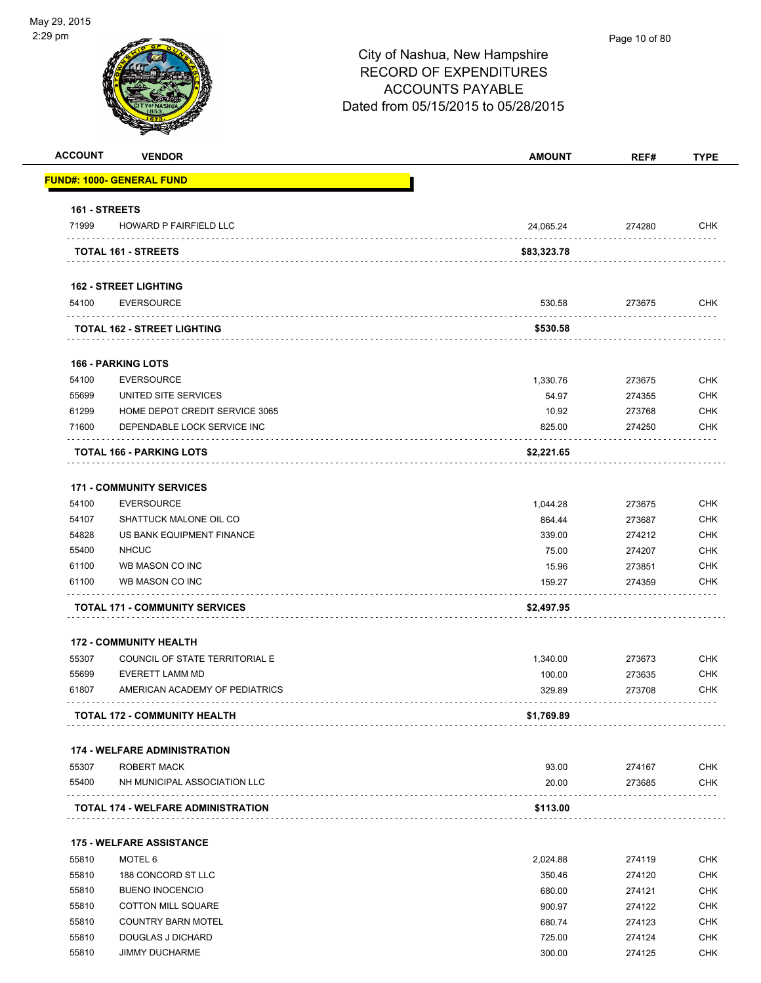| <b>ACCOUNT</b> | <b>VENDOR</b>                              | <b>AMOUNT</b> | REF#   | <b>TYPE</b> |
|----------------|--------------------------------------------|---------------|--------|-------------|
|                | FUND#: 1000- GENERAL FUND                  |               |        |             |
| 161 - STREETS  |                                            |               |        |             |
| 71999          | HOWARD P FAIRFIELD LLC                     | 24,065.24     | 274280 | <b>CHK</b>  |
|                | <b>TOTAL 161 - STREETS</b>                 | \$83,323.78   |        |             |
|                | <b>162 - STREET LIGHTING</b>               |               |        |             |
| 54100          | <b>EVERSOURCE</b>                          | 530.58        | 273675 | CHK         |
|                | TOTAL 162 - STREET LIGHTING                | \$530.58      |        |             |
|                | <b>166 - PARKING LOTS</b>                  |               |        |             |
| 54100          | <b>EVERSOURCE</b>                          | 1,330.76      | 273675 | <b>CHK</b>  |
| 55699          | UNITED SITE SERVICES                       | 54.97         | 274355 | <b>CHK</b>  |
| 61299          | HOME DEPOT CREDIT SERVICE 3065             | 10.92         | 273768 | <b>CHK</b>  |
| 71600          | DEPENDABLE LOCK SERVICE INC                | 825.00        | 274250 | <b>CHK</b>  |
|                | TOTAL 166 - PARKING LOTS                   | \$2,221.65    |        |             |
|                | <b>171 - COMMUNITY SERVICES</b>            |               |        |             |
| 54100          | <b>EVERSOURCE</b>                          | 1,044.28      | 273675 | CHK         |
| 54107          | SHATTUCK MALONE OIL CO                     | 864.44        | 273687 | <b>CHK</b>  |
| 54828          | US BANK EQUIPMENT FINANCE                  | 339.00        | 274212 | <b>CHK</b>  |
| 55400          | <b>NHCUC</b>                               | 75.00         | 274207 | <b>CHK</b>  |
| 61100          | WB MASON CO INC                            | 15.96         | 273851 | <b>CHK</b>  |
| 61100          | WB MASON CO INC                            | 159.27        | 274359 | CHK         |
|                | <b>TOTAL 171 - COMMUNITY SERVICES</b>      | \$2,497.95    |        |             |
|                | <b>172 - COMMUNITY HEALTH</b>              |               |        |             |
| 55307          | COUNCIL OF STATE TERRITORIAL E             | 1,340.00      | 273673 | <b>CHK</b>  |
| 55699          | EVERETT LAMM MD                            | 100.00        | 273635 | <b>CHK</b>  |
| 61807          | AMERICAN ACADEMY OF PEDIATRICS             | 329.89        | 273708 | <b>CHK</b>  |
|                | <b>TOTAL 172 - COMMUNITY HEALTH</b>        | \$1,769.89    |        |             |
|                | <b>174 - WELFARE ADMINISTRATION</b>        |               |        |             |
| 55307          | ROBERT MACK                                | 93.00         | 274167 | <b>CHK</b>  |
| 55400          | NH MUNICIPAL ASSOCIATION LLC               | 20.00         | 273685 | <b>CHK</b>  |
|                | <b>TOTAL 174 - WELFARE ADMINISTRATION</b>  | \$113.00      |        |             |
|                |                                            |               |        |             |
|                | <b>175 - WELFARE ASSISTANCE</b><br>MOTEL 6 |               |        |             |
| 55810          |                                            | 2,024.88      | 274119 | <b>CHK</b>  |
| 55810          | 188 CONCORD ST LLC                         | 350.46        | 274120 | <b>CHK</b>  |
| 55810          | <b>BUENO INOCENCIO</b>                     | 680.00        | 274121 | <b>CHK</b>  |
| 55810          | <b>COTTON MILL SQUARE</b>                  | 900.97        | 274122 | <b>CHK</b>  |
| 55810          | <b>COUNTRY BARN MOTEL</b>                  | 680.74        | 274123 | <b>CHK</b>  |
| 55810          | DOUGLAS J DICHARD                          | 725.00        | 274124 | <b>CHK</b>  |

55810 JIMMY DUCHARME 300.00 274125 CHK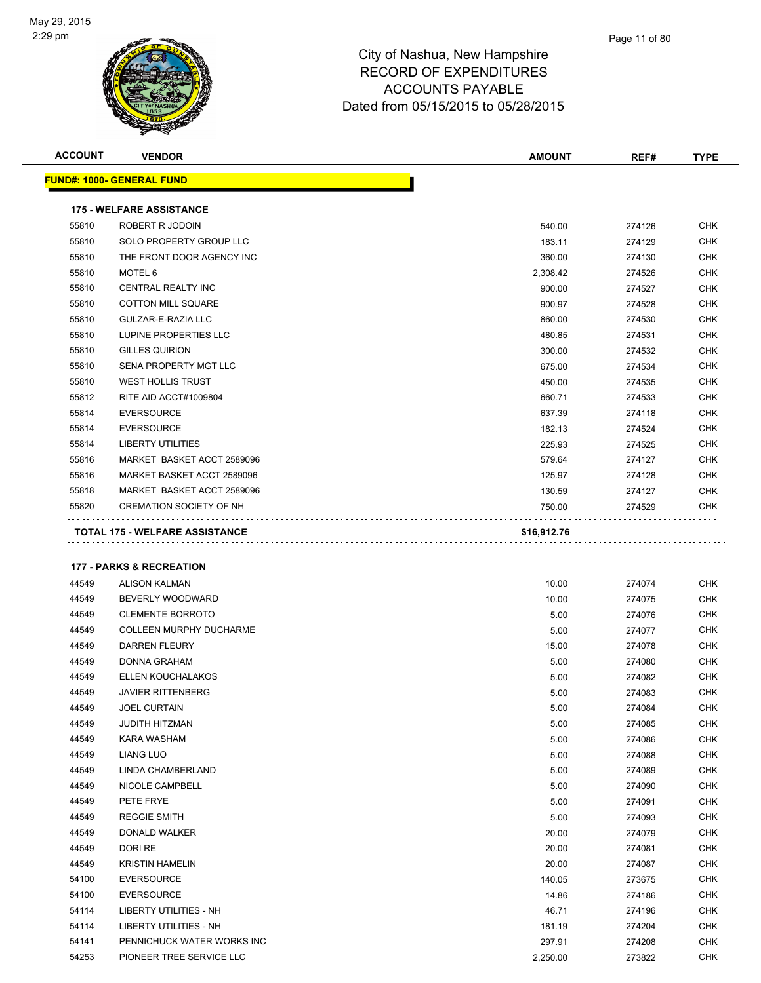

| <b>ACCOUNT</b> | <b>VENDOR</b>                         | <b>AMOUNT</b> | REF#   | <b>TYPE</b> |
|----------------|---------------------------------------|---------------|--------|-------------|
|                | <b>FUND#: 1000- GENERAL FUND</b>      |               |        |             |
|                | <b>175 - WELFARE ASSISTANCE</b>       |               |        |             |
| 55810          | <b>ROBERT R JODOIN</b>                | 540.00        | 274126 | <b>CHK</b>  |
| 55810          | SOLO PROPERTY GROUP LLC               | 183.11        | 274129 | <b>CHK</b>  |
| 55810          | THE FRONT DOOR AGENCY INC             | 360.00        | 274130 | <b>CHK</b>  |
| 55810          | MOTEL 6                               | 2,308.42      | 274526 | <b>CHK</b>  |
| 55810          | <b>CENTRAL REALTY INC</b>             | 900.00        | 274527 | <b>CHK</b>  |
| 55810          | <b>COTTON MILL SQUARE</b>             | 900.97        | 274528 | <b>CHK</b>  |
| 55810          | GULZAR-E-RAZIA LLC                    | 860.00        | 274530 | <b>CHK</b>  |
| 55810          | LUPINE PROPERTIES LLC                 | 480.85        | 274531 | <b>CHK</b>  |
| 55810          | <b>GILLES QUIRION</b>                 | 300.00        | 274532 | <b>CHK</b>  |
| 55810          | SENA PROPERTY MGT LLC                 | 675.00        | 274534 | <b>CHK</b>  |
| 55810          | <b>WEST HOLLIS TRUST</b>              | 450.00        | 274535 | <b>CHK</b>  |
| 55812          | RITE AID ACCT#1009804                 | 660.71        | 274533 | <b>CHK</b>  |
| 55814          | <b>EVERSOURCE</b>                     | 637.39        | 274118 | <b>CHK</b>  |
| 55814          | <b>EVERSOURCE</b>                     | 182.13        | 274524 | <b>CHK</b>  |
| 55814          | <b>LIBERTY UTILITIES</b>              | 225.93        | 274525 | <b>CHK</b>  |
| 55816          | MARKET BASKET ACCT 2589096            | 579.64        | 274127 | <b>CHK</b>  |
| 55816          | MARKET BASKET ACCT 2589096            | 125.97        | 274128 | <b>CHK</b>  |
| 55818          | MARKET BASKET ACCT 2589096            | 130.59        | 274127 | <b>CHK</b>  |
| 55820          | <b>CREMATION SOCIETY OF NH</b>        | 750.00        | 274529 | <b>CHK</b>  |
|                | <b>TOTAL 175 - WELFARE ASSISTANCE</b> | \$16,912.76   |        |             |
|                |                                       |               |        |             |
|                | <b>177 - PARKS &amp; RECREATION</b>   |               |        |             |

| 44549 | <b>ALISON KALMAN</b>           | 10.00    | 274074 | <b>CHK</b> |
|-------|--------------------------------|----------|--------|------------|
| 44549 | BEVERLY WOODWARD               | 10.00    | 274075 | <b>CHK</b> |
| 44549 | <b>CLEMENTE BORROTO</b>        | 5.00     | 274076 | <b>CHK</b> |
| 44549 | <b>COLLEEN MURPHY DUCHARME</b> | 5.00     | 274077 | <b>CHK</b> |
| 44549 | <b>DARREN FLEURY</b>           | 15.00    | 274078 | <b>CHK</b> |
| 44549 | <b>DONNA GRAHAM</b>            | 5.00     | 274080 | <b>CHK</b> |
| 44549 | ELLEN KOUCHALAKOS              | 5.00     | 274082 | <b>CHK</b> |
| 44549 | <b>JAVIER RITTENBERG</b>       | 5.00     | 274083 | <b>CHK</b> |
| 44549 | <b>JOEL CURTAIN</b>            | 5.00     | 274084 | <b>CHK</b> |
| 44549 | <b>JUDITH HITZMAN</b>          | 5.00     | 274085 | <b>CHK</b> |
| 44549 | KARA WASHAM                    | 5.00     | 274086 | <b>CHK</b> |
| 44549 | <b>LIANG LUO</b>               | 5.00     | 274088 | <b>CHK</b> |
| 44549 | <b>LINDA CHAMBERLAND</b>       | 5.00     | 274089 | <b>CHK</b> |
| 44549 | NICOLE CAMPBELL                | 5.00     | 274090 | <b>CHK</b> |
| 44549 | PETE FRYE                      | 5.00     | 274091 | <b>CHK</b> |
| 44549 | <b>REGGIE SMITH</b>            | 5.00     | 274093 | <b>CHK</b> |
| 44549 | <b>DONALD WALKER</b>           | 20.00    | 274079 | <b>CHK</b> |
| 44549 | DORI RE                        | 20.00    | 274081 | <b>CHK</b> |
| 44549 | <b>KRISTIN HAMELIN</b>         | 20.00    | 274087 | <b>CHK</b> |
| 54100 | <b>EVERSOURCE</b>              | 140.05   | 273675 | <b>CHK</b> |
| 54100 | <b>EVERSOURCE</b>              | 14.86    | 274186 | <b>CHK</b> |
| 54114 | <b>LIBERTY UTILITIES - NH</b>  | 46.71    | 274196 | <b>CHK</b> |
| 54114 | <b>LIBERTY UTILITIES - NH</b>  | 181.19   | 274204 | <b>CHK</b> |
| 54141 | PENNICHUCK WATER WORKS INC     | 297.91   | 274208 | <b>CHK</b> |
| 54253 | PIONEER TREE SERVICE LLC       | 2,250.00 | 273822 | <b>CHK</b> |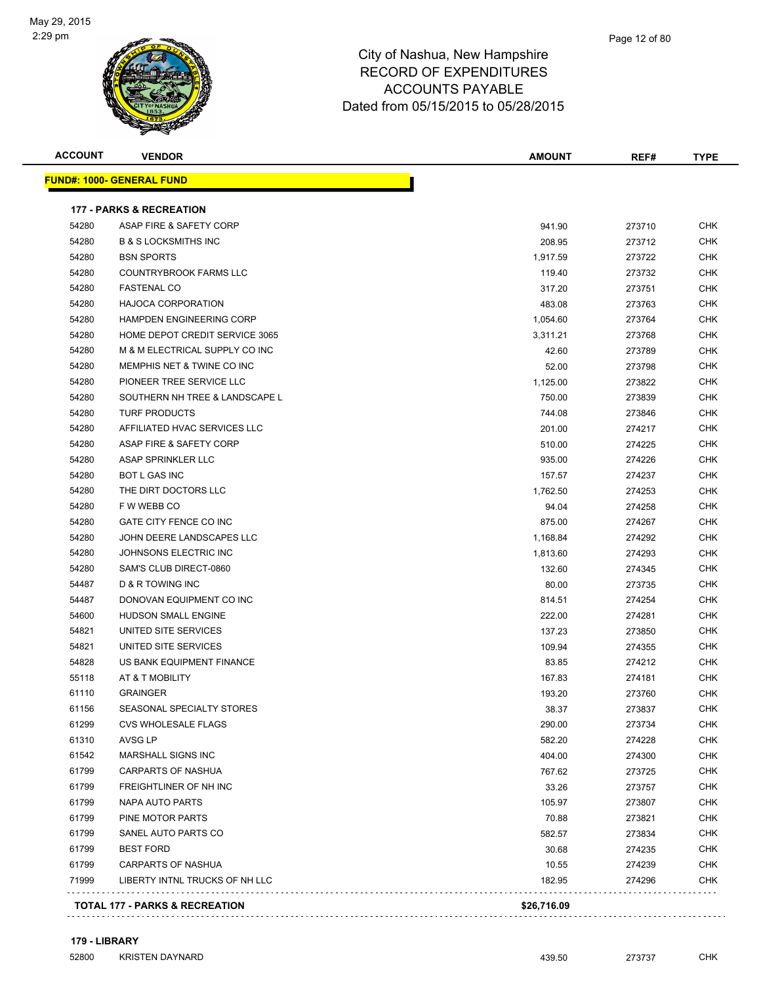

| <b>ACCOUNT</b> | <b>VENDOR</b>                             | <b>AMOUNT</b> | REF#   | <b>TYPE</b> |
|----------------|-------------------------------------------|---------------|--------|-------------|
|                | <b>FUND#: 1000- GENERAL FUND</b>          |               |        |             |
|                | <b>177 - PARKS &amp; RECREATION</b>       |               |        |             |
| 54280          | ASAP FIRE & SAFETY CORP                   | 941.90        | 273710 | CHK         |
| 54280          | <b>B &amp; S LOCKSMITHS INC</b>           | 208.95        | 273712 | CHK         |
| 54280          | <b>BSN SPORTS</b>                         | 1,917.59      | 273722 | CHK         |
| 54280          | <b>COUNTRYBROOK FARMS LLC</b>             | 119.40        | 273732 | <b>CHK</b>  |
| 54280          | <b>FASTENAL CO</b>                        | 317.20        | 273751 | <b>CHK</b>  |
| 54280          | <b>HAJOCA CORPORATION</b>                 | 483.08        | 273763 | CHK         |
| 54280          | <b>HAMPDEN ENGINEERING CORP</b>           | 1,054.60      | 273764 | <b>CHK</b>  |
| 54280          | HOME DEPOT CREDIT SERVICE 3065            | 3,311.21      | 273768 | CHK         |
| 54280          | M & M ELECTRICAL SUPPLY CO INC            | 42.60         | 273789 | CHK         |
| 54280          | MEMPHIS NET & TWINE CO INC                | 52.00         | 273798 | CHK         |
| 54280          | PIONEER TREE SERVICE LLC                  | 1,125.00      | 273822 | <b>CHK</b>  |
| 54280          | SOUTHERN NH TREE & LANDSCAPE L            | 750.00        | 273839 | CHK         |
| 54280          | <b>TURF PRODUCTS</b>                      | 744.08        | 273846 | CHK         |
| 54280          | AFFILIATED HVAC SERVICES LLC              | 201.00        | 274217 | <b>CHK</b>  |
| 54280          | ASAP FIRE & SAFETY CORP                   | 510.00        | 274225 | CHK         |
| 54280          | ASAP SPRINKLER LLC                        | 935.00        | 274226 | CHK         |
| 54280          | <b>BOT L GAS INC</b>                      | 157.57        | 274237 | CHK         |
| 54280          | THE DIRT DOCTORS LLC                      | 1,762.50      | 274253 | <b>CHK</b>  |
| 54280          | F W WEBB CO                               | 94.04         | 274258 | CHK         |
| 54280          | GATE CITY FENCE CO INC                    | 875.00        | 274267 | CHK         |
| 54280          | JOHN DEERE LANDSCAPES LLC                 | 1,168.84      | 274292 | CHK         |
| 54280          | JOHNSONS ELECTRIC INC                     | 1,813.60      | 274293 | CHK         |
| 54280          | SAM'S CLUB DIRECT-0860                    | 132.60        | 274345 | CHK         |
| 54487          | D & R TOWING INC                          | 80.00         | 273735 | CHK         |
| 54487          | DONOVAN EQUIPMENT CO INC                  | 814.51        | 274254 | CHK         |
| 54600          | HUDSON SMALL ENGINE                       | 222.00        | 274281 | CHK         |
| 54821          | UNITED SITE SERVICES                      | 137.23        | 273850 | CHK         |
| 54821          | UNITED SITE SERVICES                      | 109.94        | 274355 | CHK         |
| 54828          | US BANK EQUIPMENT FINANCE                 | 83.85         | 274212 | <b>CHK</b>  |
| 55118          | AT & T MOBILITY                           | 167.83        | 274181 | CHK         |
| 61110          | <b>GRAINGER</b>                           | 193.20        | 273760 | CHK         |
| 61156          | SEASONAL SPECIALTY STORES                 | 38.37         | 273837 | <b>CHK</b>  |
| 61299          | <b>CVS WHOLESALE FLAGS</b>                | 290.00        | 273734 | CHK         |
| 61310          | AVSG LP                                   | 582.20        | 274228 | CHK         |
| 61542          | MARSHALL SIGNS INC                        | 404.00        | 274300 | CHK         |
| 61799          | <b>CARPARTS OF NASHUA</b>                 | 767.62        | 273725 | CHK         |
| 61799          | FREIGHTLINER OF NH INC                    | 33.26         | 273757 | CHK         |
| 61799          | NAPA AUTO PARTS                           | 105.97        | 273807 | <b>CHK</b>  |
| 61799          | PINE MOTOR PARTS                          | 70.88         | 273821 | <b>CHK</b>  |
| 61799          | SANEL AUTO PARTS CO                       | 582.57        | 273834 | <b>CHK</b>  |
| 61799          | <b>BEST FORD</b>                          | 30.68         | 274235 | <b>CHK</b>  |
| 61799          | CARPARTS OF NASHUA                        | 10.55         | 274239 | <b>CHK</b>  |
| 71999          | LIBERTY INTNL TRUCKS OF NH LLC            | 182.95        | 274296 | CHK         |
|                | <b>TOTAL 177 - PARKS &amp; RECREATION</b> | \$26,716.09   |        |             |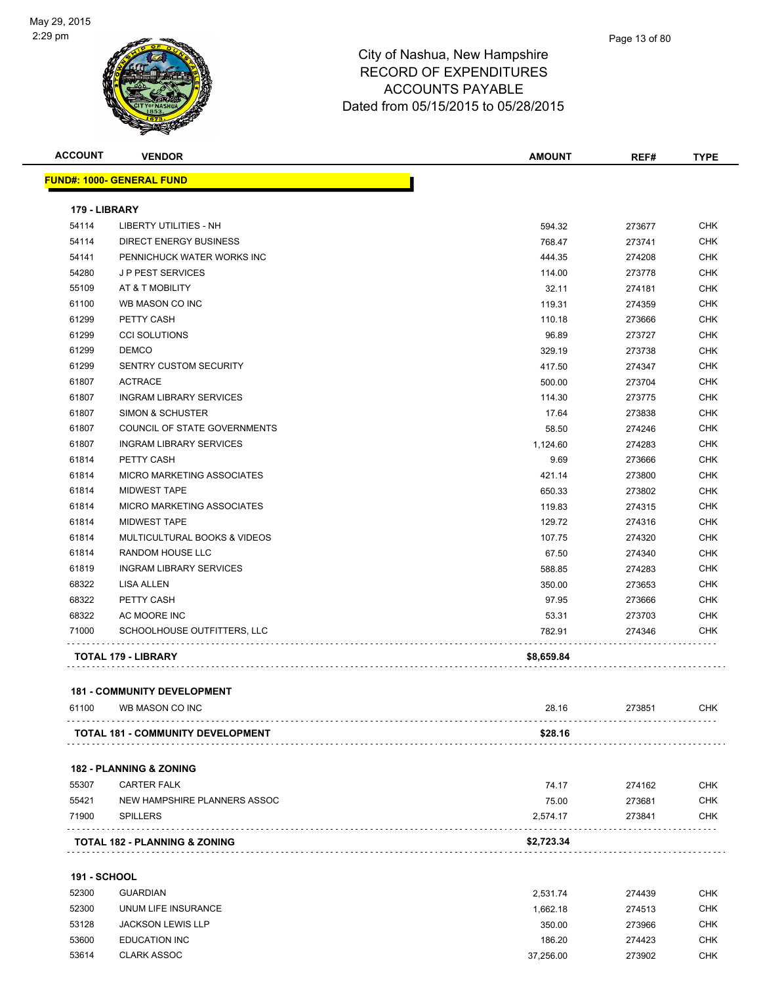

| <b>ACCOUNT</b>      | <b>VENDOR</b>                            | <b>AMOUNT</b> | REF#   | <b>TYPE</b> |
|---------------------|------------------------------------------|---------------|--------|-------------|
|                     | <u> FUND#: 1000- GENERAL FUND</u>        |               |        |             |
| 179 - LIBRARY       |                                          |               |        |             |
| 54114               | LIBERTY UTILITIES - NH                   | 594.32        | 273677 | CHK         |
| 54114               | DIRECT ENERGY BUSINESS                   | 768.47        | 273741 | <b>CHK</b>  |
| 54141               | PENNICHUCK WATER WORKS INC               | 444.35        | 274208 | <b>CHK</b>  |
| 54280               | <b>JP PEST SERVICES</b>                  | 114.00        | 273778 | CHK         |
| 55109               | AT & T MOBILITY                          | 32.11         | 274181 | <b>CHK</b>  |
| 61100               | WB MASON CO INC                          | 119.31        | 274359 | CHK         |
| 61299               | PETTY CASH                               | 110.18        | 273666 | <b>CHK</b>  |
| 61299               | <b>CCI SOLUTIONS</b>                     | 96.89         | 273727 | <b>CHK</b>  |
| 61299               | <b>DEMCO</b>                             | 329.19        | 273738 | <b>CHK</b>  |
| 61299               | <b>SENTRY CUSTOM SECURITY</b>            | 417.50        | 274347 | CHK         |
| 61807               | <b>ACTRACE</b>                           | 500.00        | 273704 | <b>CHK</b>  |
| 61807               | <b>INGRAM LIBRARY SERVICES</b>           | 114.30        | 273775 | <b>CHK</b>  |
| 61807               | SIMON & SCHUSTER                         | 17.64         |        | <b>CHK</b>  |
|                     | COUNCIL OF STATE GOVERNMENTS             |               | 273838 | CHK         |
| 61807               | <b>INGRAM LIBRARY SERVICES</b>           | 58.50         | 274246 | CHK         |
| 61807               | PETTY CASH                               | 1,124.60      | 274283 | <b>CHK</b>  |
| 61814               | MICRO MARKETING ASSOCIATES               | 9.69          | 273666 |             |
| 61814               | <b>MIDWEST TAPE</b>                      | 421.14        | 273800 | CHK         |
| 61814               |                                          | 650.33        | 273802 | CHK         |
| 61814               | MICRO MARKETING ASSOCIATES               | 119.83        | 274315 | CHK         |
| 61814               | <b>MIDWEST TAPE</b>                      | 129.72        | 274316 | <b>CHK</b>  |
| 61814               | MULTICULTURAL BOOKS & VIDEOS             | 107.75        | 274320 | <b>CHK</b>  |
| 61814               | RANDOM HOUSE LLC                         | 67.50         | 274340 | <b>CHK</b>  |
| 61819               | <b>INGRAM LIBRARY SERVICES</b>           | 588.85        | 274283 | <b>CHK</b>  |
| 68322               | LISA ALLEN                               | 350.00        | 273653 | <b>CHK</b>  |
| 68322               | PETTY CASH                               | 97.95         | 273666 | CHK         |
| 68322               | AC MOORE INC                             | 53.31         | 273703 | CHK         |
| 71000               | SCHOOLHOUSE OUTFITTERS, LLC              | 782.91        | 274346 | CHK         |
|                     | TOTAL 179 - LIBRARY                      | \$8,659.84    |        |             |
|                     | <b>181 - COMMUNITY DEVELOPMENT</b>       |               |        |             |
| 61100               | WB MASON CO INC                          | 28.16         | 273851 | <b>CHK</b>  |
|                     | <b>TOTAL 181 - COMMUNITY DEVELOPMENT</b> | \$28.16       |        |             |
|                     |                                          |               |        |             |
|                     | <b>182 - PLANNING &amp; ZONING</b>       |               |        |             |
| 55307               | <b>CARTER FALK</b>                       | 74.17         | 274162 | CHK         |
| 55421               | NEW HAMPSHIRE PLANNERS ASSOC             | 75.00         | 273681 | <b>CHK</b>  |
| 71900               | <b>SPILLERS</b>                          | 2,574.17      | 273841 | CHK         |
|                     | TOTAL 182 - PLANNING & ZONING            | \$2,723.34    |        |             |
| <b>191 - SCHOOL</b> |                                          |               |        |             |
|                     |                                          |               |        |             |
| 52300               | <b>GUARDIAN</b>                          | 2,531.74      | 274439 | <b>CHK</b>  |
| 52300               | UNUM LIFE INSURANCE                      | 1,662.18      | 274513 | CHK         |
| 53128               | <b>JACKSON LEWIS LLP</b>                 | 350.00        | 273966 | <b>CHK</b>  |
| 53600               | <b>EDUCATION INC</b>                     | 186.20        | 274423 | <b>CHK</b>  |
| 53614               | <b>CLARK ASSOC</b>                       | 37,256.00     | 273902 | <b>CHK</b>  |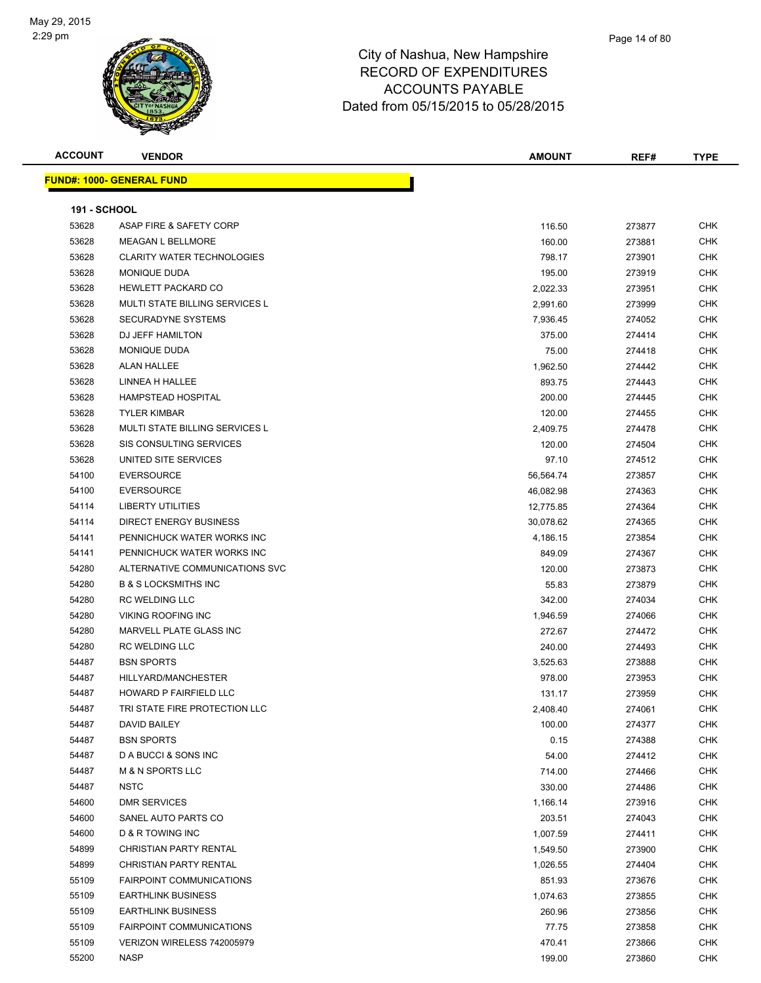

| <b>ACCOUNT</b>      | <b>VENDOR</b>                         | <b>AMOUNT</b> | REF#   | <b>TYPE</b> |
|---------------------|---------------------------------------|---------------|--------|-------------|
|                     | <b>FUND#: 1000- GENERAL FUND</b>      |               |        |             |
|                     |                                       |               |        |             |
| <b>191 - SCHOOL</b> |                                       |               |        |             |
| 53628               | ASAP FIRE & SAFETY CORP               | 116.50        | 273877 | <b>CHK</b>  |
| 53628               | <b>MEAGAN L BELLMORE</b>              | 160.00        | 273881 | <b>CHK</b>  |
| 53628               | <b>CLARITY WATER TECHNOLOGIES</b>     | 798.17        | 273901 | <b>CHK</b>  |
| 53628               | MONIQUE DUDA                          | 195.00        | 273919 | <b>CHK</b>  |
| 53628               | <b>HEWLETT PACKARD CO</b>             | 2,022.33      | 273951 | <b>CHK</b>  |
| 53628               | <b>MULTI STATE BILLING SERVICES L</b> | 2,991.60      | 273999 | <b>CHK</b>  |
| 53628               | <b>SECURADYNE SYSTEMS</b>             | 7,936.45      | 274052 | CHK         |
| 53628               | DJ JEFF HAMILTON                      | 375.00        | 274414 | <b>CHK</b>  |
| 53628               | MONIQUE DUDA                          | 75.00         | 274418 | <b>CHK</b>  |
| 53628               | <b>ALAN HALLEE</b>                    | 1,962.50      | 274442 | CHK         |
| 53628               | LINNEA H HALLEE                       | 893.75        | 274443 | <b>CHK</b>  |
| 53628               | HAMPSTEAD HOSPITAL                    | 200.00        | 274445 | <b>CHK</b>  |
| 53628               | <b>TYLER KIMBAR</b>                   | 120.00        | 274455 | <b>CHK</b>  |
| 53628               | <b>MULTI STATE BILLING SERVICES L</b> | 2,409.75      | 274478 | CHK         |
| 53628               | SIS CONSULTING SERVICES               | 120.00        | 274504 | <b>CHK</b>  |
| 53628               | UNITED SITE SERVICES                  | 97.10         | 274512 | <b>CHK</b>  |
| 54100               | <b>EVERSOURCE</b>                     | 56,564.74     | 273857 | <b>CHK</b>  |
| 54100               | <b>EVERSOURCE</b>                     | 46,082.98     | 274363 | CHK         |
| 54114               | <b>LIBERTY UTILITIES</b>              | 12,775.85     | 274364 | <b>CHK</b>  |
| 54114               | DIRECT ENERGY BUSINESS                | 30,078.62     | 274365 | <b>CHK</b>  |
| 54141               | PENNICHUCK WATER WORKS INC            | 4,186.15      | 273854 | CHK         |
| 54141               | PENNICHUCK WATER WORKS INC            | 849.09        | 274367 | <b>CHK</b>  |
| 54280               | ALTERNATIVE COMMUNICATIONS SVC        | 120.00        | 273873 | <b>CHK</b>  |
| 54280               | <b>B &amp; S LOCKSMITHS INC</b>       | 55.83         | 273879 | <b>CHK</b>  |
| 54280               | <b>RC WELDING LLC</b>                 | 342.00        | 274034 | <b>CHK</b>  |
| 54280               | <b>VIKING ROOFING INC</b>             | 1,946.59      | 274066 | <b>CHK</b>  |
| 54280               | MARVELL PLATE GLASS INC               | 272.67        | 274472 | <b>CHK</b>  |
| 54280               | <b>RC WELDING LLC</b>                 | 240.00        | 274493 | <b>CHK</b>  |
| 54487               | <b>BSN SPORTS</b>                     | 3,525.63      | 273888 | CHK         |
| 54487               | HILLYARD/MANCHESTER                   | 978.00        | 273953 | <b>CHK</b>  |
| 54487               | HOWARD P FAIRFIELD LLC                | 131.17        | 273959 | <b>CHK</b>  |
| 54487               | TRI STATE FIRE PROTECTION LLC         | 2,408.40      | 274061 | CHK         |
| 54487               | DAVID BAILEY                          | 100.00        | 274377 | <b>CHK</b>  |
| 54487               | <b>BSN SPORTS</b>                     | 0.15          | 274388 | <b>CHK</b>  |
| 54487               | D A BUCCI & SONS INC                  | 54.00         | 274412 | <b>CHK</b>  |
| 54487               | <b>M &amp; N SPORTS LLC</b>           | 714.00        | 274466 | <b>CHK</b>  |
| 54487               | <b>NSTC</b>                           | 330.00        | 274486 | <b>CHK</b>  |
| 54600               | <b>DMR SERVICES</b>                   | 1,166.14      | 273916 | <b>CHK</b>  |
| 54600               | SANEL AUTO PARTS CO                   | 203.51        | 274043 | <b>CHK</b>  |
| 54600               | D & R TOWING INC                      | 1,007.59      | 274411 | <b>CHK</b>  |
| 54899               | CHRISTIAN PARTY RENTAL                | 1,549.50      | 273900 | <b>CHK</b>  |
| 54899               | CHRISTIAN PARTY RENTAL                | 1,026.55      | 274404 | <b>CHK</b>  |
| 55109               | <b>FAIRPOINT COMMUNICATIONS</b>       | 851.93        | 273676 | CHK         |
| 55109               | <b>EARTHLINK BUSINESS</b>             | 1,074.63      | 273855 | <b>CHK</b>  |
| 55109               | <b>EARTHLINK BUSINESS</b>             | 260.96        | 273856 | <b>CHK</b>  |
| 55109               | <b>FAIRPOINT COMMUNICATIONS</b>       | 77.75         | 273858 | <b>CHK</b>  |
| 55109               | VERIZON WIRELESS 742005979            | 470.41        | 273866 | <b>CHK</b>  |
| 55200               | <b>NASP</b>                           | 199.00        | 273860 | <b>CHK</b>  |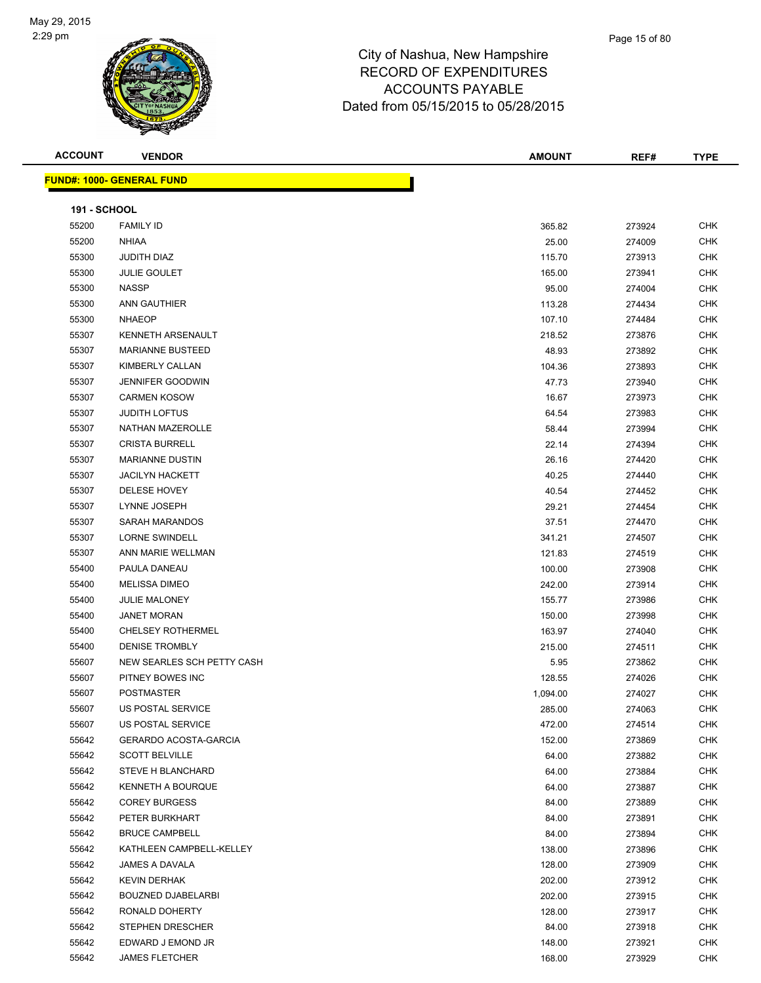

| <b>ACCOUNT</b>      | <b>VENDOR</b>                    | <b>AMOUNT</b> | REF#   | <b>TYPE</b> |
|---------------------|----------------------------------|---------------|--------|-------------|
|                     | <b>FUND#: 1000- GENERAL FUND</b> |               |        |             |
|                     |                                  |               |        |             |
| <b>191 - SCHOOL</b> |                                  |               |        |             |
| 55200               | <b>FAMILY ID</b>                 | 365.82        | 273924 | <b>CHK</b>  |
| 55200               | <b>NHIAA</b>                     | 25.00         | 274009 | CHK         |
| 55300               | <b>JUDITH DIAZ</b>               | 115.70        | 273913 | <b>CHK</b>  |
| 55300               | <b>JULIE GOULET</b>              | 165.00        | 273941 | CHK         |
| 55300               | <b>NASSP</b>                     | 95.00         | 274004 | CHK         |
| 55300               | ANN GAUTHIER                     | 113.28        | 274434 | <b>CHK</b>  |
| 55300               | <b>NHAEOP</b>                    | 107.10        | 274484 | CHK         |
| 55307               | KENNETH ARSENAULT                | 218.52        | 273876 | CHK         |
| 55307               | <b>MARIANNE BUSTEED</b>          | 48.93         | 273892 | CHK         |
| 55307               | KIMBERLY CALLAN                  | 104.36        | 273893 | CHK         |
| 55307               | <b>JENNIFER GOODWIN</b>          | 47.73         | 273940 | CHK         |
| 55307               | <b>CARMEN KOSOW</b>              | 16.67         | 273973 | CHK         |
| 55307               | <b>JUDITH LOFTUS</b>             | 64.54         | 273983 | <b>CHK</b>  |
| 55307               | NATHAN MAZEROLLE                 | 58.44         | 273994 | <b>CHK</b>  |
| 55307               | <b>CRISTA BURRELL</b>            | 22.14         | 274394 | CHK         |
| 55307               | <b>MARIANNE DUSTIN</b>           | 26.16         | 274420 | CHK         |
| 55307               | <b>JACILYN HACKETT</b>           | 40.25         | 274440 | CHK         |
| 55307               | DELESE HOVEY                     | 40.54         | 274452 | CHK         |
| 55307               | LYNNE JOSEPH                     | 29.21         | 274454 | CHK         |
| 55307               | SARAH MARANDOS                   | 37.51         | 274470 | CHK         |
| 55307               | <b>LORNE SWINDELL</b>            | 341.21        | 274507 | <b>CHK</b>  |
| 55307               | ANN MARIE WELLMAN                | 121.83        | 274519 | <b>CHK</b>  |
| 55400               | PAULA DANEAU                     | 100.00        | 273908 | <b>CHK</b>  |
| 55400               | <b>MELISSA DIMEO</b>             | 242.00        | 273914 | <b>CHK</b>  |
| 55400               | <b>JULIE MALONEY</b>             | 155.77        | 273986 | <b>CHK</b>  |
| 55400               | <b>JANET MORAN</b>               | 150.00        | 273998 | CHK         |
| 55400               | <b>CHELSEY ROTHERMEL</b>         | 163.97        | 274040 | CHK         |
| 55400               | <b>DENISE TROMBLY</b>            | 215.00        | 274511 | <b>CHK</b>  |
| 55607               | NEW SEARLES SCH PETTY CASH       | 5.95          | 273862 | CHK         |
| 55607               | PITNEY BOWES INC                 | 128.55        | 274026 | CHK         |
| 55607               | <b>POSTMASTER</b>                | 1,094.00      | 274027 | CHK         |
| 55607               | US POSTAL SERVICE                | 285.00        | 274063 | <b>CHK</b>  |
| 55607               | US POSTAL SERVICE                | 472.00        | 274514 | <b>CHK</b>  |
| 55642               | <b>GERARDO ACOSTA-GARCIA</b>     | 152.00        | 273869 | <b>CHK</b>  |
| 55642               | <b>SCOTT BELVILLE</b>            | 64.00         | 273882 | <b>CHK</b>  |
| 55642               | <b>STEVE H BLANCHARD</b>         | 64.00         | 273884 | <b>CHK</b>  |
| 55642               | KENNETH A BOURQUE                | 64.00         | 273887 | CHK         |
| 55642               | <b>COREY BURGESS</b>             | 84.00         | 273889 | CHK         |
| 55642               | PETER BURKHART                   | 84.00         | 273891 | CHK         |
| 55642               | <b>BRUCE CAMPBELL</b>            | 84.00         | 273894 | CHK         |
| 55642               | KATHLEEN CAMPBELL-KELLEY         | 138.00        | 273896 | CHK         |
| 55642               | JAMES A DAVALA                   | 128.00        | 273909 | CHK         |
| 55642               | <b>KEVIN DERHAK</b>              | 202.00        | 273912 | CHK         |
| 55642               | <b>BOUZNED DJABELARBI</b>        | 202.00        | 273915 | <b>CHK</b>  |
| 55642               | RONALD DOHERTY                   | 128.00        | 273917 | CHK         |
| 55642               | <b>STEPHEN DRESCHER</b>          | 84.00         | 273918 | CHK         |
| 55642               | EDWARD J EMOND JR                | 148.00        | 273921 | CHK         |
| 55642               | <b>JAMES FLETCHER</b>            | 168.00        | 273929 | CHK         |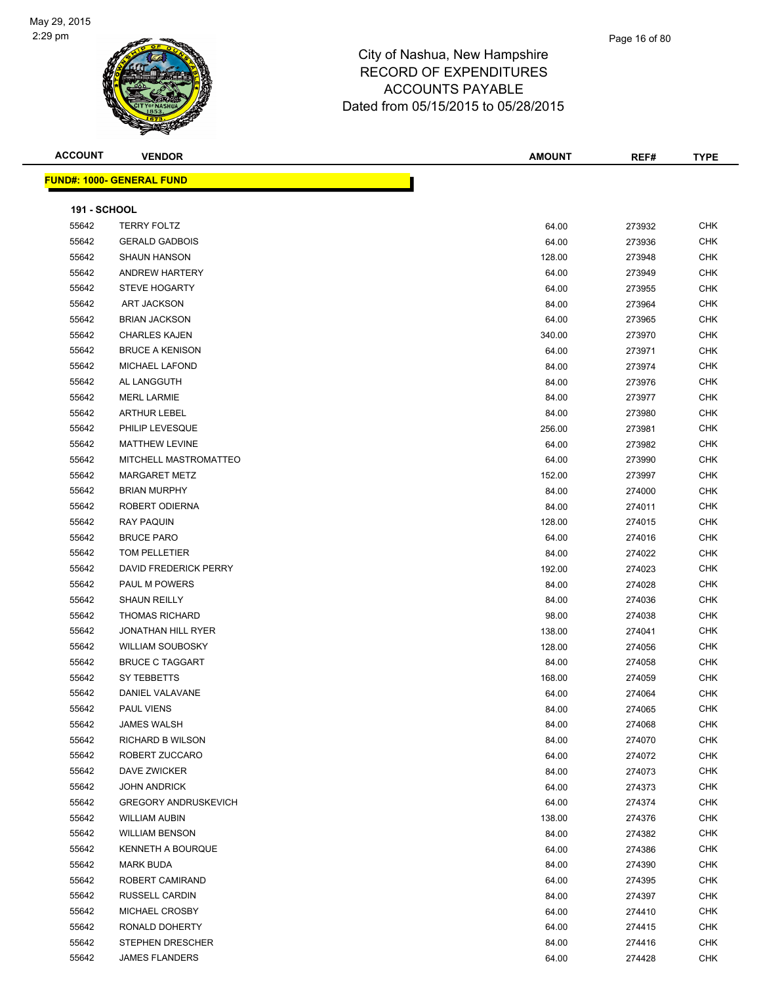

| <b>ACCOUNT</b>      | <b>VENDOR</b>                    | <b>AMOUNT</b> | REF#   | <b>TYPE</b> |
|---------------------|----------------------------------|---------------|--------|-------------|
|                     | <b>FUND#: 1000- GENERAL FUND</b> |               |        |             |
|                     |                                  |               |        |             |
| <b>191 - SCHOOL</b> |                                  |               |        |             |
| 55642               | <b>TERRY FOLTZ</b>               | 64.00         | 273932 | <b>CHK</b>  |
| 55642               | <b>GERALD GADBOIS</b>            | 64.00         | 273936 | <b>CHK</b>  |
| 55642               | <b>SHAUN HANSON</b>              | 128.00        | 273948 | <b>CHK</b>  |
| 55642               | ANDREW HARTERY                   | 64.00         | 273949 | <b>CHK</b>  |
| 55642               | <b>STEVE HOGARTY</b>             | 64.00         | 273955 | <b>CHK</b>  |
| 55642               | <b>ART JACKSON</b>               | 84.00         | 273964 | <b>CHK</b>  |
| 55642               | <b>BRIAN JACKSON</b>             | 64.00         | 273965 | <b>CHK</b>  |
| 55642               | <b>CHARLES KAJEN</b>             | 340.00        | 273970 | <b>CHK</b>  |
| 55642               | <b>BRUCE A KENISON</b>           | 64.00         | 273971 | <b>CHK</b>  |
| 55642               | <b>MICHAEL LAFOND</b>            | 84.00         | 273974 | <b>CHK</b>  |
| 55642               | AL LANGGUTH                      | 84.00         | 273976 | <b>CHK</b>  |
| 55642               | <b>MERL LARMIE</b>               | 84.00         | 273977 | <b>CHK</b>  |
| 55642               | <b>ARTHUR LEBEL</b>              | 84.00         | 273980 | <b>CHK</b>  |
| 55642               | PHILIP LEVESQUE                  | 256.00        | 273981 | <b>CHK</b>  |
| 55642               | <b>MATTHEW LEVINE</b>            | 64.00         | 273982 | <b>CHK</b>  |
| 55642               | MITCHELL MASTROMATTEO            | 64.00         | 273990 | CHK         |
| 55642               | <b>MARGARET METZ</b>             | 152.00        | 273997 | <b>CHK</b>  |
| 55642               | <b>BRIAN MURPHY</b>              | 84.00         | 274000 | <b>CHK</b>  |
| 55642               | ROBERT ODIERNA                   | 84.00         | 274011 | <b>CHK</b>  |
| 55642               | <b>RAY PAQUIN</b>                | 128.00        | 274015 | <b>CHK</b>  |
| 55642               | <b>BRUCE PARO</b>                | 64.00         | 274016 | <b>CHK</b>  |
| 55642               | TOM PELLETIER                    | 84.00         | 274022 | <b>CHK</b>  |
| 55642               | DAVID FREDERICK PERRY            | 192.00        | 274023 | <b>CHK</b>  |
| 55642               | PAUL M POWERS                    | 84.00         | 274028 | <b>CHK</b>  |
| 55642               | <b>SHAUN REILLY</b>              | 84.00         | 274036 | <b>CHK</b>  |
| 55642               | <b>THOMAS RICHARD</b>            | 98.00         | 274038 | <b>CHK</b>  |
| 55642               | <b>JONATHAN HILL RYER</b>        | 138.00        | 274041 | <b>CHK</b>  |
| 55642               | <b>WILLIAM SOUBOSKY</b>          | 128.00        | 274056 | <b>CHK</b>  |
| 55642               | <b>BRUCE C TAGGART</b>           | 84.00         | 274058 | <b>CHK</b>  |
| 55642               | SY TEBBETTS                      | 168.00        | 274059 | <b>CHK</b>  |
| 55642               | DANIEL VALAVANE                  | 64.00         | 274064 | <b>CHK</b>  |
| 55642               | <b>PAUL VIENS</b>                | 84.00         | 274065 | CHK         |
| 55642               | <b>JAMES WALSH</b>               | 84.00         | 274068 | CHK         |
| 55642               | RICHARD B WILSON                 | 84.00         | 274070 | CHK         |
| 55642               | ROBERT ZUCCARO                   | 64.00         | 274072 | <b>CHK</b>  |
| 55642               | DAVE ZWICKER                     | 84.00         | 274073 | <b>CHK</b>  |
| 55642               | <b>JOHN ANDRICK</b>              | 64.00         | 274373 | <b>CHK</b>  |
| 55642               | <b>GREGORY ANDRUSKEVICH</b>      | 64.00         | 274374 | CHK         |
| 55642               | <b>WILLIAM AUBIN</b>             | 138.00        | 274376 | CHK         |
| 55642               | <b>WILLIAM BENSON</b>            | 84.00         | 274382 | CHK         |
| 55642               | KENNETH A BOURQUE                | 64.00         | 274386 | CHK         |
| 55642               | <b>MARK BUDA</b>                 | 84.00         | 274390 | CHK         |
| 55642               | ROBERT CAMIRAND                  | 64.00         | 274395 | <b>CHK</b>  |
| 55642               | RUSSELL CARDIN                   | 84.00         | 274397 | CHK         |
| 55642               | MICHAEL CROSBY                   | 64.00         | 274410 | CHK         |
| 55642               | RONALD DOHERTY                   | 64.00         | 274415 | CHK         |
| 55642               | STEPHEN DRESCHER                 | 84.00         | 274416 | CHK         |
| 55642               | <b>JAMES FLANDERS</b>            | 64.00         | 274428 | <b>CHK</b>  |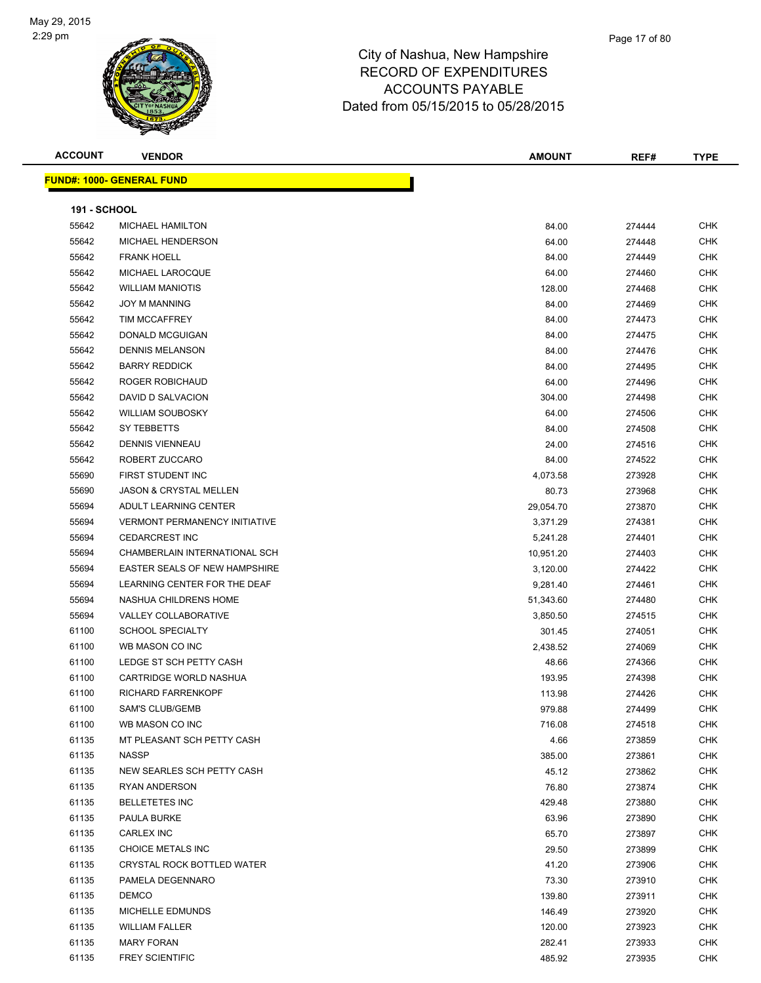

| <b>ACCOUNT</b>      | <b>VENDOR</b>                        | <b>AMOUNT</b> | REF#   | <b>TYPE</b> |
|---------------------|--------------------------------------|---------------|--------|-------------|
|                     | <b>FUND#: 1000- GENERAL FUND</b>     |               |        |             |
|                     |                                      |               |        |             |
| <b>191 - SCHOOL</b> |                                      |               |        |             |
| 55642               | <b>MICHAEL HAMILTON</b>              | 84.00         | 274444 | CHK         |
| 55642               | MICHAEL HENDERSON                    | 64.00         | 274448 | <b>CHK</b>  |
| 55642               | <b>FRANK HOELL</b>                   | 84.00         | 274449 | <b>CHK</b>  |
| 55642               | MICHAEL LAROCQUE                     | 64.00         | 274460 | <b>CHK</b>  |
| 55642               | <b>WILLIAM MANIOTIS</b>              | 128.00        | 274468 | <b>CHK</b>  |
| 55642               | <b>JOY M MANNING</b>                 | 84.00         | 274469 | <b>CHK</b>  |
| 55642               | <b>TIM MCCAFFREY</b>                 | 84.00         | 274473 | CHK         |
| 55642               | DONALD MCGUIGAN                      | 84.00         | 274475 | <b>CHK</b>  |
| 55642               | <b>DENNIS MELANSON</b>               | 84.00         | 274476 | <b>CHK</b>  |
| 55642               | <b>BARRY REDDICK</b>                 | 84.00         | 274495 | <b>CHK</b>  |
| 55642               | ROGER ROBICHAUD                      | 64.00         | 274496 | <b>CHK</b>  |
| 55642               | DAVID D SALVACION                    | 304.00        | 274498 | <b>CHK</b>  |
| 55642               | <b>WILLIAM SOUBOSKY</b>              | 64.00         | 274506 | <b>CHK</b>  |
| 55642               | SY TEBBETTS                          | 84.00         | 274508 | <b>CHK</b>  |
| 55642               | <b>DENNIS VIENNEAU</b>               | 24.00         | 274516 | <b>CHK</b>  |
| 55642               | ROBERT ZUCCARO                       | 84.00         | 274522 | <b>CHK</b>  |
| 55690               | FIRST STUDENT INC                    | 4,073.58      | 273928 | <b>CHK</b>  |
| 55690               | <b>JASON &amp; CRYSTAL MELLEN</b>    | 80.73         | 273968 | CHK         |
| 55694               | ADULT LEARNING CENTER                | 29,054.70     | 273870 | <b>CHK</b>  |
| 55694               | <b>VERMONT PERMANENCY INITIATIVE</b> | 3,371.29      | 274381 | <b>CHK</b>  |
| 55694               | <b>CEDARCREST INC</b>                | 5,241.28      | 274401 | CHK         |
| 55694               | CHAMBERLAIN INTERNATIONAL SCH        | 10,951.20     | 274403 | <b>CHK</b>  |
| 55694               | EASTER SEALS OF NEW HAMPSHIRE        | 3,120.00      | 274422 | <b>CHK</b>  |
| 55694               | LEARNING CENTER FOR THE DEAF         | 9,281.40      | 274461 | <b>CHK</b>  |
| 55694               | NASHUA CHILDRENS HOME                | 51,343.60     | 274480 | <b>CHK</b>  |
| 55694               | VALLEY COLLABORATIVE                 | 3,850.50      | 274515 | <b>CHK</b>  |
| 61100               | <b>SCHOOL SPECIALTY</b>              | 301.45        | 274051 | <b>CHK</b>  |
| 61100               | WB MASON CO INC                      | 2,438.52      | 274069 | <b>CHK</b>  |
| 61100               | LEDGE ST SCH PETTY CASH              | 48.66         | 274366 | CHK         |
| 61100               | CARTRIDGE WORLD NASHUA               | 193.95        | 274398 | CHK         |
| 61100               | <b>RICHARD FARRENKOPF</b>            | 113.98        | 274426 | CHK         |
| 61100               | SAM'S CLUB/GEMB                      | 979.88        | 274499 | <b>CHK</b>  |
| 61100               | WB MASON CO INC                      | 716.08        | 274518 | <b>CHK</b>  |
| 61135               | MT PLEASANT SCH PETTY CASH           | 4.66          | 273859 | <b>CHK</b>  |
| 61135               | <b>NASSP</b>                         | 385.00        | 273861 | <b>CHK</b>  |
| 61135               | NEW SEARLES SCH PETTY CASH           | 45.12         | 273862 | CHK         |
| 61135               | RYAN ANDERSON                        | 76.80         | 273874 | <b>CHK</b>  |
| 61135               | <b>BELLETETES INC</b>                | 429.48        | 273880 | CHK         |
| 61135               | PAULA BURKE                          | 63.96         | 273890 | <b>CHK</b>  |
| 61135               | CARLEX INC                           | 65.70         | 273897 | <b>CHK</b>  |
| 61135               | CHOICE METALS INC                    | 29.50         | 273899 | CHK         |
| 61135               | CRYSTAL ROCK BOTTLED WATER           | 41.20         | 273906 | <b>CHK</b>  |
| 61135               | PAMELA DEGENNARO                     | 73.30         | 273910 | <b>CHK</b>  |
| 61135               | <b>DEMCO</b>                         | 139.80        | 273911 | CHK         |
| 61135               | MICHELLE EDMUNDS                     | 146.49        | 273920 | CHK         |
| 61135               | <b>WILLIAM FALLER</b>                | 120.00        | 273923 | CHK         |
| 61135               | <b>MARY FORAN</b>                    | 282.41        | 273933 | CHK         |
| 61135               | <b>FREY SCIENTIFIC</b>               | 485.92        | 273935 | CHK         |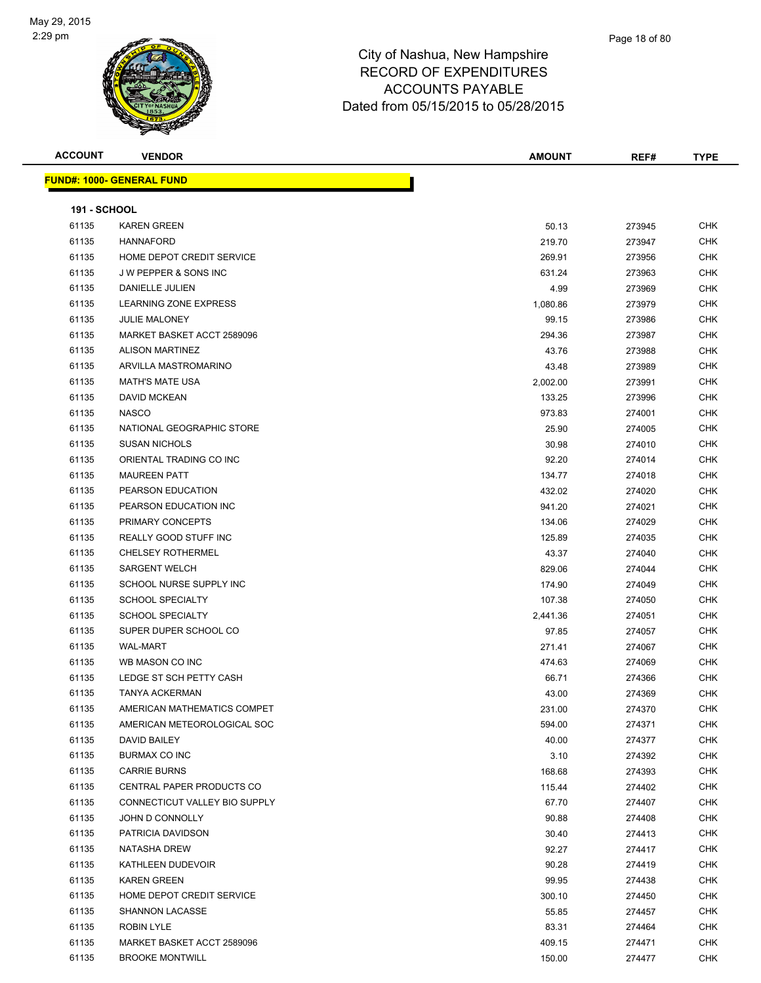

| <b>ACCOUNT</b>      | <b>VENDOR</b>                     | <b>AMOUNT</b> | REF#   | <b>TYPE</b> |
|---------------------|-----------------------------------|---------------|--------|-------------|
|                     | <u> FUND#: 1000- GENERAL FUND</u> |               |        |             |
|                     |                                   |               |        |             |
| <b>191 - SCHOOL</b> |                                   |               |        |             |
| 61135               | <b>KAREN GREEN</b>                | 50.13         | 273945 | <b>CHK</b>  |
| 61135               | <b>HANNAFORD</b>                  | 219.70        | 273947 | <b>CHK</b>  |
| 61135               | HOME DEPOT CREDIT SERVICE         | 269.91        | 273956 | <b>CHK</b>  |
| 61135               | <b>JW PEPPER &amp; SONS INC</b>   | 631.24        | 273963 | CHK         |
| 61135               | DANIELLE JULIEN                   | 4.99          | 273969 | <b>CHK</b>  |
| 61135               | <b>LEARNING ZONE EXPRESS</b>      | 1,080.86      | 273979 | <b>CHK</b>  |
| 61135               | <b>JULIE MALONEY</b>              | 99.15         | 273986 | <b>CHK</b>  |
| 61135               | MARKET BASKET ACCT 2589096        | 294.36        | 273987 | <b>CHK</b>  |
| 61135               | <b>ALISON MARTINEZ</b>            | 43.76         | 273988 | <b>CHK</b>  |
| 61135               | ARVILLA MASTROMARINO              | 43.48         | 273989 | <b>CHK</b>  |
| 61135               | <b>MATH'S MATE USA</b>            | 2,002.00      | 273991 | <b>CHK</b>  |
| 61135               | <b>DAVID MCKEAN</b>               | 133.25        | 273996 | <b>CHK</b>  |
| 61135               | <b>NASCO</b>                      | 973.83        | 274001 | <b>CHK</b>  |
| 61135               | NATIONAL GEOGRAPHIC STORE         | 25.90         | 274005 | <b>CHK</b>  |
| 61135               | <b>SUSAN NICHOLS</b>              | 30.98         | 274010 | CHK         |
| 61135               | ORIENTAL TRADING CO INC           | 92.20         | 274014 | CHK         |
| 61135               | <b>MAUREEN PATT</b>               | 134.77        | 274018 | <b>CHK</b>  |
| 61135               | PEARSON EDUCATION                 | 432.02        | 274020 | <b>CHK</b>  |
| 61135               | PEARSON EDUCATION INC             | 941.20        | 274021 | <b>CHK</b>  |
| 61135               | PRIMARY CONCEPTS                  | 134.06        | 274029 | <b>CHK</b>  |
| 61135               | REALLY GOOD STUFF INC             | 125.89        | 274035 | <b>CHK</b>  |
| 61135               | <b>CHELSEY ROTHERMEL</b>          | 43.37         | 274040 | <b>CHK</b>  |
| 61135               | <b>SARGENT WELCH</b>              | 829.06        | 274044 | <b>CHK</b>  |
| 61135               | SCHOOL NURSE SUPPLY INC           | 174.90        | 274049 | <b>CHK</b>  |
| 61135               | <b>SCHOOL SPECIALTY</b>           | 107.38        | 274050 | <b>CHK</b>  |
| 61135               | <b>SCHOOL SPECIALTY</b>           | 2,441.36      | 274051 | CHK         |
| 61135               | SUPER DUPER SCHOOL CO             | 97.85         | 274057 | <b>CHK</b>  |
| 61135               | <b>WAL-MART</b>                   | 271.41        | 274067 | <b>CHK</b>  |
| 61135               | WB MASON CO INC                   | 474.63        | 274069 | <b>CHK</b>  |
| 61135               | LEDGE ST SCH PETTY CASH           | 66.71         | 274366 | <b>CHK</b>  |
| 61135               | <b>TANYA ACKERMAN</b>             | 43.00         | 274369 | <b>CHK</b>  |
| 61135               | AMERICAN MATHEMATICS COMPET       | 231.00        | 274370 | <b>CHK</b>  |
| 61135               | AMERICAN METEOROLOGICAL SOC       | 594.00        | 274371 | <b>CHK</b>  |
| 61135               | DAVID BAILEY                      | 40.00         | 274377 | <b>CHK</b>  |
| 61135               | BURMAX CO INC                     | 3.10          | 274392 | <b>CHK</b>  |
| 61135               | <b>CARRIE BURNS</b>               | 168.68        | 274393 | CHK         |
| 61135               | CENTRAL PAPER PRODUCTS CO         | 115.44        | 274402 | CHK         |
| 61135               | CONNECTICUT VALLEY BIO SUPPLY     | 67.70         | 274407 | <b>CHK</b>  |
| 61135               | JOHN D CONNOLLY                   | 90.88         | 274408 | <b>CHK</b>  |
| 61135               | PATRICIA DAVIDSON                 | 30.40         | 274413 | CHK         |
| 61135               | <b>NATASHA DREW</b>               | 92.27         | 274417 | <b>CHK</b>  |
| 61135               | KATHLEEN DUDEVOIR                 | 90.28         | 274419 | <b>CHK</b>  |
| 61135               | <b>KAREN GREEN</b>                | 99.95         | 274438 | CHK         |
| 61135               | HOME DEPOT CREDIT SERVICE         | 300.10        | 274450 | CHK         |
| 61135               | SHANNON LACASSE                   | 55.85         | 274457 | <b>CHK</b>  |
| 61135               | ROBIN LYLE                        | 83.31         | 274464 | CHK         |
| 61135               | MARKET BASKET ACCT 2589096        | 409.15        | 274471 | CHK         |
| 61135               | <b>BROOKE MONTWILL</b>            | 150.00        | 274477 | <b>CHK</b>  |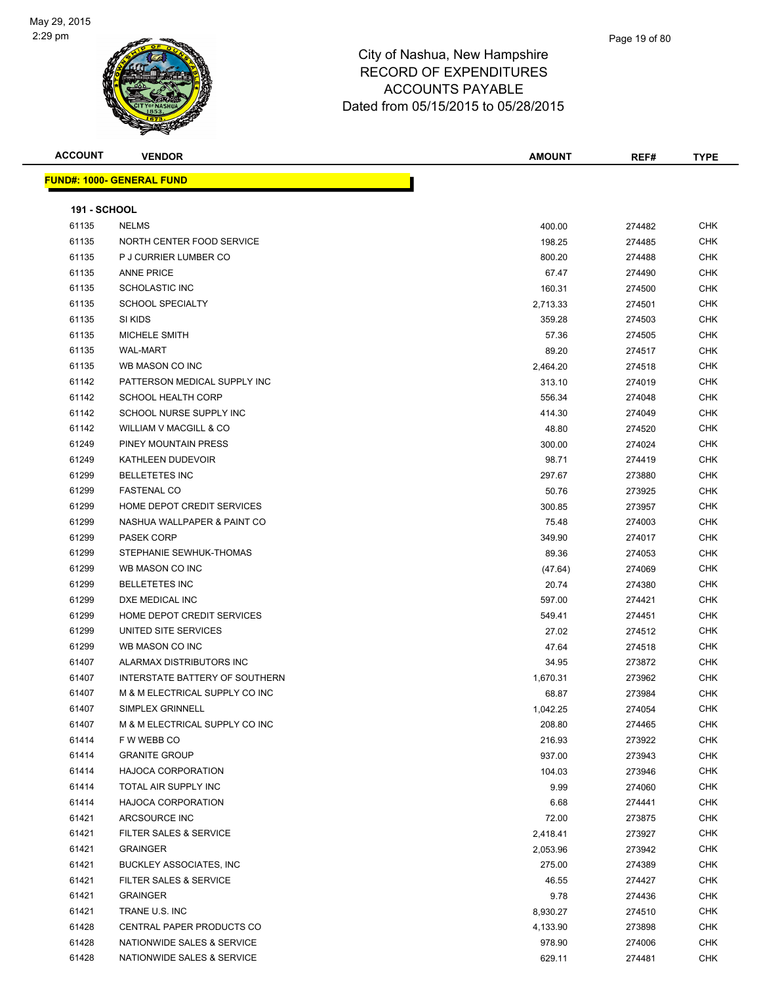

| <b>ACCOUNT</b>      | <b>VENDOR</b>                     | <b>AMOUNT</b> | REF#   | <b>TYPE</b> |
|---------------------|-----------------------------------|---------------|--------|-------------|
|                     | <b>FUND#: 1000- GENERAL FUND</b>  |               |        |             |
| <b>191 - SCHOOL</b> |                                   |               |        |             |
| 61135               | <b>NELMS</b>                      | 400.00        | 274482 | <b>CHK</b>  |
| 61135               | NORTH CENTER FOOD SERVICE         | 198.25        | 274485 | <b>CHK</b>  |
| 61135               | P J CURRIER LUMBER CO             | 800.20        | 274488 | <b>CHK</b>  |
| 61135               | <b>ANNE PRICE</b>                 | 67.47         | 274490 | <b>CHK</b>  |
| 61135               | <b>SCHOLASTIC INC</b>             | 160.31        | 274500 | <b>CHK</b>  |
| 61135               | <b>SCHOOL SPECIALTY</b>           | 2,713.33      | 274501 | <b>CHK</b>  |
| 61135               | SI KIDS                           | 359.28        | 274503 | <b>CHK</b>  |
| 61135               | MICHELE SMITH                     | 57.36         | 274505 | <b>CHK</b>  |
| 61135               | <b>WAL-MART</b>                   | 89.20         | 274517 | <b>CHK</b>  |
| 61135               | WB MASON CO INC                   | 2,464.20      | 274518 | <b>CHK</b>  |
| 61142               | PATTERSON MEDICAL SUPPLY INC      | 313.10        | 274019 | <b>CHK</b>  |
| 61142               | <b>SCHOOL HEALTH CORP</b>         | 556.34        | 274048 | <b>CHK</b>  |
| 61142               | SCHOOL NURSE SUPPLY INC           | 414.30        | 274049 | <b>CHK</b>  |
| 61142               | WILLIAM V MACGILL & CO            | 48.80         | 274520 | <b>CHK</b>  |
| 61249               | PINEY MOUNTAIN PRESS              | 300.00        | 274024 | <b>CHK</b>  |
| 61249               | KATHLEEN DUDEVOIR                 | 98.71         | 274419 | <b>CHK</b>  |
| 61299               | <b>BELLETETES INC</b>             | 297.67        | 273880 | <b>CHK</b>  |
| 61299               | <b>FASTENAL CO</b>                | 50.76         | 273925 | <b>CHK</b>  |
| 61299               | HOME DEPOT CREDIT SERVICES        | 300.85        | 273957 | <b>CHK</b>  |
| 61299               | NASHUA WALLPAPER & PAINT CO       | 75.48         | 274003 | <b>CHK</b>  |
| 61299               | <b>PASEK CORP</b>                 | 349.90        | 274017 | <b>CHK</b>  |
| 61299               | STEPHANIE SEWHUK-THOMAS           | 89.36         | 274053 | <b>CHK</b>  |
| 61299               | WB MASON CO INC                   | (47.64)       | 274069 | <b>CHK</b>  |
| 61299               | <b>BELLETETES INC</b>             | 20.74         | 274380 | <b>CHK</b>  |
| 61299               | DXE MEDICAL INC                   | 597.00        | 274421 | <b>CHK</b>  |
| 61299               | HOME DEPOT CREDIT SERVICES        | 549.41        | 274451 | <b>CHK</b>  |
| 61299               | UNITED SITE SERVICES              | 27.02         | 274512 | <b>CHK</b>  |
| 61299               | WB MASON CO INC                   | 47.64         | 274518 | <b>CHK</b>  |
| 61407               | ALARMAX DISTRIBUTORS INC          | 34.95         | 273872 | <b>CHK</b>  |
| 61407               | INTERSTATE BATTERY OF SOUTHERN    | 1,670.31      | 273962 | <b>CHK</b>  |
| 61407               | M & M ELECTRICAL SUPPLY CO INC    | 68.87         | 273984 | <b>CHK</b>  |
| 61407               | SIMPLEX GRINNELL                  | 1,042.25      | 274054 | CHK         |
| 61407               | M & M ELECTRICAL SUPPLY CO INC    | 208.80        | 274465 | CHK         |
| 61414               | F W WEBB CO                       | 216.93        | 273922 | <b>CHK</b>  |
| 61414               | <b>GRANITE GROUP</b>              | 937.00        | 273943 | <b>CHK</b>  |
| 61414               | <b>HAJOCA CORPORATION</b>         | 104.03        | 273946 | <b>CHK</b>  |
| 61414               | TOTAL AIR SUPPLY INC              | 9.99          | 274060 | <b>CHK</b>  |
| 61414               | <b>HAJOCA CORPORATION</b>         | 6.68          | 274441 | <b>CHK</b>  |
| 61421               | ARCSOURCE INC                     | 72.00         | 273875 | <b>CHK</b>  |
| 61421               | <b>FILTER SALES &amp; SERVICE</b> | 2,418.41      | 273927 | <b>CHK</b>  |
| 61421               | <b>GRAINGER</b>                   | 2,053.96      | 273942 | <b>CHK</b>  |
| 61421               | <b>BUCKLEY ASSOCIATES, INC</b>    | 275.00        | 274389 | <b>CHK</b>  |
| 61421               | FILTER SALES & SERVICE            | 46.55         | 274427 | <b>CHK</b>  |
| 61421               | <b>GRAINGER</b>                   | 9.78          | 274436 | <b>CHK</b>  |
| 61421               | TRANE U.S. INC                    | 8,930.27      | 274510 | <b>CHK</b>  |
| 61428               | CENTRAL PAPER PRODUCTS CO         | 4,133.90      | 273898 | <b>CHK</b>  |
| 61428               | NATIONWIDE SALES & SERVICE        | 978.90        | 274006 | <b>CHK</b>  |
| 61428               | NATIONWIDE SALES & SERVICE        | 629.11        | 274481 | <b>CHK</b>  |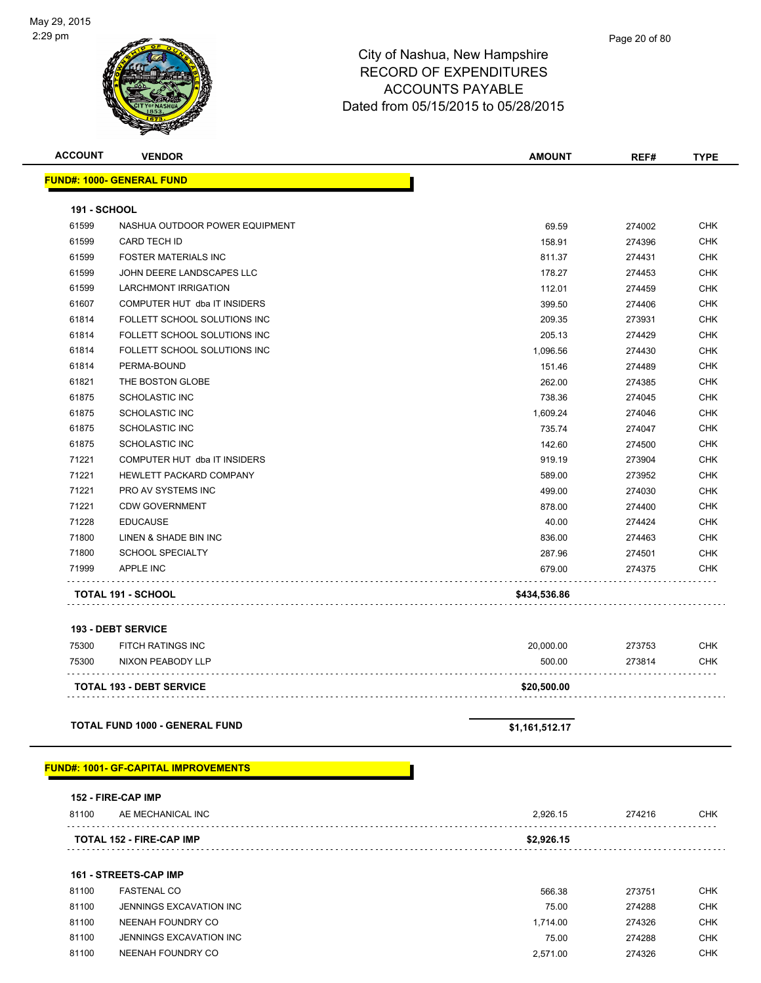

| <b>ACCOUNT</b>      | <b>VENDOR</b>                    | <b>AMOUNT</b> | REF#   | <b>TYPE</b> |
|---------------------|----------------------------------|---------------|--------|-------------|
|                     | <b>FUND#: 1000- GENERAL FUND</b> |               |        |             |
| <b>191 - SCHOOL</b> |                                  |               |        |             |
| 61599               | NASHUA OUTDOOR POWER EQUIPMENT   | 69.59         | 274002 | <b>CHK</b>  |
| 61599               | CARD TECH ID                     | 158.91        | 274396 | <b>CHK</b>  |
| 61599               | <b>FOSTER MATERIALS INC</b>      | 811.37        | 274431 | <b>CHK</b>  |
| 61599               | JOHN DEERE LANDSCAPES LLC        | 178.27        | 274453 | <b>CHK</b>  |
| 61599               | <b>LARCHMONT IRRIGATION</b>      | 112.01        | 274459 | <b>CHK</b>  |
| 61607               | COMPUTER HUT dba IT INSIDERS     | 399.50        | 274406 | <b>CHK</b>  |
| 61814               | FOLLETT SCHOOL SOLUTIONS INC     | 209.35        | 273931 | <b>CHK</b>  |
| 61814               | FOLLETT SCHOOL SOLUTIONS INC     | 205.13        | 274429 | <b>CHK</b>  |
| 61814               | FOLLETT SCHOOL SOLUTIONS INC     | 1,096.56      | 274430 | <b>CHK</b>  |
| 61814               | PERMA-BOUND                      | 151.46        | 274489 | <b>CHK</b>  |
| 61821               | THE BOSTON GLOBE                 | 262.00        | 274385 | <b>CHK</b>  |
| 61875               | <b>SCHOLASTIC INC</b>            | 738.36        | 274045 | <b>CHK</b>  |
| 61875               | <b>SCHOLASTIC INC</b>            | 1,609.24      | 274046 | <b>CHK</b>  |
| 61875               | <b>SCHOLASTIC INC</b>            | 735.74        | 274047 | <b>CHK</b>  |
| 61875               | <b>SCHOLASTIC INC</b>            | 142.60        | 274500 | <b>CHK</b>  |
| 71221               | COMPUTER HUT dba IT INSIDERS     | 919.19        | 273904 | <b>CHK</b>  |
| 71221               | HEWLETT PACKARD COMPANY          | 589.00        | 273952 | <b>CHK</b>  |
| 71221               | PRO AV SYSTEMS INC               | 499.00        | 274030 | <b>CHK</b>  |
| 71221               | <b>CDW GOVERNMENT</b>            | 878.00        | 274400 | <b>CHK</b>  |
| 71228               | <b>EDUCAUSE</b>                  | 40.00         | 274424 | <b>CHK</b>  |
| 71800               | LINEN & SHADE BIN INC            | 836.00        | 274463 | <b>CHK</b>  |
| 71800               | <b>SCHOOL SPECIALTY</b>          | 287.96        | 274501 | <b>CHK</b>  |
| 71999               | <b>APPLE INC</b>                 | 679.00        | 274375 | <b>CHK</b>  |
|                     | <b>TOTAL 191 - SCHOOL</b>        | \$434,536.86  |        |             |
|                     |                                  |               |        |             |

#### **193 - DEBT SERVICE**

| 75300 | FITCH RATINGS INC               | 20.000.00   | 273753 | <b>CHK</b> |
|-------|---------------------------------|-------------|--------|------------|
| 75300 | NIXON PEABODY LLP               | 500.00      | 273814 | <b>CHK</b> |
|       | <b>TOTAL 193 - DEBT SERVICE</b> | \$20.500.00 |        |            |

#### **TOTAL FUND 1000 - GENERAL FUND \$1,161,512.17**

#### **FUND#: 1001- GF-CAPITAL IMPROVEMENTS**

|       | 152 - FIRE-CAP IMP              |            |        |            |
|-------|---------------------------------|------------|--------|------------|
| 81100 | AE MECHANICAL INC               | 2.926.15   | 274216 | <b>CHK</b> |
|       | <b>TOTAL 152 - FIRE-CAP IMP</b> | \$2,926.15 |        |            |
|       |                                 |            |        |            |

#### **161 - STREETS-CAP IMP**

| 81100 | <b>FASTENAL CO</b>      | 566.38   | 273751 | CHK        |
|-------|-------------------------|----------|--------|------------|
| 81100 | JENNINGS EXCAVATION INC | 75.00    | 274288 | CHK        |
| 81100 | NEENAH FOUNDRY CO       | 1.714.00 | 274326 | <b>CHK</b> |
| 81100 | JENNINGS EXCAVATION INC | 75.00    | 274288 | <b>CHK</b> |
| 81100 | NEENAH FOUNDRY CO       | 2,571.00 | 274326 | CHK        |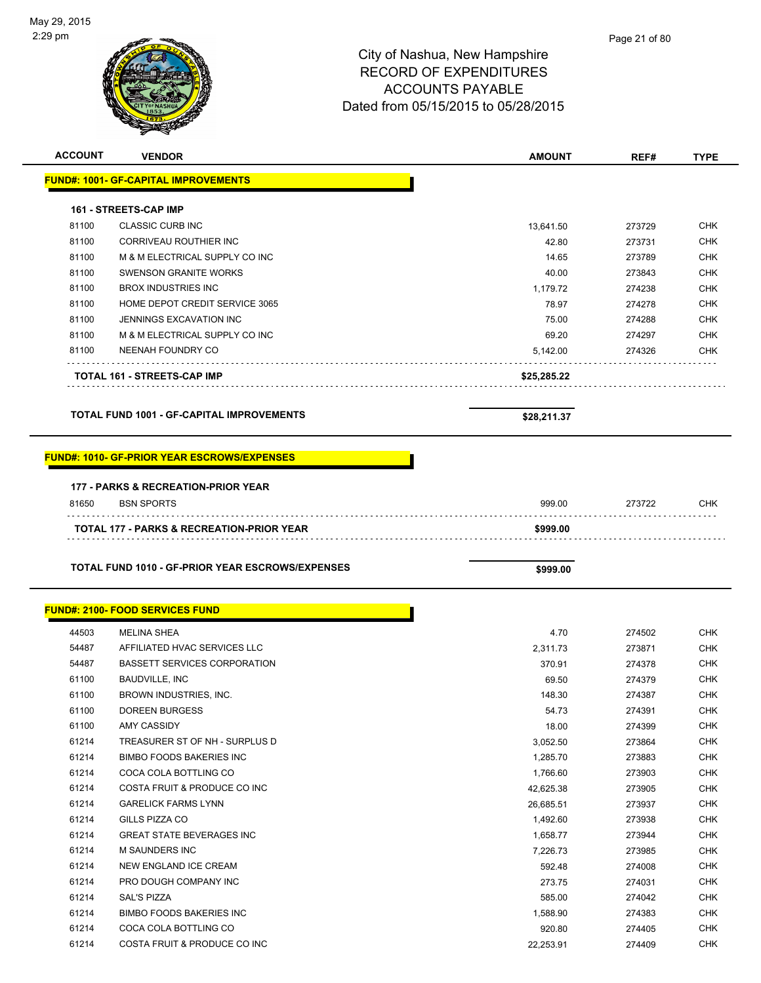| <b>ACCOUNT</b> | <b>VENDOR</b>                                                | <b>AMOUNT</b>     | REF#             | <b>TYPE</b>              |
|----------------|--------------------------------------------------------------|-------------------|------------------|--------------------------|
|                | <b>FUND#: 1001- GF-CAPITAL IMPROVEMENTS</b>                  |                   |                  |                          |
|                |                                                              |                   |                  |                          |
|                | <b>161 - STREETS-CAP IMP</b>                                 |                   |                  |                          |
| 81100          | <b>CLASSIC CURB INC</b>                                      | 13,641.50         | 273729           | <b>CHK</b>               |
| 81100          | <b>CORRIVEAU ROUTHIER INC</b>                                | 42.80             | 273731           | <b>CHK</b>               |
| 81100          | M & M ELECTRICAL SUPPLY CO INC                               | 14.65             | 273789           | <b>CHK</b>               |
| 81100          | <b>SWENSON GRANITE WORKS</b>                                 | 40.00             | 273843           | <b>CHK</b>               |
| 81100          | <b>BROX INDUSTRIES INC</b>                                   | 1,179.72          | 274238           | <b>CHK</b>               |
| 81100          | HOME DEPOT CREDIT SERVICE 3065                               | 78.97             | 274278           | <b>CHK</b>               |
| 81100          | JENNINGS EXCAVATION INC                                      | 75.00             | 274288           | <b>CHK</b>               |
| 81100          | M & M ELECTRICAL SUPPLY CO INC                               | 69.20             | 274297           | <b>CHK</b>               |
| 81100          | NEENAH FOUNDRY CO                                            | 5,142.00          | 274326           | <b>CHK</b>               |
|                | TOTAL 161 - STREETS-CAP IMP                                  | \$25,285.22       |                  |                          |
|                | <b>TOTAL FUND 1001 - GF-CAPITAL IMPROVEMENTS</b>             | \$28,211.37       |                  |                          |
|                |                                                              |                   |                  |                          |
|                | <b>FUND#: 1010- GF-PRIOR YEAR ESCROWS/EXPENSES</b>           |                   |                  |                          |
|                |                                                              |                   |                  |                          |
|                | 177 - PARKS & RECREATION-PRIOR YEAR                          |                   |                  |                          |
| 81650          | <b>BSN SPORTS</b>                                            | 999.00            | 273722           | <b>CHK</b>               |
|                | <b>TOTAL 177 - PARKS &amp; RECREATION-PRIOR YEAR</b>         | \$999.00          |                  |                          |
|                |                                                              |                   |                  |                          |
|                |                                                              |                   |                  |                          |
|                | <b>TOTAL FUND 1010 - GF-PRIOR YEAR ESCROWS/EXPENSES</b>      |                   |                  |                          |
|                |                                                              | \$999.00          |                  |                          |
|                | <b>FUND#: 2100- FOOD SERVICES FUND</b>                       |                   |                  |                          |
|                |                                                              |                   |                  |                          |
| 44503          | <b>MELINA SHEA</b>                                           | 4.70              | 274502           | <b>CHK</b>               |
| 54487          | AFFILIATED HVAC SERVICES LLC                                 | 2,311.73          | 273871           | <b>CHK</b>               |
| 54487<br>61100 | <b>BASSETT SERVICES CORPORATION</b><br><b>BAUDVILLE, INC</b> | 370.91            | 274378           | <b>CHK</b>               |
| 61100          | BROWN INDUSTRIES, INC.                                       | 69.50             | 274379           | <b>CHK</b>               |
| 61100          | DOREEN BURGESS                                               | 148.30            | 274387           | <b>CHK</b>               |
| 61100          | AMY CASSIDY                                                  | 54.73             | 274391           | <b>CHK</b>               |
| 61214          | TREASURER ST OF NH - SURPLUS D                               | 18.00<br>3,052.50 | 274399           | <b>CHK</b><br><b>CHK</b> |
| 61214          | <b>BIMBO FOODS BAKERIES INC</b>                              | 1,285.70          | 273864<br>273883 | <b>CHK</b>               |
| 61214          | COCA COLA BOTTLING CO                                        | 1,766.60          | 273903           | <b>CHK</b>               |
| 61214          | COSTA FRUIT & PRODUCE CO INC                                 | 42,625.38         | 273905           | <b>CHK</b>               |
| 61214          | <b>GARELICK FARMS LYNN</b>                                   | 26,685.51         | 273937           | <b>CHK</b>               |
| 61214          | GILLS PIZZA CO                                               | 1,492.60          | 273938           | <b>CHK</b>               |
| 61214          | <b>GREAT STATE BEVERAGES INC</b>                             | 1,658.77          | 273944           | <b>CHK</b>               |
| 61214          | M SAUNDERS INC                                               | 7,226.73          | 273985           | <b>CHK</b>               |
| 61214          | NEW ENGLAND ICE CREAM                                        | 592.48            | 274008           | <b>CHK</b>               |
| 61214          | PRO DOUGH COMPANY INC                                        | 273.75            | 274031           | <b>CHK</b>               |
| 61214          | <b>SAL'S PIZZA</b>                                           | 585.00            | 274042           | <b>CHK</b>               |
| 61214          | <b>BIMBO FOODS BAKERIES INC</b>                              | 1,588.90          | 274383           | <b>CHK</b>               |
| 61214          | COCA COLA BOTTLING CO                                        | 920.80            | 274405           | <b>CHK</b>               |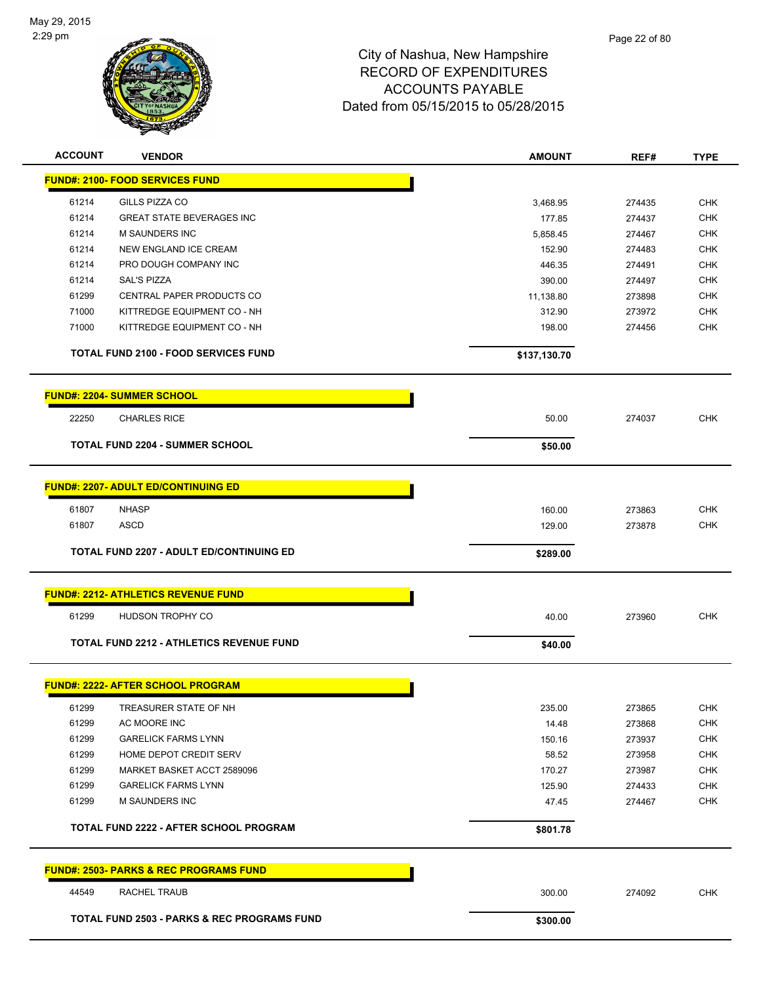

| <b>ACCOUNT</b> | <b>VENDOR</b>                                          | <b>AMOUNT</b>   | REF#             | <b>TYPE</b>              |
|----------------|--------------------------------------------------------|-----------------|------------------|--------------------------|
|                | <b>FUND#: 2100- FOOD SERVICES FUND</b>                 |                 |                  |                          |
| 61214          | GILLS PIZZA CO                                         | 3,468.95        | 274435           | <b>CHK</b>               |
| 61214          | <b>GREAT STATE BEVERAGES INC</b>                       | 177.85          | 274437           | <b>CHK</b>               |
| 61214          | <b>M SAUNDERS INC</b>                                  | 5,858.45        | 274467           | <b>CHK</b>               |
| 61214          | NEW ENGLAND ICE CREAM                                  | 152.90          | 274483           | <b>CHK</b>               |
| 61214          | PRO DOUGH COMPANY INC                                  | 446.35          | 274491           | <b>CHK</b>               |
| 61214          | <b>SAL'S PIZZA</b>                                     | 390.00          | 274497           | <b>CHK</b>               |
| 61299          | CENTRAL PAPER PRODUCTS CO                              | 11,138.80       | 273898           | <b>CHK</b>               |
| 71000          | KITTREDGE EQUIPMENT CO - NH                            | 312.90          | 273972           | <b>CHK</b>               |
| 71000          | KITTREDGE EQUIPMENT CO - NH                            | 198.00          | 274456           | <b>CHK</b>               |
|                | <b>TOTAL FUND 2100 - FOOD SERVICES FUND</b>            | \$137,130.70    |                  |                          |
|                | <b>FUND#: 2204- SUMMER SCHOOL</b>                      |                 |                  |                          |
| 22250          | <b>CHARLES RICE</b>                                    | 50.00           | 274037           | <b>CHK</b>               |
|                | <b>TOTAL FUND 2204 - SUMMER SCHOOL</b>                 | \$50.00         |                  |                          |
|                |                                                        |                 |                  |                          |
|                | <b>FUND#: 2207- ADULT ED/CONTINUING ED</b>             |                 |                  |                          |
| 61807          | <b>NHASP</b>                                           | 160.00          | 273863           | <b>CHK</b>               |
| 61807          | <b>ASCD</b>                                            | 129.00          | 273878           | <b>CHK</b>               |
|                | <b>TOTAL FUND 2207 - ADULT ED/CONTINUING ED</b>        | \$289.00        |                  |                          |
|                | <b>FUND#: 2212- ATHLETICS REVENUE FUND</b>             |                 |                  |                          |
| 61299          | HUDSON TROPHY CO                                       | 40.00           | 273960           | <b>CHK</b>               |
|                | <b>TOTAL FUND 2212 - ATHLETICS REVENUE FUND</b>        | \$40.00         |                  |                          |
|                | <b>FUND#: 2222- AFTER SCHOOL PROGRAM</b>               |                 |                  |                          |
|                |                                                        |                 |                  |                          |
| 61299<br>61299 | TREASURER STATE OF NH<br>AC MOORE INC                  | 235.00<br>14.48 | 273865<br>273868 | <b>CHK</b><br><b>CHK</b> |
| 61299          | <b>GARELICK FARMS LYNN</b>                             | 150.16          | 273937           | <b>CHK</b>               |
| 61299          | HOME DEPOT CREDIT SERV                                 | 58.52           | 273958           | <b>CHK</b>               |
| 61299          | MARKET BASKET ACCT 2589096                             | 170.27          | 273987           | <b>CHK</b>               |
| 61299          | <b>GARELICK FARMS LYNN</b>                             | 125.90          | 274433           | <b>CHK</b>               |
| 61299          | M SAUNDERS INC                                         | 47.45           | 274467           | CHK                      |
|                |                                                        |                 |                  |                          |
|                | <b>TOTAL FUND 2222 - AFTER SCHOOL PROGRAM</b>          | \$801.78        |                  |                          |
|                | <b>FUND#: 2503- PARKS &amp; REC PROGRAMS FUND</b>      |                 |                  |                          |
| 44549          | RACHEL TRAUB                                           | 300.00          | 274092           | <b>CHK</b>               |
|                | <b>TOTAL FUND 2503 - PARKS &amp; REC PROGRAMS FUND</b> | \$300.00        |                  |                          |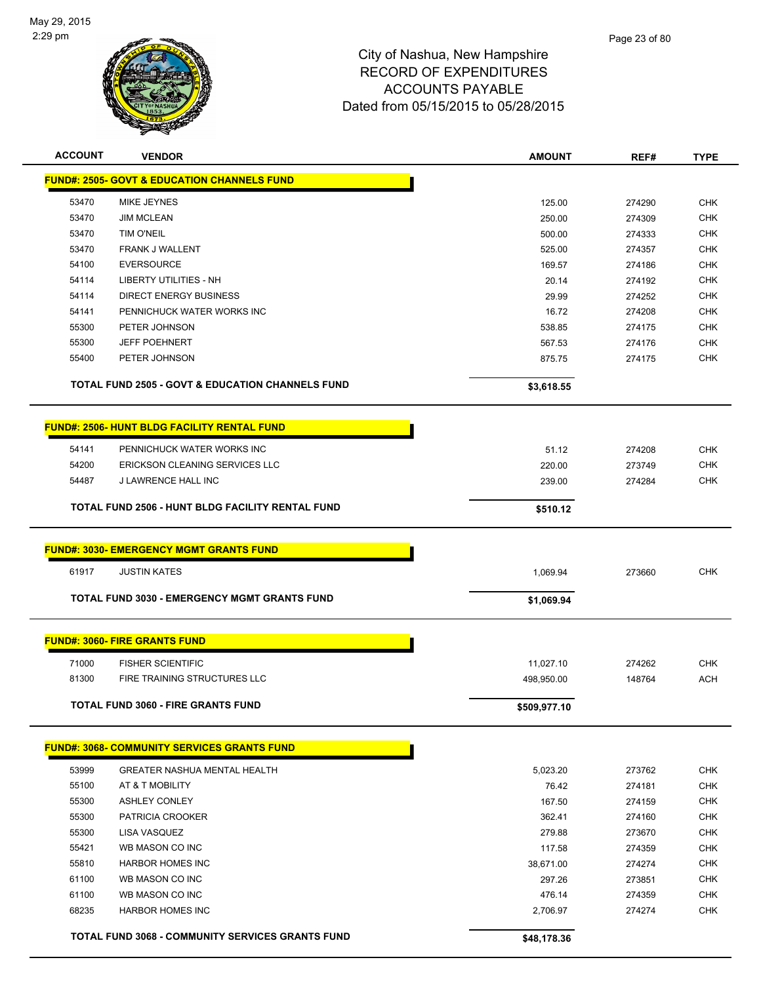

| <b>ACCOUNT</b> | <b>VENDOR</b>                                               | <b>AMOUNT</b> | REF#   | <b>TYPE</b> |
|----------------|-------------------------------------------------------------|---------------|--------|-------------|
|                | <b>FUND#: 2505- GOVT &amp; EDUCATION CHANNELS FUND</b>      |               |        |             |
| 53470          | MIKE JEYNES                                                 | 125.00        | 274290 | <b>CHK</b>  |
| 53470          | <b>JIM MCLEAN</b>                                           | 250.00        | 274309 | <b>CHK</b>  |
| 53470          | <b>TIM O'NEIL</b>                                           | 500.00        | 274333 | <b>CHK</b>  |
| 53470          | FRANK J WALLENT                                             | 525.00        | 274357 | <b>CHK</b>  |
| 54100          | <b>EVERSOURCE</b>                                           | 169.57        | 274186 | <b>CHK</b>  |
| 54114          | <b>LIBERTY UTILITIES - NH</b>                               | 20.14         | 274192 | <b>CHK</b>  |
| 54114          | DIRECT ENERGY BUSINESS                                      | 29.99         | 274252 | <b>CHK</b>  |
| 54141          | PENNICHUCK WATER WORKS INC                                  | 16.72         | 274208 | <b>CHK</b>  |
| 55300          | PETER JOHNSON                                               | 538.85        | 274175 | <b>CHK</b>  |
| 55300          | <b>JEFF POEHNERT</b>                                        | 567.53        | 274176 | <b>CHK</b>  |
| 55400          | PETER JOHNSON                                               | 875.75        | 274175 | <b>CHK</b>  |
|                | <b>TOTAL FUND 2505 - GOVT &amp; EDUCATION CHANNELS FUND</b> | \$3,618.55    |        |             |
|                | <b>FUND#: 2506- HUNT BLDG FACILITY RENTAL FUND</b>          |               |        |             |
| 54141          | PENNICHUCK WATER WORKS INC                                  | 51.12         | 274208 | <b>CHK</b>  |
| 54200          | ERICKSON CLEANING SERVICES LLC                              | 220.00        | 273749 | <b>CHK</b>  |
| 54487          | J LAWRENCE HALL INC                                         | 239.00        | 274284 | <b>CHK</b>  |
|                | <b>TOTAL FUND 2506 - HUNT BLDG FACILITY RENTAL FUND</b>     | \$510.12      |        |             |
|                | <b>FUND#: 3030- EMERGENCY MGMT GRANTS FUND</b>              |               |        |             |
| 61917          | <b>JUSTIN KATES</b>                                         | 1,069.94      | 273660 | <b>CHK</b>  |
|                |                                                             |               |        |             |
|                | <b>TOTAL FUND 3030 - EMERGENCY MGMT GRANTS FUND</b>         | \$1,069.94    |        |             |
|                | <b>FUND#: 3060- FIRE GRANTS FUND</b>                        |               |        |             |
| 71000          | <b>FISHER SCIENTIFIC</b>                                    | 11,027.10     | 274262 | <b>CHK</b>  |
| 81300          | <b>FIRE TRAINING STRUCTURES LLC</b>                         | 498,950.00    | 148764 | <b>ACH</b>  |
|                | TOTAL FUND 3060 - FIRE GRANTS FUND                          | \$509,977.10  |        |             |
|                | <b>FUND#: 3068- COMMUNITY SERVICES GRANTS FUND</b>          |               |        |             |
| 53999          | <b>GREATER NASHUA MENTAL HEALTH</b>                         | 5,023.20      | 273762 | <b>CHK</b>  |
| 55100          | AT & T MOBILITY                                             | 76.42         | 274181 | <b>CHK</b>  |
| 55300          | <b>ASHLEY CONLEY</b>                                        | 167.50        | 274159 | <b>CHK</b>  |
| 55300          | PATRICIA CROOKER                                            | 362.41        | 274160 | <b>CHK</b>  |
| 55300          | LISA VASQUEZ                                                | 279.88        | 273670 | <b>CHK</b>  |
| 55421          | WB MASON CO INC                                             | 117.58        | 274359 | <b>CHK</b>  |
| 55810          | <b>HARBOR HOMES INC</b>                                     | 38,671.00     | 274274 | <b>CHK</b>  |
| 61100          | WB MASON CO INC                                             | 297.26        | 273851 | <b>CHK</b>  |
| 61100          | WB MASON CO INC                                             | 476.14        | 274359 | <b>CHK</b>  |
| 68235          | <b>HARBOR HOMES INC</b>                                     | 2,706.97      | 274274 | <b>CHK</b>  |
|                | TOTAL FUND 3068 - COMMUNITY SERVICES GRANTS FUND            | \$48,178.36   |        |             |
|                |                                                             |               |        |             |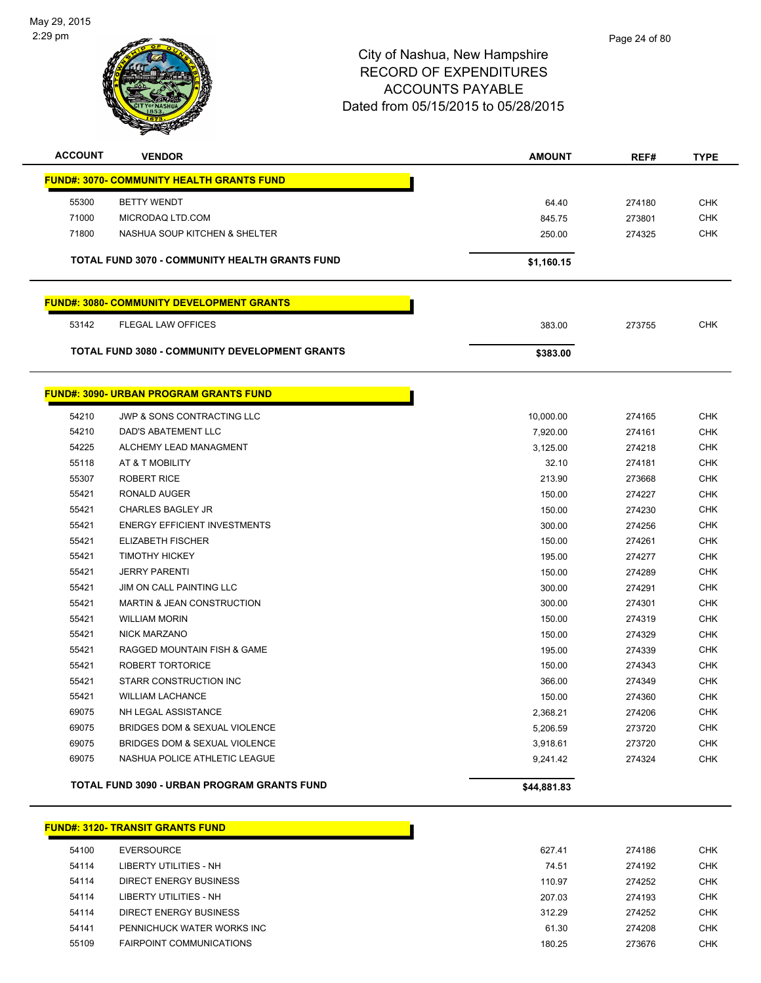

| <b>ACCOUNT</b> | <b>VENDOR</b>                                         | <b>AMOUNT</b> | REF#   | <b>TYPE</b> |
|----------------|-------------------------------------------------------|---------------|--------|-------------|
|                | <b>FUND#: 3070- COMMUNITY HEALTH GRANTS FUND</b>      |               |        |             |
| 55300          | <b>BETTY WENDT</b>                                    | 64.40         | 274180 | <b>CHK</b>  |
| 71000          | MICRODAQ LTD.COM                                      | 845.75        | 273801 | <b>CHK</b>  |
| 71800          | NASHUA SOUP KITCHEN & SHELTER                         | 250.00        | 274325 | <b>CHK</b>  |
|                | TOTAL FUND 3070 - COMMUNITY HEALTH GRANTS FUND        | \$1,160.15    |        |             |
|                |                                                       |               |        |             |
|                | <b>FUND#: 3080- COMMUNITY DEVELOPMENT GRANTS</b>      |               |        |             |
| 53142          | <b>FLEGAL LAW OFFICES</b>                             | 383.00        | 273755 | <b>CHK</b>  |
|                | <b>TOTAL FUND 3080 - COMMUNITY DEVELOPMENT GRANTS</b> | \$383.00      |        |             |
|                |                                                       |               |        |             |
|                | <b>FUND#: 3090- URBAN PROGRAM GRANTS FUND</b>         |               |        |             |
| 54210          | <b>JWP &amp; SONS CONTRACTING LLC</b>                 | 10,000.00     | 274165 | <b>CHK</b>  |
| 54210          | DAD'S ABATEMENT LLC                                   | 7,920.00      | 274161 | <b>CHK</b>  |
| 54225          | ALCHEMY LEAD MANAGMENT                                | 3,125.00      | 274218 | <b>CHK</b>  |
| 55118          | AT & T MOBILITY                                       | 32.10         | 274181 | <b>CHK</b>  |
| 55307          | <b>ROBERT RICE</b>                                    | 213.90        | 273668 | <b>CHK</b>  |
| 55421          | RONALD AUGER                                          | 150.00        | 274227 | <b>CHK</b>  |
| 55421          | <b>CHARLES BAGLEY JR</b>                              | 150.00        | 274230 | <b>CHK</b>  |
| 55421          | <b>ENERGY EFFICIENT INVESTMENTS</b>                   | 300.00        | 274256 | <b>CHK</b>  |
| 55421          | <b>ELIZABETH FISCHER</b>                              | 150.00        | 274261 | <b>CHK</b>  |
| 55421          | <b>TIMOTHY HICKEY</b>                                 | 195.00        | 274277 | <b>CHK</b>  |
| 55421          | <b>JERRY PARENTI</b>                                  | 150.00        | 274289 | <b>CHK</b>  |
| 55421          | JIM ON CALL PAINTING LLC                              | 300.00        | 274291 | <b>CHK</b>  |
| 55421          | <b>MARTIN &amp; JEAN CONSTRUCTION</b>                 | 300.00        | 274301 | <b>CHK</b>  |
| 55421          | <b>WILLIAM MORIN</b>                                  | 150.00        | 274319 | <b>CHK</b>  |
| 55421          | NICK MARZANO                                          | 150.00        | 274329 | <b>CHK</b>  |
| 55421          | RAGGED MOUNTAIN FISH & GAME                           | 195.00        | 274339 | <b>CHK</b>  |
| 55421          | ROBERT TORTORICE                                      | 150.00        | 274343 | <b>CHK</b>  |
| 55421          | STARR CONSTRUCTION INC                                | 366.00        | 274349 | <b>CHK</b>  |
| 55421          | <b>WILLIAM LACHANCE</b>                               | 150.00        | 274360 | <b>CHK</b>  |
| 69075          | NH LEGAL ASSISTANCE                                   | 2,368.21      | 274206 | <b>CHK</b>  |
| 69075          | BRIDGES DOM & SEXUAL VIOLENCE                         | 5,206.59      | 273720 | <b>CHK</b>  |
| 69075          | BRIDGES DOM & SEXUAL VIOLENCE                         | 3,918.61      | 273720 | <b>CHK</b>  |
| 69075          | NASHUA POLICE ATHLETIC LEAGUE                         | 9,241.42      | 274324 | <b>CHK</b>  |
|                | <b>TOTAL FUND 3090 - URBAN PROGRAM GRANTS FUND</b>    | \$44,881.83   |        |             |

|       | FUND#: 3120- TRANSIT GRANTS FUND |        |        |            |
|-------|----------------------------------|--------|--------|------------|
| 54100 | EVERSOURCE                       | 627.41 | 274186 | <b>CHK</b> |
| 54114 | LIBERTY UTILITIES - NH           | 74.51  | 274192 | <b>CHK</b> |
| 54114 | DIRECT ENERGY BUSINESS           | 110.97 | 274252 | <b>CHK</b> |
| 54114 | LIBERTY UTILITIES - NH           | 207.03 | 274193 | <b>CHK</b> |
| 54114 | DIRECT ENERGY BUSINESS           | 312.29 | 274252 | <b>CHK</b> |
| 54141 | PENNICHUCK WATER WORKS INC       | 61.30  | 274208 | <b>CHK</b> |
| 55109 | <b>FAIRPOINT COMMUNICATIONS</b>  | 180.25 | 273676 | <b>CHK</b> |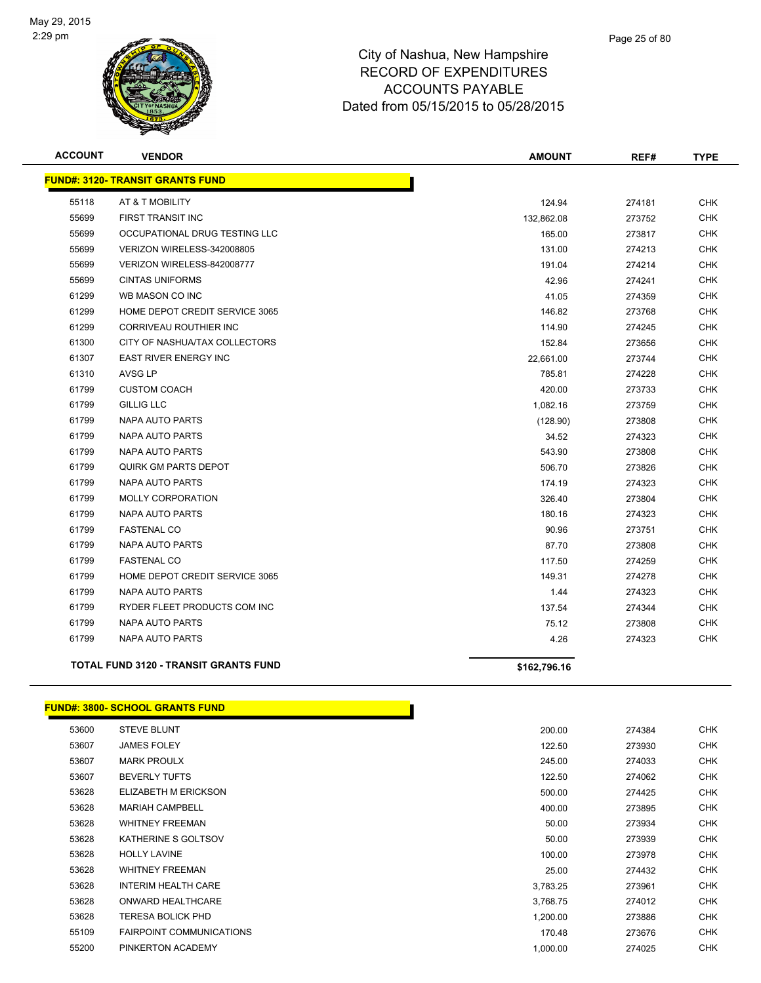

| <b>ACCOUNT</b> | <b>VENDOR</b>                                | <b>AMOUNT</b> | REF#   | <b>TYPE</b> |
|----------------|----------------------------------------------|---------------|--------|-------------|
|                | <b>FUND#: 3120- TRANSIT GRANTS FUND</b>      |               |        |             |
| 55118          | AT & T MOBILITY                              | 124.94        | 274181 | <b>CHK</b>  |
| 55699          | <b>FIRST TRANSIT INC</b>                     | 132,862.08    | 273752 | <b>CHK</b>  |
| 55699          | OCCUPATIONAL DRUG TESTING LLC                | 165.00        | 273817 | <b>CHK</b>  |
| 55699          | VERIZON WIRELESS-342008805                   | 131.00        | 274213 | <b>CHK</b>  |
| 55699          | VERIZON WIRELESS-842008777                   | 191.04        | 274214 | <b>CHK</b>  |
| 55699          | <b>CINTAS UNIFORMS</b>                       | 42.96         | 274241 | <b>CHK</b>  |
| 61299          | WB MASON CO INC                              | 41.05         | 274359 | <b>CHK</b>  |
| 61299          | HOME DEPOT CREDIT SERVICE 3065               | 146.82        | 273768 | <b>CHK</b>  |
| 61299          | CORRIVEAU ROUTHIER INC                       | 114.90        | 274245 | <b>CHK</b>  |
| 61300          | CITY OF NASHUA/TAX COLLECTORS                | 152.84        | 273656 | <b>CHK</b>  |
| 61307          | <b>EAST RIVER ENERGY INC</b>                 | 22,661.00     | 273744 | <b>CHK</b>  |
| 61310          | AVSG LP                                      | 785.81        | 274228 | <b>CHK</b>  |
| 61799          | <b>CUSTOM COACH</b>                          | 420.00        | 273733 | <b>CHK</b>  |
| 61799          | <b>GILLIG LLC</b>                            | 1,082.16      | 273759 | <b>CHK</b>  |
| 61799          | NAPA AUTO PARTS                              | (128.90)      | 273808 | <b>CHK</b>  |
| 61799          | NAPA AUTO PARTS                              | 34.52         | 274323 | <b>CHK</b>  |
| 61799          | NAPA AUTO PARTS                              | 543.90        | 273808 | <b>CHK</b>  |
| 61799          | <b>QUIRK GM PARTS DEPOT</b>                  | 506.70        | 273826 | <b>CHK</b>  |
| 61799          | NAPA AUTO PARTS                              | 174.19        | 274323 | <b>CHK</b>  |
| 61799          | <b>MOLLY CORPORATION</b>                     | 326.40        | 273804 | <b>CHK</b>  |
| 61799          | NAPA AUTO PARTS                              | 180.16        | 274323 | <b>CHK</b>  |
| 61799          | <b>FASTENAL CO</b>                           | 90.96         | 273751 | CHK         |
| 61799          | NAPA AUTO PARTS                              | 87.70         | 273808 | <b>CHK</b>  |
| 61799          | <b>FASTENAL CO</b>                           | 117.50        | 274259 | <b>CHK</b>  |
| 61799          | HOME DEPOT CREDIT SERVICE 3065               | 149.31        | 274278 | <b>CHK</b>  |
| 61799          | NAPA AUTO PARTS                              | 1.44          | 274323 | <b>CHK</b>  |
| 61799          | RYDER FLEET PRODUCTS COM INC                 | 137.54        | 274344 | <b>CHK</b>  |
| 61799          | NAPA AUTO PARTS                              | 75.12         | 273808 | <b>CHK</b>  |
| 61799          | <b>NAPA AUTO PARTS</b>                       | 4.26          | 274323 | <b>CHK</b>  |
|                | <b>TOTAL FUND 3120 - TRANSIT GRANTS FUND</b> | \$162,796.16  |        |             |

### **FUND#: 3800- SCHOOL GRANTS FUND**

| 53600 | <b>STEVE BLUNT</b>              | 200.00   | 274384 | <b>CHK</b> |
|-------|---------------------------------|----------|--------|------------|
| 53607 | <b>JAMES FOLEY</b>              | 122.50   | 273930 | <b>CHK</b> |
| 53607 | <b>MARK PROULX</b>              | 245.00   | 274033 | <b>CHK</b> |
| 53607 | <b>BEVERLY TUFTS</b>            | 122.50   | 274062 | <b>CHK</b> |
| 53628 | ELIZABETH M ERICKSON            | 500.00   | 274425 | <b>CHK</b> |
| 53628 | <b>MARIAH CAMPBELL</b>          | 400.00   | 273895 | <b>CHK</b> |
| 53628 | <b>WHITNEY FREEMAN</b>          | 50.00    | 273934 | <b>CHK</b> |
| 53628 | KATHERINE S GOLTSOV             | 50.00    | 273939 | <b>CHK</b> |
| 53628 | <b>HOLLY LAVINE</b>             | 100.00   | 273978 | CHK        |
| 53628 | <b>WHITNEY FREEMAN</b>          | 25.00    | 274432 | CHK        |
| 53628 | INTERIM HEALTH CARE             | 3,783.25 | 273961 | CHK        |
| 53628 | ONWARD HEALTHCARE               | 3,768.75 | 274012 | CHK        |
| 53628 | <b>TERESA BOLICK PHD</b>        | 1,200.00 | 273886 | <b>CHK</b> |
| 55109 | <b>FAIRPOINT COMMUNICATIONS</b> | 170.48   | 273676 | <b>CHK</b> |
| 55200 | PINKERTON ACADEMY               | 1,000.00 | 274025 | <b>CHK</b> |
|       |                                 |          |        |            |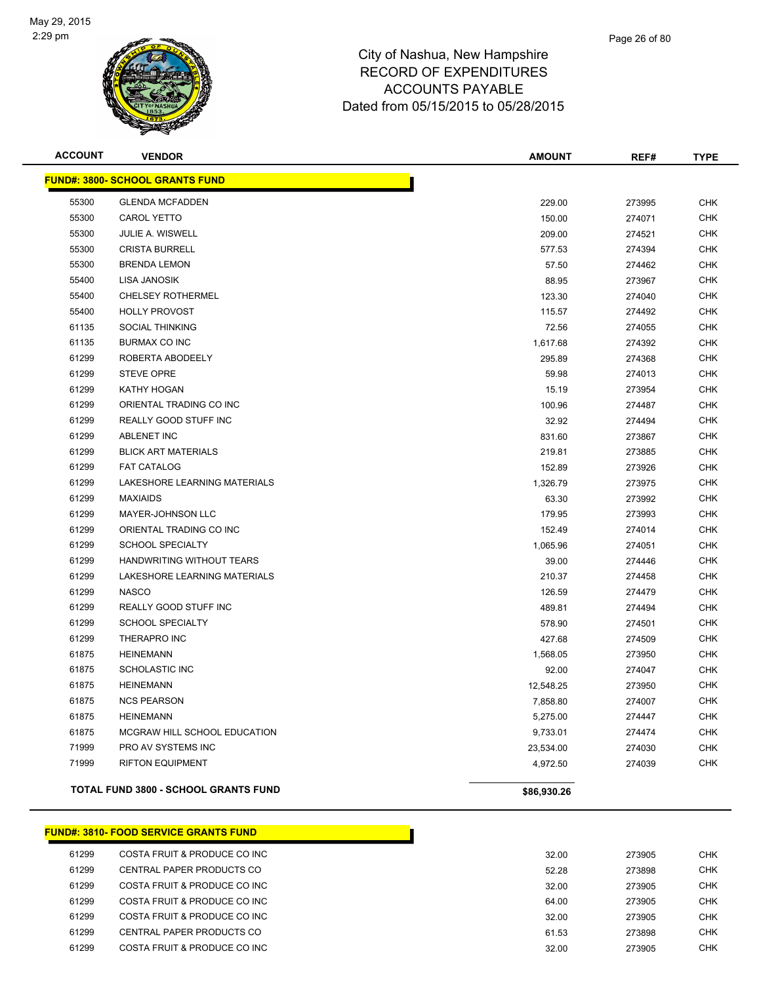

| <b>ACCOUNT</b> | <b>VENDOR</b>                               | <b>AMOUNT</b> | REF#   | <b>TYPE</b> |
|----------------|---------------------------------------------|---------------|--------|-------------|
|                | <b>FUND#: 3800- SCHOOL GRANTS FUND</b>      |               |        |             |
| 55300          | <b>GLENDA MCFADDEN</b>                      | 229.00        | 273995 | <b>CHK</b>  |
| 55300          | <b>CAROL YETTO</b>                          | 150.00        | 274071 | <b>CHK</b>  |
| 55300          | JULIE A. WISWELL                            | 209.00        | 274521 | <b>CHK</b>  |
| 55300          | <b>CRISTA BURRELL</b>                       | 577.53        | 274394 | <b>CHK</b>  |
| 55300          | <b>BRENDA LEMON</b>                         | 57.50         | 274462 | <b>CHK</b>  |
| 55400          | LISA JANOSIK                                | 88.95         | 273967 | <b>CHK</b>  |
| 55400          | <b>CHELSEY ROTHERMEL</b>                    | 123.30        | 274040 | <b>CHK</b>  |
| 55400          | <b>HOLLY PROVOST</b>                        | 115.57        | 274492 | <b>CHK</b>  |
| 61135          | <b>SOCIAL THINKING</b>                      | 72.56         | 274055 | <b>CHK</b>  |
| 61135          | <b>BURMAX CO INC</b>                        | 1,617.68      | 274392 | <b>CHK</b>  |
| 61299          | ROBERTA ABODEELY                            | 295.89        | 274368 | <b>CHK</b>  |
| 61299          | <b>STEVE OPRE</b>                           | 59.98         | 274013 | <b>CHK</b>  |
| 61299          | KATHY HOGAN                                 | 15.19         | 273954 | <b>CHK</b>  |
| 61299          | ORIENTAL TRADING CO INC                     | 100.96        | 274487 | <b>CHK</b>  |
| 61299          | REALLY GOOD STUFF INC                       | 32.92         | 274494 | <b>CHK</b>  |
| 61299          | <b>ABLENET INC</b>                          | 831.60        | 273867 | <b>CHK</b>  |
| 61299          | <b>BLICK ART MATERIALS</b>                  | 219.81        | 273885 | <b>CHK</b>  |
| 61299          | <b>FAT CATALOG</b>                          | 152.89        | 273926 | <b>CHK</b>  |
| 61299          | LAKESHORE LEARNING MATERIALS                | 1,326.79      | 273975 | <b>CHK</b>  |
| 61299          | <b>MAXIAIDS</b>                             | 63.30         | 273992 | <b>CHK</b>  |
| 61299          | MAYER-JOHNSON LLC                           | 179.95        | 273993 | <b>CHK</b>  |
| 61299          | ORIENTAL TRADING CO INC                     | 152.49        | 274014 | <b>CHK</b>  |
| 61299          | <b>SCHOOL SPECIALTY</b>                     | 1,065.96      | 274051 | <b>CHK</b>  |
| 61299          | HANDWRITING WITHOUT TEARS                   | 39.00         | 274446 | <b>CHK</b>  |
| 61299          | LAKESHORE LEARNING MATERIALS                | 210.37        | 274458 | <b>CHK</b>  |
| 61299          | <b>NASCO</b>                                | 126.59        | 274479 | <b>CHK</b>  |
| 61299          | REALLY GOOD STUFF INC                       | 489.81        | 274494 | <b>CHK</b>  |
| 61299          | <b>SCHOOL SPECIALTY</b>                     | 578.90        | 274501 | <b>CHK</b>  |
| 61299          | THERAPRO INC                                | 427.68        | 274509 | <b>CHK</b>  |
| 61875          | <b>HEINEMANN</b>                            | 1,568.05      | 273950 | <b>CHK</b>  |
| 61875          | <b>SCHOLASTIC INC</b>                       | 92.00         | 274047 | <b>CHK</b>  |
| 61875          | <b>HEINEMANN</b>                            | 12,548.25     | 273950 | <b>CHK</b>  |
| 61875          | <b>NCS PEARSON</b>                          | 7,858.80      | 274007 | <b>CHK</b>  |
| 61875          | <b>HEINEMANN</b>                            | 5,275.00      | 274447 | <b>CHK</b>  |
| 61875          | MCGRAW HILL SCHOOL EDUCATION                | 9,733.01      | 274474 | <b>CHK</b>  |
| 71999          | PRO AV SYSTEMS INC                          | 23,534.00     | 274030 | <b>CHK</b>  |
| 71999          | <b>RIFTON EQUIPMENT</b>                     | 4,972.50      | 274039 | <b>CHK</b>  |
|                | <b>TOTAL FUND 3800 - SCHOOL GRANTS FUND</b> | \$86,930.26   |        |             |

### **FUND#: 3810- FOOD SERVICE GRANTS FUND** COSTA FRUIT & PRODUCE CO INC 32.00 273905 CHK er 61299 CENTRAL PAPER PRODUCTS CO CHR (1999) 120 SEPTEMBER 120 SEPTEMBER 1273898 CHK er and the costa fruit & Produce co increase that the cost of the cost of the cost of the cost of the cost of the cost of the cost of the cost of the cost of the cost of the cost of the cost of the cost of the cost of the COSTA FRUIT & PRODUCE CO INC 64.00 273905 CHK 61299 COSTA FRUIT & PRODUCE CO INC 32.00 273905 CHK er 61299 CENTRAL PAPER PRODUCTS CO CHR (61.53 CHK) CHK etized and the costa FRUIT & PRODUCE CO INC 32.00 273905 CHK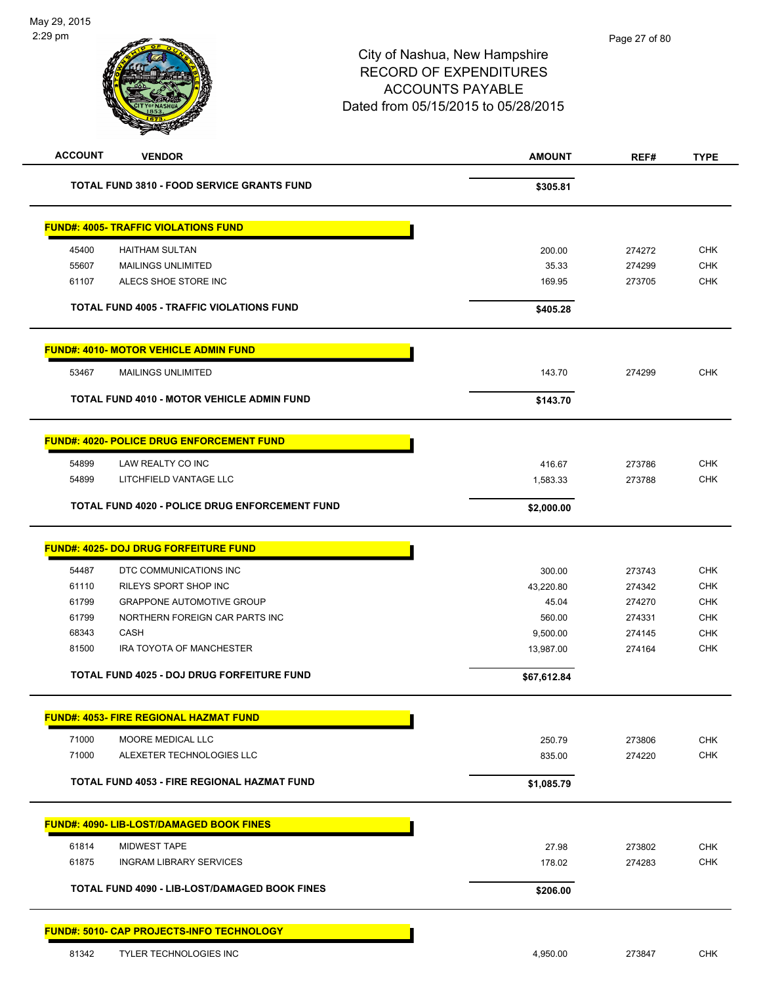| <b>ACCOUNT</b><br><b>VENDOR</b>                       | <b>AMOUNT</b> | REF#   | <b>TYPE</b> |
|-------------------------------------------------------|---------------|--------|-------------|
| <b>TOTAL FUND 3810 - FOOD SERVICE GRANTS FUND</b>     | \$305.81      |        |             |
| <b>FUND#: 4005- TRAFFIC VIOLATIONS FUND</b>           |               |        |             |
| <b>HAITHAM SULTAN</b><br>45400                        | 200.00        | 274272 | <b>CHK</b>  |
| 55607<br><b>MAILINGS UNLIMITED</b>                    | 35.33         | 274299 | <b>CHK</b>  |
| 61107<br>ALECS SHOE STORE INC                         | 169.95        | 273705 | CHK         |
| <b>TOTAL FUND 4005 - TRAFFIC VIOLATIONS FUND</b>      | \$405.28      |        |             |
| <b>FUND#: 4010- MOTOR VEHICLE ADMIN FUND</b>          |               |        |             |
| 53467<br><b>MAILINGS UNLIMITED</b>                    | 143.70        | 274299 | <b>CHK</b>  |
| <b>TOTAL FUND 4010 - MOTOR VEHICLE ADMIN FUND</b>     | \$143.70      |        |             |
|                                                       |               |        |             |
| <b>FUND#: 4020- POLICE DRUG ENFORCEMENT FUND</b>      |               |        |             |
| 54899<br>LAW REALTY CO INC                            | 416.67        | 273786 | <b>CHK</b>  |
| 54899<br>LITCHFIELD VANTAGE LLC                       | 1,583.33      | 273788 | <b>CHK</b>  |
| <b>TOTAL FUND 4020 - POLICE DRUG ENFORCEMENT FUND</b> | \$2,000.00    |        |             |
| <u> FUND#: 4025- DOJ DRUG FORFEITURE FUND</u>         |               |        |             |
| 54487<br>DTC COMMUNICATIONS INC                       | 300.00        | 273743 | <b>CHK</b>  |
| 61110<br>RILEYS SPORT SHOP INC                        | 43,220.80     | 274342 | <b>CHK</b>  |
| 61799<br><b>GRAPPONE AUTOMOTIVE GROUP</b>             | 45.04         | 274270 | <b>CHK</b>  |
| 61799<br>NORTHERN FOREIGN CAR PARTS INC               | 560.00        | 274331 | CHK         |
| 68343<br>CASH                                         | 9,500.00      | 274145 | <b>CHK</b>  |
| 81500<br>IRA TOYOTA OF MANCHESTER                     | 13,987.00     | 274164 | <b>CHK</b>  |
| <b>TOTAL FUND 4025 - DOJ DRUG FORFEITURE FUND</b>     | \$67,612.84   |        |             |
| <b>FUND#: 4053- FIRE REGIONAL HAZMAT FUND</b>         |               |        |             |
| 71000<br>MOORE MEDICAL LLC                            | 250.79        | 273806 | <b>CHK</b>  |
| 71000<br>ALEXETER TECHNOLOGIES LLC                    | 835.00        | 274220 | <b>CHK</b>  |
| TOTAL FUND 4053 - FIRE REGIONAL HAZMAT FUND           | \$1,085.79    |        |             |
| <b>FUND#: 4090- LIB-LOST/DAMAGED BOOK FINES</b>       |               |        |             |
| 61814<br><b>MIDWEST TAPE</b>                          | 27.98         | 273802 | <b>CHK</b>  |
| 61875<br><b>INGRAM LIBRARY SERVICES</b>               | 178.02        | 274283 | <b>CHK</b>  |
|                                                       |               |        |             |
| TOTAL FUND 4090 - LIB-LOST/DAMAGED BOOK FINES         | \$206.00      |        |             |
| <b>FUND#: 5010- CAP PROJECTS-INFO TECHNOLOGY</b>      |               |        |             |
| 81342<br><b>TYLER TECHNOLOGIES INC</b>                | 4,950.00      | 273847 | <b>CHK</b>  |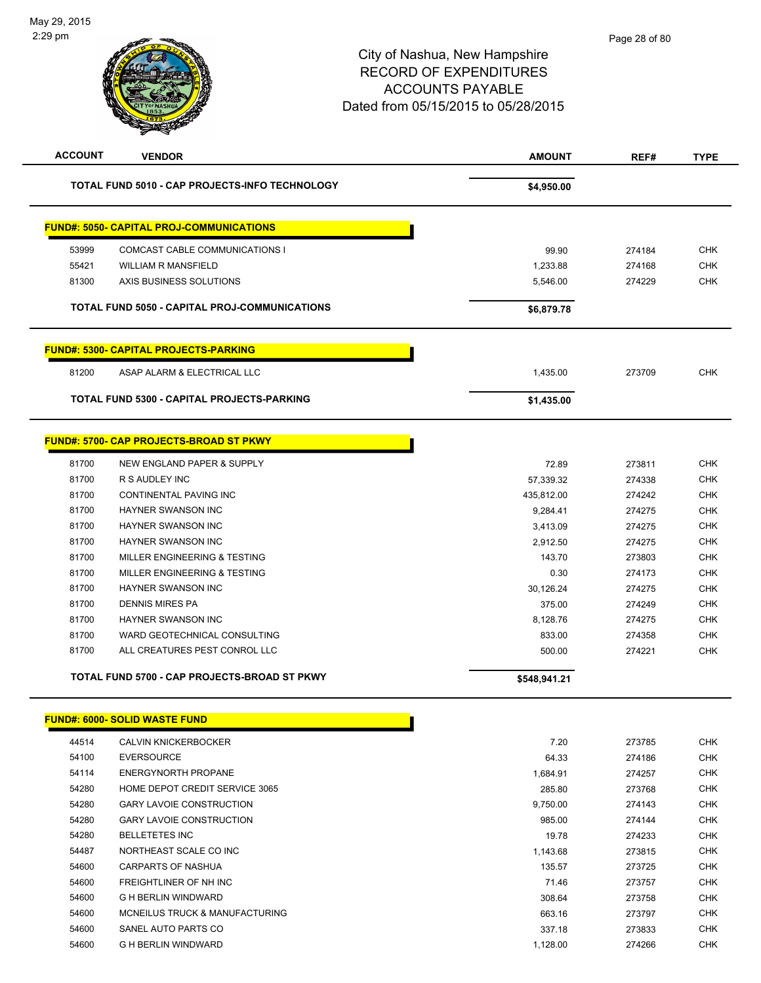|       | <b>VENDOR</b>                                        | <b>AMOUNT</b> | REF#   | <b>TYPE</b> |
|-------|------------------------------------------------------|---------------|--------|-------------|
|       | TOTAL FUND 5010 - CAP PROJECTS-INFO TECHNOLOGY       | \$4,950.00    |        |             |
|       | <b>FUND#: 5050- CAPITAL PROJ-COMMUNICATIONS</b>      |               |        |             |
| 53999 | <b>COMCAST CABLE COMMUNICATIONS I</b>                | 99.90         | 274184 | <b>CHK</b>  |
| 55421 | <b>WILLIAM R MANSFIELD</b>                           | 1,233.88      | 274168 | <b>CHK</b>  |
| 81300 | AXIS BUSINESS SOLUTIONS                              | 5,546.00      | 274229 | <b>CHK</b>  |
|       | <b>TOTAL FUND 5050 - CAPITAL PROJ-COMMUNICATIONS</b> | \$6,879.78    |        |             |
|       | <b>FUND#: 5300- CAPITAL PROJECTS-PARKING</b>         |               |        |             |
| 81200 | ASAP ALARM & ELECTRICAL LLC                          | 1,435.00      | 273709 | <b>CHK</b>  |
|       | <b>TOTAL FUND 5300 - CAPITAL PROJECTS-PARKING</b>    | \$1,435.00    |        |             |
|       |                                                      |               |        |             |
|       | <b>FUND#: 5700- CAP PROJECTS-BROAD ST PKWY</b>       |               |        |             |
| 81700 | NEW ENGLAND PAPER & SUPPLY                           | 72.89         | 273811 | <b>CHK</b>  |
| 81700 | R S AUDLEY INC                                       | 57,339.32     | 274338 | <b>CHK</b>  |
| 81700 | CONTINENTAL PAVING INC                               | 435,812.00    | 274242 | <b>CHK</b>  |
| 81700 | <b>HAYNER SWANSON INC</b>                            | 9,284.41      | 274275 | <b>CHK</b>  |
| 81700 | <b>HAYNER SWANSON INC</b>                            | 3,413.09      | 274275 | <b>CHK</b>  |
| 81700 | <b>HAYNER SWANSON INC</b>                            | 2,912.50      | 274275 | <b>CHK</b>  |
| 81700 | MILLER ENGINEERING & TESTING                         | 143.70        | 273803 | <b>CHK</b>  |
| 81700 | MILLER ENGINEERING & TESTING                         | 0.30          | 274173 | <b>CHK</b>  |
| 81700 | <b>HAYNER SWANSON INC</b>                            | 30,126.24     | 274275 | <b>CHK</b>  |
| 81700 | <b>DENNIS MIRES PA</b>                               | 375.00        | 274249 | <b>CHK</b>  |
| 81700 | HAYNER SWANSON INC                                   | 8,128.76      | 274275 | <b>CHK</b>  |
| 81700 | WARD GEOTECHNICAL CONSULTING                         | 833.00        | 274358 | <b>CHK</b>  |
| 81700 | ALL CREATURES PEST CONROL LLC                        | 500.00        | 274221 | <b>CHK</b>  |

|  | <b>FUND#: 6000- SOLID WASTE FUND</b> |  |
|--|--------------------------------------|--|
|  |                                      |  |

| 44514 | <b>CALVIN KNICKERBOCKER</b>     | 7.20     | 273785 | <b>CHK</b> |
|-------|---------------------------------|----------|--------|------------|
| 54100 | <b>EVERSOURCE</b>               | 64.33    | 274186 | <b>CHK</b> |
| 54114 | ENERGYNORTH PROPANE             | 1,684.91 | 274257 | <b>CHK</b> |
| 54280 | HOME DEPOT CREDIT SERVICE 3065  | 285.80   | 273768 | <b>CHK</b> |
| 54280 | <b>GARY LAVOIE CONSTRUCTION</b> | 9,750.00 | 274143 | <b>CHK</b> |
| 54280 | <b>GARY LAVOIE CONSTRUCTION</b> | 985.00   | 274144 | <b>CHK</b> |
| 54280 | <b>BELLETETES INC</b>           | 19.78    | 274233 | <b>CHK</b> |
| 54487 | NORTHEAST SCALE CO INC          | 1,143.68 | 273815 | <b>CHK</b> |
| 54600 | CARPARTS OF NASHUA              | 135.57   | 273725 | <b>CHK</b> |
| 54600 | FREIGHTLINER OF NH INC          | 71.46    | 273757 | <b>CHK</b> |
| 54600 | <b>G H BERLIN WINDWARD</b>      | 308.64   | 273758 | <b>CHK</b> |
| 54600 | MCNEILUS TRUCK & MANUFACTURING  | 663.16   | 273797 | <b>CHK</b> |
| 54600 | SANEL AUTO PARTS CO             | 337.18   | 273833 | <b>CHK</b> |
| 54600 | G H BERLIN WINDWARD             | 1,128.00 | 274266 | <b>CHK</b> |
|       |                                 |          |        |            |

Т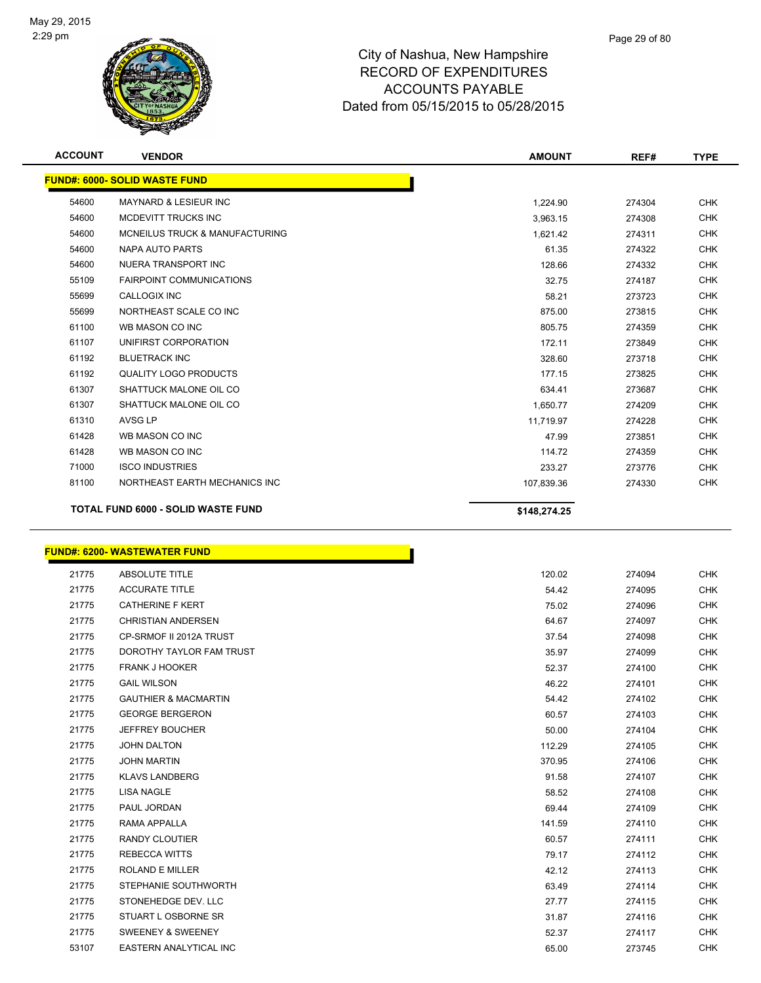

| <b>ACCOUNT</b> | <b>VENDOR</b>                             | <b>AMOUNT</b> | REF#   | <b>TYPE</b> |
|----------------|-------------------------------------------|---------------|--------|-------------|
|                | <b>FUND#: 6000- SOLID WASTE FUND</b>      |               |        |             |
| 54600          | MAYNARD & LESIEUR INC                     | 1,224.90      | 274304 | <b>CHK</b>  |
| 54600          | MCDEVITT TRUCKS INC                       | 3,963.15      | 274308 | <b>CHK</b>  |
| 54600          | MCNEILUS TRUCK & MANUFACTURING            | 1,621.42      | 274311 | <b>CHK</b>  |
| 54600          | NAPA AUTO PARTS                           | 61.35         | 274322 | <b>CHK</b>  |
| 54600          | NUERA TRANSPORT INC                       | 128.66        | 274332 | <b>CHK</b>  |
| 55109          | <b>FAIRPOINT COMMUNICATIONS</b>           | 32.75         | 274187 | <b>CHK</b>  |
| 55699          | <b>CALLOGIX INC</b>                       | 58.21         | 273723 | <b>CHK</b>  |
| 55699          | NORTHEAST SCALE CO INC                    | 875.00        | 273815 | <b>CHK</b>  |
| 61100          | WB MASON CO INC                           | 805.75        | 274359 | <b>CHK</b>  |
| 61107          | UNIFIRST CORPORATION                      | 172.11        | 273849 | <b>CHK</b>  |
| 61192          | <b>BLUETRACK INC</b>                      | 328.60        | 273718 | <b>CHK</b>  |
| 61192          | <b>QUALITY LOGO PRODUCTS</b>              | 177.15        | 273825 | <b>CHK</b>  |
| 61307          | SHATTUCK MALONE OIL CO                    | 634.41        | 273687 | <b>CHK</b>  |
| 61307          | SHATTUCK MALONE OIL CO                    | 1,650.77      | 274209 | <b>CHK</b>  |
| 61310          | AVSG LP                                   | 11,719.97     | 274228 | <b>CHK</b>  |
| 61428          | WB MASON CO INC                           | 47.99         | 273851 | <b>CHK</b>  |
| 61428          | WB MASON CO INC                           | 114.72        | 274359 | <b>CHK</b>  |
| 71000          | <b>ISCO INDUSTRIES</b>                    | 233.27        | 273776 | <b>CHK</b>  |
| 81100          | NORTHEAST EARTH MECHANICS INC             | 107,839.36    | 274330 | <b>CHK</b>  |
|                | <b>TOTAL FUND 6000 - SOLID WASTE FUND</b> | \$148,274.25  |        |             |

# **FUND#: 6200- WASTEWATER FUND**

| 21775 | <b>ABSOLUTE TITLE</b>           | 120.02 | 274094 | <b>CHK</b> |
|-------|---------------------------------|--------|--------|------------|
| 21775 | <b>ACCURATE TITLE</b>           | 54.42  | 274095 | <b>CHK</b> |
| 21775 | <b>CATHERINE F KERT</b>         | 75.02  | 274096 | <b>CHK</b> |
| 21775 | <b>CHRISTIAN ANDERSEN</b>       | 64.67  | 274097 | <b>CHK</b> |
| 21775 | CP-SRMOF II 2012A TRUST         | 37.54  | 274098 | <b>CHK</b> |
| 21775 | DOROTHY TAYLOR FAM TRUST        | 35.97  | 274099 | <b>CHK</b> |
| 21775 | <b>FRANK J HOOKER</b>           | 52.37  | 274100 | <b>CHK</b> |
| 21775 | <b>GAIL WILSON</b>              | 46.22  | 274101 | <b>CHK</b> |
| 21775 | <b>GAUTHIER &amp; MACMARTIN</b> | 54.42  | 274102 | <b>CHK</b> |
| 21775 | <b>GEORGE BERGERON</b>          | 60.57  | 274103 | <b>CHK</b> |
| 21775 | <b>JEFFREY BOUCHER</b>          | 50.00  | 274104 | <b>CHK</b> |
| 21775 | <b>JOHN DALTON</b>              | 112.29 | 274105 | <b>CHK</b> |
| 21775 | <b>JOHN MARTIN</b>              | 370.95 | 274106 | <b>CHK</b> |
| 21775 | <b>KLAVS LANDBERG</b>           | 91.58  | 274107 | <b>CHK</b> |
| 21775 | <b>LISA NAGLE</b>               | 58.52  | 274108 | <b>CHK</b> |
| 21775 | PAUL JORDAN                     | 69.44  | 274109 | <b>CHK</b> |
| 21775 | <b>RAMA APPALLA</b>             | 141.59 | 274110 | CHK        |
| 21775 | <b>RANDY CLOUTIER</b>           | 60.57  | 274111 | <b>CHK</b> |
| 21775 | <b>REBECCA WITTS</b>            | 79.17  | 274112 | <b>CHK</b> |
| 21775 | <b>ROLAND E MILLER</b>          | 42.12  | 274113 | <b>CHK</b> |
| 21775 | STEPHANIE SOUTHWORTH            | 63.49  | 274114 | <b>CHK</b> |
| 21775 | STONEHEDGE DEV. LLC             | 27.77  | 274115 | <b>CHK</b> |
| 21775 | STUART L OSBORNE SR             | 31.87  | 274116 | <b>CHK</b> |
| 21775 | <b>SWEENEY &amp; SWEENEY</b>    | 52.37  | 274117 | <b>CHK</b> |
| 53107 | <b>EASTERN ANALYTICAL INC</b>   | 65.00  | 273745 | <b>CHK</b> |

h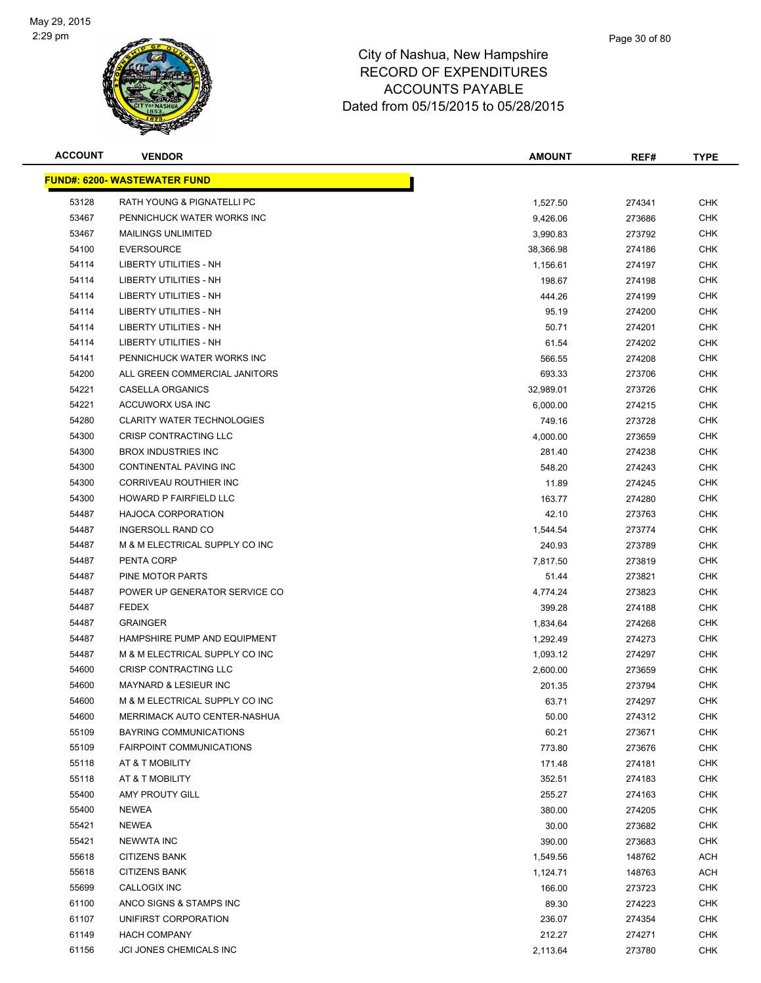

| <b>ACCOUNT</b> | <b>VENDOR</b>                        | <b>AMOUNT</b> | REF#   | <b>TYPE</b> |
|----------------|--------------------------------------|---------------|--------|-------------|
|                | <u> FUND#: 6200- WASTEWATER FUND</u> |               |        |             |
| 53128          | RATH YOUNG & PIGNATELLI PC           | 1,527.50      | 274341 | <b>CHK</b>  |
| 53467          | PENNICHUCK WATER WORKS INC           | 9,426.06      | 273686 | <b>CHK</b>  |
| 53467          | <b>MAILINGS UNLIMITED</b>            | 3,990.83      | 273792 | <b>CHK</b>  |
| 54100          | <b>EVERSOURCE</b>                    | 38,366.98     | 274186 | <b>CHK</b>  |
| 54114          | LIBERTY UTILITIES - NH               | 1,156.61      | 274197 | <b>CHK</b>  |
| 54114          | LIBERTY UTILITIES - NH               | 198.67        | 274198 | <b>CHK</b>  |
| 54114          | LIBERTY UTILITIES - NH               | 444.26        | 274199 | <b>CHK</b>  |
| 54114          | LIBERTY UTILITIES - NH               | 95.19         | 274200 | <b>CHK</b>  |
| 54114          | <b>LIBERTY UTILITIES - NH</b>        | 50.71         | 274201 | <b>CHK</b>  |
| 54114          | LIBERTY UTILITIES - NH               | 61.54         | 274202 | CHK         |
| 54141          | PENNICHUCK WATER WORKS INC           | 566.55        | 274208 | <b>CHK</b>  |
| 54200          | ALL GREEN COMMERCIAL JANITORS        | 693.33        | 273706 | CHK         |
| 54221          | CASELLA ORGANICS                     | 32,989.01     | 273726 | <b>CHK</b>  |
| 54221          | ACCUWORX USA INC                     | 6,000.00      | 274215 | <b>CHK</b>  |
| 54280          | <b>CLARITY WATER TECHNOLOGIES</b>    | 749.16        | 273728 | <b>CHK</b>  |
| 54300          | CRISP CONTRACTING LLC                | 4,000.00      | 273659 | <b>CHK</b>  |
| 54300          | <b>BROX INDUSTRIES INC</b>           | 281.40        | 274238 | <b>CHK</b>  |
| 54300          | CONTINENTAL PAVING INC               | 548.20        | 274243 | <b>CHK</b>  |
| 54300          | CORRIVEAU ROUTHIER INC               | 11.89         | 274245 | <b>CHK</b>  |
| 54300          | HOWARD P FAIRFIELD LLC               | 163.77        | 274280 | <b>CHK</b>  |
| 54487          | <b>HAJOCA CORPORATION</b>            | 42.10         | 273763 | <b>CHK</b>  |
| 54487          | INGERSOLL RAND CO                    | 1,544.54      | 273774 | <b>CHK</b>  |
| 54487          | M & M ELECTRICAL SUPPLY CO INC       | 240.93        | 273789 | <b>CHK</b>  |
| 54487          | PENTA CORP                           | 7,817.50      | 273819 | <b>CHK</b>  |
| 54487          | PINE MOTOR PARTS                     | 51.44         | 273821 | <b>CHK</b>  |
| 54487          | POWER UP GENERATOR SERVICE CO        | 4,774.24      | 273823 | <b>CHK</b>  |
| 54487          | <b>FEDEX</b>                         | 399.28        | 274188 | <b>CHK</b>  |
| 54487          | <b>GRAINGER</b>                      | 1,834.64      | 274268 | <b>CHK</b>  |
| 54487          | HAMPSHIRE PUMP AND EQUIPMENT         | 1,292.49      | 274273 | <b>CHK</b>  |
| 54487          | M & M ELECTRICAL SUPPLY CO INC       | 1,093.12      | 274297 | <b>CHK</b>  |
| 54600          | <b>CRISP CONTRACTING LLC</b>         | 2,600.00      | 273659 | CHK         |
| 54600          | MAYNARD & LESIEUR INC                | 201.35        | 273794 | <b>CHK</b>  |
| 54600          | M & M ELECTRICAL SUPPLY CO INC       | 63.71         | 274297 | <b>CHK</b>  |
| 54600          | MERRIMACK AUTO CENTER-NASHUA         | 50.00         | 274312 | <b>CHK</b>  |
| 55109          | BAYRING COMMUNICATIONS               | 60.21         | 273671 | <b>CHK</b>  |
| 55109          | <b>FAIRPOINT COMMUNICATIONS</b>      | 773.80        | 273676 | <b>CHK</b>  |
| 55118          | AT & T MOBILITY                      | 171.48        | 274181 | <b>CHK</b>  |
| 55118          | AT & T MOBILITY                      | 352.51        | 274183 | <b>CHK</b>  |
| 55400          | <b>AMY PROUTY GILL</b>               | 255.27        | 274163 | <b>CHK</b>  |
| 55400          | NEWEA                                | 380.00        | 274205 | <b>CHK</b>  |
| 55421          | <b>NEWEA</b>                         | 30.00         | 273682 | <b>CHK</b>  |
| 55421          | <b>NEWWTA INC</b>                    | 390.00        | 273683 | <b>CHK</b>  |
| 55618          | <b>CITIZENS BANK</b>                 | 1,549.56      | 148762 | ACH         |
| 55618          | <b>CITIZENS BANK</b>                 | 1,124.71      | 148763 | ACH         |
| 55699          | CALLOGIX INC                         | 166.00        | 273723 | <b>CHK</b>  |
| 61100          | ANCO SIGNS & STAMPS INC              | 89.30         | 274223 | <b>CHK</b>  |
| 61107          | UNIFIRST CORPORATION                 | 236.07        | 274354 | <b>CHK</b>  |
| 61149          | <b>HACH COMPANY</b>                  | 212.27        | 274271 | <b>CHK</b>  |
| 61156          | JCI JONES CHEMICALS INC              | 2,113.64      | 273780 | <b>CHK</b>  |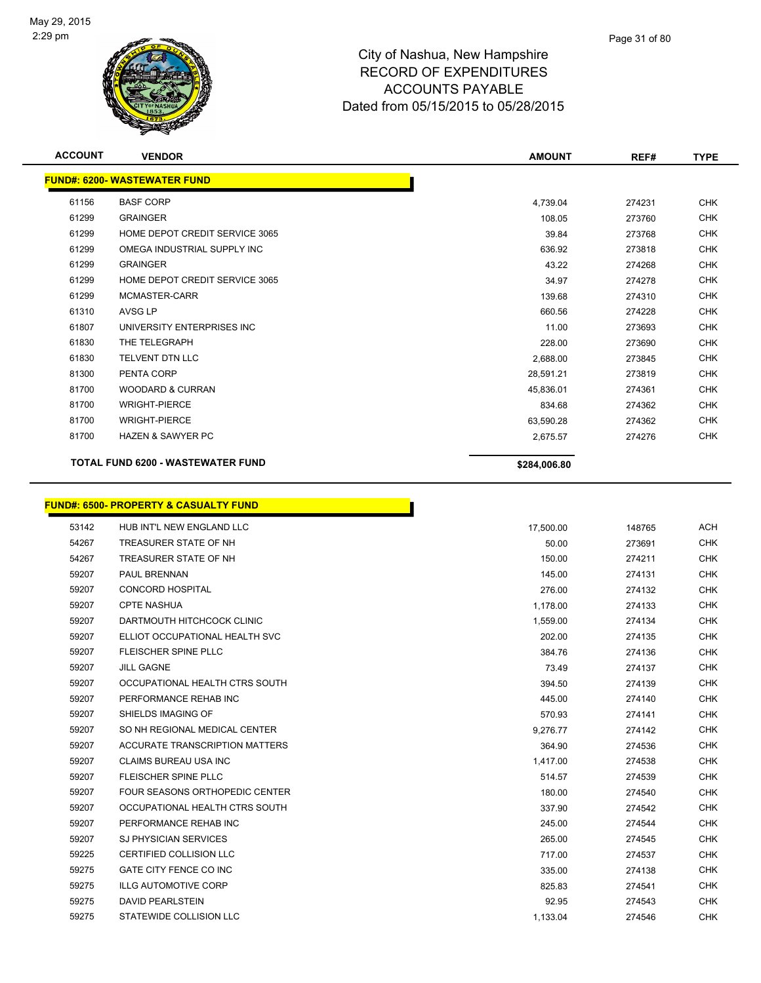$\overline{\phantom{0}}$ 



| <b>ACCOUNT</b> | <b>VENDOR</b>                                    | <b>AMOUNT</b> | REF#   | <b>TYPE</b> |
|----------------|--------------------------------------------------|---------------|--------|-------------|
|                | <b>FUND#: 6200- WASTEWATER FUND</b>              |               |        |             |
| 61156          | <b>BASF CORP</b>                                 | 4,739.04      | 274231 | <b>CHK</b>  |
| 61299          | <b>GRAINGER</b>                                  | 108.05        | 273760 | <b>CHK</b>  |
| 61299          | HOME DEPOT CREDIT SERVICE 3065                   | 39.84         | 273768 | <b>CHK</b>  |
| 61299          | OMEGA INDUSTRIAL SUPPLY INC                      | 636.92        | 273818 | <b>CHK</b>  |
| 61299          | <b>GRAINGER</b>                                  | 43.22         | 274268 | <b>CHK</b>  |
| 61299          | HOME DEPOT CREDIT SERVICE 3065                   | 34.97         | 274278 | <b>CHK</b>  |
| 61299          | MCMASTER-CARR                                    | 139.68        | 274310 | <b>CHK</b>  |
| 61310          | AVSG LP                                          | 660.56        | 274228 | <b>CHK</b>  |
| 61807          | UNIVERSITY ENTERPRISES INC                       | 11.00         | 273693 | <b>CHK</b>  |
| 61830          | THE TELEGRAPH                                    | 228.00        | 273690 | <b>CHK</b>  |
| 61830          | <b>TELVENT DTN LLC</b>                           | 2,688.00      | 273845 | <b>CHK</b>  |
| 81300          | PENTA CORP                                       | 28,591.21     | 273819 | <b>CHK</b>  |
| 81700          | <b>WOODARD &amp; CURRAN</b>                      | 45,836.01     | 274361 | <b>CHK</b>  |
| 81700          | <b>WRIGHT-PIERCE</b>                             | 834.68        | 274362 | CHK         |
| 81700          | <b>WRIGHT-PIERCE</b>                             | 63,590.28     | 274362 | <b>CHK</b>  |
| 81700          | <b>HAZEN &amp; SAWYER PC</b>                     | 2,675.57      | 274276 | <b>CHK</b>  |
|                | <b>TOTAL FUND 6200 - WASTEWATER FUND</b>         | \$284,006.80  |        |             |
|                | <b>FUND#: 6500- PROPERTY &amp; CASUALTY FUND</b> |               |        |             |
| 53142          | HUB INT'L NEW ENGLAND LLC                        | 17,500.00     | 148765 | <b>ACH</b>  |
| 54267          | TREASURER STATE OF NH                            | 50.00         | 273691 | <b>CHK</b>  |
| 54267          | TREASURER STATE OF NH                            | 150.00        | 274211 | <b>CHK</b>  |
| 59207          | PAUL BRENNAN                                     | 145.00        | 274131 | <b>CHK</b>  |
| 59207          | <b>CONCORD HOSPITAL</b>                          | 276.00        | 274132 | <b>CHK</b>  |
| 59207          | <b>CPTE NASHUA</b>                               | 1,178.00      | 274133 | <b>CHK</b>  |
| 59207          | DARTMOUTH HITCHCOCK CLINIC                       | 1,559.00      | 274134 | <b>CHK</b>  |
| 59207          | ELLIOT OCCUPATIONAL HEALTH SVC                   | 202.00        | 274135 | <b>CHK</b>  |
| 59207          | FLEISCHER SPINE PLLC                             | 384.76        | 274136 | <b>CHK</b>  |
| 59207          | JILL GAGNE                                       | 7349          | 274137 | <b>CHK</b>  |

| 59207 | FLEISCHER SPINE PLLC           | 384.76   | 274136 | <b>CHK</b> |
|-------|--------------------------------|----------|--------|------------|
| 59207 | <b>JILL GAGNE</b>              | 73.49    | 274137 | <b>CHK</b> |
| 59207 | OCCUPATIONAL HEALTH CTRS SOUTH | 394.50   | 274139 | <b>CHK</b> |
| 59207 | PERFORMANCE REHAB INC          | 445.00   | 274140 | <b>CHK</b> |
| 59207 | SHIELDS IMAGING OF             | 570.93   | 274141 | <b>CHK</b> |
| 59207 | SO NH REGIONAL MEDICAL CENTER  | 9,276.77 | 274142 | <b>CHK</b> |
| 59207 | ACCURATE TRANSCRIPTION MATTERS | 364.90   | 274536 | <b>CHK</b> |
| 59207 | CLAIMS BUREAU USA INC          | 1,417.00 | 274538 | <b>CHK</b> |
| 59207 | FLEISCHER SPINE PLLC           | 514.57   | 274539 | <b>CHK</b> |
| 59207 | FOUR SEASONS ORTHOPEDIC CENTER | 180.00   | 274540 | <b>CHK</b> |
| 59207 | OCCUPATIONAL HEALTH CTRS SOUTH | 337.90   | 274542 | <b>CHK</b> |
| 59207 | PERFORMANCE REHAB INC          | 245.00   | 274544 | <b>CHK</b> |
| 59207 | <b>SJ PHYSICIAN SERVICES</b>   | 265.00   | 274545 | <b>CHK</b> |
| 59225 | <b>CERTIFIED COLLISION LLC</b> | 717.00   | 274537 | <b>CHK</b> |
| 59275 | GATE CITY FENCE CO INC         | 335.00   | 274138 | <b>CHK</b> |
| 59275 | <b>ILLG AUTOMOTIVE CORP</b>    | 825.83   | 274541 | <b>CHK</b> |
| 59275 | DAVID PEARLSTEIN               | 92.95    | 274543 | <b>CHK</b> |
| 59275 | STATEWIDE COLLISION LLC        | 1,133.04 | 274546 | <b>CHK</b> |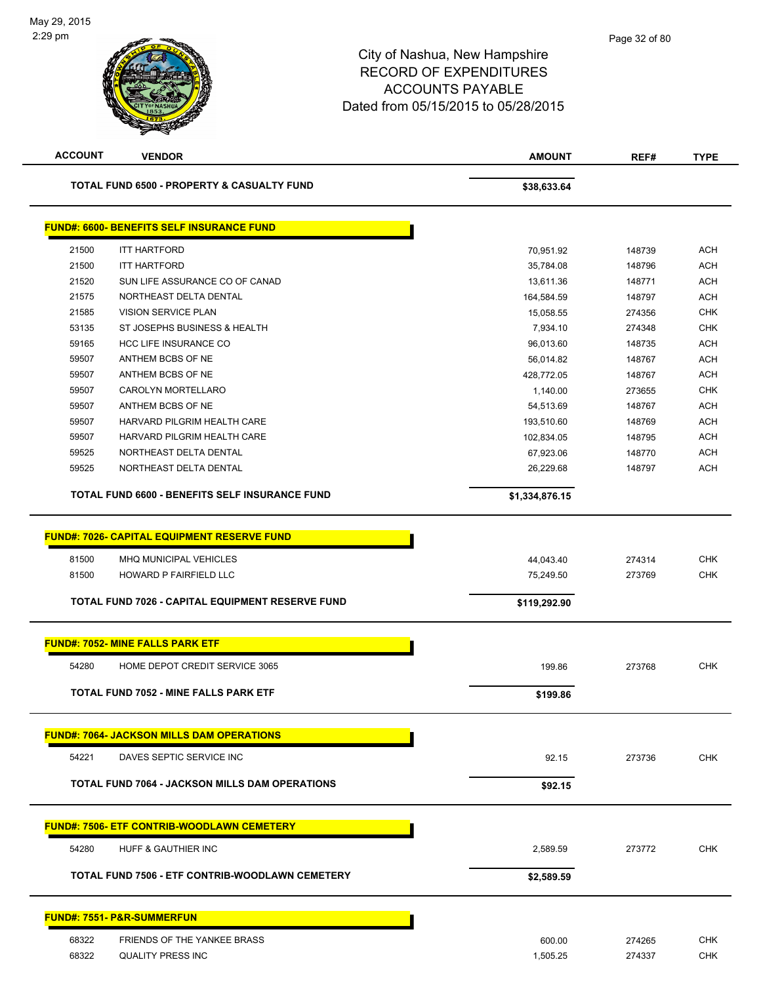| <b>ACCOUNT</b> | <b>VENDOR</b>                                                              | <b>AMOUNT</b>             | REF#   | <b>TYPE</b> |
|----------------|----------------------------------------------------------------------------|---------------------------|--------|-------------|
|                | TOTAL FUND 6500 - PROPERTY & CASUALTY FUND                                 | \$38,633.64               |        |             |
|                | <b>FUND#: 6600- BENEFITS SELF INSURANCE FUND</b>                           |                           |        |             |
| 21500          | <b>ITT HARTFORD</b>                                                        | 70,951.92                 | 148739 | ACH         |
| 21500          | <b>ITT HARTFORD</b>                                                        | 35,784.08                 | 148796 | ACH         |
| 21520          | SUN LIFE ASSURANCE CO OF CANAD                                             | 13,611.36                 | 148771 | ACH         |
| 21575          | NORTHEAST DELTA DENTAL                                                     | 164,584.59                | 148797 | <b>ACH</b>  |
| 21585          | VISION SERVICE PLAN                                                        | 15,058.55                 | 274356 | <b>CHK</b>  |
| 53135          | ST JOSEPHS BUSINESS & HEALTH                                               | 7,934.10                  | 274348 | <b>CHK</b>  |
| 59165          | <b>HCC LIFE INSURANCE CO</b>                                               | 96,013.60                 | 148735 | <b>ACH</b>  |
| 59507          | ANTHEM BCBS OF NE                                                          | 56,014.82                 | 148767 | <b>ACH</b>  |
| 59507          | ANTHEM BCBS OF NE                                                          | 428,772.05                | 148767 | <b>ACH</b>  |
| 59507          | CAROLYN MORTELLARO                                                         | 1,140.00                  | 273655 | <b>CHK</b>  |
| 59507          | ANTHEM BCBS OF NE                                                          | 54,513.69                 | 148767 | <b>ACH</b>  |
| 59507          | HARVARD PILGRIM HEALTH CARE                                                | 193,510.60                | 148769 | <b>ACH</b>  |
| 59507          | HARVARD PILGRIM HEALTH CARE                                                | 102,834.05                | 148795 | <b>ACH</b>  |
| 59525          | NORTHEAST DELTA DENTAL                                                     | 67,923.06                 | 148770 | ACH         |
| 59525          | NORTHEAST DELTA DENTAL                                                     | 26,229.68                 | 148797 | <b>ACH</b>  |
|                | TOTAL FUND 6600 - BENEFITS SELF INSURANCE FUND                             | \$1,334,876.15            |        |             |
| 81500          | HOWARD P FAIRFIELD LLC<br>TOTAL FUND 7026 - CAPITAL EQUIPMENT RESERVE FUND | 75,249.50<br>\$119,292.90 | 273769 | <b>CHK</b>  |
|                | <b>FUND#: 7052- MINE FALLS PARK ETF</b>                                    |                           |        |             |
|                |                                                                            |                           |        |             |
| 54280          | HOME DEPOT CREDIT SERVICE 3065                                             | 199.86                    | 273768 | <b>CHK</b>  |
|                | <b>TOTAL FUND 7052 - MINE FALLS PARK ETF</b>                               | \$199.86                  |        |             |
|                | <b>FUND#: 7064- JACKSON MILLS DAM OPERATIONS</b>                           |                           |        |             |
| 54221          | DAVES SEPTIC SERVICE INC                                                   | 92.15                     | 273736 | <b>CHK</b>  |
|                | TOTAL FUND 7064 - JACKSON MILLS DAM OPERATIONS                             | \$92.15                   |        |             |
|                | <b>FUND#: 7506- ETF CONTRIB-WOODLAWN CEMETERY</b>                          |                           |        |             |
| 54280          | HUFF & GAUTHIER INC                                                        | 2,589.59                  | 273772 | <b>CHK</b>  |
|                | TOTAL FUND 7506 - ETF CONTRIB-WOODLAWN CEMETERY                            | \$2,589.59                |        |             |
|                |                                                                            |                           |        |             |
|                | <u> FUND#: 7551- P&amp;R-SUMMERFUN</u>                                     |                           |        |             |
| 68322          | FRIENDS OF THE YANKEE BRASS                                                | 600.00                    | 274265 | <b>CHK</b>  |
| 68322          | <b>QUALITY PRESS INC</b>                                                   | 1,505.25                  | 274337 | <b>CHK</b>  |
|                |                                                                            |                           |        |             |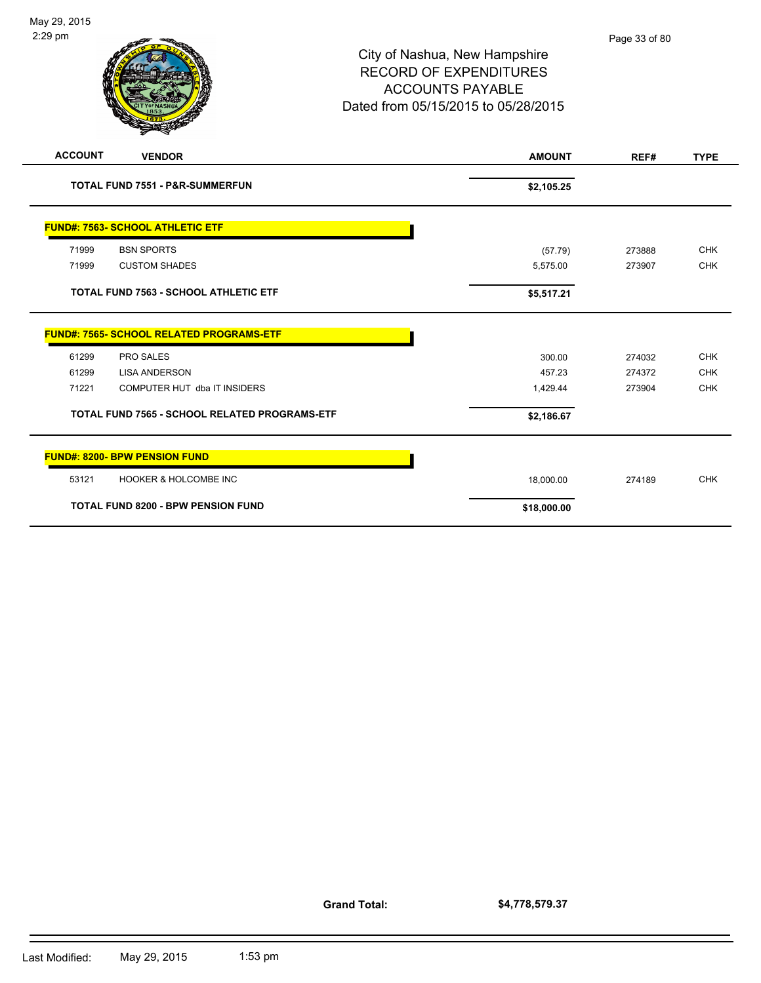| <b>ACCOUNT</b> | <b>VENDOR</b>                                   | <b>AMOUNT</b> | REF#   | <b>TYPE</b> |
|----------------|-------------------------------------------------|---------------|--------|-------------|
|                | <b>TOTAL FUND 7551 - P&amp;R-SUMMERFUN</b>      | \$2,105.25    |        |             |
|                | <b>FUND#: 7563- SCHOOL ATHLETIC ETF</b>         |               |        |             |
| 71999          | <b>BSN SPORTS</b>                               | (57.79)       | 273888 | <b>CHK</b>  |
| 71999          | <b>CUSTOM SHADES</b>                            | 5,575.00      | 273907 | <b>CHK</b>  |
|                | <b>TOTAL FUND 7563 - SCHOOL ATHLETIC ETF</b>    | \$5,517.21    |        |             |
|                | <b>FUND#: 7565- SCHOOL RELATED PROGRAMS-ETF</b> |               |        |             |
| 61299          | PRO SALES                                       | 300.00        | 274032 | <b>CHK</b>  |
| 61299          | <b>LISA ANDERSON</b>                            | 457.23        | 274372 | <b>CHK</b>  |
| 71221          | COMPUTER HUT dba IT INSIDERS                    | 1,429.44      | 273904 | <b>CHK</b>  |
|                | TOTAL FUND 7565 - SCHOOL RELATED PROGRAMS-ETF   | \$2,186.67    |        |             |
|                | <b>FUND#: 8200- BPW PENSION FUND</b>            |               |        |             |
| 53121          | <b>HOOKER &amp; HOLCOMBE INC</b>                | 18,000.00     | 274189 | <b>CHK</b>  |
|                | <b>TOTAL FUND 8200 - BPW PENSION FUND</b>       | \$18,000.00   |        |             |

**Grand Total:**

**\$4,778,579.37**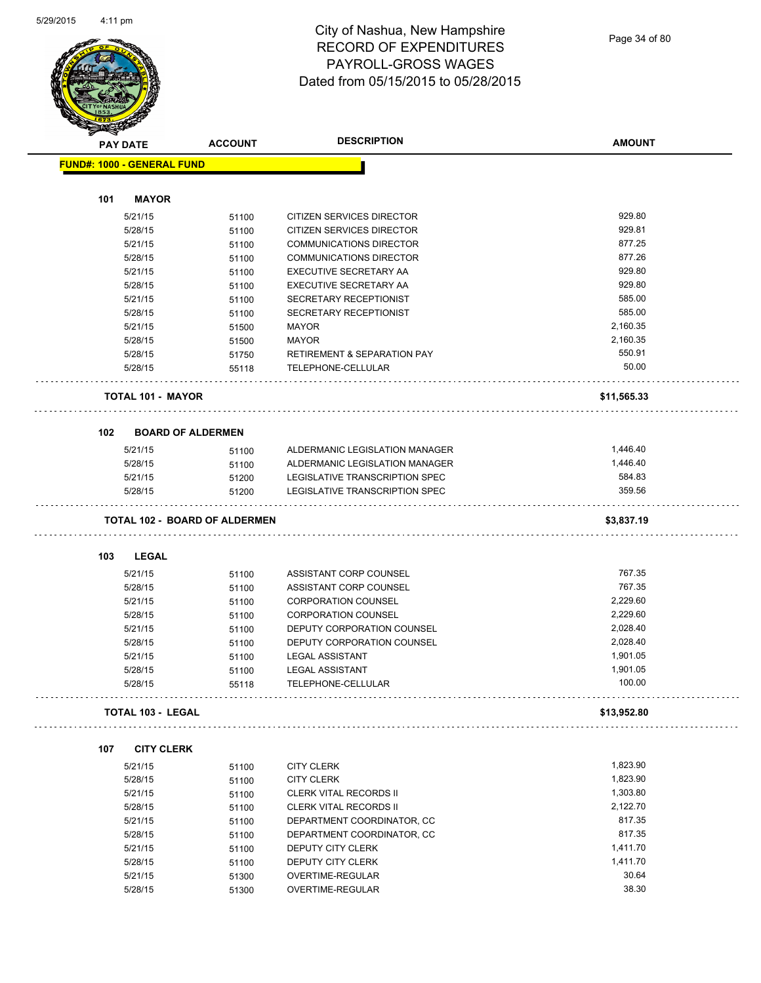$\overline{\phantom{0}}$ 



### City of Nashua, New Hampshire RECORD OF EXPENDITURES PAYROLL-GROSS WAGES Dated from 05/15/2015 to 05/28/2015

|     |              | <b>ACCOUNT</b>                                                                                                                           | <b>DESCRIPTION</b>                                                                                                                                                                                                                                                                  | <b>AMOUNT</b>                                                                                                                                                                                                                                                                                                                                                                   |
|-----|--------------|------------------------------------------------------------------------------------------------------------------------------------------|-------------------------------------------------------------------------------------------------------------------------------------------------------------------------------------------------------------------------------------------------------------------------------------|---------------------------------------------------------------------------------------------------------------------------------------------------------------------------------------------------------------------------------------------------------------------------------------------------------------------------------------------------------------------------------|
|     |              |                                                                                                                                          |                                                                                                                                                                                                                                                                                     |                                                                                                                                                                                                                                                                                                                                                                                 |
|     |              |                                                                                                                                          |                                                                                                                                                                                                                                                                                     |                                                                                                                                                                                                                                                                                                                                                                                 |
| 101 | <b>MAYOR</b> |                                                                                                                                          |                                                                                                                                                                                                                                                                                     |                                                                                                                                                                                                                                                                                                                                                                                 |
|     | 5/21/15      | 51100                                                                                                                                    | CITIZEN SERVICES DIRECTOR                                                                                                                                                                                                                                                           | 929.80                                                                                                                                                                                                                                                                                                                                                                          |
|     | 5/28/15      | 51100                                                                                                                                    | CITIZEN SERVICES DIRECTOR                                                                                                                                                                                                                                                           | 929.81                                                                                                                                                                                                                                                                                                                                                                          |
|     | 5/21/15      | 51100                                                                                                                                    | <b>COMMUNICATIONS DIRECTOR</b>                                                                                                                                                                                                                                                      | 877.25                                                                                                                                                                                                                                                                                                                                                                          |
|     | 5/28/15      | 51100                                                                                                                                    | <b>COMMUNICATIONS DIRECTOR</b>                                                                                                                                                                                                                                                      | 877.26                                                                                                                                                                                                                                                                                                                                                                          |
|     | 5/21/15      | 51100                                                                                                                                    | EXECUTIVE SECRETARY AA                                                                                                                                                                                                                                                              | 929.80                                                                                                                                                                                                                                                                                                                                                                          |
|     | 5/28/15      | 51100                                                                                                                                    | <b>EXECUTIVE SECRETARY AA</b>                                                                                                                                                                                                                                                       | 929.80                                                                                                                                                                                                                                                                                                                                                                          |
|     | 5/21/15      | 51100                                                                                                                                    | SECRETARY RECEPTIONIST                                                                                                                                                                                                                                                              | 585.00                                                                                                                                                                                                                                                                                                                                                                          |
|     | 5/28/15      | 51100                                                                                                                                    | SECRETARY RECEPTIONIST                                                                                                                                                                                                                                                              | 585.00                                                                                                                                                                                                                                                                                                                                                                          |
|     | 5/21/15      | 51500                                                                                                                                    | <b>MAYOR</b>                                                                                                                                                                                                                                                                        | 2,160.35                                                                                                                                                                                                                                                                                                                                                                        |
|     | 5/28/15      | 51500                                                                                                                                    | <b>MAYOR</b>                                                                                                                                                                                                                                                                        | 2,160.35                                                                                                                                                                                                                                                                                                                                                                        |
|     | 5/28/15      | 51750                                                                                                                                    | <b>RETIREMENT &amp; SEPARATION PAY</b>                                                                                                                                                                                                                                              | 550.91                                                                                                                                                                                                                                                                                                                                                                          |
|     | 5/28/15      | 55118                                                                                                                                    | TELEPHONE-CELLULAR                                                                                                                                                                                                                                                                  | 50.00                                                                                                                                                                                                                                                                                                                                                                           |
|     |              |                                                                                                                                          |                                                                                                                                                                                                                                                                                     | \$11,565.33                                                                                                                                                                                                                                                                                                                                                                     |
| 102 |              |                                                                                                                                          |                                                                                                                                                                                                                                                                                     |                                                                                                                                                                                                                                                                                                                                                                                 |
|     |              |                                                                                                                                          |                                                                                                                                                                                                                                                                                     | 1,446.40                                                                                                                                                                                                                                                                                                                                                                        |
|     |              |                                                                                                                                          |                                                                                                                                                                                                                                                                                     | 1,446.40                                                                                                                                                                                                                                                                                                                                                                        |
|     |              |                                                                                                                                          |                                                                                                                                                                                                                                                                                     | 584.83                                                                                                                                                                                                                                                                                                                                                                          |
|     | 5/28/15      |                                                                                                                                          | LEGISLATIVE TRANSCRIPTION SPEC                                                                                                                                                                                                                                                      | 359.56                                                                                                                                                                                                                                                                                                                                                                          |
|     |              |                                                                                                                                          |                                                                                                                                                                                                                                                                                     | \$3,837.19                                                                                                                                                                                                                                                                                                                                                                      |
|     |              |                                                                                                                                          |                                                                                                                                                                                                                                                                                     |                                                                                                                                                                                                                                                                                                                                                                                 |
| 103 | <b>LEGAL</b> |                                                                                                                                          |                                                                                                                                                                                                                                                                                     |                                                                                                                                                                                                                                                                                                                                                                                 |
|     | 5/21/15      | 51100                                                                                                                                    | ASSISTANT CORP COUNSEL                                                                                                                                                                                                                                                              | 767.35                                                                                                                                                                                                                                                                                                                                                                          |
|     | 5/28/15      | 51100                                                                                                                                    | ASSISTANT CORP COUNSEL                                                                                                                                                                                                                                                              | 767.35                                                                                                                                                                                                                                                                                                                                                                          |
|     | 5/21/15      | 51100                                                                                                                                    | <b>CORPORATION COUNSEL</b>                                                                                                                                                                                                                                                          | 2,229.60                                                                                                                                                                                                                                                                                                                                                                        |
|     | 5/28/15      | 51100                                                                                                                                    | <b>CORPORATION COUNSEL</b>                                                                                                                                                                                                                                                          | 2,229.60                                                                                                                                                                                                                                                                                                                                                                        |
|     | 5/21/15      | 51100                                                                                                                                    | DEPUTY CORPORATION COUNSEL                                                                                                                                                                                                                                                          | 2,028.40                                                                                                                                                                                                                                                                                                                                                                        |
|     | 5/28/15      | 51100                                                                                                                                    | DEPUTY CORPORATION COUNSEL                                                                                                                                                                                                                                                          | 2,028.40                                                                                                                                                                                                                                                                                                                                                                        |
|     | 5/21/15      | 51100                                                                                                                                    | <b>LEGAL ASSISTANT</b>                                                                                                                                                                                                                                                              | 1,901.05                                                                                                                                                                                                                                                                                                                                                                        |
|     | 5/28/15      | 51100                                                                                                                                    | <b>LEGAL ASSISTANT</b>                                                                                                                                                                                                                                                              | 1,901.05                                                                                                                                                                                                                                                                                                                                                                        |
|     | 5/28/15      | 55118                                                                                                                                    | TELEPHONE-CELLULAR                                                                                                                                                                                                                                                                  | 100.00                                                                                                                                                                                                                                                                                                                                                                          |
|     |              |                                                                                                                                          |                                                                                                                                                                                                                                                                                     | \$13,952.80                                                                                                                                                                                                                                                                                                                                                                     |
| 107 |              |                                                                                                                                          |                                                                                                                                                                                                                                                                                     |                                                                                                                                                                                                                                                                                                                                                                                 |
|     | 5/21/15      |                                                                                                                                          | <b>CITY CLERK</b>                                                                                                                                                                                                                                                                   | 1,823.90                                                                                                                                                                                                                                                                                                                                                                        |
|     |              |                                                                                                                                          |                                                                                                                                                                                                                                                                                     | 1,823.90                                                                                                                                                                                                                                                                                                                                                                        |
|     |              |                                                                                                                                          |                                                                                                                                                                                                                                                                                     | 1,303.80                                                                                                                                                                                                                                                                                                                                                                        |
|     |              |                                                                                                                                          |                                                                                                                                                                                                                                                                                     | 2,122.70                                                                                                                                                                                                                                                                                                                                                                        |
|     |              |                                                                                                                                          |                                                                                                                                                                                                                                                                                     | 817.35                                                                                                                                                                                                                                                                                                                                                                          |
|     |              |                                                                                                                                          |                                                                                                                                                                                                                                                                                     | 817.35                                                                                                                                                                                                                                                                                                                                                                          |
|     |              |                                                                                                                                          |                                                                                                                                                                                                                                                                                     | 1,411.70                                                                                                                                                                                                                                                                                                                                                                        |
|     |              |                                                                                                                                          |                                                                                                                                                                                                                                                                                     | 1,411.70                                                                                                                                                                                                                                                                                                                                                                        |
|     |              |                                                                                                                                          |                                                                                                                                                                                                                                                                                     | 30.64                                                                                                                                                                                                                                                                                                                                                                           |
|     |              |                                                                                                                                          |                                                                                                                                                                                                                                                                                     | 38.30                                                                                                                                                                                                                                                                                                                                                                           |
|     |              | <b>PAY DATE</b><br>5/21/15<br>5/28/15<br>5/21/15<br>5/28/15<br>5/21/15<br>5/28/15<br>5/21/15<br>5/28/15<br>5/21/15<br>5/28/15<br>5/21/15 | <b>FUND#: 1000 - GENERAL FUND</b><br><b>TOTAL 101 - MAYOR</b><br><b>BOARD OF ALDERMEN</b><br>51100<br>51100<br>51200<br>51200<br><b>TOTAL 103 - LEGAL</b><br><b>CITY CLERK</b><br>51100<br>51100<br>51100<br>51100<br>51100<br>51100<br>51100<br>51100<br>51300<br>5/28/15<br>51300 | ALDERMANIC LEGISLATION MANAGER<br>ALDERMANIC LEGISLATION MANAGER<br>LEGISLATIVE TRANSCRIPTION SPEC<br><b>TOTAL 102 - BOARD OF ALDERMEN</b><br><b>CITY CLERK</b><br><b>CLERK VITAL RECORDS II</b><br><b>CLERK VITAL RECORDS II</b><br>DEPARTMENT COORDINATOR, CC<br>DEPARTMENT COORDINATOR, CC<br>DEPUTY CITY CLERK<br>DEPUTY CITY CLERK<br>OVERTIME-REGULAR<br>OVERTIME-REGULAR |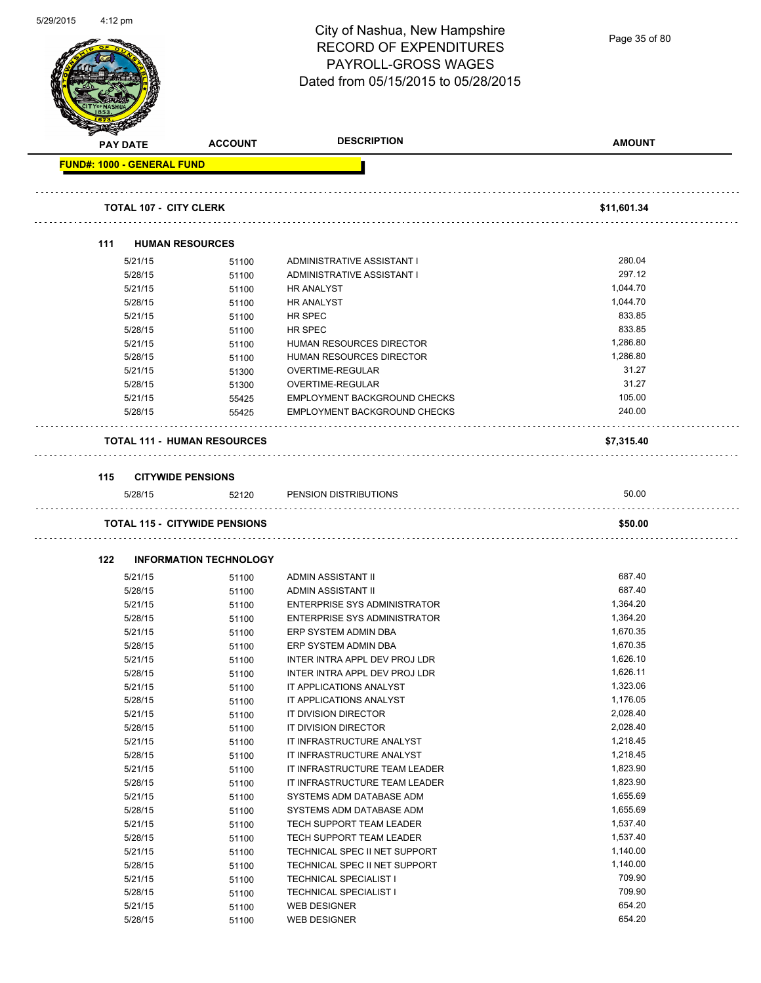| 5/29/2015 | $4:12 \text{ pm}$ |                                                                    |                                      | City of Nashua, New Hampshire<br><b>RECORD OF EXPENDITURES</b><br><b>PAYROLL-GROSS WAGES</b><br>Dated from 05/15/2015 to 05/28/2015 | Page 35 of 80        |
|-----------|-------------------|--------------------------------------------------------------------|--------------------------------------|-------------------------------------------------------------------------------------------------------------------------------------|----------------------|
|           |                   | <b>PAY DATE</b>                                                    | <b>ACCOUNT</b>                       | <b>DESCRIPTION</b>                                                                                                                  | <b>AMOUNT</b>        |
|           |                   | <b>FUND#: 1000 - GENERAL FUND</b><br><b>TOTAL 107 - CITY CLERK</b> |                                      |                                                                                                                                     | \$11,601.34          |
|           | 111               |                                                                    | <b>HUMAN RESOURCES</b>               |                                                                                                                                     |                      |
|           |                   | 5/21/15                                                            | 51100                                | ADMINISTRATIVE ASSISTANT I                                                                                                          | 280.04               |
|           |                   | 5/28/15                                                            | 51100                                | ADMINISTRATIVE ASSISTANT I                                                                                                          | 297.12               |
|           |                   | 5/21/15                                                            | 51100                                | <b>HR ANALYST</b>                                                                                                                   | 1,044.70             |
|           |                   | 5/28/15                                                            | 51100                                | <b>HR ANALYST</b>                                                                                                                   | 1,044.70             |
|           |                   | 5/21/15                                                            | 51100                                | HR SPEC                                                                                                                             | 833.85               |
|           |                   | 5/28/15                                                            | 51100                                | HR SPEC                                                                                                                             | 833.85               |
|           |                   | 5/21/15                                                            | 51100                                | HUMAN RESOURCES DIRECTOR                                                                                                            | 1,286.80             |
|           |                   | 5/28/15                                                            | 51100                                | HUMAN RESOURCES DIRECTOR                                                                                                            | 1.286.80             |
|           |                   | 5/21/15                                                            | 51300                                | <b>OVERTIME-REGULAR</b>                                                                                                             | 31.27                |
|           |                   | 5/28/15                                                            | 51300                                | OVERTIME-REGULAR                                                                                                                    | 31.27                |
|           |                   | 5/21/15                                                            | 55425                                | EMPLOYMENT BACKGROUND CHECKS                                                                                                        | 105.00               |
|           |                   | 5/28/15                                                            | 55425                                | EMPLOYMENT BACKGROUND CHECKS                                                                                                        | 240.00               |
|           |                   |                                                                    | <b>TOTAL 111 - HUMAN RESOURCES</b>   |                                                                                                                                     | \$7,315.40           |
|           | 115               |                                                                    | <b>CITYWIDE PENSIONS</b>             |                                                                                                                                     |                      |
|           |                   | 5/28/15                                                            | 52120                                | PENSION DISTRIBUTIONS                                                                                                               | 50.00                |
|           |                   |                                                                    |                                      |                                                                                                                                     |                      |
|           |                   |                                                                    | <b>TOTAL 115 - CITYWIDE PENSIONS</b> |                                                                                                                                     | \$50.00              |
|           | 122               |                                                                    | <b>INFORMATION TECHNOLOGY</b>        |                                                                                                                                     |                      |
|           |                   | 5/21/15                                                            | 51100                                | ADMIN ASSISTANT II                                                                                                                  | 687.40               |
|           |                   | 5/28/15                                                            | 51100                                | ADMIN ASSISTANT II                                                                                                                  | 687.40               |
|           |                   | 5/21/15                                                            | 51100                                | <b>ENTERPRISE SYS ADMINISTRATOR</b>                                                                                                 | 1,364.20             |
|           |                   | 5/28/15                                                            | 51100                                | <b>ENTERPRISE SYS ADMINISTRATOR</b>                                                                                                 | 1,364.20             |
|           |                   | 5/21/15                                                            | 51100                                | ERP SYSTEM ADMIN DBA                                                                                                                | 1,670.35             |
|           |                   | 5/28/15                                                            | 51100                                | ERP SYSTEM ADMIN DBA                                                                                                                | 1,670.35             |
|           |                   | 5/21/15                                                            | 51100                                | INTER INTRA APPL DEV PROJ LDR                                                                                                       | 1,626.10             |
|           |                   | 5/28/15                                                            | 51100                                | INTER INTRA APPL DEV PROJ LDR                                                                                                       | 1,626.11             |
|           |                   | 5/21/15                                                            | 51100                                | IT APPLICATIONS ANALYST                                                                                                             | 1,323.06             |
|           |                   | 5/28/15                                                            | 51100                                | IT APPLICATIONS ANALYST                                                                                                             | 1,176.05             |
|           |                   | 5/21/15                                                            | 51100                                | IT DIVISION DIRECTOR                                                                                                                | 2,028.40             |
|           |                   | 5/28/15                                                            | 51100                                | IT DIVISION DIRECTOR                                                                                                                | 2,028.40             |
|           |                   | 5/21/15                                                            | 51100                                | IT INFRASTRUCTURE ANALYST                                                                                                           | 1,218.45             |
|           |                   | 5/28/15                                                            | 51100                                | IT INFRASTRUCTURE ANALYST                                                                                                           | 1,218.45             |
|           |                   | 5/21/15                                                            | 51100                                | IT INFRASTRUCTURE TEAM LEADER                                                                                                       | 1,823.90             |
|           |                   | 5/28/15                                                            | 51100                                | IT INFRASTRUCTURE TEAM LEADER                                                                                                       | 1,823.90<br>1,655.69 |
|           |                   | 5/21/15<br>5/28/15                                                 | 51100                                | SYSTEMS ADM DATABASE ADM<br>SYSTEMS ADM DATABASE ADM                                                                                | 1,655.69             |
|           |                   | 5/21/15                                                            | 51100                                | TECH SUPPORT TEAM LEADER                                                                                                            | 1,537.40             |
|           |                   | 5/28/15                                                            | 51100                                | TECH SUPPORT TEAM LEADER                                                                                                            | 1,537.40             |
|           |                   | 5/21/15                                                            | 51100                                | TECHNICAL SPEC II NET SUPPORT                                                                                                       | 1,140.00             |
|           |                   | 5/28/15                                                            | 51100                                | TECHNICAL SPEC II NET SUPPORT                                                                                                       | 1,140.00             |
|           |                   |                                                                    | 51100                                |                                                                                                                                     | 709.90               |
|           |                   | 5/21/15                                                            | 51100                                | <b>TECHNICAL SPECIALIST I</b><br>TECHNICAL SPECIALIST I                                                                             | 709.90               |
|           |                   | 5/28/15<br>5/21/15                                                 | 51100                                | <b>WEB DESIGNER</b>                                                                                                                 | 654.20               |
|           |                   |                                                                    | 51100                                | <b>WEB DESIGNER</b>                                                                                                                 | 654.20               |
|           |                   | 5/28/15                                                            | 51100                                |                                                                                                                                     |                      |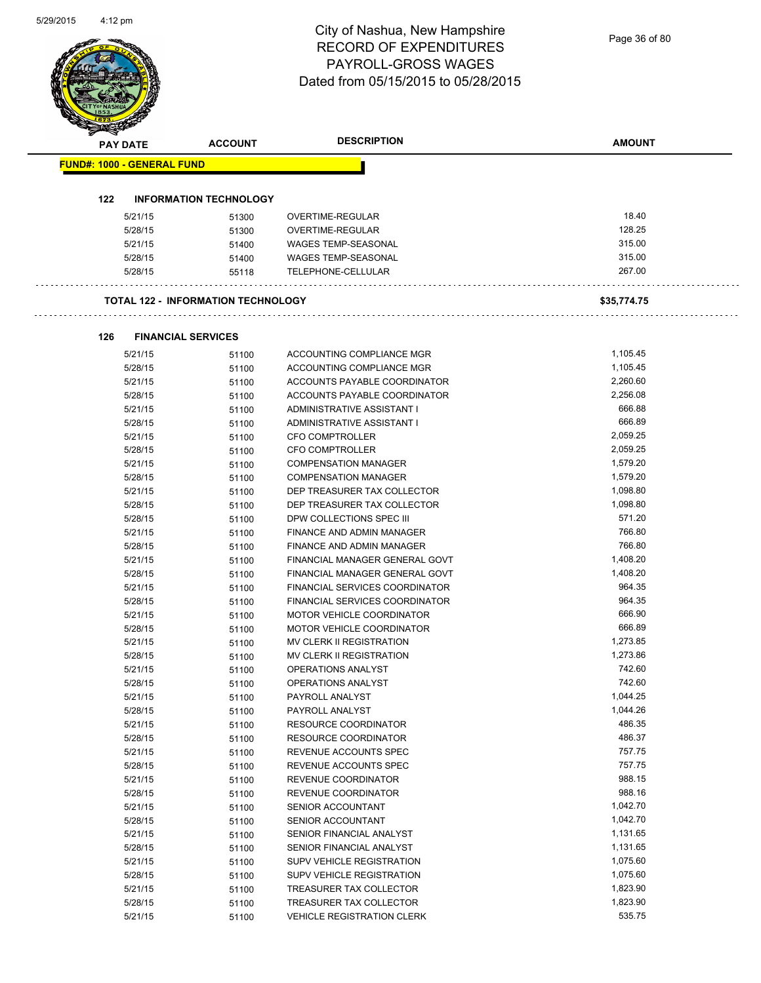### City of Nashua, New Hampshire RECORD OF EXPENDITURES PAYROLL-GROSS WAGES 05/15/2015 to 05/28/2015

|                                   |                 |                                           | <b>DESCRIPTION</b>               |               |
|-----------------------------------|-----------------|-------------------------------------------|----------------------------------|---------------|
|                                   | <b>PAY DATE</b> | <b>ACCOUNT</b>                            |                                  | <b>AMOUNT</b> |
| <b>FUND#: 1000 - GENERAL FUND</b> |                 |                                           |                                  |               |
| 122                               |                 | <b>INFORMATION TECHNOLOGY</b>             |                                  |               |
|                                   | 5/21/15         | 51300                                     | OVERTIME-REGULAR                 | 18.40         |
|                                   | 5/28/15         | 51300                                     | OVERTIME-REGULAR                 | 128.25        |
|                                   | 5/21/15         | 51400                                     | <b>WAGES TEMP-SEASONAL</b>       | 315.00        |
|                                   | 5/28/15         | 51400                                     | WAGES TEMP-SEASONAL              | 315.00        |
|                                   | 5/28/15         | 55118                                     | TELEPHONE-CELLULAR               | 267.00        |
|                                   |                 | <b>TOTAL 122 - INFORMATION TECHNOLOGY</b> |                                  | \$35,774.75   |
| 126                               |                 | <b>FINANCIAL SERVICES</b>                 |                                  |               |
|                                   | 5/21/15         | 51100                                     | ACCOUNTING COMPLIANCE MGR        | 1,105.45      |
|                                   | 5/28/15         | 51100                                     | ACCOUNTING COMPLIANCE MGR        | 1,105.45      |
|                                   | 5/21/15         | 51100                                     | ACCOUNTS PAYABLE COORDINATOR     | 2,260.60      |
|                                   | 5/28/15         | 51100                                     | ACCOUNTS PAYABLE COORDINATOR     | 2,256.08      |
|                                   | 5/21/15         | 51100                                     | ADMINISTRATIVE ASSISTANT I       | 666.88        |
|                                   | 5/28/15         | 51100                                     | ADMINISTRATIVE ASSISTANT I       | 666.89        |
|                                   | 5/21/15         | 51100                                     | CFO COMPTROLLER                  | 2,059.25      |
|                                   | 5/28/15         | 51100                                     | CFO COMPTROLLER                  | 2,059.25      |
|                                   | 5/21/15         | 51100                                     | <b>COMPENSATION MANAGER</b>      | 1,579.20      |
|                                   | 5/28/15         | 51100                                     | <b>COMPENSATION MANAGER</b>      | 1,579.20      |
|                                   | 5/21/15         | 51100                                     | DEP TREASURER TAX COLLECTOR      | 1,098.80      |
|                                   | 5/28/15         | 51100                                     | DEP TREASURER TAX COLLECTOR      | 1,098.80      |
|                                   | 5/28/15         | 51100                                     | DPW COLLECTIONS SPEC III         | 571.20        |
|                                   | 5/21/15         | 51100                                     | FINANCE AND ADMIN MANAGER        | 766.80        |
|                                   | 5/28/15         | 51100                                     | FINANCE AND ADMIN MANAGER        | 766.80        |
|                                   | 5/21/15         | 51100                                     | FINANCIAL MANAGER GENERAL GOVT   | 1,408.20      |
|                                   | 5/28/15         | 51100                                     | FINANCIAL MANAGER GENERAL GOVT   | 1,408.20      |
|                                   | 5/21/15         | 51100                                     | FINANCIAL SERVICES COORDINATOR   | 964.35        |
|                                   | 5/28/15         | 51100                                     | FINANCIAL SERVICES COORDINATOR   | 964.35        |
|                                   | 5/21/15         | 51100                                     | <b>MOTOR VEHICLE COORDINATOR</b> | 666.90        |
|                                   | 5/28/15         | 51100                                     | <b>MOTOR VEHICLE COORDINATOR</b> | 666.89        |
|                                   | 5/21/15         | 51100                                     | MV CLERK II REGISTRATION         | 1,273.85      |
|                                   | 5/28/15         | 51100                                     | MV CLERK II REGISTRATION         | 1,273.86      |
|                                   | 5/21/15         | 51100                                     | OPERATIONS ANALYST               | 742.60        |
|                                   | 5/28/15         | 51100                                     | OPERATIONS ANALYST               | 742.60        |
|                                   | 5/21/15         | 51100                                     | PAYROLL ANALYST                  | 1,044.25      |
|                                   | 5/28/15         | 51100                                     | PAYROLL ANALYST                  | 1,044.26      |
|                                   | 5/21/15         | 51100                                     | <b>RESOURCE COORDINATOR</b>      | 486.35        |
|                                   | 5/28/15         | 51100                                     | RESOURCE COORDINATOR             | 486.37        |
|                                   | 5/21/15         | 51100                                     | REVENUE ACCOUNTS SPEC            | 757.75        |
|                                   | 5/28/15         | 51100                                     | REVENUE ACCOUNTS SPEC            | 757.75        |
|                                   | 5/21/15         | 51100                                     | REVENUE COORDINATOR              | 988.15        |
|                                   | 5/28/15         | 51100                                     | REVENUE COORDINATOR              | 988.16        |
|                                   | 5/21/15         | 51100                                     | SENIOR ACCOUNTANT                | 1,042.70      |
|                                   | 5/28/15         | 51100                                     | SENIOR ACCOUNTANT                | 1,042.70      |
|                                   | 5/21/15         | 51100                                     | SENIOR FINANCIAL ANALYST         | 1,131.65      |
|                                   | 5/28/15         | 51100                                     | SENIOR FINANCIAL ANALYST         | 1,131.65      |
|                                   | 5/21/15         | 51100                                     | SUPV VEHICLE REGISTRATION        | 1,075.60      |
|                                   | 5/28/15         | 51100                                     | SUPV VEHICLE REGISTRATION        | 1,075.60      |
|                                   | 5/21/15         | 51100                                     | TREASURER TAX COLLECTOR          | 1,823.90      |
|                                   | 5/28/15         | 51100                                     | TREASURER TAX COLLECTOR          | 1,823.90      |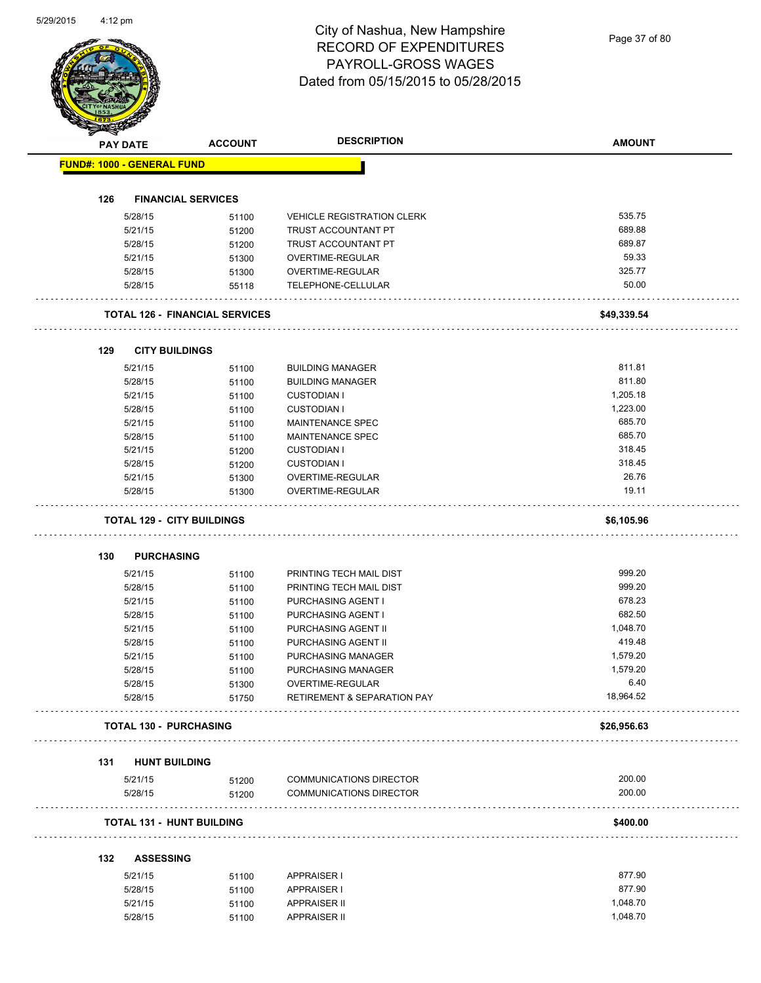|     | <b>PAY DATE</b>                   | <b>ACCOUNT</b>                        | <b>DESCRIPTION</b>                     | <b>AMOUNT</b> |
|-----|-----------------------------------|---------------------------------------|----------------------------------------|---------------|
|     | <b>FUND#: 1000 - GENERAL FUND</b> |                                       |                                        |               |
|     |                                   |                                       |                                        |               |
| 126 |                                   | <b>FINANCIAL SERVICES</b>             |                                        |               |
|     | 5/28/15                           | 51100                                 | <b>VEHICLE REGISTRATION CLERK</b>      | 535.75        |
|     | 5/21/15                           | 51200                                 | TRUST ACCOUNTANT PT                    | 689.88        |
|     | 5/28/15                           | 51200                                 | <b>TRUST ACCOUNTANT PT</b>             | 689.87        |
|     | 5/21/15                           | 51300                                 | OVERTIME-REGULAR                       | 59.33         |
|     | 5/28/15                           | 51300                                 | OVERTIME-REGULAR                       | 325.77        |
|     | 5/28/15                           | 55118                                 | TELEPHONE-CELLULAR                     | 50.00         |
|     |                                   | <b>TOTAL 126 - FINANCIAL SERVICES</b> |                                        | \$49,339.54   |
| 129 | <b>CITY BUILDINGS</b>             |                                       |                                        |               |
|     | 5/21/15                           | 51100                                 | <b>BUILDING MANAGER</b>                | 811.81        |
|     | 5/28/15                           | 51100                                 | <b>BUILDING MANAGER</b>                | 811.80        |
|     | 5/21/15                           | 51100                                 | <b>CUSTODIAN I</b>                     | 1,205.18      |
|     | 5/28/15                           | 51100                                 | <b>CUSTODIAN I</b>                     | 1,223.00      |
|     |                                   |                                       |                                        | 685.70        |
|     | 5/21/15                           | 51100                                 | <b>MAINTENANCE SPEC</b>                | 685.70        |
|     | 5/28/15                           | 51100                                 | MAINTENANCE SPEC                       |               |
|     | 5/21/15                           | 51200                                 | <b>CUSTODIAN I</b>                     | 318.45        |
|     | 5/28/15                           | 51200                                 | <b>CUSTODIAN I</b>                     | 318.45        |
|     | 5/21/15                           | 51300                                 | OVERTIME-REGULAR                       | 26.76         |
|     | 5/28/15                           | 51300                                 | OVERTIME-REGULAR                       | 19.11         |
|     |                                   | <b>TOTAL 129 - CITY BUILDINGS</b>     |                                        | \$6,105.96    |
| 130 | <b>PURCHASING</b>                 |                                       |                                        |               |
|     | 5/21/15                           | 51100                                 | PRINTING TECH MAIL DIST                | 999.20        |
|     | 5/28/15                           | 51100                                 | PRINTING TECH MAIL DIST                | 999.20        |
|     | 5/21/15                           | 51100                                 | PURCHASING AGENT I                     | 678.23        |
|     | 5/28/15                           | 51100                                 | PURCHASING AGENT I                     | 682.50        |
|     | 5/21/15                           | 51100                                 | PURCHASING AGENT II                    | 1,048.70      |
|     | 5/28/15                           | 51100                                 | PURCHASING AGENT II                    | 419.48        |
|     | 5/21/15                           | 51100                                 | PURCHASING MANAGER                     | 1,579.20      |
|     | 5/28/15                           | 51100                                 | PURCHASING MANAGER                     | 1,579.20      |
|     | 5/28/15                           | 51300                                 | OVERTIME-REGULAR                       | 6.40          |
|     | 5/28/15                           | 51750                                 | <b>RETIREMENT &amp; SEPARATION PAY</b> | 18,964.52     |
|     | TOTAL 130 - PURCHASING            |                                       |                                        | \$26,956.63   |
| 131 | <b>HUNT BUILDING</b>              |                                       |                                        |               |
|     | 5/21/15                           | 51200                                 | <b>COMMUNICATIONS DIRECTOR</b>         | 200.00        |
|     | 5/28/15                           | 51200                                 | <b>COMMUNICATIONS DIRECTOR</b>         | 200.00        |
|     |                                   | <b>TOTAL 131 - HUNT BUILDING</b>      |                                        | \$400.00      |
| 132 | <b>ASSESSING</b>                  |                                       |                                        |               |
|     | 5/21/15                           | 51100                                 | <b>APPRAISER I</b>                     | 877.90        |
|     | 5/28/15                           | 51100                                 | <b>APPRAISER I</b>                     | 877.90        |
|     | 5/21/15                           | 51100                                 | <b>APPRAISER II</b>                    | 1,048.70      |
|     |                                   |                                       |                                        |               |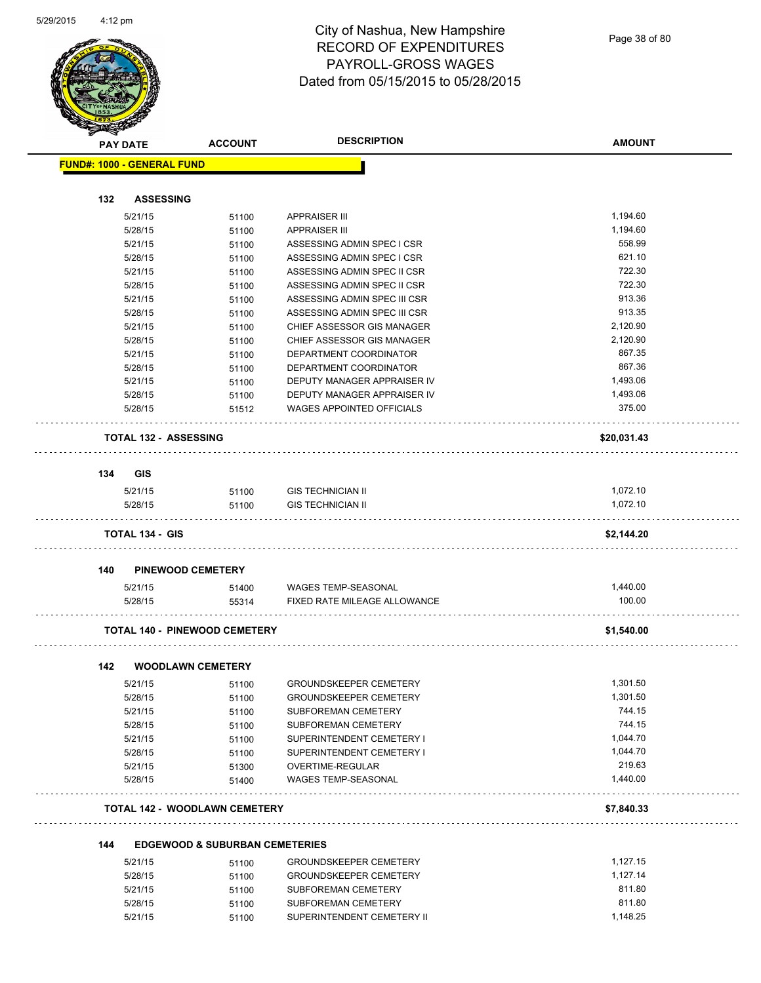| <b>STATERS</b> |                                      |                                           |                                            |                  |
|----------------|--------------------------------------|-------------------------------------------|--------------------------------------------|------------------|
|                | <b>PAY DATE</b>                      | <b>ACCOUNT</b>                            | <b>DESCRIPTION</b>                         | <b>AMOUNT</b>    |
|                | <b>FUND#: 1000 - GENERAL FUND</b>    |                                           |                                            |                  |
|                |                                      |                                           |                                            |                  |
| 132            | <b>ASSESSING</b>                     |                                           |                                            |                  |
|                | 5/21/15                              | 51100                                     | <b>APPRAISER III</b>                       | 1,194.60         |
|                | 5/28/15                              | 51100                                     | <b>APPRAISER III</b>                       | 1,194.60         |
|                | 5/21/15                              | 51100                                     | ASSESSING ADMIN SPEC I CSR                 | 558.99           |
|                | 5/28/15                              | 51100                                     | ASSESSING ADMIN SPEC I CSR                 | 621.10           |
|                | 5/21/15                              | 51100                                     | ASSESSING ADMIN SPEC II CSR                | 722.30           |
|                | 5/28/15                              | 51100                                     | ASSESSING ADMIN SPEC II CSR                | 722.30           |
|                | 5/21/15                              | 51100                                     | ASSESSING ADMIN SPEC III CSR               | 913.36           |
|                | 5/28/15                              | 51100                                     | ASSESSING ADMIN SPEC III CSR               | 913.35           |
|                | 5/21/15                              | 51100                                     | CHIEF ASSESSOR GIS MANAGER                 | 2,120.90         |
|                | 5/28/15                              | 51100                                     | CHIEF ASSESSOR GIS MANAGER                 | 2,120.90         |
|                | 5/21/15                              | 51100                                     | DEPARTMENT COORDINATOR                     | 867.35           |
|                | 5/28/15                              | 51100                                     | DEPARTMENT COORDINATOR                     | 867.36           |
|                | 5/21/15                              | 51100                                     | DEPUTY MANAGER APPRAISER IV                | 1,493.06         |
|                | 5/28/15                              | 51100                                     | DEPUTY MANAGER APPRAISER IV                | 1,493.06         |
|                | 5/28/15                              | 51512                                     | <b>WAGES APPOINTED OFFICIALS</b>           | 375.00           |
|                | <b>TOTAL 132 - ASSESSING</b>         |                                           |                                            | \$20,031.43      |
| 134            | <b>GIS</b>                           |                                           |                                            |                  |
|                | 5/21/15                              | 51100                                     | <b>GIS TECHNICIAN II</b>                   | 1,072.10         |
|                | 5/28/15                              | 51100                                     | <b>GIS TECHNICIAN II</b>                   | 1,072.10         |
|                |                                      |                                           |                                            |                  |
|                | <b>TOTAL 134 - GIS</b>               |                                           |                                            | \$2,144.20       |
| 140            | <b>PINEWOOD CEMETERY</b>             |                                           |                                            |                  |
|                | 5/21/15                              | 51400                                     | WAGES TEMP-SEASONAL                        | 1,440.00         |
|                | 5/28/15                              | 55314                                     | FIXED RATE MILEAGE ALLOWANCE               | 100.00           |
|                | <b>TOTAL 140 - PINEWOOD CEMETERY</b> |                                           |                                            | \$1,540.00       |
| 142            | <b>WOODLAWN CEMETERY</b>             |                                           |                                            |                  |
|                | 5/21/15                              | 51100                                     | GROUNDSKEEPER CEMETERY                     | 1,301.50         |
|                | 5/28/15                              | 51100                                     | <b>GROUNDSKEEPER CEMETERY</b>              | 1,301.50         |
|                | 5/21/15                              | 51100                                     | SUBFOREMAN CEMETERY                        | 744.15           |
|                | 5/28/15                              | 51100                                     | SUBFOREMAN CEMETERY                        | 744.15           |
|                | 5/21/15                              | 51100                                     | SUPERINTENDENT CEMETERY I                  | 1,044.70         |
|                | 5/28/15                              | 51100                                     | SUPERINTENDENT CEMETERY I                  | 1,044.70         |
|                | 5/21/15                              |                                           | OVERTIME-REGULAR                           | 219.63           |
|                | 5/28/15                              | 51300<br>51400                            | WAGES TEMP-SEASONAL                        | 1,440.00         |
|                | <b>TOTAL 142 - WOODLAWN CEMETERY</b> |                                           |                                            | \$7,840.33       |
| 144            |                                      | <b>EDGEWOOD &amp; SUBURBAN CEMETERIES</b> |                                            |                  |
|                | 5/21/15                              | 51100                                     | <b>GROUNDSKEEPER CEMETERY</b>              | 1,127.15         |
|                | 5/28/15                              | 51100                                     | <b>GROUNDSKEEPER CEMETERY</b>              | 1,127.14         |
|                |                                      |                                           |                                            |                  |
|                |                                      |                                           |                                            |                  |
|                | 5/21/15<br>5/28/15                   | 51100<br>51100                            | SUBFOREMAN CEMETERY<br>SUBFOREMAN CEMETERY | 811.80<br>811.80 |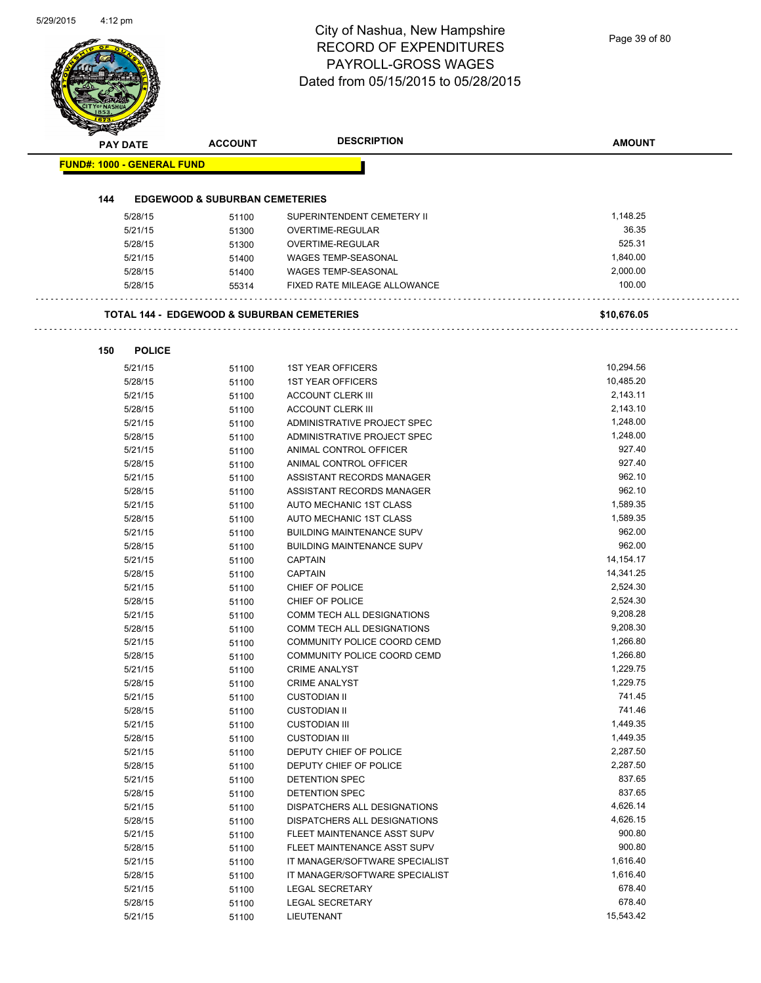| <b>PAY DATE</b>                   | <b>ACCOUNT</b>                                        | <b>DESCRIPTION</b>               | <b>AMOUNT</b> |
|-----------------------------------|-------------------------------------------------------|----------------------------------|---------------|
| <b>FUND#: 1000 - GENERAL FUND</b> |                                                       |                                  |               |
| 144                               | <b>EDGEWOOD &amp; SUBURBAN CEMETERIES</b>             |                                  |               |
| 5/28/15                           | 51100                                                 | SUPERINTENDENT CEMETERY II       | 1,148.25      |
| 5/21/15                           | 51300                                                 | OVERTIME-REGULAR                 | 36.35         |
| 5/28/15                           | 51300                                                 | OVERTIME-REGULAR                 | 525.31        |
| 5/21/15                           | 51400                                                 | WAGES TEMP-SEASONAL              | 1,840.00      |
| 5/28/15                           | 51400                                                 | <b>WAGES TEMP-SEASONAL</b>       | 2,000.00      |
| 5/28/15                           | 55314                                                 | FIXED RATE MILEAGE ALLOWANCE     | 100.00        |
|                                   | <b>TOTAL 144 - EDGEWOOD &amp; SUBURBAN CEMETERIES</b> |                                  | \$10,676.05   |
| 150                               | <b>POLICE</b>                                         |                                  |               |
| 5/21/15                           | 51100                                                 | <b>1ST YEAR OFFICERS</b>         | 10,294.56     |
| 5/28/15                           | 51100                                                 | <b>1ST YEAR OFFICERS</b>         | 10,485.20     |
| 5/21/15                           | 51100                                                 | <b>ACCOUNT CLERK III</b>         | 2,143.11      |
| 5/28/15                           | 51100                                                 | <b>ACCOUNT CLERK III</b>         | 2,143.10      |
| 5/21/15                           | 51100                                                 | ADMINISTRATIVE PROJECT SPEC      | 1,248.00      |
| 5/28/15                           | 51100                                                 | ADMINISTRATIVE PROJECT SPEC      | 1,248.00      |
| 5/21/15                           | 51100                                                 | ANIMAL CONTROL OFFICER           | 927.40        |
| 5/28/15                           | 51100                                                 | ANIMAL CONTROL OFFICER           | 927.40        |
| 5/21/15                           | 51100                                                 | ASSISTANT RECORDS MANAGER        | 962.10        |
| 5/28/15                           | 51100                                                 | ASSISTANT RECORDS MANAGER        | 962.10        |
| 5/21/15                           | 51100                                                 | AUTO MECHANIC 1ST CLASS          | 1,589.35      |
| 5/28/15                           | 51100                                                 | AUTO MECHANIC 1ST CLASS          | 1,589.35      |
| 5/21/15                           | 51100                                                 | <b>BUILDING MAINTENANCE SUPV</b> | 962.00        |
| 5/28/15                           | 51100                                                 | <b>BUILDING MAINTENANCE SUPV</b> | 962.00        |
| 5/21/15                           | 51100                                                 | <b>CAPTAIN</b>                   | 14, 154. 17   |
| 5/28/15                           | 51100                                                 | <b>CAPTAIN</b>                   | 14,341.25     |
| 5/21/15                           | 51100                                                 | CHIEF OF POLICE                  | 2,524.30      |
| 5/28/15                           | 51100                                                 | CHIEF OF POLICE                  | 2,524.30      |
| 5/21/15                           | 51100                                                 | COMM TECH ALL DESIGNATIONS       | 9,208.28      |
| 5/28/15                           | 51100                                                 | COMM TECH ALL DESIGNATIONS       | 9,208.30      |
| 5/21/15                           | 51100                                                 | COMMUNITY POLICE COORD CEMD      | 1,266.80      |
| 5/28/15                           | 51100                                                 | COMMUNITY POLICE COORD CEMD      | 1,266.80      |
| 5/21/15                           | 51100                                                 | <b>CRIME ANALYST</b>             | 1,229.75      |
| 5/28/15                           | 51100                                                 | <b>CRIME ANALYST</b>             | 1,229.75      |
| 5/21/15                           | 51100                                                 | <b>CUSTODIAN II</b>              | 741.45        |
| 5/28/15                           | 51100                                                 | <b>CUSTODIAN II</b>              | 741.46        |
| 5/21/15                           | 51100                                                 | <b>CUSTODIAN III</b>             | 1,449.35      |
| 5/28/15                           | 51100                                                 | <b>CUSTODIAN III</b>             | 1,449.35      |
| 5/21/15                           | 51100                                                 | DEPUTY CHIEF OF POLICE           | 2,287.50      |
| 5/28/15                           | 51100                                                 | DEPUTY CHIEF OF POLICE           | 2,287.50      |
| 5/21/15                           | 51100                                                 | DETENTION SPEC                   | 837.65        |
| 5/28/15                           | 51100                                                 | DETENTION SPEC                   | 837.65        |
| 5/21/15                           | 51100                                                 | DISPATCHERS ALL DESIGNATIONS     | 4,626.14      |
| 5/28/15                           | 51100                                                 | DISPATCHERS ALL DESIGNATIONS     | 4,626.15      |
| 5/21/15                           | 51100                                                 | FLEET MAINTENANCE ASST SUPV      | 900.80        |
| 5/28/15                           | 51100                                                 | FLEET MAINTENANCE ASST SUPV      | 900.80        |
| 5/21/15                           | 51100                                                 | IT MANAGER/SOFTWARE SPECIALIST   | 1,616.40      |
| 5/28/15                           | 51100                                                 | IT MANAGER/SOFTWARE SPECIALIST   | 1,616.40      |
| 5/21/15                           | 51100                                                 | <b>LEGAL SECRETARY</b>           | 678.40        |
| 5/28/15                           | 51100                                                 | LEGAL SECRETARY                  | 678.40        |
| 5/21/15                           | 51100                                                 | LIEUTENANT                       | 15,543.42     |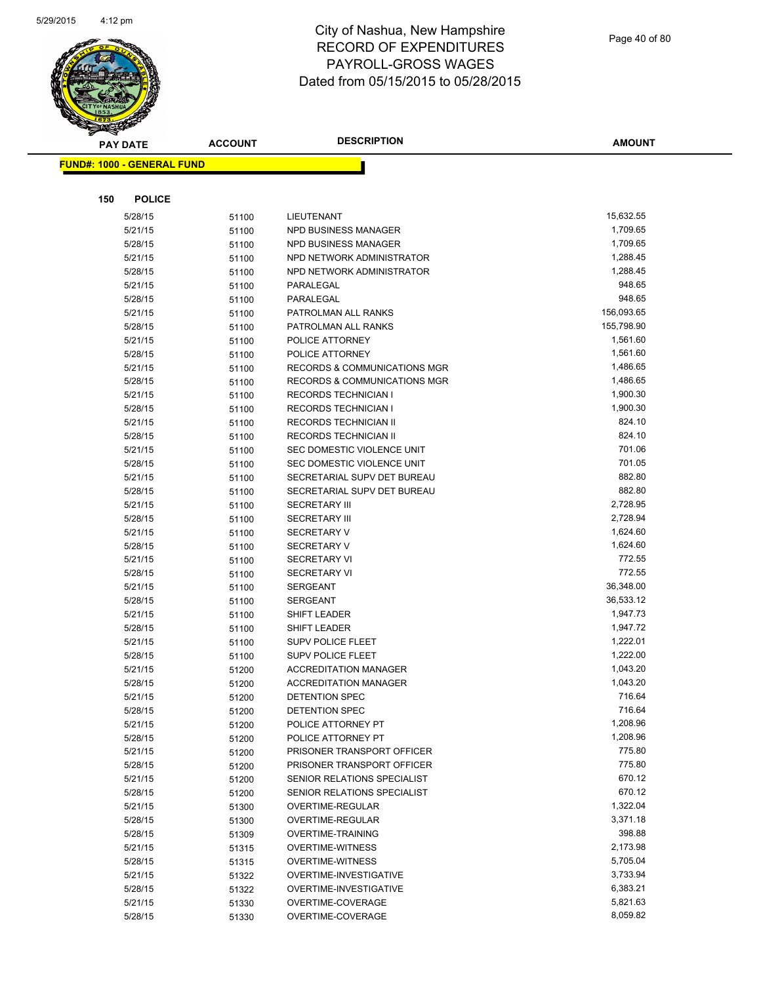

|     | <b>PAY DATE</b>                   | <b>ACCOUNT</b> | <b>DESCRIPTION</b>                      | <b>AMOUNT</b>        |
|-----|-----------------------------------|----------------|-----------------------------------------|----------------------|
|     | <b>FUND#: 1000 - GENERAL FUND</b> |                |                                         |                      |
|     |                                   |                |                                         |                      |
|     |                                   |                |                                         |                      |
| 150 | <b>POLICE</b>                     |                |                                         |                      |
|     | 5/28/15                           | 51100          | LIEUTENANT                              | 15,632.55            |
|     | 5/21/15                           | 51100          | NPD BUSINESS MANAGER                    | 1,709.65             |
|     | 5/28/15                           | 51100          | NPD BUSINESS MANAGER                    | 1,709.65<br>1,288.45 |
|     | 5/21/15                           | 51100          | NPD NETWORK ADMINISTRATOR               |                      |
|     | 5/28/15                           | 51100          | NPD NETWORK ADMINISTRATOR               | 1,288.45<br>948.65   |
|     | 5/21/15                           | 51100          | PARALEGAL<br>PARALEGAL                  | 948.65               |
|     | 5/28/15<br>5/21/15                | 51100          | PATROLMAN ALL RANKS                     | 156,093.65           |
|     | 5/28/15                           | 51100<br>51100 | PATROLMAN ALL RANKS                     | 155,798.90           |
|     | 5/21/15                           | 51100          | POLICE ATTORNEY                         | 1,561.60             |
|     | 5/28/15                           | 51100          | POLICE ATTORNEY                         | 1,561.60             |
|     | 5/21/15                           | 51100          | <b>RECORDS &amp; COMMUNICATIONS MGR</b> | 1,486.65             |
|     | 5/28/15                           | 51100          | <b>RECORDS &amp; COMMUNICATIONS MGR</b> | 1,486.65             |
|     | 5/21/15                           | 51100          | <b>RECORDS TECHNICIAN I</b>             | 1,900.30             |
|     | 5/28/15                           | 51100          | <b>RECORDS TECHNICIAN I</b>             | 1,900.30             |
|     | 5/21/15                           | 51100          | RECORDS TECHNICIAN II                   | 824.10               |
|     | 5/28/15                           | 51100          | RECORDS TECHNICIAN II                   | 824.10               |
|     | 5/21/15                           | 51100          | SEC DOMESTIC VIOLENCE UNIT              | 701.06               |
|     | 5/28/15                           | 51100          | SEC DOMESTIC VIOLENCE UNIT              | 701.05               |
|     | 5/21/15                           | 51100          | SECRETARIAL SUPV DET BUREAU             | 882.80               |
|     | 5/28/15                           | 51100          | SECRETARIAL SUPV DET BUREAU             | 882.80               |
|     | 5/21/15                           | 51100          | <b>SECRETARY III</b>                    | 2,728.95             |
|     | 5/28/15                           | 51100          | <b>SECRETARY III</b>                    | 2,728.94             |
|     | 5/21/15                           | 51100          | <b>SECRETARY V</b>                      | 1,624.60             |
|     | 5/28/15                           | 51100          | <b>SECRETARY V</b>                      | 1,624.60             |
|     | 5/21/15                           | 51100          | <b>SECRETARY VI</b>                     | 772.55               |
|     | 5/28/15                           | 51100          | <b>SECRETARY VI</b>                     | 772.55               |
|     | 5/21/15                           | 51100          | <b>SERGEANT</b>                         | 36,348.00            |
|     | 5/28/15                           | 51100          | <b>SERGEANT</b>                         | 36,533.12            |
|     | 5/21/15                           | 51100          | SHIFT LEADER                            | 1,947.73             |
|     | 5/28/15                           | 51100          | <b>SHIFT LEADER</b>                     | 1,947.72             |
|     | 5/21/15                           | 51100          | SUPV POLICE FLEET                       | 1,222.01             |
|     | 5/28/15                           | 51100          | <b>SUPV POLICE FLEET</b>                | 1,222.00             |
|     | 5/21/15                           | 51200          | <b>ACCREDITATION MANAGER</b>            | 1,043.20             |
|     | 5/28/15                           | 51200          | <b>ACCREDITATION MANAGER</b>            | 1,043.20             |
|     | 5/21/15                           | 51200          | DETENTION SPEC                          | 716.64               |
|     | 5/28/15                           | 51200          | <b>DETENTION SPEC</b>                   | 716.64               |
|     | 5/21/15                           | 51200          | POLICE ATTORNEY PT                      | 1,208.96             |
|     | 5/28/15                           | 51200          | POLICE ATTORNEY PT                      | 1,208.96             |
|     | 5/21/15                           | 51200          | PRISONER TRANSPORT OFFICER              | 775.80               |
|     | 5/28/15                           | 51200          | PRISONER TRANSPORT OFFICER              | 775.80               |
|     | 5/21/15                           | 51200          | SENIOR RELATIONS SPECIALIST             | 670.12               |
|     | 5/28/15                           | 51200          | SENIOR RELATIONS SPECIALIST             | 670.12               |
|     | 5/21/15                           | 51300          | <b>OVERTIME-REGULAR</b>                 | 1,322.04             |
|     | 5/28/15                           | 51300          | OVERTIME-REGULAR                        | 3,371.18             |
|     | 5/28/15                           | 51309          | <b>OVERTIME-TRAINING</b>                | 398.88               |
|     | 5/21/15                           | 51315          | <b>OVERTIME-WITNESS</b>                 | 2,173.98             |
|     | 5/28/15                           | 51315          | <b>OVERTIME-WITNESS</b>                 | 5,705.04             |
|     | 5/21/15                           | 51322          | OVERTIME-INVESTIGATIVE                  | 3,733.94             |
|     | 5/28/15                           | 51322          | OVERTIME-INVESTIGATIVE                  | 6,383.21             |
|     | 5/21/15                           | 51330          | OVERTIME-COVERAGE                       | 5,821.63             |
|     | 5/28/15                           | 51330          | OVERTIME-COVERAGE                       | 8,059.82             |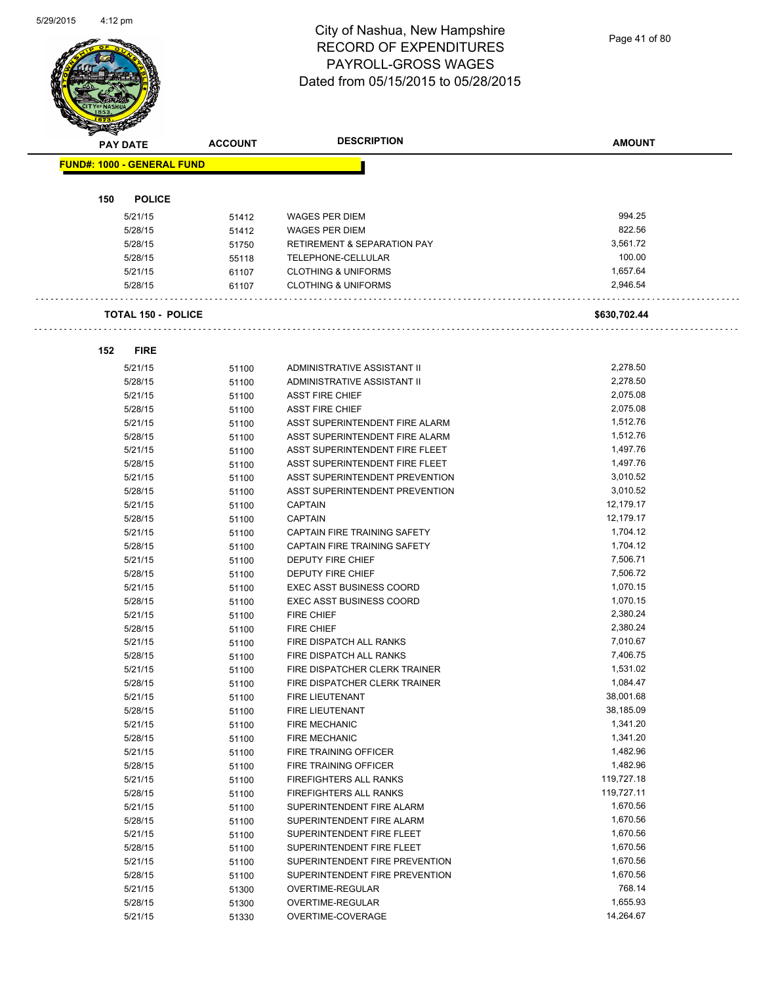Page 41 of 80

| <b>PAY DATE</b>                   | <b>ACCOUNT</b> | <b>DESCRIPTION</b>                                                 | <b>AMOUNT</b> |
|-----------------------------------|----------------|--------------------------------------------------------------------|---------------|
| <b>FUND#: 1000 - GENERAL FUND</b> |                |                                                                    |               |
| <b>POLICE</b><br>150              |                |                                                                    |               |
| 5/21/15                           | 51412          | <b>WAGES PER DIEM</b>                                              | 994.25        |
| 5/28/15                           | 51412          | <b>WAGES PER DIEM</b>                                              | 822.56        |
| 5/28/15                           | 51750          | <b>RETIREMENT &amp; SEPARATION PAY</b>                             | 3,561.72      |
| 5/28/15                           | 55118          | TELEPHONE-CELLULAR                                                 | 100.00        |
| 5/21/15                           | 61107          | <b>CLOTHING &amp; UNIFORMS</b>                                     | 1,657.64      |
| 5/28/15                           | 61107          | <b>CLOTHING &amp; UNIFORMS</b>                                     | 2,946.54      |
| <b>TOTAL 150 - POLICE</b>         |                |                                                                    | \$630,702.44  |
| 152<br><b>FIRE</b>                |                |                                                                    |               |
| 5/21/15                           | 51100          | ADMINISTRATIVE ASSISTANT II                                        | 2,278.50      |
| 5/28/15                           | 51100          | ADMINISTRATIVE ASSISTANT II                                        | 2,278.50      |
| 5/21/15                           | 51100          | <b>ASST FIRE CHIEF</b>                                             | 2,075.08      |
| 5/28/15                           | 51100          | <b>ASST FIRE CHIEF</b>                                             | 2,075.08      |
| 5/21/15                           | 51100          | ASST SUPERINTENDENT FIRE ALARM                                     | 1,512.76      |
| 5/28/15                           | 51100          | ASST SUPERINTENDENT FIRE ALARM                                     | 1,512.76      |
| 5/21/15                           | 51100          | ASST SUPERINTENDENT FIRE FLEET                                     | 1,497.76      |
| 5/28/15                           | 51100          | ASST SUPERINTENDENT FIRE FLEET                                     | 1,497.76      |
| 5/21/15                           | 51100          | ASST SUPERINTENDENT PREVENTION                                     | 3,010.52      |
| 5/28/15                           | 51100          | ASST SUPERINTENDENT PREVENTION                                     | 3,010.52      |
| 5/21/15                           | 51100          | <b>CAPTAIN</b>                                                     | 12,179.17     |
| 5/28/15                           | 51100          | <b>CAPTAIN</b>                                                     | 12,179.17     |
| 5/21/15                           | 51100          | CAPTAIN FIRE TRAINING SAFETY                                       | 1,704.12      |
| 5/28/15                           | 51100          | CAPTAIN FIRE TRAINING SAFETY                                       | 1,704.12      |
| 5/21/15                           |                | <b>DEPUTY FIRE CHIEF</b>                                           | 7,506.71      |
| 5/28/15                           | 51100          | <b>DEPUTY FIRE CHIEF</b>                                           | 7,506.72      |
|                                   | 51100          |                                                                    | 1,070.15      |
| 5/21/15                           | 51100          | <b>EXEC ASST BUSINESS COORD</b><br><b>EXEC ASST BUSINESS COORD</b> | 1,070.15      |
| 5/28/15                           | 51100          |                                                                    |               |
| 5/21/15                           | 51100          | <b>FIRE CHIEF</b>                                                  | 2,380.24      |
| 5/28/15                           | 51100          | <b>FIRE CHIEF</b>                                                  | 2,380.24      |
| 5/21/15                           | 51100          | FIRE DISPATCH ALL RANKS                                            | 7,010.67      |
| 5/28/15                           | 51100          | <b>FIRE DISPATCH ALL RANKS</b>                                     | 7,406.75      |
| 5/21/15                           | 51100          | FIRE DISPATCHER CLERK TRAINER                                      | 1,531.02      |
| 5/28/15                           | 51100          | FIRE DISPATCHER CLERK TRAINER                                      | 1,084.47      |
| 5/21/15                           | 51100          | FIRE LIEUTENANT                                                    | 38,001.68     |
| 5/28/15                           | 51100          | FIRE LIEUTENANT                                                    | 38,185.09     |
| 5/21/15                           | 51100          | <b>FIRE MECHANIC</b>                                               | 1,341.20      |
| 5/28/15                           | 51100          | <b>FIRE MECHANIC</b>                                               | 1,341.20      |
| 5/21/15                           | 51100          | FIRE TRAINING OFFICER                                              | 1,482.96      |
| 5/28/15                           | 51100          | FIRE TRAINING OFFICER                                              | 1,482.96      |
| 5/21/15                           | 51100          | FIREFIGHTERS ALL RANKS                                             | 119,727.18    |
| 5/28/15                           | 51100          | <b>FIREFIGHTERS ALL RANKS</b>                                      | 119,727.11    |
| 5/21/15                           | 51100          | SUPERINTENDENT FIRE ALARM                                          | 1,670.56      |
| 5/28/15                           | 51100          | SUPERINTENDENT FIRE ALARM                                          | 1,670.56      |
| 5/21/15                           | 51100          | SUPERINTENDENT FIRE FLEET                                          | 1,670.56      |
| 5/28/15                           | 51100          | SUPERINTENDENT FIRE FLEET                                          | 1,670.56      |
| 5/21/15                           | 51100          | SUPERINTENDENT FIRE PREVENTION                                     | 1,670.56      |
| 5/28/15                           | 51100          | SUPERINTENDENT FIRE PREVENTION                                     | 1,670.56      |
| 5/21/15                           | 51300          | OVERTIME-REGULAR                                                   | 768.14        |
| 5/28/15                           | 51300          | OVERTIME-REGULAR                                                   | 1,655.93      |
| 5/21/15                           | 51330          | OVERTIME-COVERAGE                                                  | 14,264.67     |
|                                   |                |                                                                    |               |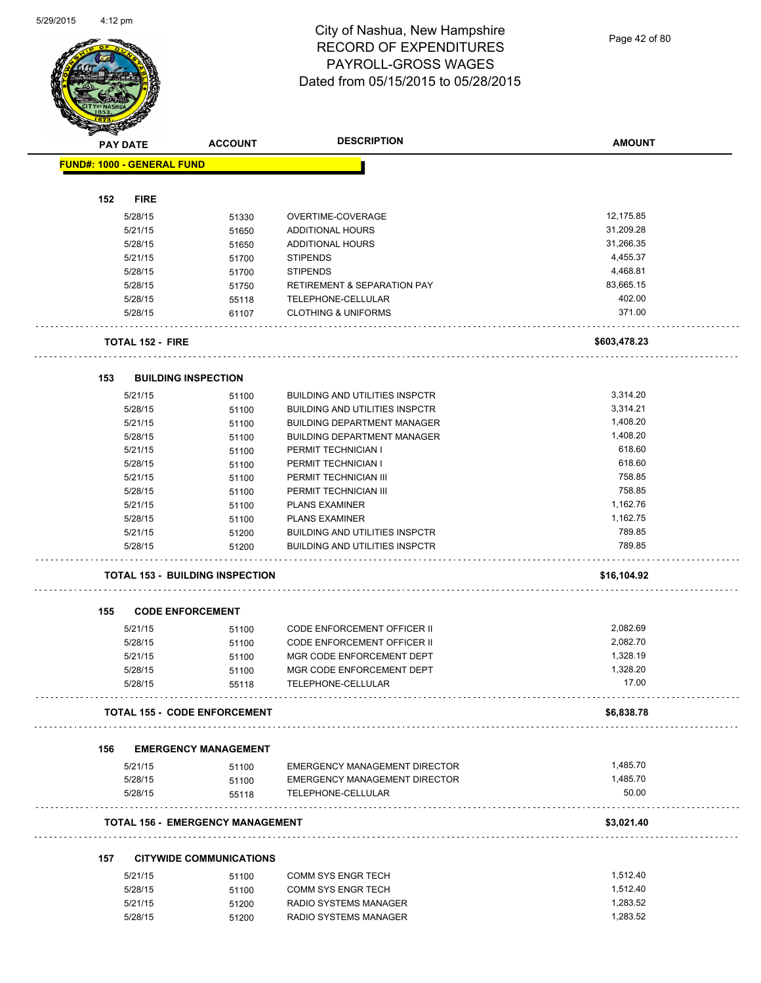Page 42 of 80

|                                   |             |                                         | <b>DESCRIPTION</b>                                                          |                    |
|-----------------------------------|-------------|-----------------------------------------|-----------------------------------------------------------------------------|--------------------|
| <b>PAY DATE</b>                   |             | <b>ACCOUNT</b>                          |                                                                             | <b>AMOUNT</b>      |
| <b>FUND#: 1000 - GENERAL FUND</b> |             |                                         |                                                                             |                    |
| 152                               | <b>FIRE</b> |                                         |                                                                             |                    |
| 5/28/15                           |             | 51330                                   | OVERTIME-COVERAGE                                                           | 12,175.85          |
| 5/21/15                           |             | 51650                                   | <b>ADDITIONAL HOURS</b>                                                     | 31,209.28          |
| 5/28/15                           |             | 51650                                   | <b>ADDITIONAL HOURS</b>                                                     | 31,266.35          |
| 5/21/15                           |             | 51700                                   | <b>STIPENDS</b>                                                             | 4,455.37           |
| 5/28/15                           |             | 51700                                   | <b>STIPENDS</b>                                                             | 4,468.81           |
| 5/28/15                           |             | 51750                                   | <b>RETIREMENT &amp; SEPARATION PAY</b>                                      | 83,665.15          |
| 5/28/15                           |             | 55118                                   | TELEPHONE-CELLULAR                                                          | 402.00             |
| 5/28/15                           |             | 61107                                   | <b>CLOTHING &amp; UNIFORMS</b>                                              | 371.00             |
| <b>TOTAL 152 - FIRE</b>           |             |                                         |                                                                             | \$603,478.23       |
|                                   |             |                                         |                                                                             |                    |
| 153<br>5/21/15                    |             | <b>BUILDING INSPECTION</b>              |                                                                             | 3,314.20           |
|                                   |             | 51100                                   | <b>BUILDING AND UTILITIES INSPCTR</b>                                       | 3,314.21           |
| 5/28/15<br>5/21/15                |             | 51100                                   | <b>BUILDING AND UTILITIES INSPCTR</b><br><b>BUILDING DEPARTMENT MANAGER</b> | 1,408.20           |
|                                   |             | 51100                                   |                                                                             | 1,408.20           |
| 5/28/15                           |             | 51100                                   | <b>BUILDING DEPARTMENT MANAGER</b>                                          | 618.60             |
| 5/21/15                           |             | 51100                                   | PERMIT TECHNICIAN I                                                         | 618.60             |
| 5/28/15                           |             | 51100                                   | PERMIT TECHNICIAN I                                                         | 758.85             |
| 5/21/15                           |             | 51100                                   | PERMIT TECHNICIAN III                                                       |                    |
| 5/28/15                           |             | 51100                                   | PERMIT TECHNICIAN III                                                       | 758.85             |
| 5/21/15                           |             | 51100                                   | <b>PLANS EXAMINER</b>                                                       | 1,162.76           |
| 5/28/15                           |             | 51100                                   | <b>PLANS EXAMINER</b>                                                       | 1,162.75<br>789.85 |
| 5/21/15                           |             | 51200                                   | <b>BUILDING AND UTILITIES INSPCTR</b>                                       | 789.85             |
| 5/28/15                           |             | 51200                                   | <b>BUILDING AND UTILITIES INSPCTR</b>                                       |                    |
|                                   |             | <b>TOTAL 153 - BUILDING INSPECTION</b>  |                                                                             | \$16,104.92        |
| 155                               |             | <b>CODE ENFORCEMENT</b>                 |                                                                             |                    |
| 5/21/15                           |             | 51100                                   | <b>CODE ENFORCEMENT OFFICER II</b>                                          | 2,082.69           |
| 5/28/15                           |             | 51100                                   | CODE ENFORCEMENT OFFICER II                                                 | 2,082.70           |
| 5/21/15                           |             | 51100                                   | MGR CODE ENFORCEMENT DEPT                                                   | 1,328.19           |
| 5/28/15                           |             | 51100                                   | MGR CODE ENFORCEMENT DEPT                                                   | 1,328.20           |
| 5/28/15                           |             | 55118                                   | TELEPHONE-CELLULAR                                                          | 17.00              |
|                                   |             | <b>TOTAL 155 - CODE ENFORCEMENT</b>     |                                                                             | \$6,838.78         |
| 156                               |             | <b>EMERGENCY MANAGEMENT</b>             |                                                                             |                    |
| 5/21/15                           |             | 51100                                   | EMERGENCY MANAGEMENT DIRECTOR                                               | 1,485.70           |
| 5/28/15                           |             | 51100                                   | EMERGENCY MANAGEMENT DIRECTOR                                               | 1,485.70           |
| 5/28/15                           |             | 55118                                   | TELEPHONE-CELLULAR                                                          | 50.00              |
|                                   |             | <b>TOTAL 156 - EMERGENCY MANAGEMENT</b> |                                                                             | \$3,021.40         |
|                                   |             |                                         |                                                                             |                    |
| 157                               |             | <b>CITYWIDE COMMUNICATIONS</b>          |                                                                             |                    |
| 5/21/15                           |             | 51100                                   | COMM SYS ENGR TECH                                                          | 1,512.40           |
| 5/28/15                           |             | 51100                                   | COMM SYS ENGR TECH                                                          | 1,512.40           |
| 5/21/15                           |             | 51200                                   | RADIO SYSTEMS MANAGER                                                       | 1,283.52           |
| 5/28/15                           |             | 51200                                   | RADIO SYSTEMS MANAGER                                                       | 1,283.52           |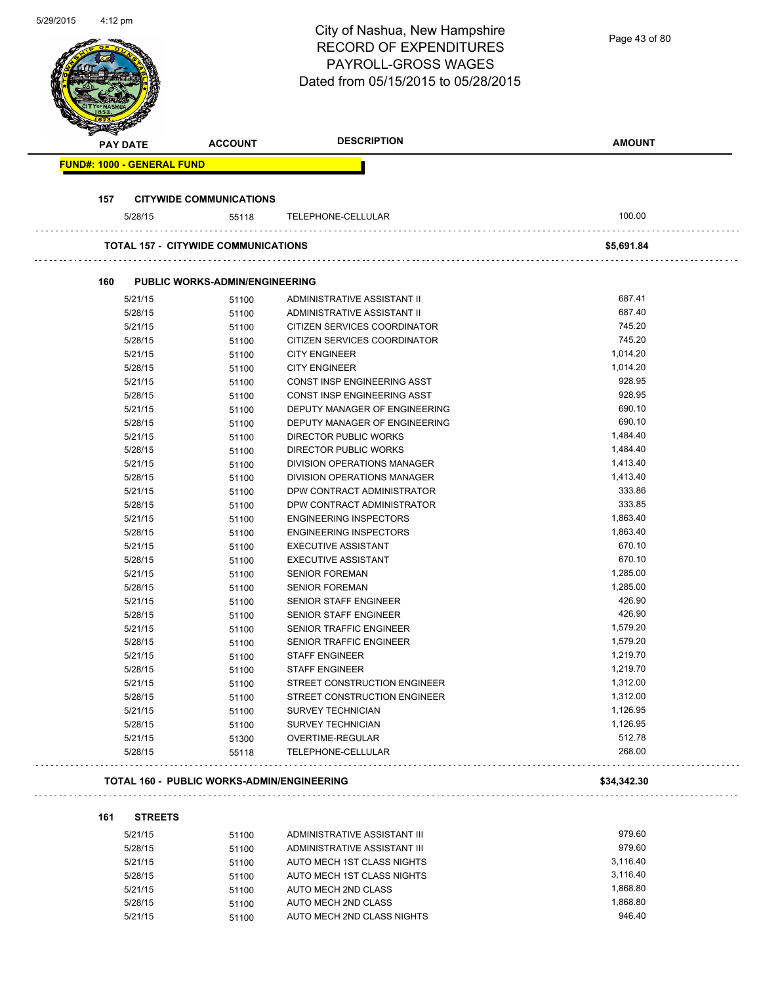| 5/29/2015 | $4:12 \text{ pm}$ |                 |                                                   | City of Nashua, New Hampshire<br><b>RECORD OF EXPENDITURES</b><br><b>PAYROLL-GROSS WAGES</b><br>Dated from 05/15/2015 to 05/28/2015 | Page 43 of 80    |
|-----------|-------------------|-----------------|---------------------------------------------------|-------------------------------------------------------------------------------------------------------------------------------------|------------------|
|           |                   | <b>PAY DATE</b> | <b>ACCOUNT</b>                                    | <b>DESCRIPTION</b>                                                                                                                  | <b>AMOUNT</b>    |
|           |                   |                 | <b>FUND#: 1000 - GENERAL FUND</b>                 |                                                                                                                                     |                  |
|           |                   |                 |                                                   |                                                                                                                                     |                  |
|           | 157               | 5/28/15         | <b>CITYWIDE COMMUNICATIONS</b><br>55118           | TELEPHONE-CELLULAR                                                                                                                  | 100.00           |
|           |                   |                 |                                                   |                                                                                                                                     |                  |
|           |                   |                 | <b>TOTAL 157 - CITYWIDE COMMUNICATIONS</b>        |                                                                                                                                     | \$5,691.84       |
|           | 160               |                 | <b>PUBLIC WORKS-ADMIN/ENGINEERING</b>             |                                                                                                                                     |                  |
|           |                   | 5/21/15         | 51100                                             | ADMINISTRATIVE ASSISTANT II                                                                                                         | 687.41           |
|           |                   | 5/28/15         | 51100                                             | ADMINISTRATIVE ASSISTANT II                                                                                                         | 687.40           |
|           |                   | 5/21/15         | 51100                                             | CITIZEN SERVICES COORDINATOR                                                                                                        | 745.20           |
|           |                   | 5/28/15         | 51100                                             | CITIZEN SERVICES COORDINATOR                                                                                                        | 745.20           |
|           |                   | 5/21/15         | 51100                                             | <b>CITY ENGINEER</b>                                                                                                                | 1,014.20         |
|           |                   | 5/28/15         | 51100                                             | <b>CITY ENGINEER</b>                                                                                                                | 1,014.20         |
|           |                   | 5/21/15         | 51100                                             | CONST INSP ENGINEERING ASST                                                                                                         | 928.95           |
|           |                   | 5/28/15         | 51100                                             | CONST INSP ENGINEERING ASST                                                                                                         | 928.95           |
|           |                   | 5/21/15         | 51100                                             | DEPUTY MANAGER OF ENGINEERING                                                                                                       | 690.10           |
|           |                   | 5/28/15         | 51100                                             | DEPUTY MANAGER OF ENGINEERING                                                                                                       | 690.10           |
|           |                   | 5/21/15         | 51100                                             | <b>DIRECTOR PUBLIC WORKS</b>                                                                                                        | 1,484.40         |
|           |                   | 5/28/15         | 51100                                             | DIRECTOR PUBLIC WORKS                                                                                                               | 1,484.40         |
|           |                   | 5/21/15         | 51100                                             | DIVISION OPERATIONS MANAGER                                                                                                         | 1,413.40         |
|           |                   | 5/28/15         | 51100                                             | DIVISION OPERATIONS MANAGER                                                                                                         | 1,413.40         |
|           |                   | 5/21/15         | 51100                                             | DPW CONTRACT ADMINISTRATOR                                                                                                          | 333.86           |
|           |                   | 5/28/15         | 51100                                             | DPW CONTRACT ADMINISTRATOR                                                                                                          | 333.85           |
|           |                   | 5/21/15         | 51100                                             | <b>ENGINEERING INSPECTORS</b>                                                                                                       | 1,863.40         |
|           |                   | 5/28/15         |                                                   | <b>ENGINEERING INSPECTORS</b>                                                                                                       | 1,863.40         |
|           |                   |                 | 51100                                             | <b>EXECUTIVE ASSISTANT</b>                                                                                                          | 670.10           |
|           |                   | 5/21/15         | 51100                                             | <b>EXECUTIVE ASSISTANT</b>                                                                                                          | 670.10           |
|           |                   | 5/28/15         | 51100                                             |                                                                                                                                     |                  |
|           |                   | 5/21/15         | 51100                                             | <b>SENIOR FOREMAN</b>                                                                                                               | 1,285.00         |
|           |                   | 5/28/15         | 51100                                             | <b>SENIOR FOREMAN</b>                                                                                                               | 1,285.00         |
|           |                   | 5/21/15         | 51100                                             | SENIOR STAFF ENGINEER                                                                                                               | 426.90           |
|           |                   | 5/28/15         | 51100                                             | SENIOR STAFF ENGINEER                                                                                                               | 426.90           |
|           |                   | 5/21/15         | 51100                                             | SENIOR TRAFFIC ENGINEER                                                                                                             | 1,579.20         |
|           |                   | 5/28/15         | 51100                                             | SENIOR TRAFFIC ENGINEER                                                                                                             | 1,579.20         |
|           |                   | 5/21/15         | 51100                                             | <b>STAFF ENGINEER</b>                                                                                                               | 1,219.70         |
|           |                   | 5/28/15         | 51100                                             | <b>STAFF ENGINEER</b>                                                                                                               | 1,219.70         |
|           |                   | 5/21/15         | 51100                                             | STREET CONSTRUCTION ENGINEER                                                                                                        | 1,312.00         |
|           |                   | 5/28/15         | 51100                                             | STREET CONSTRUCTION ENGINEER                                                                                                        | 1,312.00         |
|           |                   | 5/21/15         | 51100                                             | <b>SURVEY TECHNICIAN</b>                                                                                                            | 1,126.95         |
|           |                   | 5/28/15         | 51100                                             | <b>SURVEY TECHNICIAN</b>                                                                                                            | 1,126.95         |
|           |                   | 5/21/15         | 51300                                             | OVERTIME-REGULAR                                                                                                                    | 512.78<br>268.00 |
|           |                   | 5/28/15         | 55118                                             | TELEPHONE-CELLULAR                                                                                                                  |                  |
|           |                   |                 | <b>TOTAL 160 - PUBLIC WORKS-ADMIN/ENGINEERING</b> |                                                                                                                                     | \$34,342.30      |
|           | 161               | <b>STREETS</b>  |                                                   |                                                                                                                                     |                  |
|           |                   | 5/21/15         | 51100                                             | ADMINISTRATIVE ASSISTANT III                                                                                                        | 979.60           |
|           |                   | 5/28/15         | 51100                                             | ADMINISTRATIVE ASSISTANT III                                                                                                        | 979.60           |
|           |                   | 5/21/15         | 51100                                             | AUTO MECH 1ST CLASS NIGHTS                                                                                                          | 3,116.40         |
|           |                   | 5/28/15         | 51100                                             | AUTO MECH 1ST CLASS NIGHTS                                                                                                          | 3,116.40         |
|           |                   | 5/21/15         | 51100                                             | AUTO MECH 2ND CLASS                                                                                                                 | 1,868.80         |
|           |                   | 5/28/15         | 51100                                             | AUTO MECH 2ND CLASS                                                                                                                 | 1,868.80         |
|           |                   | 5/21/15         | 51100                                             | AUTO MECH 2ND CLASS NIGHTS                                                                                                          | 946.40           |

5/21/15 51100 AUTO MECH 2ND CLASS NIGHTS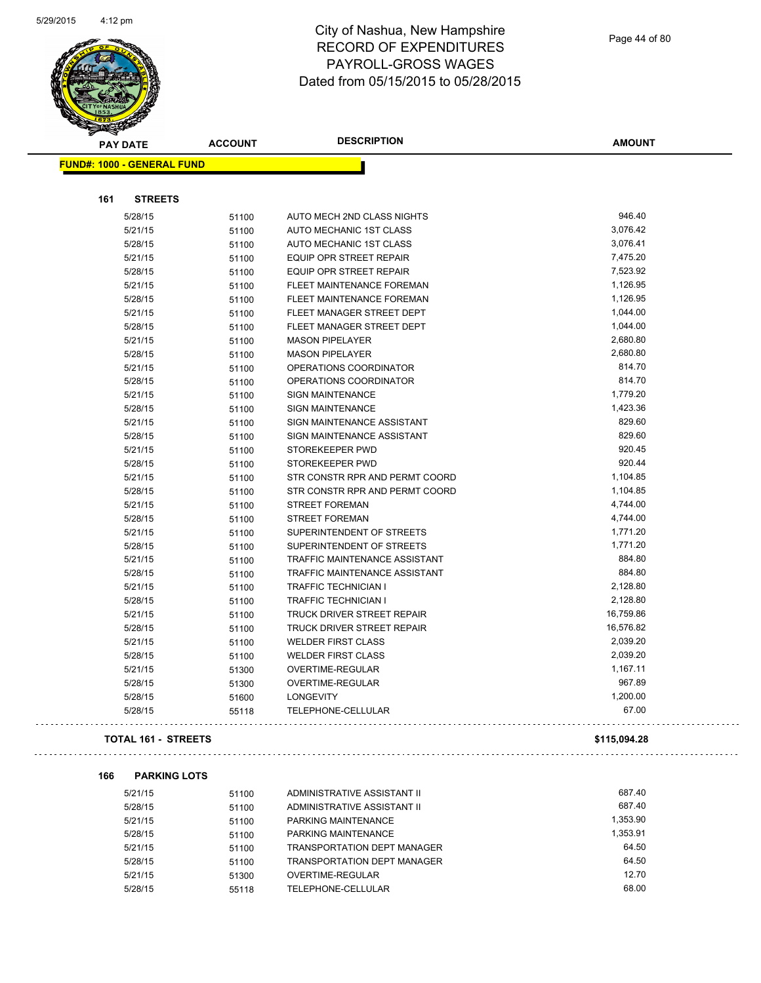

| <b>PAY DATE</b>                   | <b>ACCOUNT</b> | <b>DESCRIPTION</b>                   | <b>AMOUNT</b> |
|-----------------------------------|----------------|--------------------------------------|---------------|
| <b>FUND#: 1000 - GENERAL FUND</b> |                |                                      |               |
| <b>STREETS</b><br>161             |                |                                      |               |
| 5/28/15                           | 51100          | AUTO MECH 2ND CLASS NIGHTS           | 946.40        |
| 5/21/15                           | 51100          | AUTO MECHANIC 1ST CLASS              | 3,076.42      |
| 5/28/15                           | 51100          | AUTO MECHANIC 1ST CLASS              | 3,076.41      |
| 5/21/15                           | 51100          | <b>EQUIP OPR STREET REPAIR</b>       | 7,475.20      |
| 5/28/15                           | 51100          | <b>EQUIP OPR STREET REPAIR</b>       | 7,523.92      |
| 5/21/15                           | 51100          | FLEET MAINTENANCE FOREMAN            | 1,126.95      |
| 5/28/15                           | 51100          | FLEET MAINTENANCE FOREMAN            | 1,126.95      |
| 5/21/15                           | 51100          | FLEET MANAGER STREET DEPT            | 1,044.00      |
| 5/28/15                           | 51100          | FLEET MANAGER STREET DEPT            | 1,044.00      |
| 5/21/15                           | 51100          | <b>MASON PIPELAYER</b>               | 2,680.80      |
| 5/28/15                           | 51100          | <b>MASON PIPELAYER</b>               | 2,680.80      |
| 5/21/15                           | 51100          | OPERATIONS COORDINATOR               | 814.70        |
| 5/28/15                           | 51100          | OPERATIONS COORDINATOR               | 814.70        |
| 5/21/15                           | 51100          | SIGN MAINTENANCE                     | 1,779.20      |
| 5/28/15                           | 51100          | <b>SIGN MAINTENANCE</b>              | 1,423.36      |
| 5/21/15                           | 51100          | SIGN MAINTENANCE ASSISTANT           | 829.60        |
| 5/28/15                           | 51100          | SIGN MAINTENANCE ASSISTANT           | 829.60        |
| 5/21/15                           | 51100          | STOREKEEPER PWD                      | 920.45        |
| 5/28/15                           | 51100          | STOREKEEPER PWD                      | 920.44        |
| 5/21/15                           | 51100          | STR CONSTR RPR AND PERMT COORD       | 1,104.85      |
| 5/28/15                           | 51100          | STR CONSTR RPR AND PERMT COORD       | 1,104.85      |
| 5/21/15                           | 51100          | <b>STREET FOREMAN</b>                | 4,744.00      |
| 5/28/15                           | 51100          | <b>STREET FOREMAN</b>                | 4,744.00      |
| 5/21/15                           | 51100          | SUPERINTENDENT OF STREETS            | 1,771.20      |
| 5/28/15                           | 51100          | SUPERINTENDENT OF STREETS            | 1,771.20      |
| 5/21/15                           | 51100          | TRAFFIC MAINTENANCE ASSISTANT        | 884.80        |
| 5/28/15                           | 51100          | <b>TRAFFIC MAINTENANCE ASSISTANT</b> | 884.80        |
| 5/21/15                           | 51100          | <b>TRAFFIC TECHNICIAN I</b>          | 2,128.80      |
| 5/28/15                           | 51100          | <b>TRAFFIC TECHNICIAN I</b>          | 2,128.80      |
| 5/21/15                           | 51100          | <b>TRUCK DRIVER STREET REPAIR</b>    | 16,759.86     |
| 5/28/15                           | 51100          | TRUCK DRIVER STREET REPAIR           | 16,576.82     |
| 5/21/15                           | 51100          | <b>WELDER FIRST CLASS</b>            | 2,039.20      |
| 5/28/15                           | 51100          | <b>WELDER FIRST CLASS</b>            | 2,039.20      |
| 5/21/15                           | 51300          | OVERTIME-REGULAR                     | 1,167.11      |
| 5/28/15                           | 51300          | <b>OVERTIME-REGULAR</b>              | 967.89        |
| 5/28/15                           | 51600          | <b>LONGEVITY</b>                     | 1,200.00      |
| 5/28/15                           | 55118          | TELEPHONE-CELLULAR                   | 67.00         |
| <b>TOTAL 161 - STREETS</b>        |                |                                      | \$115,094.28  |

| 166 | <b>PARKING LOTS</b> |       |                                    |          |
|-----|---------------------|-------|------------------------------------|----------|
|     | 5/21/15             | 51100 | ADMINISTRATIVE ASSISTANT II        | 687.40   |
|     | 5/28/15             | 51100 | ADMINISTRATIVE ASSISTANT II        | 687.40   |
|     | 5/21/15             | 51100 | PARKING MAINTENANCE                | 1.353.90 |
|     | 5/28/15             | 51100 | PARKING MAINTENANCE                | 1.353.91 |
|     | 5/21/15             | 51100 | TRANSPORTATION DEPT MANAGER        | 64.50    |
|     | 5/28/15             | 51100 | <b>TRANSPORTATION DEPT MANAGER</b> | 64.50    |
|     | 5/21/15             | 51300 | OVERTIME-REGULAR                   | 12.70    |
|     | 5/28/15             | 55118 | TELEPHONE-CELLULAR                 | 68.00    |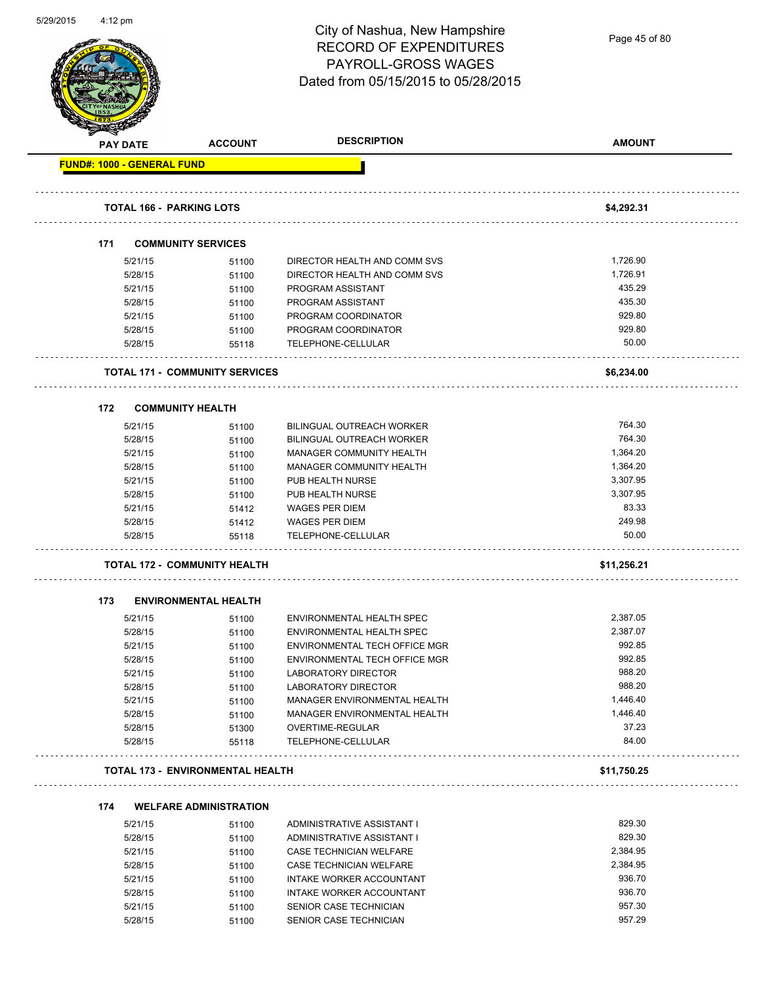| 5/29/2015 | $4:12$ pm |         |                                         |                                      |               |
|-----------|-----------|---------|-----------------------------------------|--------------------------------------|---------------|
|           |           |         |                                         | City of Nashua, New Hampshire        | Page 45 of 80 |
|           |           |         |                                         | <b>RECORD OF EXPENDITURES</b>        |               |
|           |           |         |                                         | <b>PAYROLL-GROSS WAGES</b>           |               |
|           |           |         |                                         | Dated from 05/15/2015 to 05/28/2015  |               |
|           |           |         |                                         |                                      |               |
|           |           |         |                                         |                                      |               |
|           |           |         |                                         |                                      |               |
|           | PAY DATE  |         | <b>ACCOUNT</b>                          | <b>DESCRIPTION</b>                   | <b>AMOUNT</b> |
|           |           |         | <b>FUND#: 1000 - GENERAL FUND</b>       |                                      |               |
|           |           |         |                                         |                                      |               |
|           |           |         |                                         |                                      |               |
|           |           |         | <b>TOTAL 166 - PARKING LOTS</b>         |                                      | \$4,292.31    |
|           | 171       |         | <b>COMMUNITY SERVICES</b>               |                                      |               |
|           |           | 5/21/15 |                                         | DIRECTOR HEALTH AND COMM SVS         | 1,726.90      |
|           |           | 5/28/15 | 51100<br>51100                          | DIRECTOR HEALTH AND COMM SVS         | 1,726.91      |
|           |           | 5/21/15 | 51100                                   | PROGRAM ASSISTANT                    | 435.29        |
|           |           | 5/28/15 | 51100                                   | PROGRAM ASSISTANT                    | 435.30        |
|           |           | 5/21/15 | 51100                                   | PROGRAM COORDINATOR                  | 929.80        |
|           |           | 5/28/15 | 51100                                   | PROGRAM COORDINATOR                  | 929.80        |
|           |           | 5/28/15 | 55118                                   | TELEPHONE-CELLULAR                   | 50.00         |
|           |           |         |                                         |                                      |               |
|           |           |         | <b>TOTAL 171 - COMMUNITY SERVICES</b>   |                                      | \$6,234.00    |
|           |           |         |                                         |                                      |               |
|           | 172       |         | <b>COMMUNITY HEALTH</b>                 |                                      |               |
|           |           | 5/21/15 | 51100                                   | BILINGUAL OUTREACH WORKER            | 764.30        |
|           |           | 5/28/15 | 51100                                   | <b>BILINGUAL OUTREACH WORKER</b>     | 764.30        |
|           |           | 5/21/15 | 51100                                   | MANAGER COMMUNITY HEALTH             | 1,364.20      |
|           |           | 5/28/15 | 51100                                   | MANAGER COMMUNITY HEALTH             | 1,364.20      |
|           |           | 5/21/15 | 51100                                   | PUB HEALTH NURSE                     | 3,307.95      |
|           |           | 5/28/15 | 51100                                   | PUB HEALTH NURSE                     | 3,307.95      |
|           |           | 5/21/15 | 51412                                   | <b>WAGES PER DIEM</b>                | 83.33         |
|           |           | 5/28/15 | 51412                                   | WAGES PER DIEM                       | 249.98        |
|           |           | 5/28/15 | 55118                                   | TELEPHONE-CELLULAR                   | 50.00         |
|           |           |         | <b>TOTAL 172 - COMMUNITY HEALTH</b>     |                                      | \$11,256.21   |
|           |           |         |                                         |                                      |               |
|           | 173       |         | <b>ENVIRONMENTAL HEALTH</b>             |                                      |               |
|           |           | 5/21/15 | 51100                                   | <b>ENVIRONMENTAL HEALTH SPEC</b>     | 2,387.05      |
|           |           | 5/28/15 | 51100                                   | ENVIRONMENTAL HEALTH SPEC            | 2,387.07      |
|           |           | 5/21/15 | 51100                                   | ENVIRONMENTAL TECH OFFICE MGR        | 992.85        |
|           |           | 5/28/15 | 51100                                   | <b>ENVIRONMENTAL TECH OFFICE MGR</b> | 992.85        |
|           |           | 5/21/15 | 51100                                   | LABORATORY DIRECTOR                  | 988.20        |
|           |           | 5/28/15 | 51100                                   | <b>LABORATORY DIRECTOR</b>           | 988.20        |
|           |           | 5/21/15 | 51100                                   | MANAGER ENVIRONMENTAL HEALTH         | 1,446.40      |
|           |           | 5/28/15 | 51100                                   | MANAGER ENVIRONMENTAL HEALTH         | 1,446.40      |
|           |           | 5/28/15 | 51300                                   | OVERTIME-REGULAR                     | 37.23         |
|           |           | 5/28/15 | 55118                                   | TELEPHONE-CELLULAR                   | 84.00         |
|           |           |         | <b>TOTAL 173 - ENVIRONMENTAL HEALTH</b> |                                      | \$11,750.25   |
|           |           |         |                                         |                                      |               |
|           | 174       |         | <b>WELFARE ADMINISTRATION</b>           |                                      |               |
|           |           | 5/21/15 | 51100                                   | ADMINISTRATIVE ASSISTANT I           | 829.30        |
|           |           | 5/28/15 | 51100                                   | ADMINISTRATIVE ASSISTANT I           | 829.30        |
|           |           | 5/21/15 | 51100                                   | CASE TECHNICIAN WELFARE              | 2,384.95      |
|           |           | 5/28/15 | 51100                                   | CASE TECHNICIAN WELFARE              | 2,384.95      |
|           |           | 5/21/15 | 51100                                   | INTAKE WORKER ACCOUNTANT             | 936.70        |
|           |           | 5/28/15 | 51100                                   | INTAKE WORKER ACCOUNTANT             | 936.70        |
|           |           | 5/21/15 | 51100                                   | SENIOR CASE TECHNICIAN               | 957.30        |

5/28/15 51100 SENIOR CASE TECHNICIAN 557.29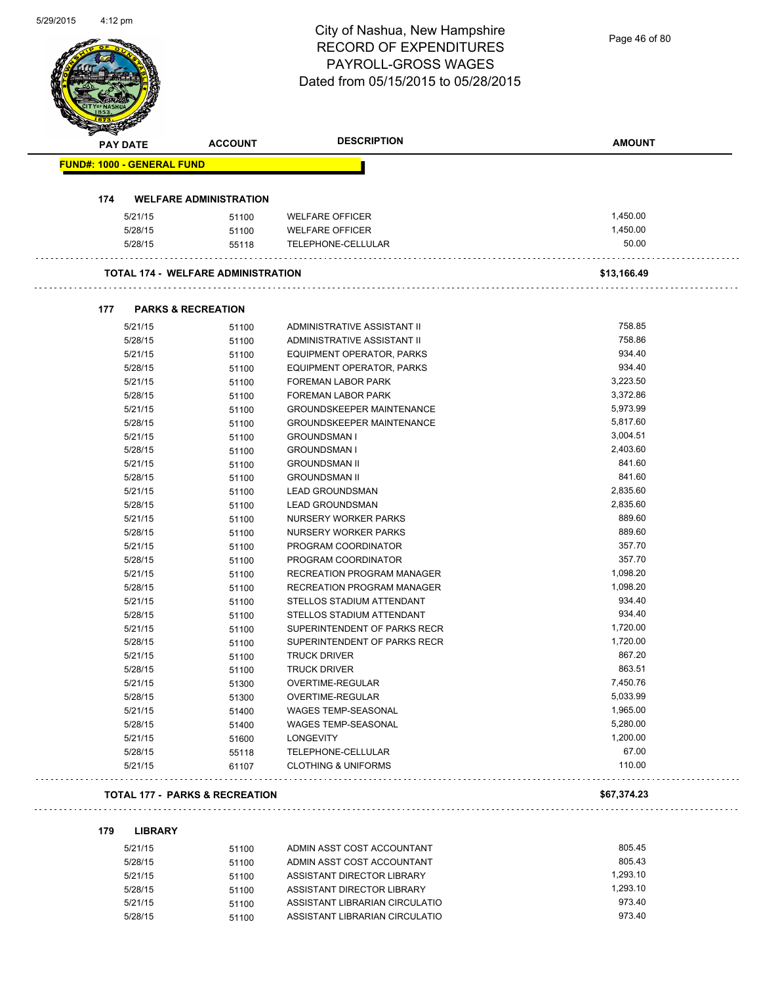|                                   |                                           | City of Nashua, New Hampshire<br><b>RECORD OF EXPENDITURES</b><br><b>PAYROLL-GROSS WAGES</b><br>Dated from 05/15/2015 to 05/28/2015 | Page 46 of 80    |
|-----------------------------------|-------------------------------------------|-------------------------------------------------------------------------------------------------------------------------------------|------------------|
| PAY DATE                          | <b>ACCOUNT</b>                            | <b>DESCRIPTION</b>                                                                                                                  | <b>AMOUNT</b>    |
| <b>FUND#: 1000 - GENERAL FUND</b> |                                           |                                                                                                                                     |                  |
| 174                               | <b>WELFARE ADMINISTRATION</b>             |                                                                                                                                     |                  |
| 5/21/15                           | 51100                                     | <b>WELFARE OFFICER</b>                                                                                                              | 1,450.00         |
| 5/28/15                           | 51100                                     | <b>WELFARE OFFICER</b>                                                                                                              | 1,450.00         |
| 5/28/15                           | 55118                                     | TELEPHONE-CELLULAR                                                                                                                  | 50.00            |
|                                   | <b>TOTAL 174 - WELFARE ADMINISTRATION</b> |                                                                                                                                     | \$13,166.49      |
| 177                               | <b>PARKS &amp; RECREATION</b>             |                                                                                                                                     |                  |
| 5/21/15                           | 51100                                     | ADMINISTRATIVE ASSISTANT II                                                                                                         | 758.85           |
| 5/28/15                           | 51100                                     | ADMINISTRATIVE ASSISTANT II                                                                                                         | 758.86           |
| 5/21/15                           | 51100                                     | <b>EQUIPMENT OPERATOR, PARKS</b>                                                                                                    | 934.40           |
| 5/28/15                           | 51100                                     | EQUIPMENT OPERATOR, PARKS                                                                                                           | 934.40           |
| 5/21/15                           | 51100                                     | <b>FOREMAN LABOR PARK</b>                                                                                                           | 3,223.50         |
| 5/28/15                           | 51100                                     | <b>FOREMAN LABOR PARK</b>                                                                                                           | 3,372.86         |
| 5/21/15                           | 51100                                     | <b>GROUNDSKEEPER MAINTENANCE</b>                                                                                                    | 5,973.99         |
| 5/28/15                           | 51100                                     | <b>GROUNDSKEEPER MAINTENANCE</b>                                                                                                    | 5,817.60         |
| 5/21/15                           | 51100                                     | <b>GROUNDSMAN I</b>                                                                                                                 | 3,004.51         |
| 5/28/15                           | 51100                                     | <b>GROUNDSMAN I</b>                                                                                                                 | 2,403.60         |
| 5/21/15                           | 51100                                     | <b>GROUNDSMAN II</b>                                                                                                                | 841.60           |
| 5/28/15                           | 51100                                     | <b>GROUNDSMAN II</b>                                                                                                                | 841.60           |
| 5/21/15                           | 51100                                     | <b>LEAD GROUNDSMAN</b>                                                                                                              | 2,835.60         |
| 5/28/15                           | 51100                                     | <b>LEAD GROUNDSMAN</b>                                                                                                              | 2,835.60         |
| 5/21/15                           | 51100                                     | NURSERY WORKER PARKS                                                                                                                | 889.60           |
| 5/28/15                           | 51100                                     | NURSERY WORKER PARKS                                                                                                                | 889.60           |
| 5/21/15                           | 51100                                     | PROGRAM COORDINATOR                                                                                                                 | 357.70<br>357.70 |
| 5/28/15                           | 51100                                     | PROGRAM COORDINATOR                                                                                                                 | 1,098.20         |
| 5/21/15<br>5/28/15                | 51100                                     | RECREATION PROGRAM MANAGER<br>RECREATION PROGRAM MANAGER                                                                            | 1,098.20         |
| 5/21/15                           | 51100<br>51100                            | STELLOS STADIUM ATTENDANT                                                                                                           | 934.40           |
| 5/28/15                           | 51100                                     | STELLOS STADIUM ATTENDANT                                                                                                           | 934.40           |
| 5/21/15                           | 51100                                     | SUPERINTENDENT OF PARKS RECR                                                                                                        | 1,720.00         |
| 5/28/15                           | 51100                                     | SUPERINTENDENT OF PARKS RECR                                                                                                        | 1,720.00         |
| 5/21/15                           | 51100                                     | <b>TRUCK DRIVER</b>                                                                                                                 | 867.20           |
| 5/28/15                           | 51100                                     | <b>TRUCK DRIVER</b>                                                                                                                 | 863.51           |
| 5/21/15                           | 51300                                     | OVERTIME-REGULAR                                                                                                                    | 7,450.76         |
| 5/28/15                           | 51300                                     | OVERTIME-REGULAR                                                                                                                    | 5,033.99         |
| 5/21/15                           | 51400                                     | WAGES TEMP-SEASONAL                                                                                                                 | 1,965.00         |
| 5/28/15                           | 51400                                     | WAGES TEMP-SEASONAL                                                                                                                 | 5,280.00         |
| 5/21/15                           | 51600                                     | <b>LONGEVITY</b>                                                                                                                    | 1,200.00         |
| 5/28/15                           | 55118                                     | TELEPHONE-CELLULAR                                                                                                                  | 67.00            |
| 5/21/15                           | 61107                                     | <b>CLOTHING &amp; UNIFORMS</b>                                                                                                      | 110.00           |
|                                   | <b>TOTAL 177 - PARKS &amp; RECREATION</b> |                                                                                                                                     | \$67,374.23      |

5/29/2015 4:12 pm

| 5/21/15 | 51100 | ADMIN ASST COST ACCOUNTANT     | 805.45   |
|---------|-------|--------------------------------|----------|
| 5/28/15 | 51100 | ADMIN ASST COST ACCOUNTANT     | 805.43   |
| 5/21/15 | 51100 | ASSISTANT DIRECTOR LIBRARY     | 1.293.10 |
| 5/28/15 | 51100 | ASSISTANT DIRECTOR LIBRARY     | 1.293.10 |
| 5/21/15 | 51100 | ASSISTANT LIBRARIAN CIRCULATIO | 973.40   |
| 5/28/15 | 51100 | ASSISTANT LIBRARIAN CIRCULATIO | 973.40   |
|         |       |                                |          |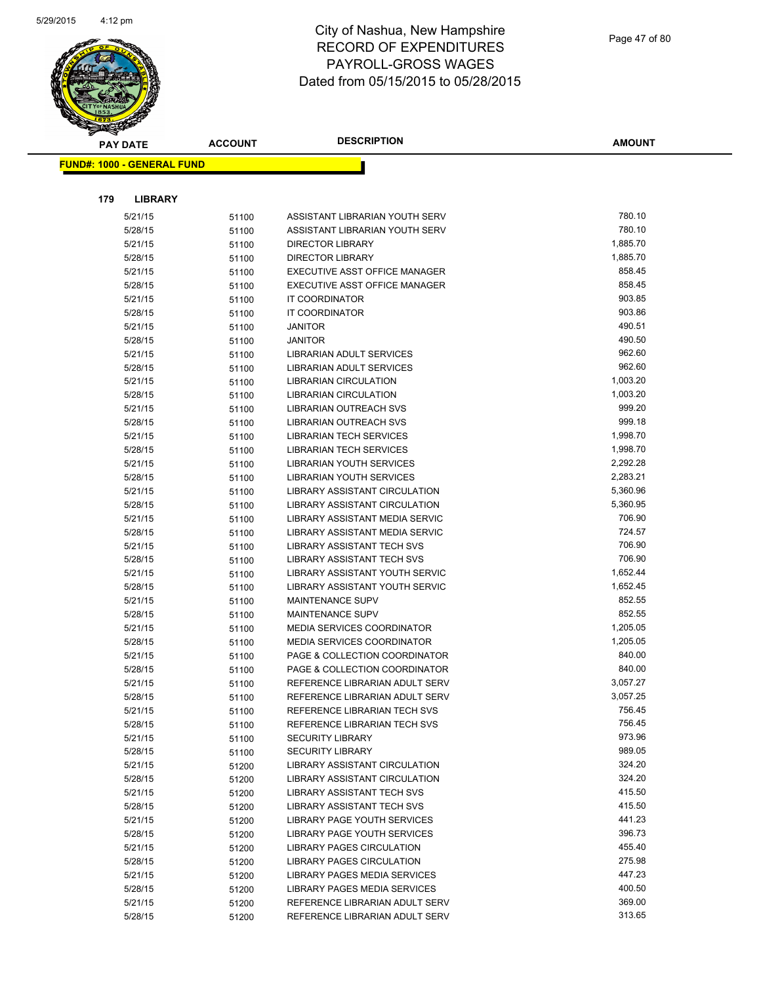

| <b>PAY DATE</b>                   | <b>ACCOUNT</b> | <b>DESCRIPTION</b>                   | <b>AMOUNT</b> |
|-----------------------------------|----------------|--------------------------------------|---------------|
| <b>FUND#: 1000 - GENERAL FUND</b> |                |                                      |               |
|                                   |                |                                      |               |
|                                   |                |                                      |               |
| 179<br><b>LIBRARY</b>             |                |                                      |               |
| 5/21/15                           | 51100          | ASSISTANT LIBRARIAN YOUTH SERV       | 780.10        |
| 5/28/15                           | 51100          | ASSISTANT LIBRARIAN YOUTH SERV       | 780.10        |
| 5/21/15                           | 51100          | <b>DIRECTOR LIBRARY</b>              | 1,885.70      |
| 5/28/15                           | 51100          | <b>DIRECTOR LIBRARY</b>              | 1,885.70      |
| 5/21/15                           | 51100          | EXECUTIVE ASST OFFICE MANAGER        | 858.45        |
| 5/28/15                           | 51100          | EXECUTIVE ASST OFFICE MANAGER        | 858.45        |
| 5/21/15                           | 51100          | IT COORDINATOR                       | 903.85        |
| 5/28/15                           | 51100          | IT COORDINATOR                       | 903.86        |
| 5/21/15                           | 51100          | <b>JANITOR</b>                       | 490.51        |
| 5/28/15                           | 51100          | <b>JANITOR</b>                       | 490.50        |
| 5/21/15                           | 51100          | LIBRARIAN ADULT SERVICES             | 962.60        |
| 5/28/15                           | 51100          | LIBRARIAN ADULT SERVICES             | 962.60        |
| 5/21/15                           | 51100          | <b>LIBRARIAN CIRCULATION</b>         | 1,003.20      |
| 5/28/15                           | 51100          | <b>LIBRARIAN CIRCULATION</b>         | 1,003.20      |
| 5/21/15                           | 51100          | LIBRARIAN OUTREACH SVS               | 999.20        |
| 5/28/15                           | 51100          | LIBRARIAN OUTREACH SVS               | 999.18        |
| 5/21/15                           | 51100          | LIBRARIAN TECH SERVICES              | 1,998.70      |
| 5/28/15                           | 51100          | <b>LIBRARIAN TECH SERVICES</b>       | 1,998.70      |
| 5/21/15                           | 51100          | <b>LIBRARIAN YOUTH SERVICES</b>      | 2,292.28      |
| 5/28/15                           | 51100          | LIBRARIAN YOUTH SERVICES             | 2,283.21      |
| 5/21/15                           | 51100          | LIBRARY ASSISTANT CIRCULATION        | 5,360.96      |
| 5/28/15                           | 51100          | LIBRARY ASSISTANT CIRCULATION        | 5,360.95      |
| 5/21/15                           | 51100          | LIBRARY ASSISTANT MEDIA SERVIC       | 706.90        |
| 5/28/15                           | 51100          | LIBRARY ASSISTANT MEDIA SERVIC       | 724.57        |
| 5/21/15                           | 51100          | <b>LIBRARY ASSISTANT TECH SVS</b>    | 706.90        |
| 5/28/15                           | 51100          | LIBRARY ASSISTANT TECH SVS           | 706.90        |
| 5/21/15                           | 51100          | LIBRARY ASSISTANT YOUTH SERVIC       | 1,652.44      |
| 5/28/15                           | 51100          | LIBRARY ASSISTANT YOUTH SERVIC       | 1,652.45      |
| 5/21/15                           | 51100          | <b>MAINTENANCE SUPV</b>              | 852.55        |
| 5/28/15                           | 51100          | <b>MAINTENANCE SUPV</b>              | 852.55        |
| 5/21/15                           | 51100          | <b>MEDIA SERVICES COORDINATOR</b>    | 1,205.05      |
| 5/28/15                           | 51100          | MEDIA SERVICES COORDINATOR           | 1,205.05      |
| 5/21/15                           | 51100          | PAGE & COLLECTION COORDINATOR        | 840.00        |
| 5/28/15                           | 51100          | PAGE & COLLECTION COORDINATOR        | 840.00        |
| 5/21/15                           | 51100          | REFERENCE LIBRARIAN ADULT SERV       | 3,057.27      |
| 5/28/15                           | 51100          | REFERENCE LIBRARIAN ADULT SERV       | 3,057.25      |
| 5/21/15                           | 51100          | REFERENCE LIBRARIAN TECH SVS         | 756.45        |
| 5/28/15                           | 51100          | REFERENCE LIBRARIAN TECH SVS         | 756.45        |
| 5/21/15                           | 51100          | <b>SECURITY LIBRARY</b>              | 973.96        |
| 5/28/15                           | 51100          | <b>SECURITY LIBRARY</b>              | 989.05        |
| 5/21/15                           | 51200          | <b>LIBRARY ASSISTANT CIRCULATION</b> | 324.20        |
| 5/28/15                           | 51200          | LIBRARY ASSISTANT CIRCULATION        | 324.20        |
| 5/21/15                           | 51200          | LIBRARY ASSISTANT TECH SVS           | 415.50        |
| 5/28/15                           | 51200          | LIBRARY ASSISTANT TECH SVS           | 415.50        |
| 5/21/15                           | 51200          | LIBRARY PAGE YOUTH SERVICES          | 441.23        |
| 5/28/15                           | 51200          | LIBRARY PAGE YOUTH SERVICES          | 396.73        |
| 5/21/15                           | 51200          | LIBRARY PAGES CIRCULATION            | 455.40        |
| 5/28/15                           | 51200          | LIBRARY PAGES CIRCULATION            | 275.98        |
| 5/21/15                           | 51200          | LIBRARY PAGES MEDIA SERVICES         | 447.23        |
| 5/28/15                           | 51200          | LIBRARY PAGES MEDIA SERVICES         | 400.50        |
| 5/21/15                           | 51200          | REFERENCE LIBRARIAN ADULT SERV       | 369.00        |
| 5/28/15                           | 51200          | REFERENCE LIBRARIAN ADULT SERV       | 313.65        |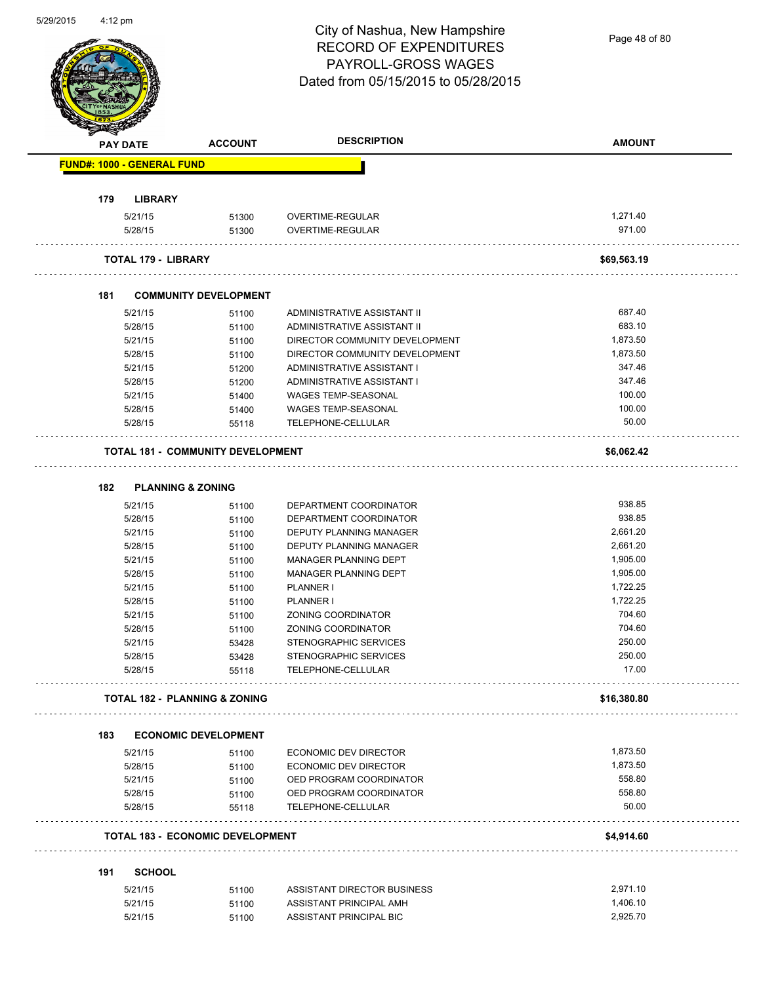Page 48 of 80

| <b>PAY DATE</b>                   | <b>ACCOUNT</b>                           | <b>DESCRIPTION</b>             | <b>AMOUNT</b> |
|-----------------------------------|------------------------------------------|--------------------------------|---------------|
| <b>FUND#: 1000 - GENERAL FUND</b> |                                          |                                |               |
| 179                               | <b>LIBRARY</b>                           |                                |               |
| 5/21/15                           | 51300                                    | OVERTIME-REGULAR               | 1,271.40      |
| 5/28/15                           | 51300                                    | OVERTIME-REGULAR               | 971.00        |
|                                   | <b>TOTAL 179 - LIBRARY</b>               |                                | \$69,563.19   |
| 181                               | <b>COMMUNITY DEVELOPMENT</b>             |                                |               |
| 5/21/15                           | 51100                                    | ADMINISTRATIVE ASSISTANT II    | 687.40        |
| 5/28/15                           | 51100                                    | ADMINISTRATIVE ASSISTANT II    | 683.10        |
| 5/21/15                           | 51100                                    | DIRECTOR COMMUNITY DEVELOPMENT | 1,873.50      |
| 5/28/15                           | 51100                                    | DIRECTOR COMMUNITY DEVELOPMENT | 1,873.50      |
| 5/21/15                           | 51200                                    | ADMINISTRATIVE ASSISTANT I     | 347.46        |
| 5/28/15                           | 51200                                    | ADMINISTRATIVE ASSISTANT I     | 347.46        |
| 5/21/15                           | 51400                                    | <b>WAGES TEMP-SEASONAL</b>     | 100.00        |
| 5/28/15                           | 51400                                    | WAGES TEMP-SEASONAL            | 100.00        |
| 5/28/15                           | 55118                                    | TELEPHONE-CELLULAR             | 50.00         |
|                                   | <b>TOTAL 181 - COMMUNITY DEVELOPMENT</b> |                                | \$6,062.42    |
| 182                               | <b>PLANNING &amp; ZONING</b>             |                                |               |
| 5/21/15                           | 51100                                    | DEPARTMENT COORDINATOR         | 938.85        |
| 5/28/15                           | 51100                                    | DEPARTMENT COORDINATOR         | 938.85        |
| 5/21/15                           | 51100                                    | DEPUTY PLANNING MANAGER        | 2,661.20      |
| 5/28/15                           |                                          | DEPUTY PLANNING MANAGER        | 2,661.20      |
| 5/21/15                           | 51100                                    | MANAGER PLANNING DEPT          | 1,905.00      |
| 5/28/15                           | 51100                                    | MANAGER PLANNING DEPT          | 1,905.00      |
|                                   | 51100                                    |                                |               |
| 5/21/15                           | 51100                                    | PLANNER I                      | 1,722.25      |
| 5/28/15                           | 51100                                    | PLANNER I                      | 1,722.25      |
| 5/21/15                           | 51100                                    | ZONING COORDINATOR             | 704.60        |
| 5/28/15                           | 51100                                    | ZONING COORDINATOR             | 704.60        |
| 5/21/15                           | 53428                                    | STENOGRAPHIC SERVICES          | 250.00        |
| 5/28/15                           | 53428                                    | STENOGRAPHIC SERVICES          | 250.00        |
| 5/28/15                           | 55118                                    | TELEPHONE-CELLULAR             | 17.00         |
|                                   | <b>TOTAL 182 - PLANNING &amp; ZONING</b> |                                | \$16,380.80   |
| 183                               | <b>ECONOMIC DEVELOPMENT</b>              |                                |               |
| 5/21/15                           | 51100                                    | ECONOMIC DEV DIRECTOR          | 1,873.50      |
| 5/28/15                           | 51100                                    | ECONOMIC DEV DIRECTOR          | 1,873.50      |
| 5/21/15                           | 51100                                    | OED PROGRAM COORDINATOR        | 558.80        |
| 5/28/15                           | 51100                                    | OED PROGRAM COORDINATOR        | 558.80        |
| 5/28/15                           | 55118                                    | TELEPHONE-CELLULAR             | 50.00         |
|                                   | <b>TOTAL 183 - ECONOMIC DEVELOPMENT</b>  |                                | \$4,914.60    |
| 191                               | <b>SCHOOL</b>                            |                                |               |
| 5/21/15                           | 51100                                    | ASSISTANT DIRECTOR BUSINESS    | 2,971.10      |
| 5/21/15                           |                                          | ASSISTANT PRINCIPAL AMH        | 1,406.10      |
|                                   | 51100                                    |                                |               |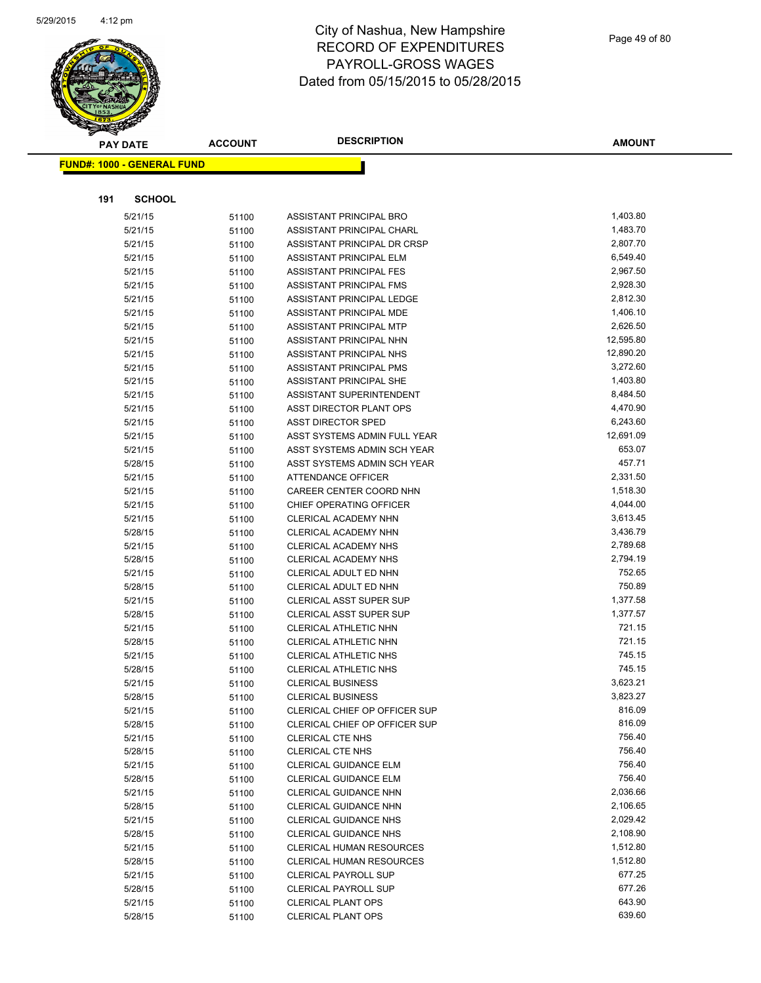

|     | <b>PAY DATE</b>                    | <b>ACCOUNT</b> | <b>DESCRIPTION</b>              | <b>AMOUNT</b> |
|-----|------------------------------------|----------------|---------------------------------|---------------|
|     | <u> FUND#: 1000 - GENERAL FUND</u> |                |                                 |               |
|     |                                    |                |                                 |               |
|     |                                    |                |                                 |               |
| 191 | <b>SCHOOL</b>                      |                |                                 |               |
|     | 5/21/15                            | 51100          | ASSISTANT PRINCIPAL BRO         | 1,403.80      |
|     | 5/21/15                            | 51100          | ASSISTANT PRINCIPAL CHARL       | 1,483.70      |
|     | 5/21/15                            | 51100          | ASSISTANT PRINCIPAL DR CRSP     | 2,807.70      |
|     | 5/21/15                            | 51100          | ASSISTANT PRINCIPAL ELM         | 6,549.40      |
|     | 5/21/15                            | 51100          | ASSISTANT PRINCIPAL FES         | 2,967.50      |
|     | 5/21/15                            | 51100          | ASSISTANT PRINCIPAL FMS         | 2,928.30      |
|     | 5/21/15                            | 51100          | ASSISTANT PRINCIPAL LEDGE       | 2,812.30      |
|     | 5/21/15                            | 51100          | ASSISTANT PRINCIPAL MDE         | 1,406.10      |
|     | 5/21/15                            | 51100          | ASSISTANT PRINCIPAL MTP         | 2,626.50      |
|     | 5/21/15                            | 51100          | ASSISTANT PRINCIPAL NHN         | 12,595.80     |
|     | 5/21/15                            | 51100          | ASSISTANT PRINCIPAL NHS         | 12,890.20     |
|     | 5/21/15                            | 51100          | ASSISTANT PRINCIPAL PMS         | 3,272.60      |
|     | 5/21/15                            | 51100          | ASSISTANT PRINCIPAL SHE         | 1,403.80      |
|     | 5/21/15                            | 51100          | ASSISTANT SUPERINTENDENT        | 8,484.50      |
|     | 5/21/15                            | 51100          | ASST DIRECTOR PLANT OPS         | 4,470.90      |
|     | 5/21/15                            | 51100          | <b>ASST DIRECTOR SPED</b>       | 6,243.60      |
|     | 5/21/15                            | 51100          | ASST SYSTEMS ADMIN FULL YEAR    | 12,691.09     |
|     | 5/21/15                            | 51100          | ASST SYSTEMS ADMIN SCH YEAR     | 653.07        |
|     | 5/28/15                            | 51100          | ASST SYSTEMS ADMIN SCH YEAR     | 457.71        |
|     | 5/21/15                            | 51100          | ATTENDANCE OFFICER              | 2,331.50      |
|     | 5/21/15                            | 51100          | CAREER CENTER COORD NHN         | 1,518.30      |
|     | 5/21/15                            | 51100          | CHIEF OPERATING OFFICER         | 4,044.00      |
|     | 5/21/15                            | 51100          | <b>CLERICAL ACADEMY NHN</b>     | 3,613.45      |
|     | 5/28/15                            | 51100          | CLERICAL ACADEMY NHN            | 3,436.79      |
|     | 5/21/15                            | 51100          | CLERICAL ACADEMY NHS            | 2,789.68      |
|     | 5/28/15                            | 51100          | CLERICAL ACADEMY NHS            | 2,794.19      |
|     | 5/21/15                            | 51100          | CLERICAL ADULT ED NHN           | 752.65        |
|     | 5/28/15                            | 51100          | CLERICAL ADULT ED NHN           | 750.89        |
|     | 5/21/15                            | 51100          | <b>CLERICAL ASST SUPER SUP</b>  | 1,377.58      |
|     | 5/28/15                            | 51100          | <b>CLERICAL ASST SUPER SUP</b>  | 1,377.57      |
|     | 5/21/15                            | 51100          | CLERICAL ATHLETIC NHN           | 721.15        |
|     | 5/28/15                            | 51100          | CLERICAL ATHLETIC NHN           | 721.15        |
|     | 5/21/15                            | 51100          | <b>CLERICAL ATHLETIC NHS</b>    | 745.15        |
|     | 5/28/15                            | 51100          | CLERICAL ATHLETIC NHS           | 745.15        |
|     | 5/21/15                            | 51100          | <b>CLERICAL BUSINESS</b>        | 3,623.21      |
|     | 5/28/15                            | 51100          | <b>CLERICAL BUSINESS</b>        | 3,823.27      |
|     | 5/21/15                            | 51100          | CLERICAL CHIEF OP OFFICER SUP   | 816.09        |
|     | 5/28/15                            | 51100          | CLERICAL CHIEF OP OFFICER SUP   | 816.09        |
|     | 5/21/15                            | 51100          | <b>CLERICAL CTE NHS</b>         | 756.40        |
|     | 5/28/15                            | 51100          | <b>CLERICAL CTE NHS</b>         | 756.40        |
|     | 5/21/15                            | 51100          | <b>CLERICAL GUIDANCE ELM</b>    | 756.40        |
|     | 5/28/15                            | 51100          | CLERICAL GUIDANCE ELM           | 756.40        |
|     | 5/21/15                            | 51100          | CLERICAL GUIDANCE NHN           | 2,036.66      |
|     | 5/28/15                            | 51100          | CLERICAL GUIDANCE NHN           | 2,106.65      |
|     | 5/21/15                            | 51100          | <b>CLERICAL GUIDANCE NHS</b>    | 2,029.42      |
|     | 5/28/15                            | 51100          | <b>CLERICAL GUIDANCE NHS</b>    | 2,108.90      |
|     | 5/21/15                            | 51100          | <b>CLERICAL HUMAN RESOURCES</b> | 1,512.80      |
|     | 5/28/15                            | 51100          | CLERICAL HUMAN RESOURCES        | 1,512.80      |
|     | 5/21/15                            | 51100          | <b>CLERICAL PAYROLL SUP</b>     | 677.25        |
|     | 5/28/15                            | 51100          | <b>CLERICAL PAYROLL SUP</b>     | 677.26        |
|     | 5/21/15                            | 51100          | <b>CLERICAL PLANT OPS</b>       | 643.90        |
|     | 5/28/15                            | 51100          | <b>CLERICAL PLANT OPS</b>       | 639.60        |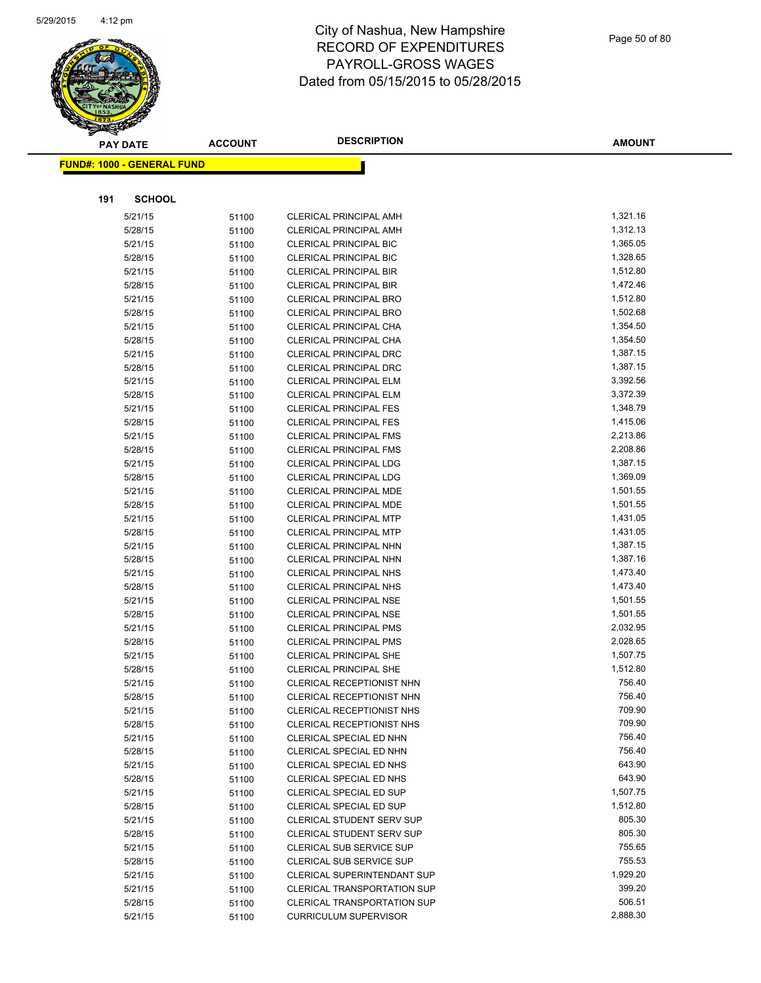

|     | <b>PAY DATE</b>                   | <b>ACCOUNT</b> | <b>DESCRIPTION</b>                 | <b>AMOUNT</b> |
|-----|-----------------------------------|----------------|------------------------------------|---------------|
|     | <b>FUND#: 1000 - GENERAL FUND</b> |                |                                    |               |
|     |                                   |                |                                    |               |
| 191 | <b>SCHOOL</b>                     |                |                                    |               |
|     | 5/21/15                           | 51100          | CLERICAL PRINCIPAL AMH             | 1,321.16      |
|     | 5/28/15                           | 51100          | <b>CLERICAL PRINCIPAL AMH</b>      | 1,312.13      |
|     | 5/21/15                           | 51100          | <b>CLERICAL PRINCIPAL BIC</b>      | 1,365.05      |
|     | 5/28/15                           | 51100          | <b>CLERICAL PRINCIPAL BIC</b>      | 1,328.65      |
|     | 5/21/15                           | 51100          | <b>CLERICAL PRINCIPAL BIR</b>      | 1,512.80      |
|     | 5/28/15                           | 51100          | <b>CLERICAL PRINCIPAL BIR</b>      | 1,472.46      |
|     | 5/21/15                           | 51100          | <b>CLERICAL PRINCIPAL BRO</b>      | 1,512.80      |
|     | 5/28/15                           | 51100          | <b>CLERICAL PRINCIPAL BRO</b>      | 1,502.68      |
|     | 5/21/15                           | 51100          | CLERICAL PRINCIPAL CHA             | 1,354.50      |
|     | 5/28/15                           | 51100          | CLERICAL PRINCIPAL CHA             | 1,354.50      |
|     | 5/21/15                           | 51100          | CLERICAL PRINCIPAL DRC             | 1,387.15      |
|     | 5/28/15                           | 51100          | <b>CLERICAL PRINCIPAL DRC</b>      | 1,387.15      |
|     | 5/21/15                           | 51100          | <b>CLERICAL PRINCIPAL ELM</b>      | 3,392.56      |
|     | 5/28/15                           | 51100          | <b>CLERICAL PRINCIPAL ELM</b>      | 3,372.39      |
|     | 5/21/15                           | 51100          | <b>CLERICAL PRINCIPAL FES</b>      | 1,348.79      |
|     | 5/28/15                           | 51100          | <b>CLERICAL PRINCIPAL FES</b>      | 1,415.06      |
|     | 5/21/15                           | 51100          | <b>CLERICAL PRINCIPAL FMS</b>      | 2,213.86      |
|     | 5/28/15                           | 51100          | <b>CLERICAL PRINCIPAL FMS</b>      | 2,208.86      |
|     | 5/21/15                           | 51100          | <b>CLERICAL PRINCIPAL LDG</b>      | 1,387.15      |
|     | 5/28/15                           | 51100          | CLERICAL PRINCIPAL LDG             | 1,369.09      |
|     | 5/21/15                           | 51100          | <b>CLERICAL PRINCIPAL MDE</b>      | 1,501.55      |
|     | 5/28/15                           | 51100          | CLERICAL PRINCIPAL MDE             | 1,501.55      |
|     | 5/21/15                           | 51100          | <b>CLERICAL PRINCIPAL MTP</b>      | 1,431.05      |
|     | 5/28/15                           | 51100          | <b>CLERICAL PRINCIPAL MTP</b>      | 1,431.05      |
|     | 5/21/15                           | 51100          | CLERICAL PRINCIPAL NHN             | 1,387.15      |
|     | 5/28/15                           | 51100          | CLERICAL PRINCIPAL NHN             | 1,387.16      |
|     | 5/21/15                           | 51100          | CLERICAL PRINCIPAL NHS             | 1,473.40      |
|     | 5/28/15                           | 51100          | CLERICAL PRINCIPAL NHS             | 1,473.40      |
|     | 5/21/15                           | 51100          | <b>CLERICAL PRINCIPAL NSE</b>      | 1,501.55      |
|     | 5/28/15                           | 51100          | <b>CLERICAL PRINCIPAL NSE</b>      | 1,501.55      |
|     | 5/21/15                           | 51100          | <b>CLERICAL PRINCIPAL PMS</b>      | 2,032.95      |
|     | 5/28/15                           | 51100          | <b>CLERICAL PRINCIPAL PMS</b>      | 2,028.65      |
|     | 5/21/15                           | 51100          | <b>CLERICAL PRINCIPAL SHE</b>      | 1,507.75      |
|     | 5/28/15                           | 51100          | <b>CLERICAL PRINCIPAL SHE</b>      | 1,512.80      |
|     | 5/21/15                           | 51100          | CLERICAL RECEPTIONIST NHN          | 756.40        |
|     | 5/28/15                           | 51100          | CLERICAL RECEPTIONIST NHN          | 756.40        |
|     | 5/21/15                           | 51100          | CLERICAL RECEPTIONIST NHS          | 709.90        |
|     | 5/28/15                           | 51100          | CLERICAL RECEPTIONIST NHS          | 709.90        |
|     | 5/21/15                           | 51100          | CLERICAL SPECIAL ED NHN            | 756.40        |
|     | 5/28/15                           | 51100          | CLERICAL SPECIAL ED NHN            | 756.40        |
|     | 5/21/15                           | 51100          | CLERICAL SPECIAL ED NHS            | 643.90        |
|     | 5/28/15                           | 51100          | CLERICAL SPECIAL ED NHS            | 643.90        |
|     | 5/21/15                           | 51100          | CLERICAL SPECIAL ED SUP            | 1,507.75      |
|     | 5/28/15                           | 51100          | CLERICAL SPECIAL ED SUP            | 1,512.80      |
|     | 5/21/15                           | 51100          | <b>CLERICAL STUDENT SERV SUP</b>   | 805.30        |
|     | 5/28/15                           | 51100          | <b>CLERICAL STUDENT SERV SUP</b>   | 805.30        |
|     | 5/21/15                           | 51100          | <b>CLERICAL SUB SERVICE SUP</b>    | 755.65        |
|     | 5/28/15                           | 51100          | CLERICAL SUB SERVICE SUP           | 755.53        |
|     | 5/21/15                           | 51100          | <b>CLERICAL SUPERINTENDANT SUP</b> | 1,929.20      |
|     | 5/21/15                           | 51100          | <b>CLERICAL TRANSPORTATION SUP</b> | 399.20        |
|     | 5/28/15                           | 51100          | <b>CLERICAL TRANSPORTATION SUP</b> | 506.51        |
|     | 5/21/15                           | 51100          | <b>CURRICULUM SUPERVISOR</b>       | 2,888.30      |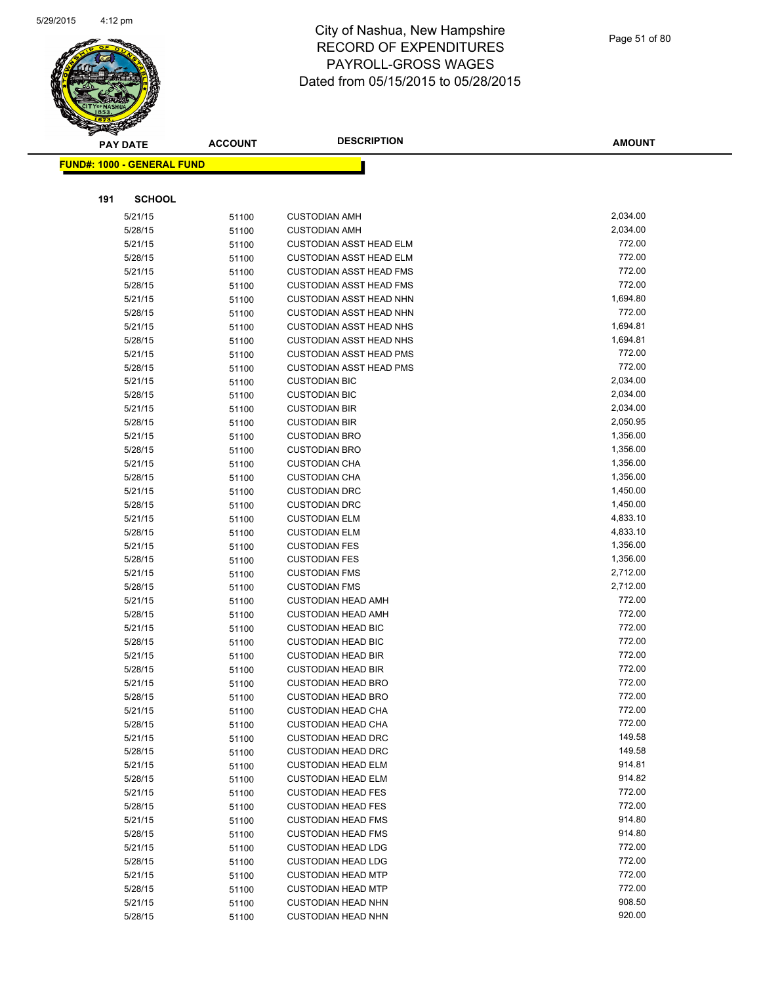

|     | <b>PAY DATE</b>                   | <b>ACCOUNT</b> | <b>DESCRIPTION</b>                           | <b>AMOUNT</b>        |
|-----|-----------------------------------|----------------|----------------------------------------------|----------------------|
|     | <b>FUND#: 1000 - GENERAL FUND</b> |                |                                              |                      |
|     |                                   |                |                                              |                      |
|     |                                   |                |                                              |                      |
| 191 | <b>SCHOOL</b>                     |                |                                              |                      |
|     | 5/21/15                           | 51100          | <b>CUSTODIAN AMH</b>                         | 2,034.00             |
|     | 5/28/15                           | 51100          | <b>CUSTODIAN AMH</b>                         | 2,034.00             |
|     | 5/21/15                           | 51100          | <b>CUSTODIAN ASST HEAD ELM</b>               | 772.00               |
|     | 5/28/15                           | 51100          | <b>CUSTODIAN ASST HEAD ELM</b>               | 772.00               |
|     | 5/21/15                           | 51100          | <b>CUSTODIAN ASST HEAD FMS</b>               | 772.00               |
|     | 5/28/15                           | 51100          | <b>CUSTODIAN ASST HEAD FMS</b>               | 772.00               |
|     | 5/21/15                           | 51100          | <b>CUSTODIAN ASST HEAD NHN</b>               | 1,694.80             |
|     | 5/28/15                           | 51100          | <b>CUSTODIAN ASST HEAD NHN</b>               | 772.00               |
|     | 5/21/15                           | 51100          | <b>CUSTODIAN ASST HEAD NHS</b>               | 1,694.81             |
|     | 5/28/15                           | 51100          | <b>CUSTODIAN ASST HEAD NHS</b>               | 1,694.81             |
|     | 5/21/15                           | 51100          | <b>CUSTODIAN ASST HEAD PMS</b>               | 772.00               |
|     | 5/28/15                           | 51100          | <b>CUSTODIAN ASST HEAD PMS</b>               | 772.00               |
|     | 5/21/15                           | 51100          | <b>CUSTODIAN BIC</b>                         | 2,034.00             |
|     | 5/28/15                           | 51100          | <b>CUSTODIAN BIC</b>                         | 2,034.00             |
|     | 5/21/15                           | 51100          | <b>CUSTODIAN BIR</b>                         | 2,034.00             |
|     | 5/28/15                           | 51100          | <b>CUSTODIAN BIR</b>                         | 2,050.95             |
|     | 5/21/15                           | 51100          | <b>CUSTODIAN BRO</b>                         | 1,356.00             |
|     | 5/28/15                           | 51100          | <b>CUSTODIAN BRO</b>                         | 1,356.00             |
|     | 5/21/15                           | 51100          | <b>CUSTODIAN CHA</b>                         | 1,356.00             |
|     | 5/28/15                           | 51100          | <b>CUSTODIAN CHA</b>                         | 1,356.00             |
|     | 5/21/15                           | 51100          | <b>CUSTODIAN DRC</b>                         | 1,450.00             |
|     | 5/28/15                           | 51100          | <b>CUSTODIAN DRC</b>                         | 1,450.00<br>4,833.10 |
|     | 5/21/15                           | 51100          | <b>CUSTODIAN ELM</b>                         | 4,833.10             |
|     | 5/28/15<br>5/21/15                | 51100          | <b>CUSTODIAN ELM</b><br><b>CUSTODIAN FES</b> | 1,356.00             |
|     | 5/28/15                           | 51100<br>51100 | <b>CUSTODIAN FES</b>                         | 1,356.00             |
|     | 5/21/15                           | 51100          | <b>CUSTODIAN FMS</b>                         | 2,712.00             |
|     | 5/28/15                           | 51100          | <b>CUSTODIAN FMS</b>                         | 2,712.00             |
|     | 5/21/15                           | 51100          | <b>CUSTODIAN HEAD AMH</b>                    | 772.00               |
|     | 5/28/15                           | 51100          | <b>CUSTODIAN HEAD AMH</b>                    | 772.00               |
|     | 5/21/15                           | 51100          | <b>CUSTODIAN HEAD BIC</b>                    | 772.00               |
|     | 5/28/15                           | 51100          | <b>CUSTODIAN HEAD BIC</b>                    | 772.00               |
|     | 5/21/15                           | 51100          | <b>CUSTODIAN HEAD BIR</b>                    | 772.00               |
|     | 5/28/15                           | 51100          | <b>CUSTODIAN HEAD BIR</b>                    | 772.00               |
|     | 5/21/15                           | 51100          | <b>CUSTODIAN HEAD BRO</b>                    | 772.00               |
|     | 5/28/15                           | 51100          | <b>CUSTODIAN HEAD BRO</b>                    | 772.00               |
|     | 5/21/15                           | 51100          | <b>CUSTODIAN HEAD CHA</b>                    | 772.00               |
|     | 5/28/15                           | 51100          | <b>CUSTODIAN HEAD CHA</b>                    | 772.00               |
|     | 5/21/15                           | 51100          | <b>CUSTODIAN HEAD DRC</b>                    | 149.58               |
|     | 5/28/15                           | 51100          | <b>CUSTODIAN HEAD DRC</b>                    | 149.58               |
|     | 5/21/15                           | 51100          | <b>CUSTODIAN HEAD ELM</b>                    | 914.81               |
|     | 5/28/15                           | 51100          | <b>CUSTODIAN HEAD ELM</b>                    | 914.82               |
|     | 5/21/15                           | 51100          | <b>CUSTODIAN HEAD FES</b>                    | 772.00               |
|     | 5/28/15                           | 51100          | <b>CUSTODIAN HEAD FES</b>                    | 772.00               |
|     | 5/21/15                           | 51100          | <b>CUSTODIAN HEAD FMS</b>                    | 914.80               |
|     | 5/28/15                           | 51100          | <b>CUSTODIAN HEAD FMS</b>                    | 914.80               |
|     | 5/21/15                           | 51100          | <b>CUSTODIAN HEAD LDG</b>                    | 772.00               |
|     | 5/28/15                           | 51100          | <b>CUSTODIAN HEAD LDG</b>                    | 772.00               |
|     | 5/21/15                           | 51100          | <b>CUSTODIAN HEAD MTP</b>                    | 772.00               |
|     | 5/28/15                           | 51100          | <b>CUSTODIAN HEAD MTP</b>                    | 772.00               |
|     | 5/21/15                           | 51100          | <b>CUSTODIAN HEAD NHN</b>                    | 908.50               |
|     | 5/28/15                           | 51100          | <b>CUSTODIAN HEAD NHN</b>                    | 920.00               |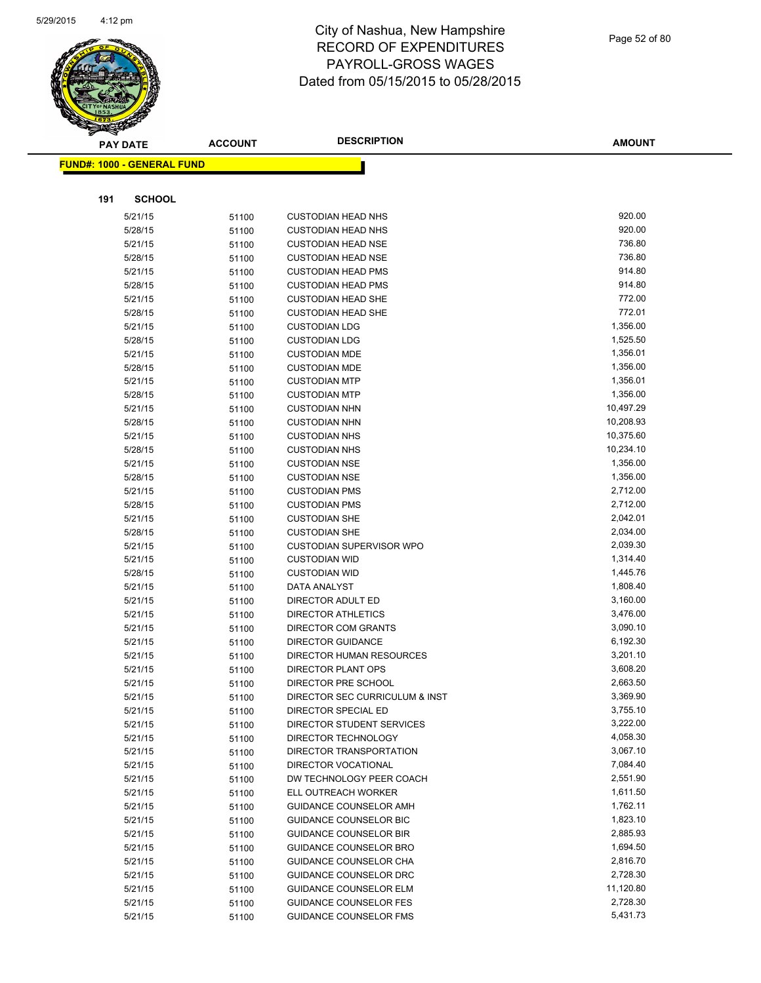

|     | <b>PAY DATE</b>                    | <b>ACCOUNT</b> | <b>DESCRIPTION</b>                           | <b>AMOUNT</b>          |
|-----|------------------------------------|----------------|----------------------------------------------|------------------------|
|     | <u> FUND#: 1000 - GENERAL FUND</u> |                |                                              |                        |
|     |                                    |                |                                              |                        |
|     |                                    |                |                                              |                        |
| 191 | <b>SCHOOL</b>                      |                |                                              |                        |
|     | 5/21/15                            | 51100          | <b>CUSTODIAN HEAD NHS</b>                    | 920.00                 |
|     | 5/28/15                            | 51100          | <b>CUSTODIAN HEAD NHS</b>                    | 920.00                 |
|     | 5/21/15                            | 51100          | <b>CUSTODIAN HEAD NSE</b>                    | 736.80                 |
|     | 5/28/15                            | 51100          | <b>CUSTODIAN HEAD NSE</b>                    | 736.80                 |
|     | 5/21/15                            | 51100          | <b>CUSTODIAN HEAD PMS</b>                    | 914.80                 |
|     | 5/28/15                            | 51100          | <b>CUSTODIAN HEAD PMS</b>                    | 914.80                 |
|     | 5/21/15                            | 51100          | <b>CUSTODIAN HEAD SHE</b>                    | 772.00                 |
|     | 5/28/15                            | 51100          | <b>CUSTODIAN HEAD SHE</b>                    | 772.01                 |
|     | 5/21/15                            | 51100          | <b>CUSTODIAN LDG</b>                         | 1,356.00               |
|     | 5/28/15                            | 51100          | <b>CUSTODIAN LDG</b>                         | 1,525.50               |
|     | 5/21/15                            | 51100          | <b>CUSTODIAN MDE</b>                         | 1,356.01               |
|     | 5/28/15                            | 51100          | <b>CUSTODIAN MDE</b>                         | 1,356.00               |
|     | 5/21/15                            | 51100          | <b>CUSTODIAN MTP</b>                         | 1,356.01               |
|     | 5/28/15                            | 51100          | <b>CUSTODIAN MTP</b>                         | 1,356.00               |
|     | 5/21/15                            | 51100          | <b>CUSTODIAN NHN</b>                         | 10,497.29              |
|     | 5/28/15                            | 51100          | <b>CUSTODIAN NHN</b>                         | 10,208.93<br>10,375.60 |
|     | 5/21/15                            | 51100          | <b>CUSTODIAN NHS</b>                         |                        |
|     | 5/28/15                            | 51100          | <b>CUSTODIAN NHS</b>                         | 10,234.10              |
|     | 5/21/15                            | 51100          | <b>CUSTODIAN NSE</b>                         | 1,356.00<br>1,356.00   |
|     | 5/28/15                            | 51100          | <b>CUSTODIAN NSE</b>                         | 2,712.00               |
|     | 5/21/15<br>5/28/15                 | 51100          | <b>CUSTODIAN PMS</b><br><b>CUSTODIAN PMS</b> | 2,712.00               |
|     | 5/21/15                            | 51100          | <b>CUSTODIAN SHE</b>                         | 2,042.01               |
|     | 5/28/15                            | 51100          | <b>CUSTODIAN SHE</b>                         | 2,034.00               |
|     | 5/21/15                            | 51100          | <b>CUSTODIAN SUPERVISOR WPO</b>              | 2,039.30               |
|     | 5/21/15                            | 51100          | <b>CUSTODIAN WID</b>                         | 1,314.40               |
|     | 5/28/15                            | 51100          | <b>CUSTODIAN WID</b>                         | 1,445.76               |
|     | 5/21/15                            | 51100<br>51100 | DATA ANALYST                                 | 1,808.40               |
|     | 5/21/15                            | 51100          | DIRECTOR ADULT ED                            | 3,160.00               |
|     | 5/21/15                            | 51100          | <b>DIRECTOR ATHLETICS</b>                    | 3,476.00               |
|     | 5/21/15                            | 51100          | <b>DIRECTOR COM GRANTS</b>                   | 3,090.10               |
|     | 5/21/15                            | 51100          | <b>DIRECTOR GUIDANCE</b>                     | 6,192.30               |
|     | 5/21/15                            | 51100          | <b>DIRECTOR HUMAN RESOURCES</b>              | 3,201.10               |
|     | 5/21/15                            | 51100          | DIRECTOR PLANT OPS                           | 3,608.20               |
|     | 5/21/15                            | 51100          | DIRECTOR PRE SCHOOL                          | 2,663.50               |
|     | 5/21/15                            | 51100          | DIRECTOR SEC CURRICULUM & INST               | 3,369.90               |
|     | 5/21/15                            | 51100          | DIRECTOR SPECIAL ED                          | 3,755.10               |
|     | 5/21/15                            | 51100          | DIRECTOR STUDENT SERVICES                    | 3,222.00               |
|     | 5/21/15                            | 51100          | DIRECTOR TECHNOLOGY                          | 4,058.30               |
|     | 5/21/15                            | 51100          | DIRECTOR TRANSPORTATION                      | 3,067.10               |
|     | 5/21/15                            | 51100          | DIRECTOR VOCATIONAL                          | 7,084.40               |
|     | 5/21/15                            | 51100          | DW TECHNOLOGY PEER COACH                     | 2,551.90               |
|     | 5/21/15                            | 51100          | ELL OUTREACH WORKER                          | 1,611.50               |
|     | 5/21/15                            | 51100          | <b>GUIDANCE COUNSELOR AMH</b>                | 1,762.11               |
|     | 5/21/15                            | 51100          | <b>GUIDANCE COUNSELOR BIC</b>                | 1,823.10               |
|     | 5/21/15                            | 51100          | <b>GUIDANCE COUNSELOR BIR</b>                | 2,885.93               |
|     | 5/21/15                            | 51100          | <b>GUIDANCE COUNSELOR BRO</b>                | 1,694.50               |
|     | 5/21/15                            | 51100          | GUIDANCE COUNSELOR CHA                       | 2,816.70               |
|     | 5/21/15                            | 51100          | GUIDANCE COUNSELOR DRC                       | 2,728.30               |
|     | 5/21/15                            | 51100          | <b>GUIDANCE COUNSELOR ELM</b>                | 11,120.80              |
|     | 5/21/15                            | 51100          | <b>GUIDANCE COUNSELOR FES</b>                | 2,728.30               |
|     | 5/21/15                            | 51100          | <b>GUIDANCE COUNSELOR FMS</b>                | 5,431.73               |
|     |                                    |                |                                              |                        |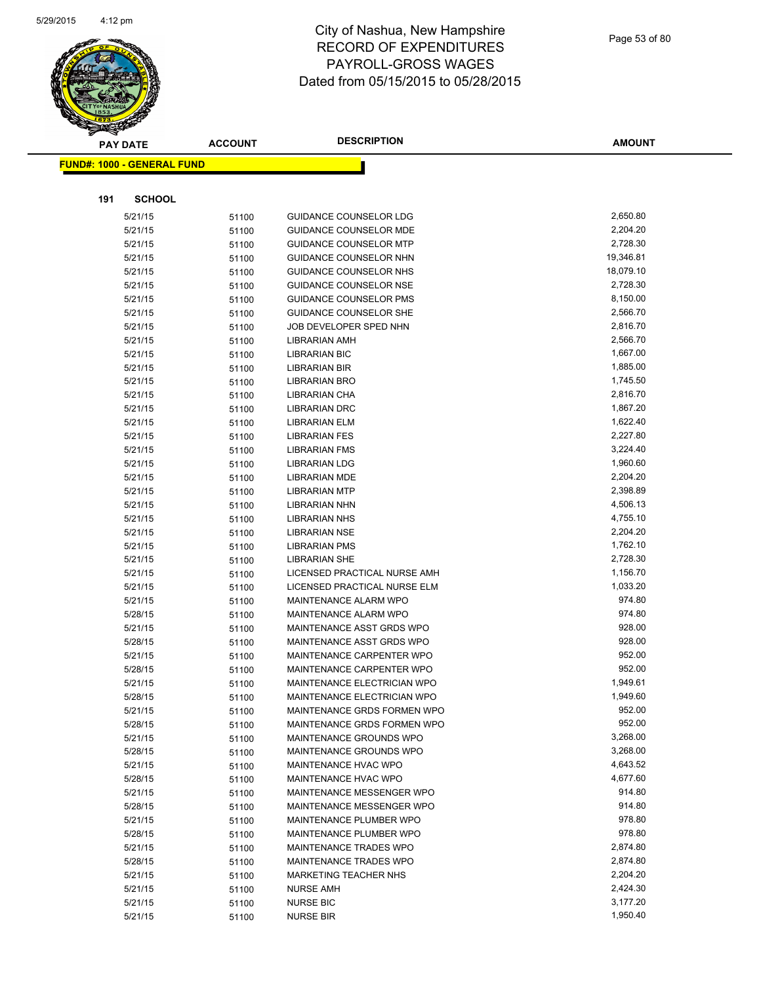

|     | <b>PAY DATE</b>                   | <b>ACCOUNT</b> | <b>DESCRIPTION</b>            | <b>AMOUNT</b> |
|-----|-----------------------------------|----------------|-------------------------------|---------------|
|     | <b>FUND#: 1000 - GENERAL FUND</b> |                |                               |               |
|     |                                   |                |                               |               |
|     |                                   |                |                               |               |
| 191 | <b>SCHOOL</b>                     |                |                               |               |
|     | 5/21/15                           | 51100          | <b>GUIDANCE COUNSELOR LDG</b> | 2,650.80      |
|     | 5/21/15                           | 51100          | <b>GUIDANCE COUNSELOR MDE</b> | 2,204.20      |
|     | 5/21/15                           | 51100          | <b>GUIDANCE COUNSELOR MTP</b> | 2,728.30      |
|     | 5/21/15                           | 51100          | GUIDANCE COUNSELOR NHN        | 19,346.81     |
|     | 5/21/15                           | 51100          | GUIDANCE COUNSELOR NHS        | 18,079.10     |
|     | 5/21/15                           | 51100          | GUIDANCE COUNSELOR NSE        | 2,728.30      |
|     | 5/21/15                           | 51100          | GUIDANCE COUNSELOR PMS        | 8,150.00      |
|     | 5/21/15                           | 51100          | GUIDANCE COUNSELOR SHE        | 2,566.70      |
|     | 5/21/15                           | 51100          | JOB DEVELOPER SPED NHN        | 2,816.70      |
|     | 5/21/15                           | 51100          | <b>LIBRARIAN AMH</b>          | 2,566.70      |
|     | 5/21/15                           | 51100          | <b>LIBRARIAN BIC</b>          | 1,667.00      |
|     | 5/21/15                           | 51100          | LIBRARIAN BIR                 | 1,885.00      |
|     | 5/21/15                           | 51100          | LIBRARIAN BRO                 | 1,745.50      |
|     | 5/21/15                           | 51100          | <b>LIBRARIAN CHA</b>          | 2,816.70      |
|     | 5/21/15                           | 51100          | <b>LIBRARIAN DRC</b>          | 1,867.20      |
|     | 5/21/15                           | 51100          | <b>LIBRARIAN ELM</b>          | 1,622.40      |
|     | 5/21/15                           | 51100          | <b>LIBRARIAN FES</b>          | 2,227.80      |
|     | 5/21/15                           | 51100          | <b>LIBRARIAN FMS</b>          | 3,224.40      |
|     | 5/21/15                           | 51100          | <b>LIBRARIAN LDG</b>          | 1,960.60      |
|     | 5/21/15                           | 51100          | <b>LIBRARIAN MDE</b>          | 2,204.20      |
|     | 5/21/15                           | 51100          | <b>LIBRARIAN MTP</b>          | 2,398.89      |
|     | 5/21/15                           | 51100          | <b>LIBRARIAN NHN</b>          | 4,506.13      |
|     | 5/21/15                           | 51100          | <b>LIBRARIAN NHS</b>          | 4,755.10      |
|     | 5/21/15                           | 51100          | <b>LIBRARIAN NSE</b>          | 2,204.20      |
|     | 5/21/15                           | 51100          | <b>LIBRARIAN PMS</b>          | 1,762.10      |
|     | 5/21/15                           | 51100          | <b>LIBRARIAN SHE</b>          | 2,728.30      |
|     | 5/21/15                           | 51100          | LICENSED PRACTICAL NURSE AMH  | 1,156.70      |
|     | 5/21/15                           | 51100          | LICENSED PRACTICAL NURSE ELM  | 1,033.20      |
|     | 5/21/15                           | 51100          | MAINTENANCE ALARM WPO         | 974.80        |
|     | 5/28/15                           | 51100          | MAINTENANCE ALARM WPO         | 974.80        |
|     | 5/21/15                           | 51100          | MAINTENANCE ASST GRDS WPO     | 928.00        |
|     | 5/28/15                           | 51100          | MAINTENANCE ASST GRDS WPO     | 928.00        |
|     | 5/21/15                           | 51100          | MAINTENANCE CARPENTER WPO     | 952.00        |
|     | 5/28/15                           | 51100          | MAINTENANCE CARPENTER WPO     | 952.00        |
|     | 5/21/15                           | 51100          | MAINTENANCE ELECTRICIAN WPO   | 1,949.61      |
|     | 5/28/15                           | 51100          | MAINTENANCE ELECTRICIAN WPO   | 1,949.60      |
|     | 5/21/15                           | 51100          | MAINTENANCE GRDS FORMEN WPO   | 952.00        |
|     | 5/28/15                           | 51100          | MAINTENANCE GRDS FORMEN WPO   | 952.00        |
|     | 5/21/15                           | 51100          | MAINTENANCE GROUNDS WPO       | 3,268.00      |
|     | 5/28/15                           | 51100          | MAINTENANCE GROUNDS WPO       | 3,268.00      |
|     | 5/21/15                           | 51100          | MAINTENANCE HVAC WPO          | 4,643.52      |
|     | 5/28/15                           | 51100          | <b>MAINTENANCE HVAC WPO</b>   | 4,677.60      |
|     | 5/21/15                           | 51100          | MAINTENANCE MESSENGER WPO     | 914.80        |
|     | 5/28/15                           | 51100          | MAINTENANCE MESSENGER WPO     | 914.80        |
|     | 5/21/15                           | 51100          | MAINTENANCE PLUMBER WPO       | 978.80        |
|     | 5/28/15                           | 51100          | MAINTENANCE PLUMBER WPO       | 978.80        |
|     | 5/21/15                           | 51100          | MAINTENANCE TRADES WPO        | 2,874.80      |
|     | 5/28/15                           | 51100          | MAINTENANCE TRADES WPO        | 2,874.80      |
|     | 5/21/15                           | 51100          | <b>MARKETING TEACHER NHS</b>  | 2,204.20      |
|     | 5/21/15                           | 51100          | <b>NURSE AMH</b>              | 2,424.30      |
|     | 5/21/15                           | 51100          | <b>NURSE BIC</b>              | 3,177.20      |
|     | 5/21/15                           | 51100          | <b>NURSE BIR</b>              | 1,950.40      |
|     |                                   |                |                               |               |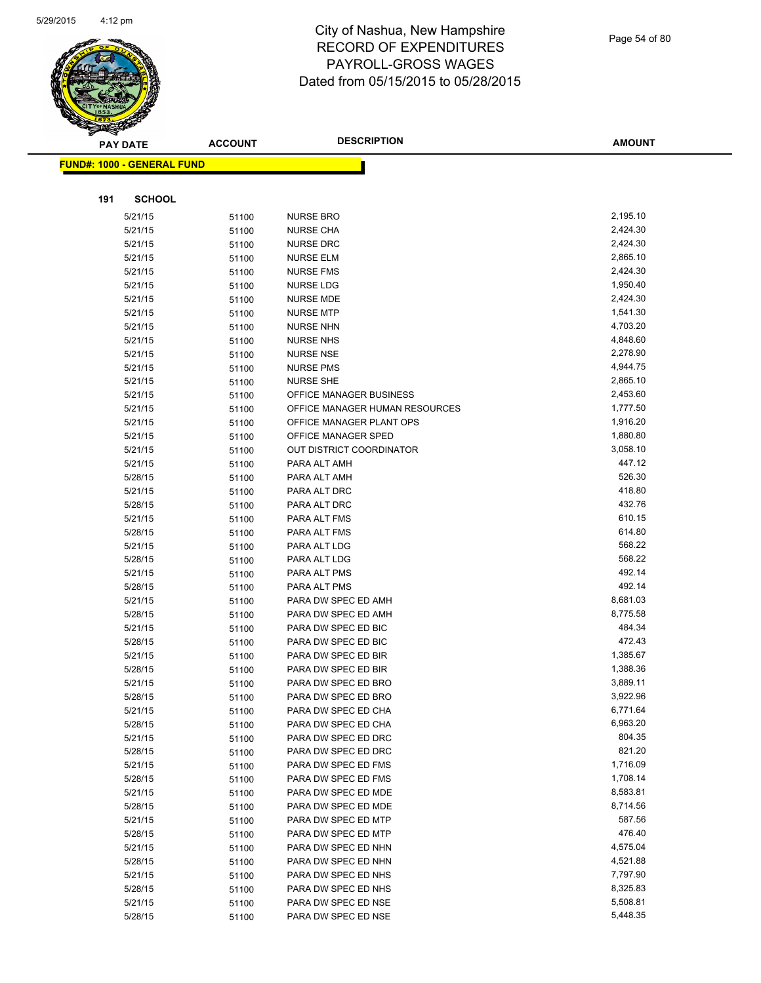

|     | <b>PAY DATE</b>                    | <b>ACCOUNT</b> | <b>DESCRIPTION</b>                   | <b>AMOUNT</b>        |
|-----|------------------------------------|----------------|--------------------------------------|----------------------|
|     | <u> FUND#: 1000 - GENERAL FUND</u> |                |                                      |                      |
|     |                                    |                |                                      |                      |
|     |                                    |                |                                      |                      |
| 191 | <b>SCHOOL</b>                      |                |                                      |                      |
|     | 5/21/15                            | 51100          | <b>NURSE BRO</b>                     | 2,195.10             |
|     | 5/21/15                            | 51100          | <b>NURSE CHA</b>                     | 2,424.30             |
|     | 5/21/15                            | 51100          | <b>NURSE DRC</b>                     | 2,424.30             |
|     | 5/21/15                            | 51100          | <b>NURSE ELM</b>                     | 2,865.10             |
|     | 5/21/15                            | 51100          | <b>NURSE FMS</b>                     | 2,424.30             |
|     | 5/21/15                            | 51100          | <b>NURSE LDG</b>                     | 1,950.40             |
|     | 5/21/15                            | 51100          | <b>NURSE MDE</b>                     | 2,424.30             |
|     | 5/21/15                            | 51100          | <b>NURSE MTP</b>                     | 1,541.30             |
|     | 5/21/15                            | 51100          | <b>NURSE NHN</b>                     | 4,703.20             |
|     | 5/21/15                            | 51100          | <b>NURSE NHS</b>                     | 4,848.60             |
|     | 5/21/15                            | 51100          | <b>NURSE NSE</b>                     | 2,278.90<br>4,944.75 |
|     | 5/21/15<br>5/21/15                 | 51100          | <b>NURSE PMS</b><br><b>NURSE SHE</b> | 2,865.10             |
|     | 5/21/15                            | 51100          | OFFICE MANAGER BUSINESS              | 2,453.60             |
|     | 5/21/15                            | 51100          | OFFICE MANAGER HUMAN RESOURCES       | 1,777.50             |
|     | 5/21/15                            | 51100<br>51100 | OFFICE MANAGER PLANT OPS             | 1,916.20             |
|     | 5/21/15                            | 51100          | OFFICE MANAGER SPED                  | 1,880.80             |
|     | 5/21/15                            | 51100          | <b>OUT DISTRICT COORDINATOR</b>      | 3,058.10             |
|     | 5/21/15                            | 51100          | PARA ALT AMH                         | 447.12               |
|     | 5/28/15                            | 51100          | PARA ALT AMH                         | 526.30               |
|     | 5/21/15                            | 51100          | PARA ALT DRC                         | 418.80               |
|     | 5/28/15                            | 51100          | PARA ALT DRC                         | 432.76               |
|     | 5/21/15                            | 51100          | PARA ALT FMS                         | 610.15               |
|     | 5/28/15                            | 51100          | PARA ALT FMS                         | 614.80               |
|     | 5/21/15                            | 51100          | PARA ALT LDG                         | 568.22               |
|     | 5/28/15                            | 51100          | PARA ALT LDG                         | 568.22               |
|     | 5/21/15                            | 51100          | PARA ALT PMS                         | 492.14               |
|     | 5/28/15                            | 51100          | PARA ALT PMS                         | 492.14               |
|     | 5/21/15                            | 51100          | PARA DW SPEC ED AMH                  | 8,681.03             |
|     | 5/28/15                            | 51100          | PARA DW SPEC ED AMH                  | 8,775.58             |
|     | 5/21/15                            | 51100          | PARA DW SPEC ED BIC                  | 484.34               |
|     | 5/28/15                            | 51100          | PARA DW SPEC ED BIC                  | 472.43               |
|     | 5/21/15                            | 51100          | PARA DW SPEC ED BIR                  | 1,385.67             |
|     | 5/28/15                            | 51100          | PARA DW SPEC ED BIR                  | 1,388.36             |
|     | 5/21/15                            | 51100          | PARA DW SPEC ED BRO                  | 3,889.11             |
|     | 5/28/15                            | 51100          | PARA DW SPEC ED BRO                  | 3,922.96             |
|     | 5/21/15                            | 51100          | PARA DW SPEC ED CHA                  | 6,771.64             |
|     | 5/28/15                            | 51100          | PARA DW SPEC ED CHA                  | 6,963.20             |
|     | 5/21/15                            | 51100          | PARA DW SPEC ED DRC                  | 804.35               |
|     | 5/28/15                            | 51100          | PARA DW SPEC ED DRC                  | 821.20               |
|     | 5/21/15                            | 51100          | PARA DW SPEC ED FMS                  | 1,716.09             |
|     | 5/28/15                            | 51100          | PARA DW SPEC ED FMS                  | 1,708.14             |
|     | 5/21/15                            | 51100          | PARA DW SPEC ED MDE                  | 8,583.81             |
|     | 5/28/15                            | 51100          | PARA DW SPEC ED MDE                  | 8,714.56             |
|     | 5/21/15                            | 51100          | PARA DW SPEC ED MTP                  | 587.56               |
|     | 5/28/15                            | 51100          | PARA DW SPEC ED MTP                  | 476.40               |
|     | 5/21/15                            | 51100          | PARA DW SPEC ED NHN                  | 4,575.04             |
|     | 5/28/15                            | 51100          | PARA DW SPEC ED NHN                  | 4,521.88             |
|     | 5/21/15                            | 51100          | PARA DW SPEC ED NHS                  | 7,797.90             |
|     | 5/28/15                            | 51100          | PARA DW SPEC ED NHS                  | 8,325.83             |
|     | 5/21/15                            | 51100          | PARA DW SPEC ED NSE                  | 5,508.81             |
|     | 5/28/15                            | 51100          | PARA DW SPEC ED NSE                  | 5,448.35             |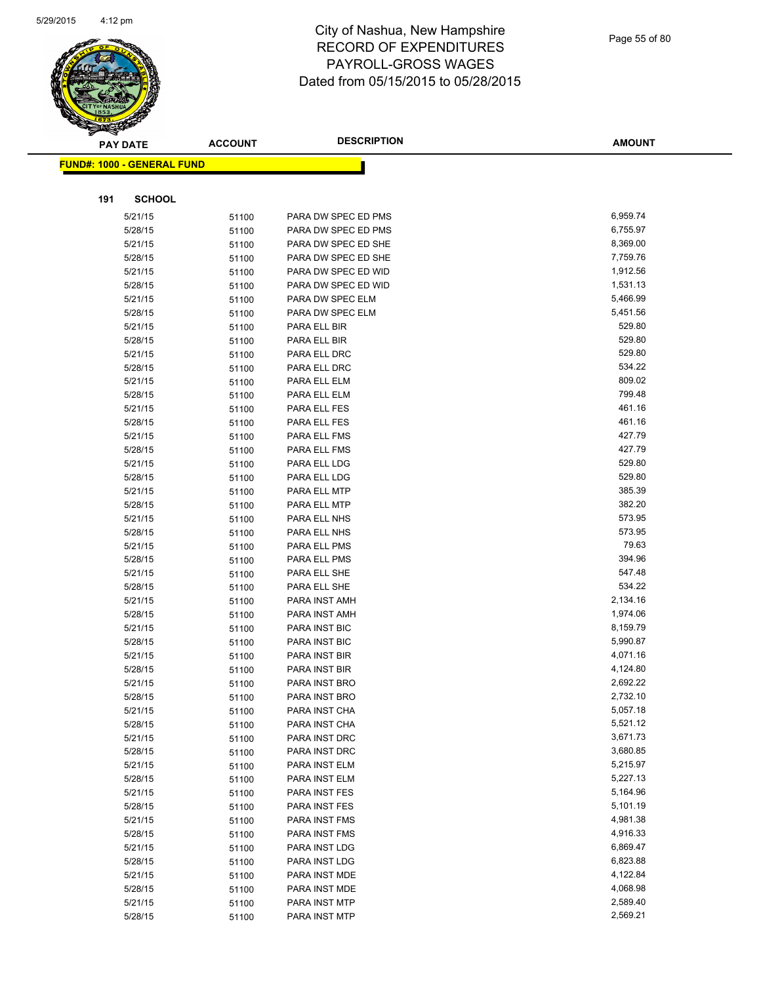

|     | <b>PAY DATE</b>                    | <b>ACCOUNT</b> | <b>DESCRIPTION</b>           | <b>AMOUNT</b>      |
|-----|------------------------------------|----------------|------------------------------|--------------------|
|     | <u> FUND#: 1000 - GENERAL FUND</u> |                |                              |                    |
|     |                                    |                |                              |                    |
|     |                                    |                |                              |                    |
| 191 | <b>SCHOOL</b>                      |                |                              |                    |
|     | 5/21/15                            | 51100          | PARA DW SPEC ED PMS          | 6,959.74           |
|     | 5/28/15                            | 51100          | PARA DW SPEC ED PMS          | 6,755.97           |
|     | 5/21/15                            | 51100          | PARA DW SPEC ED SHE          | 8,369.00           |
|     | 5/28/15                            | 51100          | PARA DW SPEC ED SHE          | 7,759.76           |
|     | 5/21/15                            | 51100          | PARA DW SPEC ED WID          | 1,912.56           |
|     | 5/28/15                            | 51100          | PARA DW SPEC ED WID          | 1,531.13           |
|     | 5/21/15                            | 51100          | PARA DW SPEC ELM             | 5,466.99           |
|     | 5/28/15                            | 51100          | PARA DW SPEC ELM             | 5,451.56<br>529.80 |
|     | 5/21/15<br>5/28/15                 | 51100          | PARA ELL BIR                 | 529.80             |
|     | 5/21/15                            | 51100          | PARA ELL BIR<br>PARA ELL DRC | 529.80             |
|     | 5/28/15                            | 51100          | PARA ELL DRC                 | 534.22             |
|     | 5/21/15                            | 51100          | PARA ELL ELM                 | 809.02             |
|     | 5/28/15                            | 51100<br>51100 | PARA ELL ELM                 | 799.48             |
|     | 5/21/15                            | 51100          | PARA ELL FES                 | 461.16             |
|     | 5/28/15                            | 51100          | PARA ELL FES                 | 461.16             |
|     | 5/21/15                            | 51100          | PARA ELL FMS                 | 427.79             |
|     | 5/28/15                            | 51100          | PARA ELL FMS                 | 427.79             |
|     | 5/21/15                            | 51100          | PARA ELL LDG                 | 529.80             |
|     | 5/28/15                            | 51100          | PARA ELL LDG                 | 529.80             |
|     | 5/21/15                            | 51100          | PARA ELL MTP                 | 385.39             |
|     | 5/28/15                            | 51100          | PARA ELL MTP                 | 382.20             |
|     | 5/21/15                            | 51100          | PARA ELL NHS                 | 573.95             |
|     | 5/28/15                            | 51100          | PARA ELL NHS                 | 573.95             |
|     | 5/21/15                            | 51100          | PARA ELL PMS                 | 79.63              |
|     | 5/28/15                            | 51100          | PARA ELL PMS                 | 394.96             |
|     | 5/21/15                            | 51100          | PARA ELL SHE                 | 547.48             |
|     | 5/28/15                            | 51100          | PARA ELL SHE                 | 534.22             |
|     | 5/21/15                            | 51100          | PARA INST AMH                | 2,134.16           |
|     | 5/28/15                            | 51100          | PARA INST AMH                | 1,974.06           |
|     | 5/21/15                            | 51100          | PARA INST BIC                | 8,159.79           |
|     | 5/28/15                            | 51100          | PARA INST BIC                | 5,990.87           |
|     | 5/21/15                            | 51100          | PARA INST BIR                | 4,071.16           |
|     | 5/28/15                            | 51100          | PARA INST BIR                | 4,124.80           |
|     | 5/21/15                            | 51100          | PARA INST BRO                | 2,692.22           |
|     | 5/28/15                            | 51100          | PARA INST BRO                | 2,732.10           |
|     | 5/21/15                            | 51100          | PARA INST CHA                | 5,057.18           |
|     | 5/28/15                            | 51100          | PARA INST CHA                | 5,521.12           |
|     | 5/21/15                            | 51100          | PARA INST DRC                | 3,671.73           |
|     | 5/28/15                            | 51100          | PARA INST DRC                | 3,680.85           |
|     | 5/21/15                            | 51100          | PARA INST ELM                | 5,215.97           |
|     | 5/28/15                            | 51100          | PARA INST ELM                | 5,227.13           |
|     | 5/21/15                            | 51100          | PARA INST FES                | 5,164.96           |
|     | 5/28/15                            | 51100          | PARA INST FES                | 5,101.19           |
|     | 5/21/15                            | 51100          | PARA INST FMS                | 4,981.38           |
|     | 5/28/15                            | 51100          | PARA INST FMS                | 4,916.33           |
|     | 5/21/15                            | 51100          | PARA INST LDG                | 6,869.47           |
|     | 5/28/15                            | 51100          | PARA INST LDG                | 6,823.88           |
|     | 5/21/15                            | 51100          | PARA INST MDE                | 4,122.84           |
|     | 5/28/15                            | 51100          | PARA INST MDE                | 4,068.98           |
|     | 5/21/15                            | 51100          | PARA INST MTP                | 2,589.40           |
|     | 5/28/15                            | 51100          | PARA INST MTP                | 2,569.21           |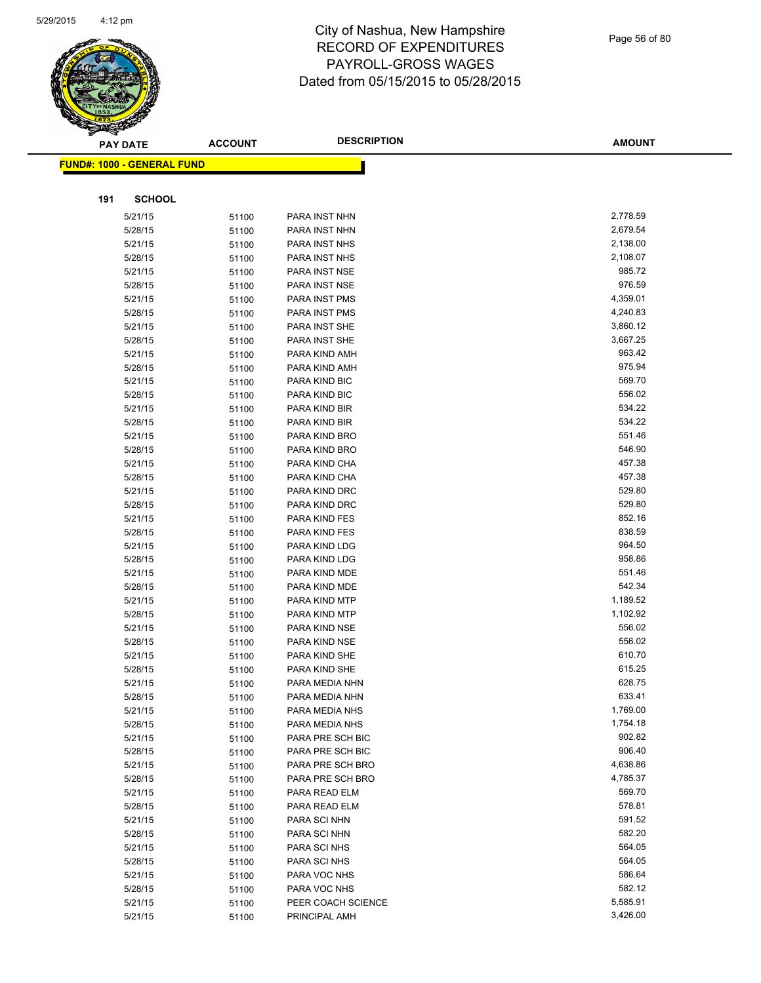

| ॼ   | <b>PAY DATE</b>                   | <b>ACCOUNT</b> | <b>DESCRIPTION</b>                | <b>AMOUNT</b>        |
|-----|-----------------------------------|----------------|-----------------------------------|----------------------|
|     | <b>FUND#: 1000 - GENERAL FUND</b> |                |                                   |                      |
|     |                                   |                |                                   |                      |
| 191 | <b>SCHOOL</b>                     |                |                                   |                      |
|     | 5/21/15                           | 51100          | PARA INST NHN                     | 2,778.59             |
|     | 5/28/15                           | 51100          | PARA INST NHN                     | 2,679.54             |
|     | 5/21/15                           | 51100          | PARA INST NHS                     | 2,138.00             |
|     | 5/28/15                           | 51100          | PARA INST NHS                     | 2,108.07             |
|     | 5/21/15                           | 51100          | PARA INST NSE                     | 985.72               |
|     | 5/28/15                           | 51100          | PARA INST NSE                     | 976.59               |
|     | 5/21/15                           | 51100          | PARA INST PMS                     | 4,359.01             |
|     | 5/28/15                           | 51100          | PARA INST PMS                     | 4,240.83             |
|     | 5/21/15                           | 51100          | PARA INST SHE                     | 3,860.12             |
|     | 5/28/15                           | 51100          | PARA INST SHE                     | 3,667.25             |
|     | 5/21/15                           | 51100          | PARA KIND AMH                     | 963.42               |
|     | 5/28/15                           | 51100          | PARA KIND AMH                     | 975.94               |
|     | 5/21/15                           | 51100          | PARA KIND BIC                     | 569.70               |
|     | 5/28/15                           | 51100          | PARA KIND BIC                     | 556.02               |
|     | 5/21/15                           | 51100          | PARA KIND BIR                     | 534.22               |
|     | 5/28/15                           | 51100          | PARA KIND BIR                     | 534.22               |
|     | 5/21/15                           | 51100          | PARA KIND BRO                     | 551.46               |
|     | 5/28/15                           | 51100          | PARA KIND BRO                     | 546.90               |
|     | 5/21/15                           | 51100          | PARA KIND CHA                     | 457.38               |
|     | 5/28/15                           | 51100          | PARA KIND CHA                     | 457.38               |
|     | 5/21/15                           | 51100          | PARA KIND DRC                     | 529.80               |
|     | 5/28/15                           | 51100          | PARA KIND DRC                     | 529.80               |
|     | 5/21/15                           | 51100          | PARA KIND FES                     | 852.16               |
|     | 5/28/15                           | 51100          | PARA KIND FES                     | 838.59               |
|     | 5/21/15                           | 51100          | PARA KIND LDG                     | 964.50               |
|     | 5/28/15                           | 51100          | PARA KIND LDG                     | 958.86               |
|     | 5/21/15                           | 51100          | PARA KIND MDE                     | 551.46               |
|     | 5/28/15                           | 51100          | PARA KIND MDE                     | 542.34               |
|     | 5/21/15                           | 51100          | PARA KIND MTP                     | 1,189.52             |
|     | 5/28/15                           | 51100          | PARA KIND MTP                     | 1,102.92             |
|     | 5/21/15                           | 51100          | PARA KIND NSE                     | 556.02               |
|     | 5/28/15                           | 51100          | PARA KIND NSE                     | 556.02               |
|     | 5/21/15                           | 51100          | PARA KIND SHE                     | 610.70               |
|     | 5/28/15                           | 51100          | PARA KIND SHE                     | 615.25               |
|     | 5/21/15                           | 51100          | PARA MEDIA NHN                    | 628.75               |
|     | 5/28/15                           | 51100          | PARA MEDIA NHN                    | 633.41               |
|     | 5/21/15                           | 51100          | PARA MEDIA NHS                    | 1,769.00             |
|     | 5/28/15                           | 51100          | PARA MEDIA NHS                    | 1,754.18             |
|     | 5/21/15                           | 51100          | PARA PRE SCH BIC                  | 902.82               |
|     | 5/28/15                           | 51100          | PARA PRE SCH BIC                  | 906.40               |
|     | 5/21/15                           | 51100          | PARA PRE SCH BRO                  | 4,638.86<br>4,785.37 |
|     | 5/28/15<br>5/21/15                | 51100          | PARA PRE SCH BRO<br>PARA READ ELM | 569.70               |
|     |                                   | 51100          |                                   | 578.81               |
|     | 5/28/15                           | 51100          | PARA READ ELM<br>PARA SCI NHN     | 591.52               |
|     | 5/21/15                           | 51100          |                                   | 582.20               |
|     | 5/28/15                           | 51100          | PARA SCI NHN<br>PARA SCI NHS      | 564.05               |
|     | 5/21/15<br>5/28/15                | 51100          | PARA SCI NHS                      | 564.05               |
|     | 5/21/15                           | 51100          | PARA VOC NHS                      | 586.64               |
|     | 5/28/15                           | 51100<br>51100 | PARA VOC NHS                      | 582.12               |
|     | 5/21/15                           |                | PEER COACH SCIENCE                | 5,585.91             |
|     | 5/21/15                           | 51100          | PRINCIPAL AMH                     | 3,426.00             |
|     |                                   | 51100          |                                   |                      |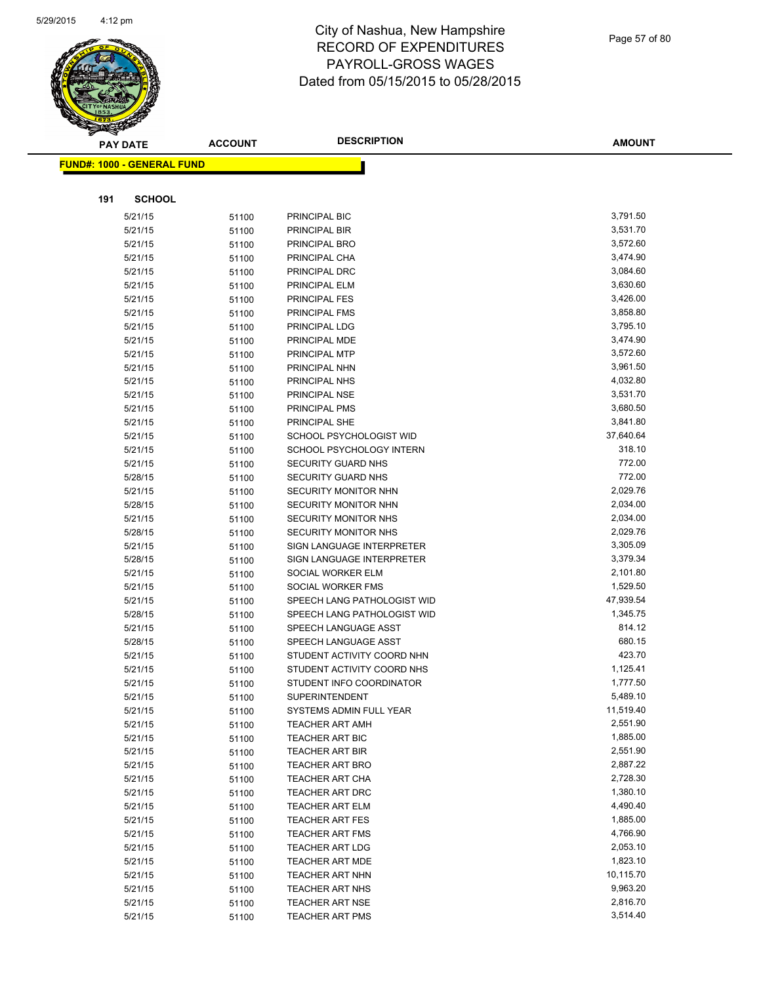

|     | <b>PAY DATE</b>                    | <b>ACCOUNT</b> | <b>DESCRIPTION</b>                                  | <b>AMOUNT</b>        |
|-----|------------------------------------|----------------|-----------------------------------------------------|----------------------|
|     | <u> FUND#: 1000 - GENERAL FUND</u> |                |                                                     |                      |
|     |                                    |                |                                                     |                      |
|     |                                    |                |                                                     |                      |
| 191 | <b>SCHOOL</b>                      |                |                                                     |                      |
|     | 5/21/15                            | 51100          | PRINCIPAL BIC                                       | 3,791.50             |
|     | 5/21/15                            | 51100          | PRINCIPAL BIR                                       | 3,531.70             |
|     | 5/21/15                            | 51100          | PRINCIPAL BRO                                       | 3,572.60             |
|     | 5/21/15                            | 51100          | PRINCIPAL CHA                                       | 3,474.90             |
|     | 5/21/15                            | 51100          | PRINCIPAL DRC                                       | 3,084.60             |
|     | 5/21/15                            | 51100          | PRINCIPAL ELM                                       | 3,630.60             |
|     | 5/21/15                            | 51100          | PRINCIPAL FES                                       | 3,426.00             |
|     | 5/21/15                            | 51100          | PRINCIPAL FMS                                       | 3,858.80             |
|     | 5/21/15                            | 51100          | PRINCIPAL LDG                                       | 3,795.10             |
|     | 5/21/15                            | 51100          | PRINCIPAL MDE                                       | 3,474.90             |
|     | 5/21/15                            | 51100          | PRINCIPAL MTP                                       | 3,572.60             |
|     | 5/21/15                            | 51100          | PRINCIPAL NHN                                       | 3,961.50<br>4,032.80 |
|     | 5/21/15                            | 51100          | PRINCIPAL NHS                                       |                      |
|     | 5/21/15                            | 51100          | PRINCIPAL NSE                                       | 3,531.70<br>3,680.50 |
|     | 5/21/15                            | 51100          | PRINCIPAL PMS                                       | 3,841.80             |
|     | 5/21/15                            | 51100          | PRINCIPAL SHE                                       | 37,640.64            |
|     | 5/21/15<br>5/21/15                 | 51100          | SCHOOL PSYCHOLOGIST WID<br>SCHOOL PSYCHOLOGY INTERN | 318.10               |
|     | 5/21/15                            | 51100          | <b>SECURITY GUARD NHS</b>                           | 772.00               |
|     | 5/28/15                            | 51100<br>51100 | <b>SECURITY GUARD NHS</b>                           | 772.00               |
|     | 5/21/15                            | 51100          | SECURITY MONITOR NHN                                | 2,029.76             |
|     | 5/28/15                            | 51100          | SECURITY MONITOR NHN                                | 2,034.00             |
|     | 5/21/15                            | 51100          | SECURITY MONITOR NHS                                | 2,034.00             |
|     | 5/28/15                            | 51100          | <b>SECURITY MONITOR NHS</b>                         | 2,029.76             |
|     | 5/21/15                            | 51100          | SIGN LANGUAGE INTERPRETER                           | 3,305.09             |
|     | 5/28/15                            | 51100          | SIGN LANGUAGE INTERPRETER                           | 3,379.34             |
|     | 5/21/15                            | 51100          | SOCIAL WORKER ELM                                   | 2,101.80             |
|     | 5/21/15                            | 51100          | SOCIAL WORKER FMS                                   | 1,529.50             |
|     | 5/21/15                            | 51100          | SPEECH LANG PATHOLOGIST WID                         | 47,939.54            |
|     | 5/28/15                            | 51100          | SPEECH LANG PATHOLOGIST WID                         | 1,345.75             |
|     | 5/21/15                            | 51100          | SPEECH LANGUAGE ASST                                | 814.12               |
|     | 5/28/15                            | 51100          | SPEECH LANGUAGE ASST                                | 680.15               |
|     | 5/21/15                            | 51100          | STUDENT ACTIVITY COORD NHN                          | 423.70               |
|     | 5/21/15                            | 51100          | STUDENT ACTIVITY COORD NHS                          | 1,125.41             |
|     | 5/21/15                            | 51100          | STUDENT INFO COORDINATOR                            | 1,777.50             |
|     | 5/21/15                            | 51100          | <b>SUPERINTENDENT</b>                               | 5,489.10             |
|     | 5/21/15                            | 51100          | SYSTEMS ADMIN FULL YEAR                             | 11,519.40            |
|     | 5/21/15                            | 51100          | <b>TEACHER ART AMH</b>                              | 2,551.90             |
|     | 5/21/15                            | 51100          | <b>TEACHER ART BIC</b>                              | 1,885.00             |
|     | 5/21/15                            | 51100          | <b>TEACHER ART BIR</b>                              | 2,551.90             |
|     | 5/21/15                            | 51100          | <b>TEACHER ART BRO</b>                              | 2,887.22             |
|     | 5/21/15                            | 51100          | <b>TEACHER ART CHA</b>                              | 2,728.30             |
|     | 5/21/15                            | 51100          | TEACHER ART DRC                                     | 1,380.10             |
|     | 5/21/15                            | 51100          | <b>TEACHER ART ELM</b>                              | 4,490.40             |
|     | 5/21/15                            | 51100          | <b>TEACHER ART FES</b>                              | 1,885.00             |
|     | 5/21/15                            | 51100          | <b>TEACHER ART FMS</b>                              | 4,766.90             |
|     | 5/21/15                            | 51100          | <b>TEACHER ART LDG</b>                              | 2,053.10             |
|     | 5/21/15                            | 51100          | <b>TEACHER ART MDE</b>                              | 1,823.10             |
|     | 5/21/15                            | 51100          | TEACHER ART NHN                                     | 10,115.70            |
|     | 5/21/15                            | 51100          | <b>TEACHER ART NHS</b>                              | 9,963.20             |
|     | 5/21/15                            | 51100          | <b>TEACHER ART NSE</b>                              | 2,816.70             |
|     | 5/21/15                            | 51100          | <b>TEACHER ART PMS</b>                              | 3,514.40             |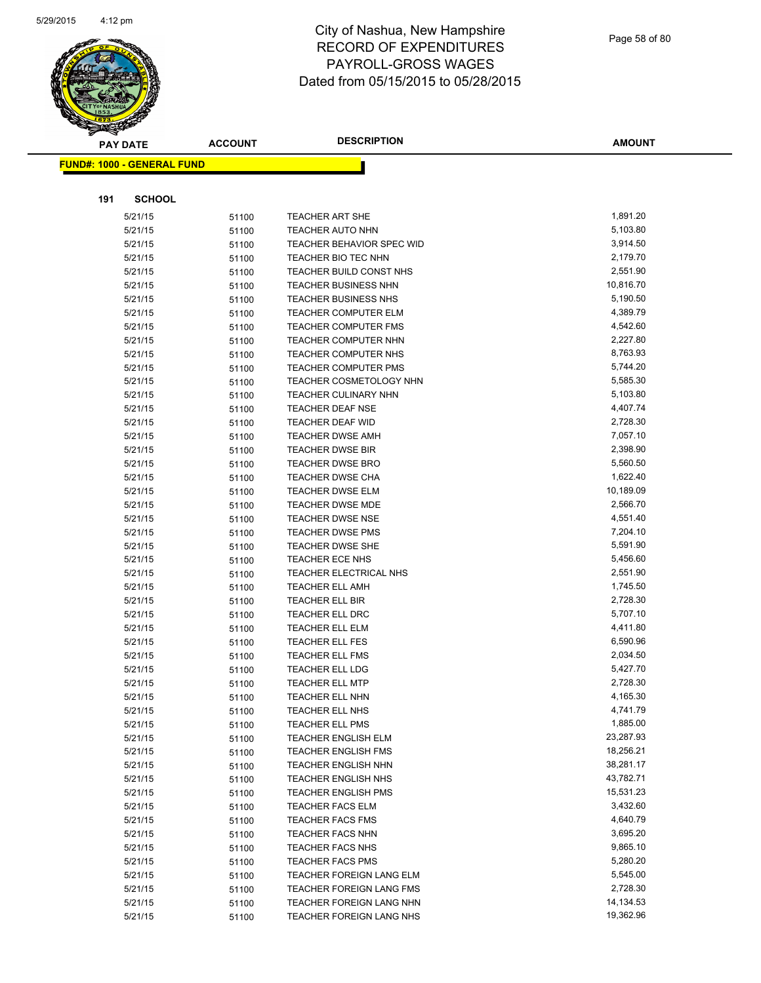

|     | <b>PAY DATE</b>                   | <b>ACCOUNT</b> | <b>DESCRIPTION</b>          | <b>AMOUNT</b> |
|-----|-----------------------------------|----------------|-----------------------------|---------------|
|     | <b>FUND#: 1000 - GENERAL FUND</b> |                |                             |               |
|     |                                   |                |                             |               |
|     |                                   |                |                             |               |
| 191 | <b>SCHOOL</b>                     |                |                             |               |
|     | 5/21/15                           | 51100          | <b>TEACHER ART SHE</b>      | 1,891.20      |
|     | 5/21/15                           | 51100          | <b>TEACHER AUTO NHN</b>     | 5,103.80      |
|     | 5/21/15                           | 51100          | TEACHER BEHAVIOR SPEC WID   | 3,914.50      |
|     | 5/21/15                           | 51100          | TEACHER BIO TEC NHN         | 2,179.70      |
|     | 5/21/15                           | 51100          | TEACHER BUILD CONST NHS     | 2,551.90      |
|     | 5/21/15                           | 51100          | <b>TEACHER BUSINESS NHN</b> | 10,816.70     |
|     | 5/21/15                           | 51100          | <b>TEACHER BUSINESS NHS</b> | 5,190.50      |
|     | 5/21/15                           | 51100          | <b>TEACHER COMPUTER ELM</b> | 4,389.79      |
|     | 5/21/15                           | 51100          | <b>TEACHER COMPUTER FMS</b> | 4,542.60      |
|     | 5/21/15                           | 51100          | TEACHER COMPUTER NHN        | 2,227.80      |
|     | 5/21/15                           | 51100          | TEACHER COMPUTER NHS        | 8,763.93      |
|     | 5/21/15                           | 51100          | <b>TEACHER COMPUTER PMS</b> | 5,744.20      |
|     | 5/21/15                           | 51100          | TEACHER COSMETOLOGY NHN     | 5,585.30      |
|     | 5/21/15                           | 51100          | <b>TEACHER CULINARY NHN</b> | 5,103.80      |
|     | 5/21/15                           | 51100          | <b>TEACHER DEAF NSE</b>     | 4,407.74      |
|     | 5/21/15                           | 51100          | <b>TEACHER DEAF WID</b>     | 2,728.30      |
|     | 5/21/15                           | 51100          | <b>TEACHER DWSE AMH</b>     | 7,057.10      |
|     | 5/21/15                           | 51100          | <b>TEACHER DWSE BIR</b>     | 2,398.90      |
|     | 5/21/15                           | 51100          | <b>TEACHER DWSE BRO</b>     | 5,560.50      |
|     | 5/21/15                           | 51100          | <b>TEACHER DWSE CHA</b>     | 1,622.40      |
|     | 5/21/15                           | 51100          | <b>TEACHER DWSE ELM</b>     | 10,189.09     |
|     | 5/21/15                           | 51100          | <b>TEACHER DWSE MDE</b>     | 2,566.70      |
|     | 5/21/15                           | 51100          | <b>TEACHER DWSE NSE</b>     | 4,551.40      |
|     | 5/21/15                           | 51100          | <b>TEACHER DWSE PMS</b>     | 7,204.10      |
|     | 5/21/15                           | 51100          | <b>TEACHER DWSE SHE</b>     | 5,591.90      |
|     | 5/21/15                           | 51100          | TEACHER ECE NHS             | 5,456.60      |
|     | 5/21/15                           | 51100          | TEACHER ELECTRICAL NHS      | 2,551.90      |
|     | 5/21/15                           | 51100          | <b>TEACHER ELL AMH</b>      | 1,745.50      |
|     | 5/21/15                           | 51100          | TEACHER ELL BIR             | 2,728.30      |
|     | 5/21/15                           | 51100          | TEACHER ELL DRC             | 5,707.10      |
|     | 5/21/15                           | 51100          | <b>TEACHER ELL ELM</b>      | 4,411.80      |
|     | 5/21/15                           | 51100          | <b>TEACHER ELL FES</b>      | 6,590.96      |
|     | 5/21/15                           | 51100          | <b>TEACHER ELL FMS</b>      | 2,034.50      |
|     | 5/21/15                           | 51100          | <b>TEACHER ELL LDG</b>      | 5,427.70      |
|     | 5/21/15                           | 51100          | <b>TEACHER ELL MTP</b>      | 2,728.30      |
|     | 5/21/15                           | 51100          | TEACHER ELL NHN             | 4,165.30      |
|     | 5/21/15                           | 51100          | TEACHER ELL NHS             | 4,741.79      |
|     | 5/21/15                           | 51100          | <b>TEACHER ELL PMS</b>      | 1,885.00      |
|     | 5/21/15                           | 51100          | <b>TEACHER ENGLISH ELM</b>  | 23,287.93     |
|     | 5/21/15                           | 51100          | <b>TEACHER ENGLISH FMS</b>  | 18,256.21     |
|     | 5/21/15                           | 51100          | TEACHER ENGLISH NHN         | 38,281.17     |
|     | 5/21/15                           | 51100          | <b>TEACHER ENGLISH NHS</b>  | 43,782.71     |
|     | 5/21/15                           | 51100          | <b>TEACHER ENGLISH PMS</b>  | 15,531.23     |
|     | 5/21/15                           | 51100          | <b>TEACHER FACS ELM</b>     | 3,432.60      |
|     | 5/21/15                           | 51100          | <b>TEACHER FACS FMS</b>     | 4,640.79      |
|     | 5/21/15                           | 51100          | <b>TEACHER FACS NHN</b>     | 3,695.20      |
|     | 5/21/15                           | 51100          | TEACHER FACS NHS            | 9,865.10      |
|     | 5/21/15                           | 51100          | <b>TEACHER FACS PMS</b>     | 5,280.20      |
|     | 5/21/15                           | 51100          | TEACHER FOREIGN LANG ELM    | 5,545.00      |
|     | 5/21/15                           | 51100          | TEACHER FOREIGN LANG FMS    | 2,728.30      |
|     | 5/21/15                           | 51100          | TEACHER FOREIGN LANG NHN    | 14,134.53     |
|     | 5/21/15                           | 51100          | TEACHER FOREIGN LANG NHS    | 19,362.96     |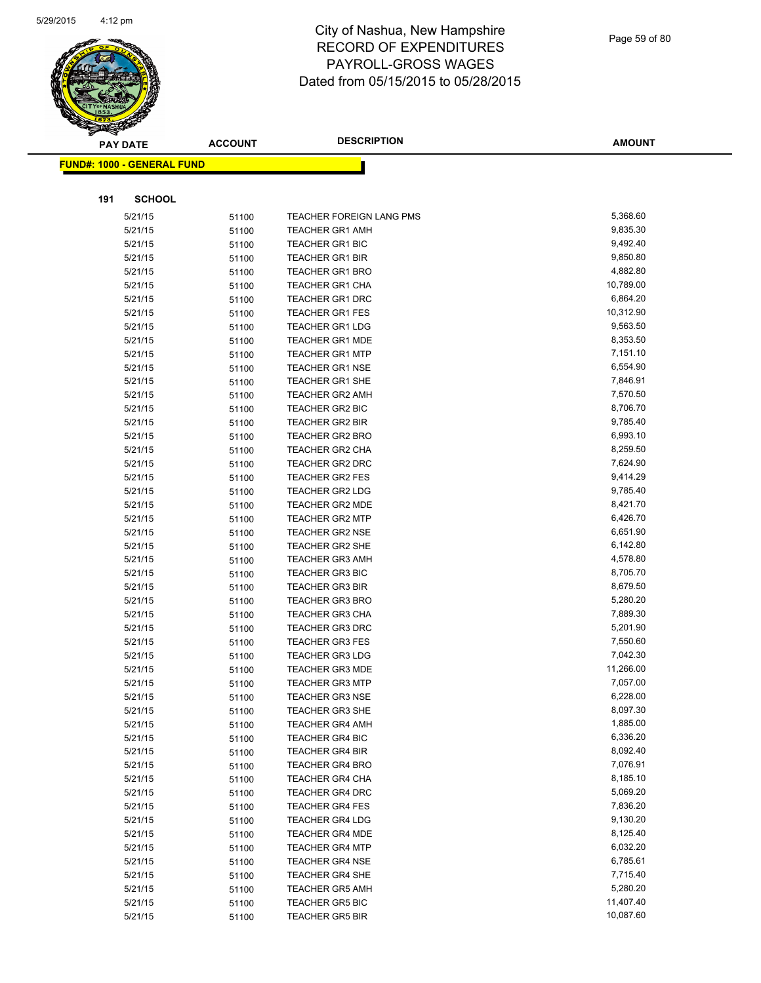

|     | <b>PAY DATE</b>                   | <b>ACCOUNT</b> | <b>DESCRIPTION</b>       | <b>AMOUNT</b> |
|-----|-----------------------------------|----------------|--------------------------|---------------|
|     | <b>FUND#: 1000 - GENERAL FUND</b> |                |                          |               |
|     |                                   |                |                          |               |
|     |                                   |                |                          |               |
| 191 | <b>SCHOOL</b>                     |                |                          |               |
|     | 5/21/15                           | 51100          | TEACHER FOREIGN LANG PMS | 5,368.60      |
|     | 5/21/15                           | 51100          | <b>TEACHER GR1 AMH</b>   | 9,835.30      |
|     | 5/21/15                           | 51100          | <b>TEACHER GR1 BIC</b>   | 9,492.40      |
|     | 5/21/15                           | 51100          | <b>TEACHER GR1 BIR</b>   | 9,850.80      |
|     | 5/21/15                           | 51100          | <b>TEACHER GR1 BRO</b>   | 4,882.80      |
|     | 5/21/15                           | 51100          | TEACHER GR1 CHA          | 10,789.00     |
|     | 5/21/15                           | 51100          | <b>TEACHER GR1 DRC</b>   | 6,864.20      |
|     | 5/21/15                           | 51100          | <b>TEACHER GR1 FES</b>   | 10,312.90     |
|     | 5/21/15                           | 51100          | <b>TEACHER GR1 LDG</b>   | 9,563.50      |
|     | 5/21/15                           | 51100          | <b>TEACHER GR1 MDE</b>   | 8,353.50      |
|     | 5/21/15                           | 51100          | <b>TEACHER GR1 MTP</b>   | 7,151.10      |
|     | 5/21/15                           | 51100          | <b>TEACHER GR1 NSE</b>   | 6,554.90      |
|     | 5/21/15                           | 51100          | <b>TEACHER GR1 SHE</b>   | 7,846.91      |
|     | 5/21/15                           | 51100          | TEACHER GR2 AMH          | 7,570.50      |
|     | 5/21/15                           | 51100          | TEACHER GR2 BIC          | 8,706.70      |
|     | 5/21/15                           | 51100          | <b>TEACHER GR2 BIR</b>   | 9,785.40      |
|     | 5/21/15                           | 51100          | <b>TEACHER GR2 BRO</b>   | 6,993.10      |
|     | 5/21/15                           | 51100          | <b>TEACHER GR2 CHA</b>   | 8,259.50      |
|     | 5/21/15                           | 51100          | <b>TEACHER GR2 DRC</b>   | 7,624.90      |
|     | 5/21/15                           | 51100          | <b>TEACHER GR2 FES</b>   | 9,414.29      |
|     | 5/21/15                           | 51100          | <b>TEACHER GR2 LDG</b>   | 9,785.40      |
|     | 5/21/15                           | 51100          | TEACHER GR2 MDE          | 8,421.70      |
|     | 5/21/15                           | 51100          | <b>TEACHER GR2 MTP</b>   | 6,426.70      |
|     | 5/21/15                           | 51100          | <b>TEACHER GR2 NSE</b>   | 6,651.90      |
|     | 5/21/15                           | 51100          | <b>TEACHER GR2 SHE</b>   | 6,142.80      |
|     | 5/21/15                           | 51100          | <b>TEACHER GR3 AMH</b>   | 4,578.80      |
|     | 5/21/15                           | 51100          | <b>TEACHER GR3 BIC</b>   | 8,705.70      |
|     | 5/21/15                           | 51100          | <b>TEACHER GR3 BIR</b>   | 8,679.50      |
|     | 5/21/15                           | 51100          | <b>TEACHER GR3 BRO</b>   | 5,280.20      |
|     | 5/21/15                           | 51100          | <b>TEACHER GR3 CHA</b>   | 7,889.30      |
|     | 5/21/15                           | 51100          | <b>TEACHER GR3 DRC</b>   | 5,201.90      |
|     | 5/21/15                           | 51100          | <b>TEACHER GR3 FES</b>   | 7,550.60      |
|     | 5/21/15                           | 51100          | <b>TEACHER GR3 LDG</b>   | 7,042.30      |
|     | 5/21/15                           | 51100          | <b>TEACHER GR3 MDE</b>   | 11,266.00     |
|     | 5/21/15                           | 51100          | <b>TEACHER GR3 MTP</b>   | 7,057.00      |
|     | 5/21/15                           | 51100          | TEACHER GR3 NSE          | 6,228.00      |
|     | 5/21/15                           | 51100          | <b>TEACHER GR3 SHE</b>   | 8,097.30      |
|     | 5/21/15                           | 51100          | <b>TEACHER GR4 AMH</b>   | 1,885.00      |
|     | 5/21/15                           | 51100          | TEACHER GR4 BIC          | 6,336.20      |
|     | 5/21/15                           | 51100          | <b>TEACHER GR4 BIR</b>   | 8,092.40      |
|     | 5/21/15                           | 51100          | <b>TEACHER GR4 BRO</b>   | 7,076.91      |
|     | 5/21/15                           | 51100          | <b>TEACHER GR4 CHA</b>   | 8,185.10      |
|     | 5/21/15                           | 51100          | <b>TEACHER GR4 DRC</b>   | 5,069.20      |
|     | 5/21/15                           | 51100          | <b>TEACHER GR4 FES</b>   | 7,836.20      |
|     | 5/21/15                           | 51100          | <b>TEACHER GR4 LDG</b>   | 9,130.20      |
|     | 5/21/15                           | 51100          | <b>TEACHER GR4 MDE</b>   | 8,125.40      |
|     | 5/21/15                           | 51100          | <b>TEACHER GR4 MTP</b>   | 6,032.20      |
|     | 5/21/15                           | 51100          | <b>TEACHER GR4 NSE</b>   | 6,785.61      |
|     | 5/21/15                           | 51100          | <b>TEACHER GR4 SHE</b>   | 7,715.40      |
|     | 5/21/15                           | 51100          | <b>TEACHER GR5 AMH</b>   | 5,280.20      |
|     | 5/21/15                           | 51100          | <b>TEACHER GR5 BIC</b>   | 11,407.40     |
|     | 5/21/15                           | 51100          | <b>TEACHER GR5 BIR</b>   | 10,087.60     |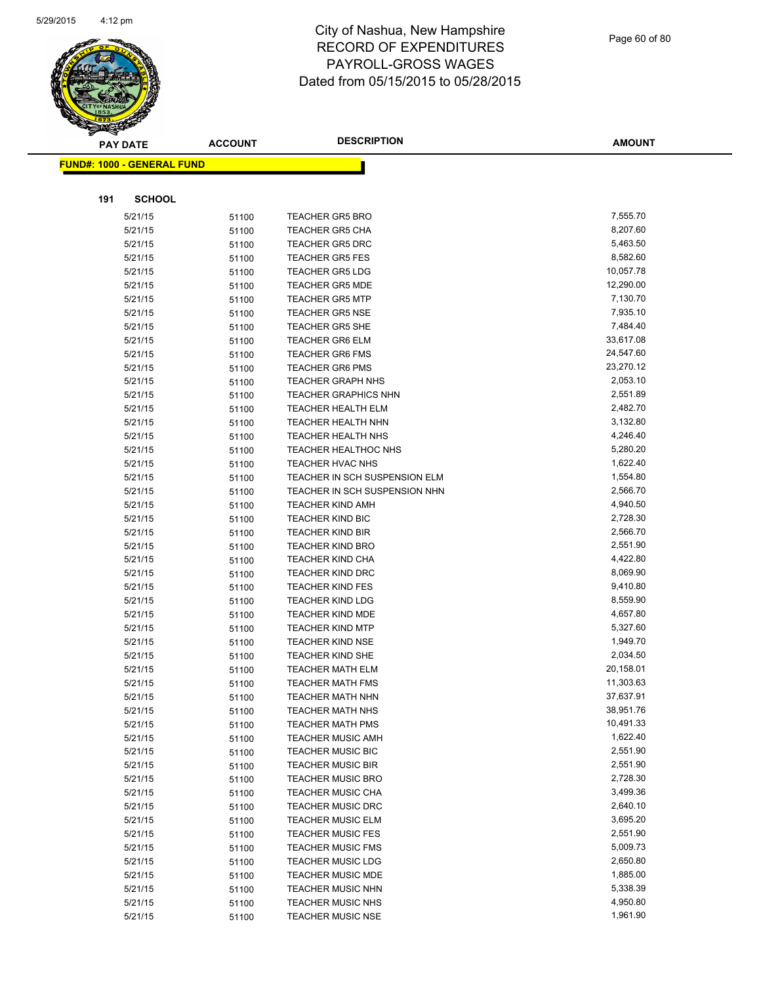

|     | <b>PAY DATE</b>                   | <b>ACCOUNT</b> | <b>DESCRIPTION</b>                                 | <b>AMOUNT</b>        |
|-----|-----------------------------------|----------------|----------------------------------------------------|----------------------|
|     | <b>FUND#: 1000 - GENERAL FUND</b> |                |                                                    |                      |
|     |                                   |                |                                                    |                      |
| 191 | <b>SCHOOL</b>                     |                |                                                    |                      |
|     | 5/21/15                           | 51100          | <b>TEACHER GR5 BRO</b>                             | 7,555.70             |
|     | 5/21/15                           | 51100          | <b>TEACHER GR5 CHA</b>                             | 8,207.60             |
|     | 5/21/15                           | 51100          | <b>TEACHER GR5 DRC</b>                             | 5,463.50             |
|     | 5/21/15                           | 51100          | <b>TEACHER GR5 FES</b>                             | 8,582.60             |
|     | 5/21/15                           | 51100          | <b>TEACHER GR5 LDG</b>                             | 10,057.78            |
|     | 5/21/15                           | 51100          | <b>TEACHER GR5 MDE</b>                             | 12,290.00            |
|     | 5/21/15                           | 51100          | <b>TEACHER GR5 MTP</b>                             | 7,130.70             |
|     | 5/21/15                           | 51100          | <b>TEACHER GR5 NSE</b>                             | 7,935.10             |
|     | 5/21/15                           | 51100          | <b>TEACHER GR5 SHE</b>                             | 7,484.40             |
|     | 5/21/15                           | 51100          | <b>TEACHER GR6 ELM</b>                             | 33,617.08            |
|     | 5/21/15                           | 51100          | <b>TEACHER GR6 FMS</b>                             | 24,547.60            |
|     | 5/21/15                           | 51100          | <b>TEACHER GR6 PMS</b>                             | 23,270.12            |
|     | 5/21/15                           | 51100          | <b>TEACHER GRAPH NHS</b>                           | 2,053.10             |
|     | 5/21/15                           | 51100          | <b>TEACHER GRAPHICS NHN</b>                        | 2,551.89             |
|     | 5/21/15                           | 51100          | <b>TEACHER HEALTH ELM</b>                          | 2,482.70             |
|     | 5/21/15                           | 51100          | <b>TEACHER HEALTH NHN</b>                          | 3,132.80             |
|     | 5/21/15                           | 51100          | <b>TEACHER HEALTH NHS</b>                          | 4,246.40             |
|     | 5/21/15                           | 51100          | <b>TEACHER HEALTHOC NHS</b>                        | 5,280.20             |
|     | 5/21/15                           | 51100          | <b>TEACHER HVAC NHS</b>                            | 1,622.40             |
|     | 5/21/15                           | 51100          | TEACHER IN SCH SUSPENSION ELM                      | 1,554.80             |
|     | 5/21/15                           | 51100          | TEACHER IN SCH SUSPENSION NHN                      | 2,566.70             |
|     | 5/21/15                           | 51100          | <b>TEACHER KIND AMH</b>                            | 4,940.50             |
|     | 5/21/15                           | 51100          | <b>TEACHER KIND BIC</b>                            | 2,728.30             |
|     | 5/21/15                           | 51100          | <b>TEACHER KIND BIR</b>                            | 2,566.70             |
|     | 5/21/15                           | 51100          | <b>TEACHER KIND BRO</b>                            | 2,551.90             |
|     | 5/21/15                           | 51100          | <b>TEACHER KIND CHA</b>                            | 4,422.80             |
|     | 5/21/15                           | 51100          | <b>TEACHER KIND DRC</b>                            | 8,069.90             |
|     | 5/21/15                           | 51100          | <b>TEACHER KIND FES</b><br><b>TEACHER KIND LDG</b> | 9,410.80<br>8,559.90 |
|     | 5/21/15<br>5/21/15                | 51100          | <b>TEACHER KIND MDE</b>                            | 4,657.80             |
|     | 5/21/15                           | 51100<br>51100 | <b>TEACHER KIND MTP</b>                            | 5,327.60             |
|     | 5/21/15                           | 51100          | <b>TEACHER KIND NSE</b>                            | 1,949.70             |
|     | 5/21/15                           | 51100          | TEACHER KIND SHE                                   | 2,034.50             |
|     | 5/21/15                           | 51100          | <b>TEACHER MATH ELM</b>                            | 20,158.01            |
|     | 5/21/15                           | 51100          | <b>TEACHER MATH FMS</b>                            | 11,303.63            |
|     | 5/21/15                           | 51100          | <b>TEACHER MATH NHN</b>                            | 37,637.91            |
|     | 5/21/15                           | 51100          | <b>TEACHER MATH NHS</b>                            | 38,951.76            |
|     | 5/21/15                           | 51100          | <b>TEACHER MATH PMS</b>                            | 10,491.33            |
|     | 5/21/15                           | 51100          | <b>TEACHER MUSIC AMH</b>                           | 1,622.40             |
|     | 5/21/15                           | 51100          | <b>TEACHER MUSIC BIC</b>                           | 2,551.90             |
|     | 5/21/15                           | 51100          | <b>TEACHER MUSIC BIR</b>                           | 2,551.90             |
|     | 5/21/15                           | 51100          | <b>TEACHER MUSIC BRO</b>                           | 2,728.30             |
|     | 5/21/15                           | 51100          | <b>TEACHER MUSIC CHA</b>                           | 3,499.36             |
|     | 5/21/15                           | 51100          | <b>TEACHER MUSIC DRC</b>                           | 2,640.10             |
|     | 5/21/15                           | 51100          | <b>TEACHER MUSIC ELM</b>                           | 3,695.20             |
|     | 5/21/15                           | 51100          | <b>TEACHER MUSIC FES</b>                           | 2,551.90             |
|     | 5/21/15                           | 51100          | <b>TEACHER MUSIC FMS</b>                           | 5,009.73             |
|     | 5/21/15                           | 51100          | <b>TEACHER MUSIC LDG</b>                           | 2,650.80             |
|     | 5/21/15                           | 51100          | <b>TEACHER MUSIC MDE</b>                           | 1,885.00             |
|     | 5/21/15                           | 51100          | <b>TEACHER MUSIC NHN</b>                           | 5,338.39             |
|     | 5/21/15                           | 51100          | <b>TEACHER MUSIC NHS</b>                           | 4,950.80             |
|     | 5/21/15                           | 51100          | <b>TEACHER MUSIC NSE</b>                           | 1,961.90             |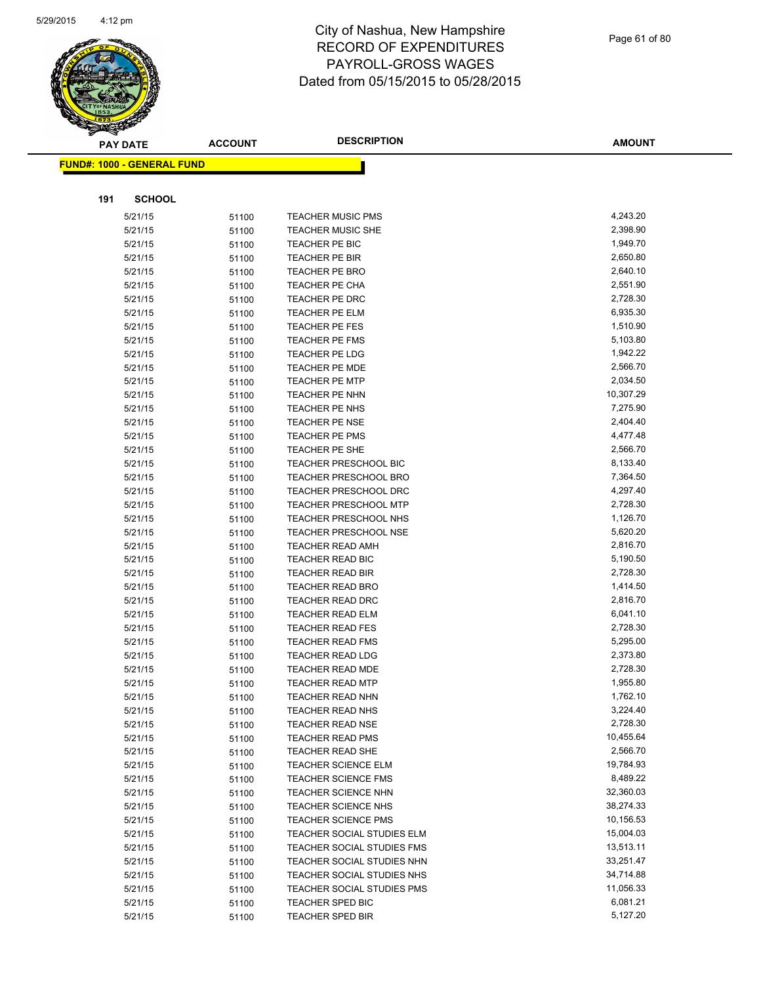

|     | <b>PAY DATE</b>                    | <b>ACCOUNT</b> | <b>DESCRIPTION</b>                                 | <b>AMOUNT</b>        |
|-----|------------------------------------|----------------|----------------------------------------------------|----------------------|
|     | <u> FUND#: 1000 - GENERAL FUND</u> |                |                                                    |                      |
|     |                                    |                |                                                    |                      |
|     |                                    |                |                                                    |                      |
| 191 | <b>SCHOOL</b>                      |                |                                                    |                      |
|     | 5/21/15                            | 51100          | <b>TEACHER MUSIC PMS</b>                           | 4,243.20             |
|     | 5/21/15                            | 51100          | <b>TEACHER MUSIC SHE</b>                           | 2,398.90             |
|     | 5/21/15                            | 51100          | TEACHER PE BIC                                     | 1,949.70             |
|     | 5/21/15                            | 51100          | TEACHER PE BIR                                     | 2,650.80             |
|     | 5/21/15                            | 51100          | TEACHER PE BRO                                     | 2,640.10             |
|     | 5/21/15                            | 51100          | <b>TEACHER PE CHA</b>                              | 2,551.90             |
|     | 5/21/15                            | 51100          | TEACHER PE DRC                                     | 2,728.30             |
|     | 5/21/15                            | 51100          | TEACHER PE ELM                                     | 6,935.30             |
|     | 5/21/15                            | 51100          | TEACHER PE FES                                     | 1,510.90             |
|     | 5/21/15                            | 51100          | <b>TEACHER PE FMS</b>                              | 5,103.80             |
|     | 5/21/15                            | 51100          | <b>TEACHER PE LDG</b>                              | 1,942.22             |
|     | 5/21/15                            | 51100          | <b>TEACHER PE MDE</b>                              | 2,566.70             |
|     | 5/21/15                            | 51100          | <b>TEACHER PE MTP</b>                              | 2,034.50             |
|     | 5/21/15                            | 51100          | TEACHER PE NHN                                     | 10,307.29            |
|     | 5/21/15                            | 51100          | TEACHER PE NHS                                     | 7,275.90             |
|     | 5/21/15                            | 51100          | <b>TEACHER PE NSE</b>                              | 2,404.40             |
|     | 5/21/15                            | 51100          | TEACHER PE PMS                                     | 4,477.48             |
|     | 5/21/15                            | 51100          | TEACHER PE SHE                                     | 2,566.70             |
|     | 5/21/15                            | 51100          | <b>TEACHER PRESCHOOL BIC</b>                       | 8,133.40             |
|     | 5/21/15                            | 51100          | TEACHER PRESCHOOL BRO                              | 7,364.50             |
|     | 5/21/15                            | 51100          | <b>TEACHER PRESCHOOL DRC</b>                       | 4,297.40             |
|     | 5/21/15                            | 51100          | TEACHER PRESCHOOL MTP                              | 2,728.30             |
|     | 5/21/15                            | 51100          | TEACHER PRESCHOOL NHS                              | 1,126.70             |
|     | 5/21/15                            | 51100          | TEACHER PRESCHOOL NSE                              | 5,620.20             |
|     | 5/21/15                            | 51100          | <b>TEACHER READ AMH</b>                            | 2,816.70             |
|     | 5/21/15                            | 51100          | <b>TEACHER READ BIC</b>                            | 5,190.50             |
|     | 5/21/15                            | 51100          | <b>TEACHER READ BIR</b>                            | 2,728.30             |
|     | 5/21/15                            | 51100          | <b>TEACHER READ BRO</b>                            | 1,414.50             |
|     | 5/21/15                            | 51100          | <b>TEACHER READ DRC</b>                            | 2,816.70             |
|     | 5/21/15                            | 51100          | <b>TEACHER READ ELM</b>                            | 6,041.10             |
|     | 5/21/15                            | 51100          | <b>TEACHER READ FES</b>                            | 2,728.30             |
|     | 5/21/15                            | 51100          | <b>TEACHER READ FMS</b>                            | 5,295.00             |
|     | 5/21/15                            | 51100          | <b>TEACHER READ LDG</b>                            | 2,373.80             |
|     | 5/21/15                            | 51100          | <b>TEACHER READ MDE</b>                            | 2,728.30             |
|     | 5/21/15                            | 51100          | <b>TEACHER READ MTP</b>                            | 1,955.80             |
|     | 5/21/15                            | 51100          | TEACHER READ NHN                                   | 1,762.10             |
|     | 5/21/15                            | 51100          | <b>TEACHER READ NHS</b>                            | 3,224.40<br>2,728.30 |
|     | 5/21/15                            | 51100          | <b>TEACHER READ NSE</b>                            | 10,455.64            |
|     | 5/21/15                            | 51100          | <b>TEACHER READ PMS</b><br><b>TEACHER READ SHE</b> | 2,566.70             |
|     | 5/21/15<br>5/21/15                 | 51100          | <b>TEACHER SCIENCE ELM</b>                         | 19,784.93            |
|     | 5/21/15                            | 51100          | <b>TEACHER SCIENCE FMS</b>                         | 8,489.22             |
|     | 5/21/15                            | 51100          | <b>TEACHER SCIENCE NHN</b>                         | 32,360.03            |
|     | 5/21/15                            | 51100          | <b>TEACHER SCIENCE NHS</b>                         | 38,274.33            |
|     | 5/21/15                            | 51100          | <b>TEACHER SCIENCE PMS</b>                         | 10,156.53            |
|     | 5/21/15                            | 51100<br>51100 | TEACHER SOCIAL STUDIES ELM                         | 15,004.03            |
|     | 5/21/15                            | 51100          | TEACHER SOCIAL STUDIES FMS                         | 13,513.11            |
|     | 5/21/15                            | 51100          | TEACHER SOCIAL STUDIES NHN                         | 33,251.47            |
|     | 5/21/15                            | 51100          | TEACHER SOCIAL STUDIES NHS                         | 34,714.88            |
|     | 5/21/15                            | 51100          | TEACHER SOCIAL STUDIES PMS                         | 11,056.33            |
|     | 5/21/15                            | 51100          | TEACHER SPED BIC                                   | 6,081.21             |
|     | 5/21/15                            | 51100          | <b>TEACHER SPED BIR</b>                            | 5,127.20             |
|     |                                    |                |                                                    |                      |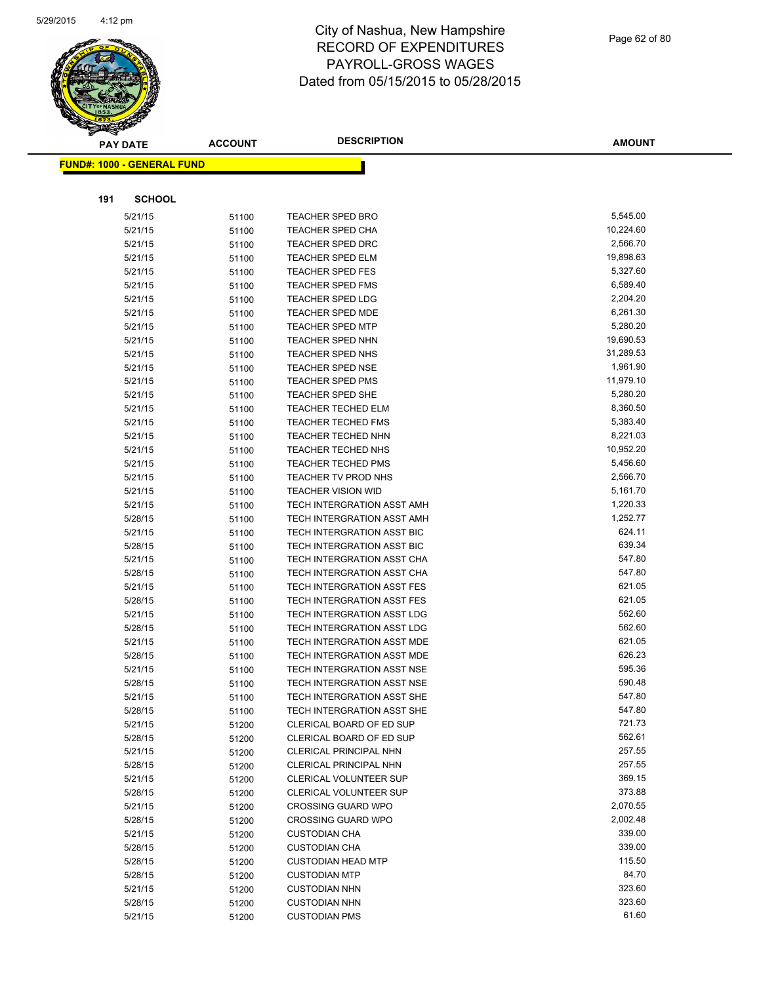

|     | <b>PAY DATE</b>                    | <b>ACCOUNT</b> | <b>DESCRIPTION</b>                            | <b>AMOUNT</b>         |
|-----|------------------------------------|----------------|-----------------------------------------------|-----------------------|
|     | <u> FUND#: 1000 - GENERAL FUND</u> |                |                                               |                       |
|     |                                    |                |                                               |                       |
|     |                                    |                |                                               |                       |
| 191 | <b>SCHOOL</b>                      |                |                                               |                       |
|     | 5/21/15                            | 51100          | <b>TEACHER SPED BRO</b>                       | 5,545.00              |
|     | 5/21/15                            | 51100          | <b>TEACHER SPED CHA</b>                       | 10,224.60             |
|     | 5/21/15                            | 51100          | <b>TEACHER SPED DRC</b>                       | 2,566.70              |
|     | 5/21/15                            | 51100          | TEACHER SPED ELM                              | 19,898.63             |
|     | 5/21/15                            | 51100          | <b>TEACHER SPED FES</b>                       | 5,327.60              |
|     | 5/21/15                            | 51100          | <b>TEACHER SPED FMS</b>                       | 6,589.40              |
|     | 5/21/15                            | 51100          | <b>TEACHER SPED LDG</b>                       | 2,204.20              |
|     | 5/21/15                            | 51100          | TEACHER SPED MDE                              | 6,261.30              |
|     | 5/21/15                            | 51100          | <b>TEACHER SPED MTP</b>                       | 5,280.20              |
|     | 5/21/15                            | 51100          | <b>TEACHER SPED NHN</b>                       | 19,690.53             |
|     | 5/21/15                            | 51100          | TEACHER SPED NHS                              | 31,289.53             |
|     | 5/21/15                            | 51100          | <b>TEACHER SPED NSE</b>                       | 1,961.90              |
|     | 5/21/15                            | 51100          | <b>TEACHER SPED PMS</b>                       | 11,979.10<br>5,280.20 |
|     | 5/21/15<br>5/21/15                 | 51100          | TEACHER SPED SHE<br><b>TEACHER TECHED ELM</b> | 8,360.50              |
|     | 5/21/15                            | 51100          | <b>TEACHER TECHED FMS</b>                     | 5,383.40              |
|     | 5/21/15                            | 51100          | TEACHER TECHED NHN                            | 8,221.03              |
|     | 5/21/15                            | 51100<br>51100 | <b>TEACHER TECHED NHS</b>                     | 10,952.20             |
|     | 5/21/15                            |                | TEACHER TECHED PMS                            | 5,456.60              |
|     | 5/21/15                            | 51100<br>51100 | <b>TEACHER TV PROD NHS</b>                    | 2,566.70              |
|     | 5/21/15                            | 51100          | <b>TEACHER VISION WID</b>                     | 5,161.70              |
|     | 5/21/15                            | 51100          | <b>TECH INTERGRATION ASST AMH</b>             | 1,220.33              |
|     | 5/28/15                            | 51100          | <b>TECH INTERGRATION ASST AMH</b>             | 1,252.77              |
|     | 5/21/15                            | 51100          | TECH INTERGRATION ASST BIC                    | 624.11                |
|     | 5/28/15                            | 51100          | TECH INTERGRATION ASST BIC                    | 639.34                |
|     | 5/21/15                            | 51100          | TECH INTERGRATION ASST CHA                    | 547.80                |
|     | 5/28/15                            | 51100          | TECH INTERGRATION ASST CHA                    | 547.80                |
|     | 5/21/15                            | 51100          | TECH INTERGRATION ASST FES                    | 621.05                |
|     | 5/28/15                            | 51100          | TECH INTERGRATION ASST FES                    | 621.05                |
|     | 5/21/15                            | 51100          | TECH INTERGRATION ASST LDG                    | 562.60                |
|     | 5/28/15                            | 51100          | TECH INTERGRATION ASST LDG                    | 562.60                |
|     | 5/21/15                            | 51100          | TECH INTERGRATION ASST MDE                    | 621.05                |
|     | 5/28/15                            | 51100          | TECH INTERGRATION ASST MDE                    | 626.23                |
|     | 5/21/15                            | 51100          | TECH INTERGRATION ASST NSE                    | 595.36                |
|     | 5/28/15                            | 51100          | TECH INTERGRATION ASST NSE                    | 590.48                |
|     | 5/21/15                            | 51100          | TECH INTERGRATION ASST SHE                    | 547.80                |
|     | 5/28/15                            | 51100          | TECH INTERGRATION ASST SHE                    | 547.80                |
|     | 5/21/15                            | 51200          | CLERICAL BOARD OF ED SUP                      | 721.73                |
|     | 5/28/15                            | 51200          | CLERICAL BOARD OF ED SUP                      | 562.61                |
|     | 5/21/15                            | 51200          | CLERICAL PRINCIPAL NHN                        | 257.55                |
|     | 5/28/15                            | 51200          | CLERICAL PRINCIPAL NHN                        | 257.55                |
|     | 5/21/15                            | 51200          | CLERICAL VOLUNTEER SUP                        | 369.15                |
|     | 5/28/15                            | 51200          | <b>CLERICAL VOLUNTEER SUP</b>                 | 373.88                |
|     | 5/21/15                            | 51200          | <b>CROSSING GUARD WPO</b>                     | 2,070.55              |
|     | 5/28/15                            | 51200          | <b>CROSSING GUARD WPO</b>                     | 2,002.48              |
|     | 5/21/15                            | 51200          | <b>CUSTODIAN CHA</b>                          | 339.00                |
|     | 5/28/15                            | 51200          | <b>CUSTODIAN CHA</b>                          | 339.00                |
|     | 5/28/15                            | 51200          | <b>CUSTODIAN HEAD MTP</b>                     | 115.50                |
|     | 5/28/15                            | 51200          | <b>CUSTODIAN MTP</b>                          | 84.70                 |
|     | 5/21/15                            | 51200          | <b>CUSTODIAN NHN</b>                          | 323.60                |
|     | 5/28/15                            | 51200          | <b>CUSTODIAN NHN</b>                          | 323.60                |
|     | 5/21/15                            | 51200          | <b>CUSTODIAN PMS</b>                          | 61.60                 |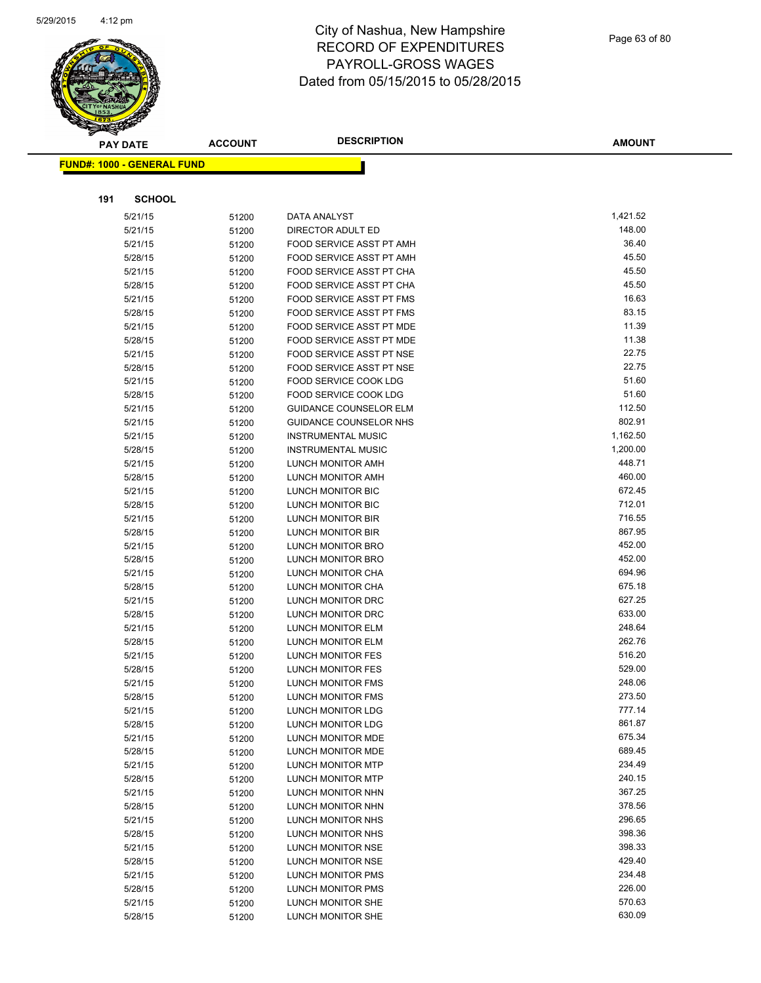

|     | <b>PAY DATE</b>                   | <b>ACCOUNT</b> | <b>DESCRIPTION</b>                     | <b>AMOUNT</b>    |
|-----|-----------------------------------|----------------|----------------------------------------|------------------|
|     | <b>FUND#: 1000 - GENERAL FUND</b> |                |                                        |                  |
|     |                                   |                |                                        |                  |
|     |                                   |                |                                        |                  |
| 191 | <b>SCHOOL</b>                     |                |                                        |                  |
|     | 5/21/15                           | 51200          | <b>DATA ANALYST</b>                    | 1,421.52         |
|     | 5/21/15                           | 51200          | DIRECTOR ADULT ED                      | 148.00           |
|     | 5/21/15                           | 51200          | FOOD SERVICE ASST PT AMH               | 36.40            |
|     | 5/28/15                           | 51200          | FOOD SERVICE ASST PT AMH               | 45.50            |
|     | 5/21/15                           | 51200          | FOOD SERVICE ASST PT CHA               | 45.50            |
|     | 5/28/15                           | 51200          | FOOD SERVICE ASST PT CHA               | 45.50            |
|     | 5/21/15                           | 51200          | FOOD SERVICE ASST PT FMS               | 16.63            |
|     | 5/28/15                           | 51200          | FOOD SERVICE ASST PT FMS               | 83.15            |
|     | 5/21/15                           | 51200          | FOOD SERVICE ASST PT MDE               | 11.39            |
|     | 5/28/15                           | 51200          | FOOD SERVICE ASST PT MDE               | 11.38            |
|     | 5/21/15                           | 51200          | FOOD SERVICE ASST PT NSE               | 22.75            |
|     | 5/28/15                           | 51200          | FOOD SERVICE ASST PT NSE               | 22.75            |
|     | 5/21/15                           | 51200          | FOOD SERVICE COOK LDG                  | 51.60            |
|     | 5/28/15                           | 51200          | <b>FOOD SERVICE COOK LDG</b>           | 51.60            |
|     | 5/21/15                           | 51200          | <b>GUIDANCE COUNSELOR ELM</b>          | 112.50           |
|     | 5/21/15                           | 51200          | <b>GUIDANCE COUNSELOR NHS</b>          | 802.91           |
|     | 5/21/15                           | 51200          | <b>INSTRUMENTAL MUSIC</b>              | 1,162.50         |
|     | 5/28/15                           | 51200          | <b>INSTRUMENTAL MUSIC</b>              | 1,200.00         |
|     | 5/21/15                           | 51200          | LUNCH MONITOR AMH                      | 448.71           |
|     | 5/28/15                           | 51200          | LUNCH MONITOR AMH                      | 460.00           |
|     | 5/21/15                           | 51200          | LUNCH MONITOR BIC                      | 672.45           |
|     | 5/28/15                           | 51200          | LUNCH MONITOR BIC                      | 712.01           |
|     | 5/21/15                           | 51200          | LUNCH MONITOR BIR                      | 716.55           |
|     | 5/28/15                           | 51200          | LUNCH MONITOR BIR                      | 867.95           |
|     | 5/21/15                           | 51200          | <b>LUNCH MONITOR BRO</b>               | 452.00           |
|     | 5/28/15                           | 51200          | LUNCH MONITOR BRO                      | 452.00<br>694.96 |
|     | 5/21/15<br>5/28/15                | 51200          | LUNCH MONITOR CHA<br>LUNCH MONITOR CHA | 675.18           |
|     |                                   | 51200          | LUNCH MONITOR DRC                      | 627.25           |
|     | 5/21/15<br>5/28/15                | 51200          | LUNCH MONITOR DRC                      | 633.00           |
|     | 5/21/15                           | 51200<br>51200 | <b>LUNCH MONITOR ELM</b>               | 248.64           |
|     | 5/28/15                           | 51200          | LUNCH MONITOR ELM                      | 262.76           |
|     | 5/21/15                           | 51200          | LUNCH MONITOR FES                      | 516.20           |
|     | 5/28/15                           | 51200          | LUNCH MONITOR FES                      | 529.00           |
|     | 5/21/15                           | 51200          | <b>LUNCH MONITOR FMS</b>               | 248.06           |
|     | 5/28/15                           | 51200          | LUNCH MONITOR FMS                      | 273.50           |
|     | 5/21/15                           | 51200          | <b>LUNCH MONITOR LDG</b>               | 777.14           |
|     | 5/28/15                           | 51200          | LUNCH MONITOR LDG                      | 861.87           |
|     | 5/21/15                           | 51200          | LUNCH MONITOR MDE                      | 675.34           |
|     | 5/28/15                           | 51200          | LUNCH MONITOR MDE                      | 689.45           |
|     | 5/21/15                           | 51200          | LUNCH MONITOR MTP                      | 234.49           |
|     | 5/28/15                           | 51200          | <b>LUNCH MONITOR MTP</b>               | 240.15           |
|     | 5/21/15                           | 51200          | LUNCH MONITOR NHN                      | 367.25           |
|     | 5/28/15                           | 51200          | LUNCH MONITOR NHN                      | 378.56           |
|     | 5/21/15                           | 51200          | LUNCH MONITOR NHS                      | 296.65           |
|     | 5/28/15                           | 51200          | LUNCH MONITOR NHS                      | 398.36           |
|     | 5/21/15                           | 51200          | <b>LUNCH MONITOR NSE</b>               | 398.33           |
|     | 5/28/15                           | 51200          | LUNCH MONITOR NSE                      | 429.40           |
|     | 5/21/15                           | 51200          | LUNCH MONITOR PMS                      | 234.48           |
|     | 5/28/15                           | 51200          | LUNCH MONITOR PMS                      | 226.00           |
|     | 5/21/15                           | 51200          | LUNCH MONITOR SHE                      | 570.63           |
|     | 5/28/15                           | 51200          | LUNCH MONITOR SHE                      | 630.09           |
|     |                                   |                |                                        |                  |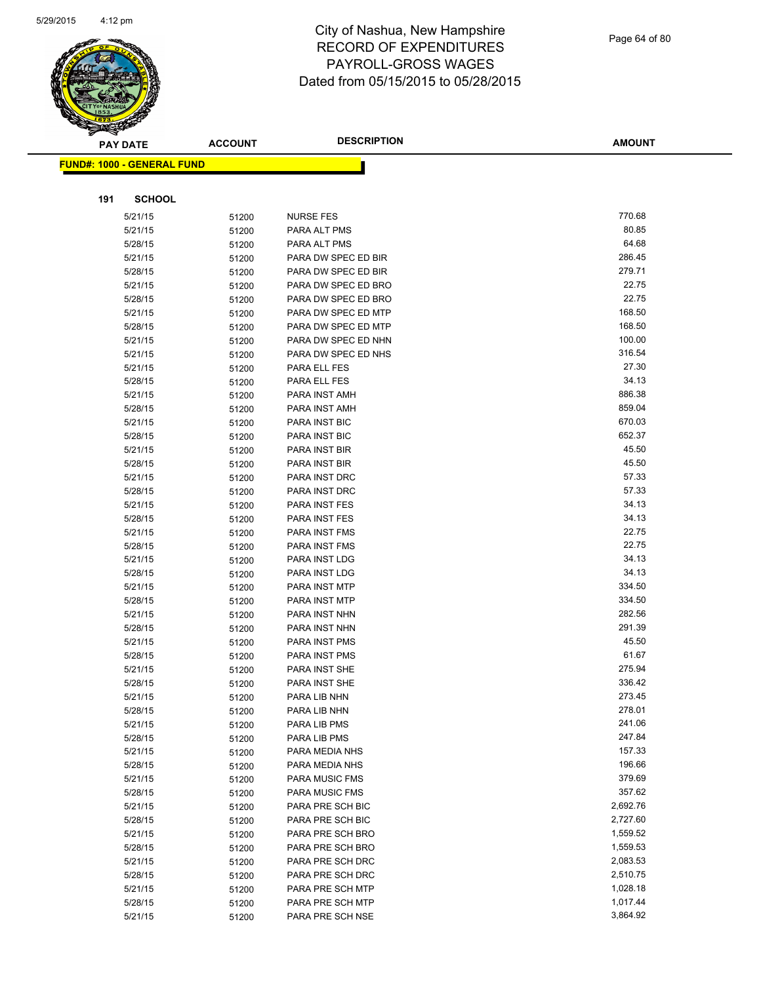

|     | <b>PAY DATE</b>                   | <b>ACCOUNT</b> | <b>DESCRIPTION</b>             | <b>AMOUNT</b>    |
|-----|-----------------------------------|----------------|--------------------------------|------------------|
|     | <b>FUND#: 1000 - GENERAL FUND</b> |                |                                |                  |
|     |                                   |                |                                |                  |
|     |                                   |                |                                |                  |
| 191 | <b>SCHOOL</b>                     |                |                                |                  |
|     | 5/21/15                           | 51200          | <b>NURSE FES</b>               | 770.68           |
|     | 5/21/15                           | 51200          | PARA ALT PMS                   | 80.85            |
|     | 5/28/15                           | 51200          | PARA ALT PMS                   | 64.68            |
|     | 5/21/15                           | 51200          | PARA DW SPEC ED BIR            | 286.45           |
|     | 5/28/15                           | 51200          | PARA DW SPEC ED BIR            | 279.71           |
|     | 5/21/15                           | 51200          | PARA DW SPEC ED BRO            | 22.75            |
|     | 5/28/15                           | 51200          | PARA DW SPEC ED BRO            | 22.75            |
|     | 5/21/15                           | 51200          | PARA DW SPEC ED MTP            | 168.50           |
|     | 5/28/15                           | 51200          | PARA DW SPEC ED MTP            | 168.50           |
|     | 5/21/15                           | 51200          | PARA DW SPEC ED NHN            | 100.00           |
|     | 5/21/15                           | 51200          | PARA DW SPEC ED NHS            | 316.54           |
|     | 5/21/15                           | 51200          | PARA ELL FES                   | 27.30            |
|     | 5/28/15                           | 51200          | PARA ELL FES                   | 34.13            |
|     | 5/21/15                           | 51200          | PARA INST AMH                  | 886.38           |
|     | 5/28/15                           | 51200          | PARA INST AMH                  | 859.04           |
|     | 5/21/15                           | 51200          | PARA INST BIC                  | 670.03<br>652.37 |
|     | 5/28/15                           | 51200          | PARA INST BIC                  | 45.50            |
|     | 5/21/15                           | 51200          | PARA INST BIR                  | 45.50            |
|     | 5/28/15                           | 51200          | PARA INST BIR<br>PARA INST DRC | 57.33            |
|     | 5/21/15                           | 51200          | PARA INST DRC                  | 57.33            |
|     | 5/28/15<br>5/21/15                | 51200          | PARA INST FES                  | 34.13            |
|     | 5/28/15                           | 51200          | PARA INST FES                  | 34.13            |
|     | 5/21/15                           | 51200          | PARA INST FMS                  | 22.75            |
|     | 5/28/15                           | 51200<br>51200 | PARA INST FMS                  | 22.75            |
|     | 5/21/15                           | 51200          | PARA INST LDG                  | 34.13            |
|     | 5/28/15                           | 51200          | PARA INST LDG                  | 34.13            |
|     | 5/21/15                           | 51200          | PARA INST MTP                  | 334.50           |
|     | 5/28/15                           | 51200          | PARA INST MTP                  | 334.50           |
|     | 5/21/15                           | 51200          | PARA INST NHN                  | 282.56           |
|     | 5/28/15                           | 51200          | PARA INST NHN                  | 291.39           |
|     | 5/21/15                           | 51200          | PARA INST PMS                  | 45.50            |
|     | 5/28/15                           | 51200          | PARA INST PMS                  | 61.67            |
|     | 5/21/15                           | 51200          | PARA INST SHE                  | 275.94           |
|     | 5/28/15                           | 51200          | <b>PARA INST SHE</b>           | 336.42           |
|     | 5/21/15                           | 51200          | PARA LIB NHN                   | 273.45           |
|     | 5/28/15                           | 51200          | PARA LIB NHN                   | 278.01           |
|     | 5/21/15                           | 51200          | PARA LIB PMS                   | 241.06           |
|     | 5/28/15                           | 51200          | PARA LIB PMS                   | 247.84           |
|     | 5/21/15                           | 51200          | PARA MEDIA NHS                 | 157.33           |
|     | 5/28/15                           | 51200          | PARA MEDIA NHS                 | 196.66           |
|     | 5/21/15                           | 51200          | <b>PARA MUSIC FMS</b>          | 379.69           |
|     | 5/28/15                           | 51200          | PARA MUSIC FMS                 | 357.62           |
|     | 5/21/15                           | 51200          | PARA PRE SCH BIC               | 2,692.76         |
|     | 5/28/15                           | 51200          | PARA PRE SCH BIC               | 2,727.60         |
|     | 5/21/15                           | 51200          | PARA PRE SCH BRO               | 1,559.52         |
|     | 5/28/15                           | 51200          | PARA PRE SCH BRO               | 1,559.53         |
|     | 5/21/15                           | 51200          | PARA PRE SCH DRC               | 2,083.53         |
|     | 5/28/15                           | 51200          | PARA PRE SCH DRC               | 2,510.75         |
|     | 5/21/15                           | 51200          | PARA PRE SCH MTP               | 1,028.18         |
|     | 5/28/15                           | 51200          | PARA PRE SCH MTP               | 1,017.44         |
|     | 5/21/15                           | 51200          | PARA PRE SCH NSE               | 3,864.92         |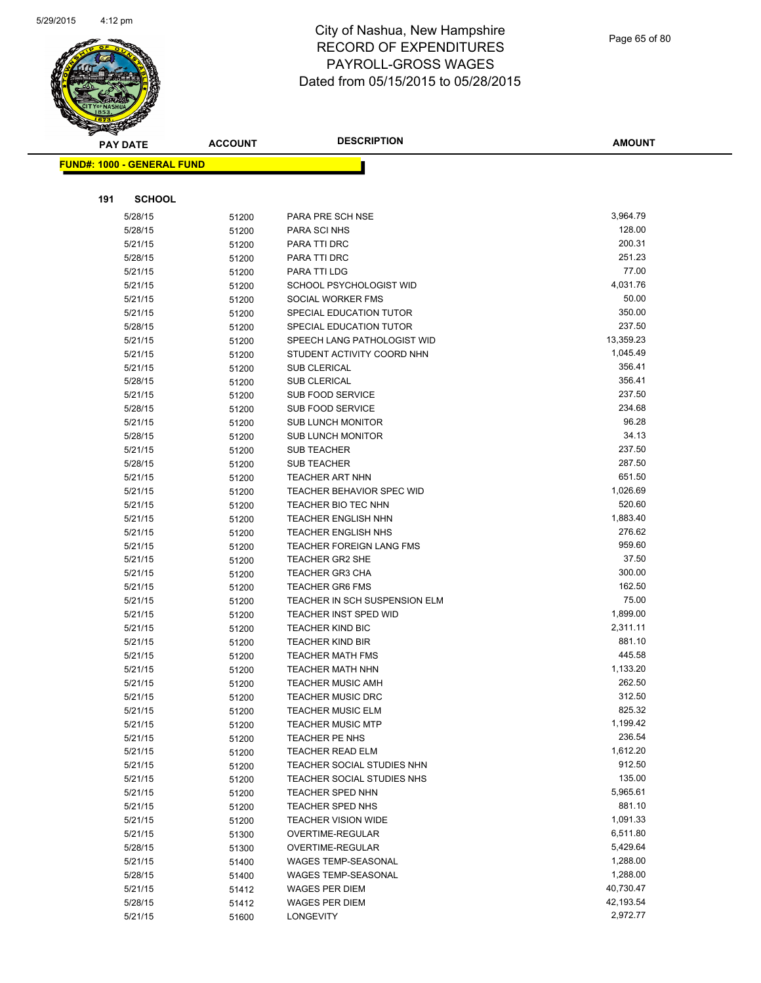

Page 65 of 80

| <b>FUND#: 1000 - GENERAL FUND</b><br>191<br><b>SCHOOL</b><br>3,964.79<br>PARA PRE SCH NSE<br>5/28/15<br>51200<br>128.00<br>5/28/15<br>PARA SCI NHS<br>51200<br>200.31<br>5/21/15<br>51200<br>PARA TTI DRC<br>251.23<br>5/28/15<br>PARA TTI DRC<br>51200<br>77.00<br>5/21/15<br>51200<br>PARA TTI LDG<br>4,031.76<br>5/21/15<br>SCHOOL PSYCHOLOGIST WID<br>51200<br>50.00<br>SOCIAL WORKER FMS<br>5/21/15<br>51200<br>350.00<br>5/21/15<br>SPECIAL EDUCATION TUTOR<br>51200<br>237.50<br>5/28/15<br>SPECIAL EDUCATION TUTOR<br>51200<br>13,359.23<br>5/21/15<br>SPEECH LANG PATHOLOGIST WID<br>51200<br>1,045.49<br>5/21/15<br>STUDENT ACTIVITY COORD NHN<br>51200<br>356.41<br><b>SUB CLERICAL</b><br>5/21/15<br>51200<br>356.41<br>5/28/15<br><b>SUB CLERICAL</b><br>51200<br>237.50<br>SUB FOOD SERVICE<br>5/21/15<br>51200<br>234.68<br>5/28/15<br><b>SUB FOOD SERVICE</b><br>51200<br>96.28<br>5/21/15<br>51200<br><b>SUB LUNCH MONITOR</b><br>34.13<br>5/28/15<br><b>SUB LUNCH MONITOR</b><br>51200<br>237.50<br>5/21/15<br><b>SUB TEACHER</b><br>51200<br>287.50<br>5/28/15<br><b>SUB TEACHER</b><br>51200<br>651.50<br>5/21/15<br><b>TEACHER ART NHN</b><br>51200<br>1,026.69<br>5/21/15<br><b>TEACHER BEHAVIOR SPEC WID</b><br>51200<br>520.60<br>5/21/15<br>51200<br>TEACHER BIO TEC NHN<br>1,883.40<br><b>TEACHER ENGLISH NHN</b><br>5/21/15<br>51200<br>276.62<br>5/21/15<br>51200<br><b>TEACHER ENGLISH NHS</b><br>959.60<br>5/21/15<br><b>TEACHER FOREIGN LANG FMS</b><br>51200<br>37.50<br>TEACHER GR2 SHE<br>5/21/15<br>51200<br>300.00<br>5/21/15<br><b>TEACHER GR3 CHA</b><br>51200<br>162.50<br>5/21/15<br><b>TEACHER GR6 FMS</b><br>51200<br>75.00<br>TEACHER IN SCH SUSPENSION ELM<br>5/21/15<br>51200<br>1,899.00<br>5/21/15<br><b>TEACHER INST SPED WID</b><br>51200<br>2,311.11<br>5/21/15<br><b>TEACHER KIND BIC</b><br>51200<br>881.10<br>5/21/15<br><b>TEACHER KIND BIR</b><br>51200<br>445.58<br>5/21/15<br><b>TEACHER MATH FMS</b><br>51200<br>1,133.20<br>5/21/15<br>TEACHER MATH NHN<br>51200<br>262.50<br>5/21/15<br><b>TEACHER MUSIC AMH</b><br>51200<br>5/21/15<br>51200<br><b>TEACHER MUSIC DRC</b><br>312.50<br>825.32<br>5/21/15<br><b>TEACHER MUSIC ELM</b><br>51200<br>1,199.42<br>5/21/15<br><b>TEACHER MUSIC MTP</b><br>51200<br>236.54<br>5/21/15<br>51200<br>TEACHER PE NHS<br>1,612.20<br>5/21/15<br><b>TEACHER READ ELM</b><br>51200<br>912.50<br>5/21/15<br>TEACHER SOCIAL STUDIES NHN<br>51200<br>135.00<br>TEACHER SOCIAL STUDIES NHS<br>5/21/15<br>51200<br>5,965.61<br>5/21/15<br>TEACHER SPED NHN<br>51200<br>881.10<br>5/21/15<br>51200<br><b>TEACHER SPED NHS</b><br>1,091.33<br>5/21/15<br><b>TEACHER VISION WIDE</b><br>51200<br>6,511.80<br>5/21/15<br>51300<br>OVERTIME-REGULAR<br>5,429.64<br>5/28/15<br>OVERTIME-REGULAR<br>51300<br>1,288.00<br>5/21/15<br>WAGES TEMP-SEASONAL<br>51400<br>1,288.00<br>5/28/15<br>WAGES TEMP-SEASONAL<br>51400<br>40,730.47<br>5/21/15<br>WAGES PER DIEM<br>51412<br>42,193.54<br>5/28/15<br>WAGES PER DIEM<br>51412<br>2,972.77<br>5/21/15<br>51600<br>LONGEVITY | <b>PAY DATE</b> | <b>ACCOUNT</b> | <b>DESCRIPTION</b> | <b>AMOUNT</b> |
|--------------------------------------------------------------------------------------------------------------------------------------------------------------------------------------------------------------------------------------------------------------------------------------------------------------------------------------------------------------------------------------------------------------------------------------------------------------------------------------------------------------------------------------------------------------------------------------------------------------------------------------------------------------------------------------------------------------------------------------------------------------------------------------------------------------------------------------------------------------------------------------------------------------------------------------------------------------------------------------------------------------------------------------------------------------------------------------------------------------------------------------------------------------------------------------------------------------------------------------------------------------------------------------------------------------------------------------------------------------------------------------------------------------------------------------------------------------------------------------------------------------------------------------------------------------------------------------------------------------------------------------------------------------------------------------------------------------------------------------------------------------------------------------------------------------------------------------------------------------------------------------------------------------------------------------------------------------------------------------------------------------------------------------------------------------------------------------------------------------------------------------------------------------------------------------------------------------------------------------------------------------------------------------------------------------------------------------------------------------------------------------------------------------------------------------------------------------------------------------------------------------------------------------------------------------------------------------------------------------------------------------------------------------------------------------------------------------------------------------------------------------------------------------------------------------------------------------------------------------------------------------------------------------------------------------------------------------------------------------------------------------------------------------------------------------|-----------------|----------------|--------------------|---------------|
|                                                                                                                                                                                                                                                                                                                                                                                                                                                                                                                                                                                                                                                                                                                                                                                                                                                                                                                                                                                                                                                                                                                                                                                                                                                                                                                                                                                                                                                                                                                                                                                                                                                                                                                                                                                                                                                                                                                                                                                                                                                                                                                                                                                                                                                                                                                                                                                                                                                                                                                                                                                                                                                                                                                                                                                                                                                                                                                                                                                                                                                              |                 |                |                    |               |
|                                                                                                                                                                                                                                                                                                                                                                                                                                                                                                                                                                                                                                                                                                                                                                                                                                                                                                                                                                                                                                                                                                                                                                                                                                                                                                                                                                                                                                                                                                                                                                                                                                                                                                                                                                                                                                                                                                                                                                                                                                                                                                                                                                                                                                                                                                                                                                                                                                                                                                                                                                                                                                                                                                                                                                                                                                                                                                                                                                                                                                                              |                 |                |                    |               |
|                                                                                                                                                                                                                                                                                                                                                                                                                                                                                                                                                                                                                                                                                                                                                                                                                                                                                                                                                                                                                                                                                                                                                                                                                                                                                                                                                                                                                                                                                                                                                                                                                                                                                                                                                                                                                                                                                                                                                                                                                                                                                                                                                                                                                                                                                                                                                                                                                                                                                                                                                                                                                                                                                                                                                                                                                                                                                                                                                                                                                                                              |                 |                |                    |               |
|                                                                                                                                                                                                                                                                                                                                                                                                                                                                                                                                                                                                                                                                                                                                                                                                                                                                                                                                                                                                                                                                                                                                                                                                                                                                                                                                                                                                                                                                                                                                                                                                                                                                                                                                                                                                                                                                                                                                                                                                                                                                                                                                                                                                                                                                                                                                                                                                                                                                                                                                                                                                                                                                                                                                                                                                                                                                                                                                                                                                                                                              |                 |                |                    |               |
|                                                                                                                                                                                                                                                                                                                                                                                                                                                                                                                                                                                                                                                                                                                                                                                                                                                                                                                                                                                                                                                                                                                                                                                                                                                                                                                                                                                                                                                                                                                                                                                                                                                                                                                                                                                                                                                                                                                                                                                                                                                                                                                                                                                                                                                                                                                                                                                                                                                                                                                                                                                                                                                                                                                                                                                                                                                                                                                                                                                                                                                              |                 |                |                    |               |
|                                                                                                                                                                                                                                                                                                                                                                                                                                                                                                                                                                                                                                                                                                                                                                                                                                                                                                                                                                                                                                                                                                                                                                                                                                                                                                                                                                                                                                                                                                                                                                                                                                                                                                                                                                                                                                                                                                                                                                                                                                                                                                                                                                                                                                                                                                                                                                                                                                                                                                                                                                                                                                                                                                                                                                                                                                                                                                                                                                                                                                                              |                 |                |                    |               |
|                                                                                                                                                                                                                                                                                                                                                                                                                                                                                                                                                                                                                                                                                                                                                                                                                                                                                                                                                                                                                                                                                                                                                                                                                                                                                                                                                                                                                                                                                                                                                                                                                                                                                                                                                                                                                                                                                                                                                                                                                                                                                                                                                                                                                                                                                                                                                                                                                                                                                                                                                                                                                                                                                                                                                                                                                                                                                                                                                                                                                                                              |                 |                |                    |               |
|                                                                                                                                                                                                                                                                                                                                                                                                                                                                                                                                                                                                                                                                                                                                                                                                                                                                                                                                                                                                                                                                                                                                                                                                                                                                                                                                                                                                                                                                                                                                                                                                                                                                                                                                                                                                                                                                                                                                                                                                                                                                                                                                                                                                                                                                                                                                                                                                                                                                                                                                                                                                                                                                                                                                                                                                                                                                                                                                                                                                                                                              |                 |                |                    |               |
|                                                                                                                                                                                                                                                                                                                                                                                                                                                                                                                                                                                                                                                                                                                                                                                                                                                                                                                                                                                                                                                                                                                                                                                                                                                                                                                                                                                                                                                                                                                                                                                                                                                                                                                                                                                                                                                                                                                                                                                                                                                                                                                                                                                                                                                                                                                                                                                                                                                                                                                                                                                                                                                                                                                                                                                                                                                                                                                                                                                                                                                              |                 |                |                    |               |
|                                                                                                                                                                                                                                                                                                                                                                                                                                                                                                                                                                                                                                                                                                                                                                                                                                                                                                                                                                                                                                                                                                                                                                                                                                                                                                                                                                                                                                                                                                                                                                                                                                                                                                                                                                                                                                                                                                                                                                                                                                                                                                                                                                                                                                                                                                                                                                                                                                                                                                                                                                                                                                                                                                                                                                                                                                                                                                                                                                                                                                                              |                 |                |                    |               |
|                                                                                                                                                                                                                                                                                                                                                                                                                                                                                                                                                                                                                                                                                                                                                                                                                                                                                                                                                                                                                                                                                                                                                                                                                                                                                                                                                                                                                                                                                                                                                                                                                                                                                                                                                                                                                                                                                                                                                                                                                                                                                                                                                                                                                                                                                                                                                                                                                                                                                                                                                                                                                                                                                                                                                                                                                                                                                                                                                                                                                                                              |                 |                |                    |               |
|                                                                                                                                                                                                                                                                                                                                                                                                                                                                                                                                                                                                                                                                                                                                                                                                                                                                                                                                                                                                                                                                                                                                                                                                                                                                                                                                                                                                                                                                                                                                                                                                                                                                                                                                                                                                                                                                                                                                                                                                                                                                                                                                                                                                                                                                                                                                                                                                                                                                                                                                                                                                                                                                                                                                                                                                                                                                                                                                                                                                                                                              |                 |                |                    |               |
|                                                                                                                                                                                                                                                                                                                                                                                                                                                                                                                                                                                                                                                                                                                                                                                                                                                                                                                                                                                                                                                                                                                                                                                                                                                                                                                                                                                                                                                                                                                                                                                                                                                                                                                                                                                                                                                                                                                                                                                                                                                                                                                                                                                                                                                                                                                                                                                                                                                                                                                                                                                                                                                                                                                                                                                                                                                                                                                                                                                                                                                              |                 |                |                    |               |
|                                                                                                                                                                                                                                                                                                                                                                                                                                                                                                                                                                                                                                                                                                                                                                                                                                                                                                                                                                                                                                                                                                                                                                                                                                                                                                                                                                                                                                                                                                                                                                                                                                                                                                                                                                                                                                                                                                                                                                                                                                                                                                                                                                                                                                                                                                                                                                                                                                                                                                                                                                                                                                                                                                                                                                                                                                                                                                                                                                                                                                                              |                 |                |                    |               |
|                                                                                                                                                                                                                                                                                                                                                                                                                                                                                                                                                                                                                                                                                                                                                                                                                                                                                                                                                                                                                                                                                                                                                                                                                                                                                                                                                                                                                                                                                                                                                                                                                                                                                                                                                                                                                                                                                                                                                                                                                                                                                                                                                                                                                                                                                                                                                                                                                                                                                                                                                                                                                                                                                                                                                                                                                                                                                                                                                                                                                                                              |                 |                |                    |               |
|                                                                                                                                                                                                                                                                                                                                                                                                                                                                                                                                                                                                                                                                                                                                                                                                                                                                                                                                                                                                                                                                                                                                                                                                                                                                                                                                                                                                                                                                                                                                                                                                                                                                                                                                                                                                                                                                                                                                                                                                                                                                                                                                                                                                                                                                                                                                                                                                                                                                                                                                                                                                                                                                                                                                                                                                                                                                                                                                                                                                                                                              |                 |                |                    |               |
|                                                                                                                                                                                                                                                                                                                                                                                                                                                                                                                                                                                                                                                                                                                                                                                                                                                                                                                                                                                                                                                                                                                                                                                                                                                                                                                                                                                                                                                                                                                                                                                                                                                                                                                                                                                                                                                                                                                                                                                                                                                                                                                                                                                                                                                                                                                                                                                                                                                                                                                                                                                                                                                                                                                                                                                                                                                                                                                                                                                                                                                              |                 |                |                    |               |
|                                                                                                                                                                                                                                                                                                                                                                                                                                                                                                                                                                                                                                                                                                                                                                                                                                                                                                                                                                                                                                                                                                                                                                                                                                                                                                                                                                                                                                                                                                                                                                                                                                                                                                                                                                                                                                                                                                                                                                                                                                                                                                                                                                                                                                                                                                                                                                                                                                                                                                                                                                                                                                                                                                                                                                                                                                                                                                                                                                                                                                                              |                 |                |                    |               |
|                                                                                                                                                                                                                                                                                                                                                                                                                                                                                                                                                                                                                                                                                                                                                                                                                                                                                                                                                                                                                                                                                                                                                                                                                                                                                                                                                                                                                                                                                                                                                                                                                                                                                                                                                                                                                                                                                                                                                                                                                                                                                                                                                                                                                                                                                                                                                                                                                                                                                                                                                                                                                                                                                                                                                                                                                                                                                                                                                                                                                                                              |                 |                |                    |               |
|                                                                                                                                                                                                                                                                                                                                                                                                                                                                                                                                                                                                                                                                                                                                                                                                                                                                                                                                                                                                                                                                                                                                                                                                                                                                                                                                                                                                                                                                                                                                                                                                                                                                                                                                                                                                                                                                                                                                                                                                                                                                                                                                                                                                                                                                                                                                                                                                                                                                                                                                                                                                                                                                                                                                                                                                                                                                                                                                                                                                                                                              |                 |                |                    |               |
|                                                                                                                                                                                                                                                                                                                                                                                                                                                                                                                                                                                                                                                                                                                                                                                                                                                                                                                                                                                                                                                                                                                                                                                                                                                                                                                                                                                                                                                                                                                                                                                                                                                                                                                                                                                                                                                                                                                                                                                                                                                                                                                                                                                                                                                                                                                                                                                                                                                                                                                                                                                                                                                                                                                                                                                                                                                                                                                                                                                                                                                              |                 |                |                    |               |
|                                                                                                                                                                                                                                                                                                                                                                                                                                                                                                                                                                                                                                                                                                                                                                                                                                                                                                                                                                                                                                                                                                                                                                                                                                                                                                                                                                                                                                                                                                                                                                                                                                                                                                                                                                                                                                                                                                                                                                                                                                                                                                                                                                                                                                                                                                                                                                                                                                                                                                                                                                                                                                                                                                                                                                                                                                                                                                                                                                                                                                                              |                 |                |                    |               |
|                                                                                                                                                                                                                                                                                                                                                                                                                                                                                                                                                                                                                                                                                                                                                                                                                                                                                                                                                                                                                                                                                                                                                                                                                                                                                                                                                                                                                                                                                                                                                                                                                                                                                                                                                                                                                                                                                                                                                                                                                                                                                                                                                                                                                                                                                                                                                                                                                                                                                                                                                                                                                                                                                                                                                                                                                                                                                                                                                                                                                                                              |                 |                |                    |               |
|                                                                                                                                                                                                                                                                                                                                                                                                                                                                                                                                                                                                                                                                                                                                                                                                                                                                                                                                                                                                                                                                                                                                                                                                                                                                                                                                                                                                                                                                                                                                                                                                                                                                                                                                                                                                                                                                                                                                                                                                                                                                                                                                                                                                                                                                                                                                                                                                                                                                                                                                                                                                                                                                                                                                                                                                                                                                                                                                                                                                                                                              |                 |                |                    |               |
|                                                                                                                                                                                                                                                                                                                                                                                                                                                                                                                                                                                                                                                                                                                                                                                                                                                                                                                                                                                                                                                                                                                                                                                                                                                                                                                                                                                                                                                                                                                                                                                                                                                                                                                                                                                                                                                                                                                                                                                                                                                                                                                                                                                                                                                                                                                                                                                                                                                                                                                                                                                                                                                                                                                                                                                                                                                                                                                                                                                                                                                              |                 |                |                    |               |
|                                                                                                                                                                                                                                                                                                                                                                                                                                                                                                                                                                                                                                                                                                                                                                                                                                                                                                                                                                                                                                                                                                                                                                                                                                                                                                                                                                                                                                                                                                                                                                                                                                                                                                                                                                                                                                                                                                                                                                                                                                                                                                                                                                                                                                                                                                                                                                                                                                                                                                                                                                                                                                                                                                                                                                                                                                                                                                                                                                                                                                                              |                 |                |                    |               |
|                                                                                                                                                                                                                                                                                                                                                                                                                                                                                                                                                                                                                                                                                                                                                                                                                                                                                                                                                                                                                                                                                                                                                                                                                                                                                                                                                                                                                                                                                                                                                                                                                                                                                                                                                                                                                                                                                                                                                                                                                                                                                                                                                                                                                                                                                                                                                                                                                                                                                                                                                                                                                                                                                                                                                                                                                                                                                                                                                                                                                                                              |                 |                |                    |               |
|                                                                                                                                                                                                                                                                                                                                                                                                                                                                                                                                                                                                                                                                                                                                                                                                                                                                                                                                                                                                                                                                                                                                                                                                                                                                                                                                                                                                                                                                                                                                                                                                                                                                                                                                                                                                                                                                                                                                                                                                                                                                                                                                                                                                                                                                                                                                                                                                                                                                                                                                                                                                                                                                                                                                                                                                                                                                                                                                                                                                                                                              |                 |                |                    |               |
|                                                                                                                                                                                                                                                                                                                                                                                                                                                                                                                                                                                                                                                                                                                                                                                                                                                                                                                                                                                                                                                                                                                                                                                                                                                                                                                                                                                                                                                                                                                                                                                                                                                                                                                                                                                                                                                                                                                                                                                                                                                                                                                                                                                                                                                                                                                                                                                                                                                                                                                                                                                                                                                                                                                                                                                                                                                                                                                                                                                                                                                              |                 |                |                    |               |
|                                                                                                                                                                                                                                                                                                                                                                                                                                                                                                                                                                                                                                                                                                                                                                                                                                                                                                                                                                                                                                                                                                                                                                                                                                                                                                                                                                                                                                                                                                                                                                                                                                                                                                                                                                                                                                                                                                                                                                                                                                                                                                                                                                                                                                                                                                                                                                                                                                                                                                                                                                                                                                                                                                                                                                                                                                                                                                                                                                                                                                                              |                 |                |                    |               |
|                                                                                                                                                                                                                                                                                                                                                                                                                                                                                                                                                                                                                                                                                                                                                                                                                                                                                                                                                                                                                                                                                                                                                                                                                                                                                                                                                                                                                                                                                                                                                                                                                                                                                                                                                                                                                                                                                                                                                                                                                                                                                                                                                                                                                                                                                                                                                                                                                                                                                                                                                                                                                                                                                                                                                                                                                                                                                                                                                                                                                                                              |                 |                |                    |               |
|                                                                                                                                                                                                                                                                                                                                                                                                                                                                                                                                                                                                                                                                                                                                                                                                                                                                                                                                                                                                                                                                                                                                                                                                                                                                                                                                                                                                                                                                                                                                                                                                                                                                                                                                                                                                                                                                                                                                                                                                                                                                                                                                                                                                                                                                                                                                                                                                                                                                                                                                                                                                                                                                                                                                                                                                                                                                                                                                                                                                                                                              |                 |                |                    |               |
|                                                                                                                                                                                                                                                                                                                                                                                                                                                                                                                                                                                                                                                                                                                                                                                                                                                                                                                                                                                                                                                                                                                                                                                                                                                                                                                                                                                                                                                                                                                                                                                                                                                                                                                                                                                                                                                                                                                                                                                                                                                                                                                                                                                                                                                                                                                                                                                                                                                                                                                                                                                                                                                                                                                                                                                                                                                                                                                                                                                                                                                              |                 |                |                    |               |
|                                                                                                                                                                                                                                                                                                                                                                                                                                                                                                                                                                                                                                                                                                                                                                                                                                                                                                                                                                                                                                                                                                                                                                                                                                                                                                                                                                                                                                                                                                                                                                                                                                                                                                                                                                                                                                                                                                                                                                                                                                                                                                                                                                                                                                                                                                                                                                                                                                                                                                                                                                                                                                                                                                                                                                                                                                                                                                                                                                                                                                                              |                 |                |                    |               |
|                                                                                                                                                                                                                                                                                                                                                                                                                                                                                                                                                                                                                                                                                                                                                                                                                                                                                                                                                                                                                                                                                                                                                                                                                                                                                                                                                                                                                                                                                                                                                                                                                                                                                                                                                                                                                                                                                                                                                                                                                                                                                                                                                                                                                                                                                                                                                                                                                                                                                                                                                                                                                                                                                                                                                                                                                                                                                                                                                                                                                                                              |                 |                |                    |               |
|                                                                                                                                                                                                                                                                                                                                                                                                                                                                                                                                                                                                                                                                                                                                                                                                                                                                                                                                                                                                                                                                                                                                                                                                                                                                                                                                                                                                                                                                                                                                                                                                                                                                                                                                                                                                                                                                                                                                                                                                                                                                                                                                                                                                                                                                                                                                                                                                                                                                                                                                                                                                                                                                                                                                                                                                                                                                                                                                                                                                                                                              |                 |                |                    |               |
|                                                                                                                                                                                                                                                                                                                                                                                                                                                                                                                                                                                                                                                                                                                                                                                                                                                                                                                                                                                                                                                                                                                                                                                                                                                                                                                                                                                                                                                                                                                                                                                                                                                                                                                                                                                                                                                                                                                                                                                                                                                                                                                                                                                                                                                                                                                                                                                                                                                                                                                                                                                                                                                                                                                                                                                                                                                                                                                                                                                                                                                              |                 |                |                    |               |
|                                                                                                                                                                                                                                                                                                                                                                                                                                                                                                                                                                                                                                                                                                                                                                                                                                                                                                                                                                                                                                                                                                                                                                                                                                                                                                                                                                                                                                                                                                                                                                                                                                                                                                                                                                                                                                                                                                                                                                                                                                                                                                                                                                                                                                                                                                                                                                                                                                                                                                                                                                                                                                                                                                                                                                                                                                                                                                                                                                                                                                                              |                 |                |                    |               |
|                                                                                                                                                                                                                                                                                                                                                                                                                                                                                                                                                                                                                                                                                                                                                                                                                                                                                                                                                                                                                                                                                                                                                                                                                                                                                                                                                                                                                                                                                                                                                                                                                                                                                                                                                                                                                                                                                                                                                                                                                                                                                                                                                                                                                                                                                                                                                                                                                                                                                                                                                                                                                                                                                                                                                                                                                                                                                                                                                                                                                                                              |                 |                |                    |               |
|                                                                                                                                                                                                                                                                                                                                                                                                                                                                                                                                                                                                                                                                                                                                                                                                                                                                                                                                                                                                                                                                                                                                                                                                                                                                                                                                                                                                                                                                                                                                                                                                                                                                                                                                                                                                                                                                                                                                                                                                                                                                                                                                                                                                                                                                                                                                                                                                                                                                                                                                                                                                                                                                                                                                                                                                                                                                                                                                                                                                                                                              |                 |                |                    |               |
|                                                                                                                                                                                                                                                                                                                                                                                                                                                                                                                                                                                                                                                                                                                                                                                                                                                                                                                                                                                                                                                                                                                                                                                                                                                                                                                                                                                                                                                                                                                                                                                                                                                                                                                                                                                                                                                                                                                                                                                                                                                                                                                                                                                                                                                                                                                                                                                                                                                                                                                                                                                                                                                                                                                                                                                                                                                                                                                                                                                                                                                              |                 |                |                    |               |
|                                                                                                                                                                                                                                                                                                                                                                                                                                                                                                                                                                                                                                                                                                                                                                                                                                                                                                                                                                                                                                                                                                                                                                                                                                                                                                                                                                                                                                                                                                                                                                                                                                                                                                                                                                                                                                                                                                                                                                                                                                                                                                                                                                                                                                                                                                                                                                                                                                                                                                                                                                                                                                                                                                                                                                                                                                                                                                                                                                                                                                                              |                 |                |                    |               |
|                                                                                                                                                                                                                                                                                                                                                                                                                                                                                                                                                                                                                                                                                                                                                                                                                                                                                                                                                                                                                                                                                                                                                                                                                                                                                                                                                                                                                                                                                                                                                                                                                                                                                                                                                                                                                                                                                                                                                                                                                                                                                                                                                                                                                                                                                                                                                                                                                                                                                                                                                                                                                                                                                                                                                                                                                                                                                                                                                                                                                                                              |                 |                |                    |               |
|                                                                                                                                                                                                                                                                                                                                                                                                                                                                                                                                                                                                                                                                                                                                                                                                                                                                                                                                                                                                                                                                                                                                                                                                                                                                                                                                                                                                                                                                                                                                                                                                                                                                                                                                                                                                                                                                                                                                                                                                                                                                                                                                                                                                                                                                                                                                                                                                                                                                                                                                                                                                                                                                                                                                                                                                                                                                                                                                                                                                                                                              |                 |                |                    |               |
|                                                                                                                                                                                                                                                                                                                                                                                                                                                                                                                                                                                                                                                                                                                                                                                                                                                                                                                                                                                                                                                                                                                                                                                                                                                                                                                                                                                                                                                                                                                                                                                                                                                                                                                                                                                                                                                                                                                                                                                                                                                                                                                                                                                                                                                                                                                                                                                                                                                                                                                                                                                                                                                                                                                                                                                                                                                                                                                                                                                                                                                              |                 |                |                    |               |
|                                                                                                                                                                                                                                                                                                                                                                                                                                                                                                                                                                                                                                                                                                                                                                                                                                                                                                                                                                                                                                                                                                                                                                                                                                                                                                                                                                                                                                                                                                                                                                                                                                                                                                                                                                                                                                                                                                                                                                                                                                                                                                                                                                                                                                                                                                                                                                                                                                                                                                                                                                                                                                                                                                                                                                                                                                                                                                                                                                                                                                                              |                 |                |                    |               |
|                                                                                                                                                                                                                                                                                                                                                                                                                                                                                                                                                                                                                                                                                                                                                                                                                                                                                                                                                                                                                                                                                                                                                                                                                                                                                                                                                                                                                                                                                                                                                                                                                                                                                                                                                                                                                                                                                                                                                                                                                                                                                                                                                                                                                                                                                                                                                                                                                                                                                                                                                                                                                                                                                                                                                                                                                                                                                                                                                                                                                                                              |                 |                |                    |               |
|                                                                                                                                                                                                                                                                                                                                                                                                                                                                                                                                                                                                                                                                                                                                                                                                                                                                                                                                                                                                                                                                                                                                                                                                                                                                                                                                                                                                                                                                                                                                                                                                                                                                                                                                                                                                                                                                                                                                                                                                                                                                                                                                                                                                                                                                                                                                                                                                                                                                                                                                                                                                                                                                                                                                                                                                                                                                                                                                                                                                                                                              |                 |                |                    |               |
|                                                                                                                                                                                                                                                                                                                                                                                                                                                                                                                                                                                                                                                                                                                                                                                                                                                                                                                                                                                                                                                                                                                                                                                                                                                                                                                                                                                                                                                                                                                                                                                                                                                                                                                                                                                                                                                                                                                                                                                                                                                                                                                                                                                                                                                                                                                                                                                                                                                                                                                                                                                                                                                                                                                                                                                                                                                                                                                                                                                                                                                              |                 |                |                    |               |
|                                                                                                                                                                                                                                                                                                                                                                                                                                                                                                                                                                                                                                                                                                                                                                                                                                                                                                                                                                                                                                                                                                                                                                                                                                                                                                                                                                                                                                                                                                                                                                                                                                                                                                                                                                                                                                                                                                                                                                                                                                                                                                                                                                                                                                                                                                                                                                                                                                                                                                                                                                                                                                                                                                                                                                                                                                                                                                                                                                                                                                                              |                 |                |                    |               |
|                                                                                                                                                                                                                                                                                                                                                                                                                                                                                                                                                                                                                                                                                                                                                                                                                                                                                                                                                                                                                                                                                                                                                                                                                                                                                                                                                                                                                                                                                                                                                                                                                                                                                                                                                                                                                                                                                                                                                                                                                                                                                                                                                                                                                                                                                                                                                                                                                                                                                                                                                                                                                                                                                                                                                                                                                                                                                                                                                                                                                                                              |                 |                |                    |               |
|                                                                                                                                                                                                                                                                                                                                                                                                                                                                                                                                                                                                                                                                                                                                                                                                                                                                                                                                                                                                                                                                                                                                                                                                                                                                                                                                                                                                                                                                                                                                                                                                                                                                                                                                                                                                                                                                                                                                                                                                                                                                                                                                                                                                                                                                                                                                                                                                                                                                                                                                                                                                                                                                                                                                                                                                                                                                                                                                                                                                                                                              |                 |                |                    |               |
|                                                                                                                                                                                                                                                                                                                                                                                                                                                                                                                                                                                                                                                                                                                                                                                                                                                                                                                                                                                                                                                                                                                                                                                                                                                                                                                                                                                                                                                                                                                                                                                                                                                                                                                                                                                                                                                                                                                                                                                                                                                                                                                                                                                                                                                                                                                                                                                                                                                                                                                                                                                                                                                                                                                                                                                                                                                                                                                                                                                                                                                              |                 |                |                    |               |
|                                                                                                                                                                                                                                                                                                                                                                                                                                                                                                                                                                                                                                                                                                                                                                                                                                                                                                                                                                                                                                                                                                                                                                                                                                                                                                                                                                                                                                                                                                                                                                                                                                                                                                                                                                                                                                                                                                                                                                                                                                                                                                                                                                                                                                                                                                                                                                                                                                                                                                                                                                                                                                                                                                                                                                                                                                                                                                                                                                                                                                                              |                 |                |                    |               |
|                                                                                                                                                                                                                                                                                                                                                                                                                                                                                                                                                                                                                                                                                                                                                                                                                                                                                                                                                                                                                                                                                                                                                                                                                                                                                                                                                                                                                                                                                                                                                                                                                                                                                                                                                                                                                                                                                                                                                                                                                                                                                                                                                                                                                                                                                                                                                                                                                                                                                                                                                                                                                                                                                                                                                                                                                                                                                                                                                                                                                                                              |                 |                |                    |               |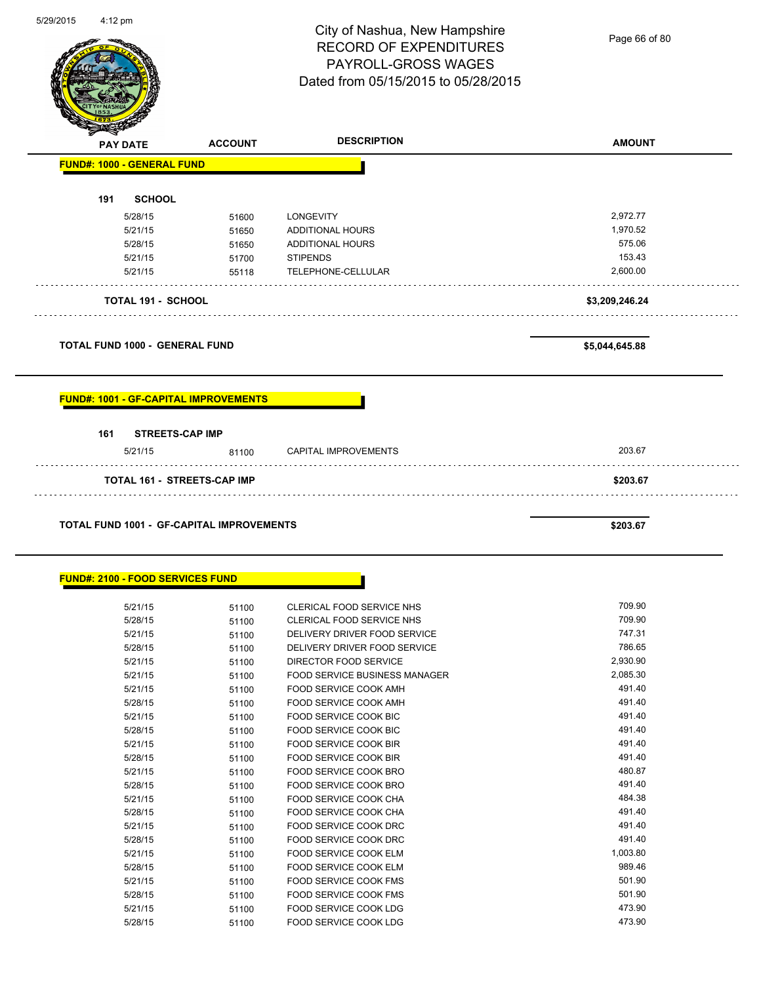|                                                  |                | City of Nashua, New Hampshire<br><b>RECORD OF EXPENDITURES</b><br>PAYROLL-GROSS WAGES<br>Dated from 05/15/2015 to 05/28/2015 | Page 66 of 80  |
|--------------------------------------------------|----------------|------------------------------------------------------------------------------------------------------------------------------|----------------|
| <b>PAY DATE</b>                                  | <b>ACCOUNT</b> | <b>DESCRIPTION</b>                                                                                                           | <b>AMOUNT</b>  |
| <b>FUND#: 1000 - GENERAL FUND</b>                |                |                                                                                                                              |                |
| <b>SCHOOL</b><br>191                             |                |                                                                                                                              |                |
| 5/28/15                                          | 51600          | LONGEVITY                                                                                                                    | 2,972.77       |
| 5/21/15                                          | 51650          | <b>ADDITIONAL HOURS</b>                                                                                                      | 1,970.52       |
| 5/28/15                                          | 51650          | ADDITIONAL HOURS                                                                                                             | 575.06         |
| 5/21/15                                          | 51700          | <b>STIPENDS</b>                                                                                                              | 153.43         |
| 5/21/15                                          | 55118          | TELEPHONE-CELLULAR                                                                                                           | 2,600.00       |
| <b>TOTAL 191 - SCHOOL</b>                        |                |                                                                                                                              | \$3,209,246.24 |
| <b>TOTAL FUND 1000 - GENERAL FUND</b>            |                |                                                                                                                              | \$5,044,645.88 |
| <b>FUND#: 1001 - GF-CAPITAL IMPROVEMENTS</b>     |                |                                                                                                                              |                |
|                                                  |                |                                                                                                                              |                |
| <b>STREETS-CAP IMP</b><br>161 -<br>5/21/15       | 81100          | <b>CAPITAL IMPROVEMENTS</b>                                                                                                  | 203.67         |
| TOTAL 161 - STREETS-CAP IMP                      |                |                                                                                                                              | \$203.67       |
| <b>TOTAL FUND 1001 - GF-CAPITAL IMPROVEMENTS</b> |                |                                                                                                                              | \$203.67       |
| <b>FUND#: 2100 - FOOD SERVICES FUND</b>          |                |                                                                                                                              |                |
|                                                  |                | CLERICAL FOOD SERVICE NHS                                                                                                    | 709.90         |
| 5/21/15                                          | 51100          | CLERICAL FOOD SERVICE NHS                                                                                                    | 709.90         |
| 5/28/15<br>5/21/15                               | 51100          | DELIVERY DRIVER FOOD SERVICE                                                                                                 | 747.31         |
|                                                  | 51100          |                                                                                                                              | 786.65         |
| 5/28/15                                          | 51100          | DELIVERY DRIVER FOOD SERVICE                                                                                                 | 2,930.90       |
| 5/21/15<br>5/21/15                               | 51100<br>51100 | DIRECTOR FOOD SERVICE<br>FOOD SERVICE BUSINESS MANAGER                                                                       | 2,085.30       |

5/28/15 51100 FOOD SERVICE COOK AMH 5/21/15 51100 FOOD SERVICE COOK BIC 491.40 5/28/15 51100 FOOD SERVICE COOK BIC 491.40 5/21/15 51100 FOOD SERVICE COOK BIR 491.40 5/28/15 51100 FOOD SERVICE COOK BIR 491.40

5/28/15 51100 FOOD SERVICE COOK BRO 491.40 5/21/15 51100 FOOD SERVICE COOK CHA 51/2010 55/21/15 5/28/15 51100 FOOD SERVICE COOK CHA 491.40 5/21/15 51100 FOOD SERVICE COOK DRC 491.40 5/28/15 51100 FOOD SERVICE COOK DRC 491.40 5/21/15 51100 FOOD SERVICE COOK ELM 51/21/15 5/28/15 51100 FOOD SERVICE COOK ELM 989.46 5/21/15 51100 FOOD SERVICE COOK FMS 501.90 5/28/15 51100 FOOD SERVICE COOK FMS 501.90 5/21/15 51100 FOOD SERVICE COOK LDG 473.90 5/28/15 51100 FOOD SERVICE COOK LDG 473.90

5/21/15 51100 FOOD SERVICE COOK BRO

 $\overline{\phantom{0}}$ 

 $\overline{\phantom{0}}$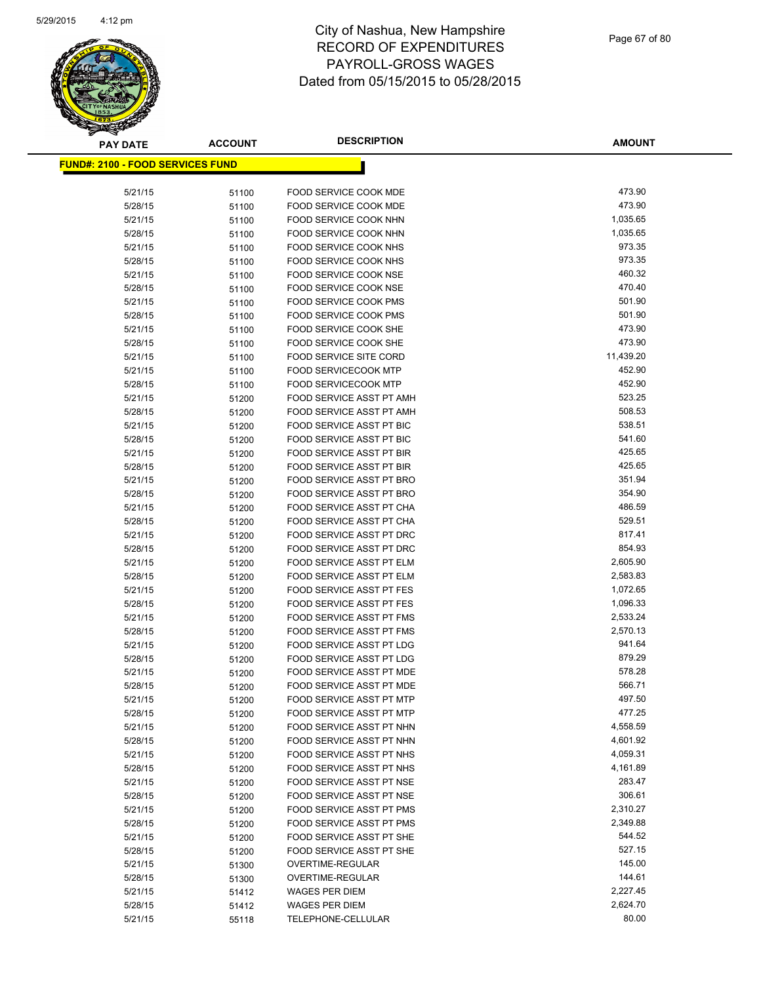

| <b>PAY DATE</b>                          | <b>ACCOUNT</b> | <b>DESCRIPTION</b>                                          | <b>AMOUNT</b>        |
|------------------------------------------|----------------|-------------------------------------------------------------|----------------------|
| <u> FUND#: 2100 - FOOD SERVICES FUND</u> |                |                                                             |                      |
|                                          |                |                                                             |                      |
| 5/21/15                                  | 51100          | FOOD SERVICE COOK MDE                                       | 473.90               |
| 5/28/15                                  | 51100          | FOOD SERVICE COOK MDE                                       | 473.90               |
| 5/21/15                                  | 51100          | FOOD SERVICE COOK NHN                                       | 1,035.65             |
| 5/28/15                                  | 51100          | FOOD SERVICE COOK NHN                                       | 1,035.65             |
| 5/21/15                                  | 51100          | FOOD SERVICE COOK NHS                                       | 973.35               |
| 5/28/15                                  | 51100          | FOOD SERVICE COOK NHS                                       | 973.35               |
| 5/21/15                                  | 51100          | FOOD SERVICE COOK NSE                                       | 460.32               |
| 5/28/15                                  | 51100          | FOOD SERVICE COOK NSE                                       | 470.40               |
| 5/21/15                                  | 51100          | FOOD SERVICE COOK PMS                                       | 501.90               |
| 5/28/15                                  | 51100          | <b>FOOD SERVICE COOK PMS</b>                                | 501.90               |
| 5/21/15                                  | 51100          | FOOD SERVICE COOK SHE                                       | 473.90               |
| 5/28/15                                  | 51100          | FOOD SERVICE COOK SHE                                       | 473.90               |
| 5/21/15                                  | 51100          | FOOD SERVICE SITE CORD                                      | 11,439.20            |
| 5/21/15                                  | 51100          | <b>FOOD SERVICECOOK MTP</b>                                 | 452.90               |
| 5/28/15                                  | 51100          | <b>FOOD SERVICECOOK MTP</b>                                 | 452.90               |
| 5/21/15                                  | 51200          | FOOD SERVICE ASST PT AMH                                    | 523.25               |
| 5/28/15                                  | 51200          | FOOD SERVICE ASST PT AMH                                    | 508.53               |
| 5/21/15                                  | 51200          | FOOD SERVICE ASST PT BIC                                    | 538.51               |
| 5/28/15                                  | 51200          | <b>FOOD SERVICE ASST PT BIC</b>                             | 541.60               |
| 5/21/15                                  | 51200          | FOOD SERVICE ASST PT BIR                                    | 425.65               |
| 5/28/15                                  | 51200          | FOOD SERVICE ASST PT BIR                                    | 425.65               |
| 5/21/15                                  | 51200          | <b>FOOD SERVICE ASST PT BRO</b>                             | 351.94               |
| 5/28/15                                  | 51200          | <b>FOOD SERVICE ASST PT BRO</b>                             | 354.90               |
| 5/21/15                                  | 51200          | FOOD SERVICE ASST PT CHA                                    | 486.59               |
| 5/28/15                                  | 51200          | FOOD SERVICE ASST PT CHA                                    | 529.51               |
| 5/21/15                                  | 51200          | FOOD SERVICE ASST PT DRC                                    | 817.41               |
| 5/28/15                                  | 51200          | FOOD SERVICE ASST PT DRC                                    | 854.93               |
| 5/21/15                                  | 51200          | FOOD SERVICE ASST PT ELM                                    | 2,605.90             |
| 5/28/15                                  | 51200          | FOOD SERVICE ASST PT ELM                                    | 2,583.83             |
| 5/21/15<br>5/28/15                       | 51200          | <b>FOOD SERVICE ASST PT FES</b><br>FOOD SERVICE ASST PT FES | 1,072.65<br>1,096.33 |
|                                          | 51200          | FOOD SERVICE ASST PT FMS                                    | 2,533.24             |
| 5/21/15<br>5/28/15                       | 51200          | FOOD SERVICE ASST PT FMS                                    | 2,570.13             |
| 5/21/15                                  | 51200<br>51200 | FOOD SERVICE ASST PT LDG                                    | 941.64               |
| 5/28/15                                  | 51200          | FOOD SERVICE ASST PT LDG                                    | 879.29               |
| 5/21/15                                  | 51200          | FOOD SERVICE ASST PT MDE                                    | 578.28               |
| 5/28/15                                  | 51200          | FOOD SERVICE ASST PT MDE                                    | 566.71               |
| 5/21/15                                  | 51200          | FOOD SERVICE ASST PT MTP                                    | 497.50               |
| 5/28/15                                  | 51200          | FOOD SERVICE ASST PT MTP                                    | 477.25               |
| 5/21/15                                  | 51200          | FOOD SERVICE ASST PT NHN                                    | 4,558.59             |
| 5/28/15                                  | 51200          | FOOD SERVICE ASST PT NHN                                    | 4,601.92             |
| 5/21/15                                  | 51200          | FOOD SERVICE ASST PT NHS                                    | 4,059.31             |
| 5/28/15                                  | 51200          | FOOD SERVICE ASST PT NHS                                    | 4,161.89             |
| 5/21/15                                  | 51200          | FOOD SERVICE ASST PT NSE                                    | 283.47               |
| 5/28/15                                  | 51200          | FOOD SERVICE ASST PT NSE                                    | 306.61               |
| 5/21/15                                  | 51200          | FOOD SERVICE ASST PT PMS                                    | 2,310.27             |
| 5/28/15                                  | 51200          | <b>FOOD SERVICE ASST PT PMS</b>                             | 2,349.88             |
| 5/21/15                                  | 51200          | FOOD SERVICE ASST PT SHE                                    | 544.52               |
| 5/28/15                                  | 51200          | FOOD SERVICE ASST PT SHE                                    | 527.15               |
| 5/21/15                                  | 51300          | OVERTIME-REGULAR                                            | 145.00               |
| 5/28/15                                  | 51300          | OVERTIME-REGULAR                                            | 144.61               |
| 5/21/15                                  | 51412          | <b>WAGES PER DIEM</b>                                       | 2,227.45             |
| 5/28/15                                  | 51412          | WAGES PER DIEM                                              | 2,624.70             |
| 5/21/15                                  | 55118          | TELEPHONE-CELLULAR                                          | 80.00                |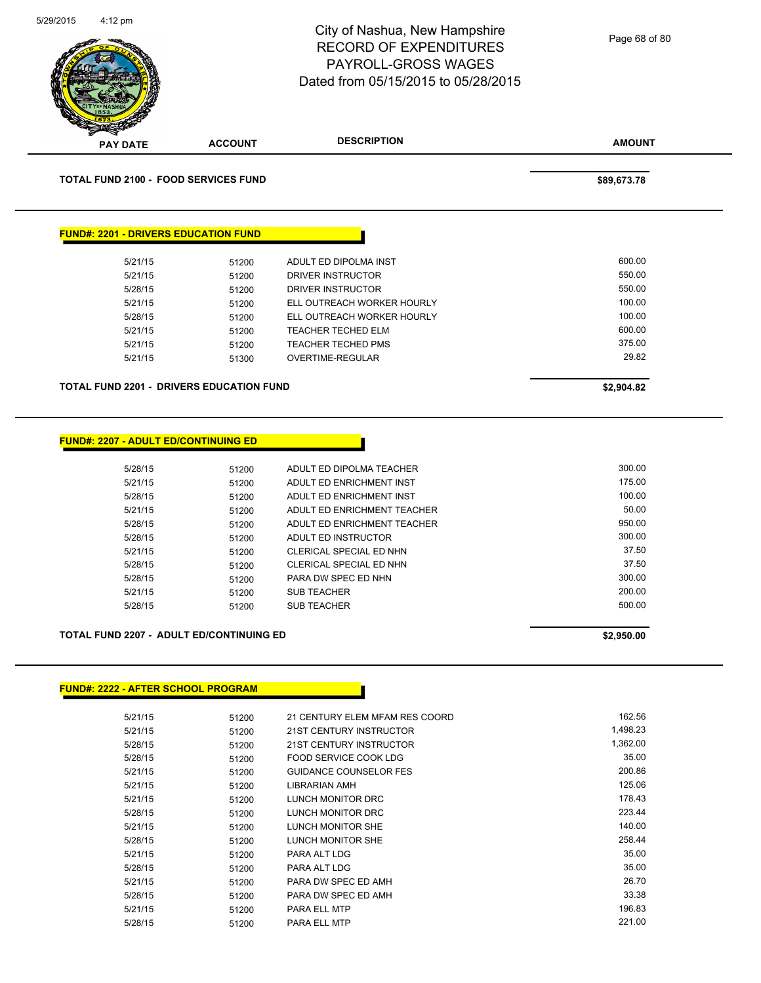|                                                                                                                                                                                         |                | City of Nashua, New Hampshire<br><b>RECORD OF EXPENDITURES</b><br>PAYROLL-GROSS WAGES<br>Dated from 05/15/2015 to 05/28/2015 | Page 68 of 80 |
|-----------------------------------------------------------------------------------------------------------------------------------------------------------------------------------------|----------------|------------------------------------------------------------------------------------------------------------------------------|---------------|
| PAY DATE                                                                                                                                                                                | <b>ACCOUNT</b> | <b>DESCRIPTION</b>                                                                                                           | <b>AMOUNT</b> |
| <b>TOTAL FUND 2100 - FOOD SERVICES FUND</b>                                                                                                                                             |                |                                                                                                                              | \$89,673.78   |
| <b>FUND#: 2201 - DRIVERS EDUCATION FUND</b>                                                                                                                                             |                |                                                                                                                              |               |
| 5/21/15                                                                                                                                                                                 | 51200          | ADULT ED DIPOLMA INST                                                                                                        | 600.00        |
| 5/21/15                                                                                                                                                                                 | 51200          | DRIVER INSTRUCTOR                                                                                                            | 550.00        |
| 5/28/15                                                                                                                                                                                 | 51200          | DRIVER INSTRUCTOR                                                                                                            | 550.00        |
| 5/21/15                                                                                                                                                                                 | 51200          | ELL OUTREACH WORKER HOURLY                                                                                                   | 100.00        |
| 5/28/15                                                                                                                                                                                 | 51200          | ELL OUTREACH WORKER HOURLY                                                                                                   | 100.00        |
| 5/21/15                                                                                                                                                                                 | 51200          | TEACHER TECHED ELM                                                                                                           | 600.00        |
| 5/21/15                                                                                                                                                                                 | 51200          | TEACHER TECHED PMS                                                                                                           | 375.00        |
| 5/21/15                                                                                                                                                                                 | 51300          | <b>OVERTIME-REGULAR</b>                                                                                                      | 29.82         |
|                                                                                                                                                                                         |                |                                                                                                                              | \$2,904.82    |
|                                                                                                                                                                                         |                |                                                                                                                              |               |
| 5/28/15                                                                                                                                                                                 | 51200          | ADULT ED DIPOLMA TEACHER                                                                                                     | 300.00        |
| 5/21/15                                                                                                                                                                                 | 51200          | ADULT ED ENRICHMENT INST                                                                                                     | 175.00        |
| 5/28/15                                                                                                                                                                                 | 51200          | ADULT ED ENRICHMENT INST                                                                                                     | 100.00        |
| 5/21/15                                                                                                                                                                                 | 51200          | ADULT ED ENRICHMENT TEACHER                                                                                                  | 50.00         |
| 5/28/15                                                                                                                                                                                 | 51200          | ADULT ED ENRICHMENT TEACHER                                                                                                  | 950.00        |
| 5/28/15                                                                                                                                                                                 | 51200          | ADULT ED INSTRUCTOR                                                                                                          | 300.00        |
| 5/21/15                                                                                                                                                                                 | 51200          | CLERICAL SPECIAL ED NHN                                                                                                      | 37.50         |
| 5/28/15                                                                                                                                                                                 | 51200          | CLERICAL SPECIAL ED NHN                                                                                                      | 37.50         |
| 5/28/15                                                                                                                                                                                 | 51200          | PARA DW SPEC ED NHN                                                                                                          | 300.00        |
| 5/21/15                                                                                                                                                                                 | 51200          | <b>SUB TEACHER</b>                                                                                                           | 200.00        |
| 5/28/15                                                                                                                                                                                 | 51200          | SUB TEACHER                                                                                                                  | 500.00        |
|                                                                                                                                                                                         |                |                                                                                                                              | \$2,950.00    |
| <b>TOTAL FUND 2201 - DRIVERS EDUCATION FUND</b><br><b>FUND#: 2207 - ADULT ED/CONTINUING ED</b><br>TOTAL FUND 2207 - ADULT ED/CONTINUING ED<br><b>FUND#: 2222 - AFTER SCHOOL PROGRAM</b> |                |                                                                                                                              |               |
| 5/21/15                                                                                                                                                                                 | 51200          | 21 CENTURY ELEM MFAM RES COORD                                                                                               | 162.56        |

|         | JI∠∪∪ | 21 OLN I OINT LLLIVI IVII AIVI NLO OOOND |          |
|---------|-------|------------------------------------------|----------|
| 5/21/15 | 51200 | 21ST CENTURY INSTRUCTOR                  | 1,498.23 |
| 5/28/15 | 51200 | 21ST CENTURY INSTRUCTOR                  | 1,362.00 |
| 5/28/15 | 51200 | FOOD SERVICE COOK LDG                    | 35.00    |
| 5/21/15 | 51200 | <b>GUIDANCE COUNSELOR FES</b>            | 200.86   |
| 5/21/15 | 51200 | LIBRARIAN AMH                            | 125.06   |
| 5/21/15 | 51200 | LUNCH MONITOR DRC                        | 178.43   |
| 5/28/15 | 51200 | LUNCH MONITOR DRC                        | 223.44   |
| 5/21/15 | 51200 | LUNCH MONITOR SHE                        | 140.00   |
| 5/28/15 | 51200 | LUNCH MONITOR SHE                        | 258.44   |
| 5/21/15 | 51200 | PARA ALT LDG                             | 35.00    |
| 5/28/15 | 51200 | PARA ALT LDG                             | 35.00    |
| 5/21/15 | 51200 | PARA DW SPEC ED AMH                      | 26.70    |
| 5/28/15 | 51200 | PARA DW SPEC ED AMH                      | 33.38    |
| 5/21/15 | 51200 | <b>PARA ELL MTP</b>                      | 196.83   |
| 5/28/15 | 51200 | <b>PARA ELL MTP</b>                      | 221.00   |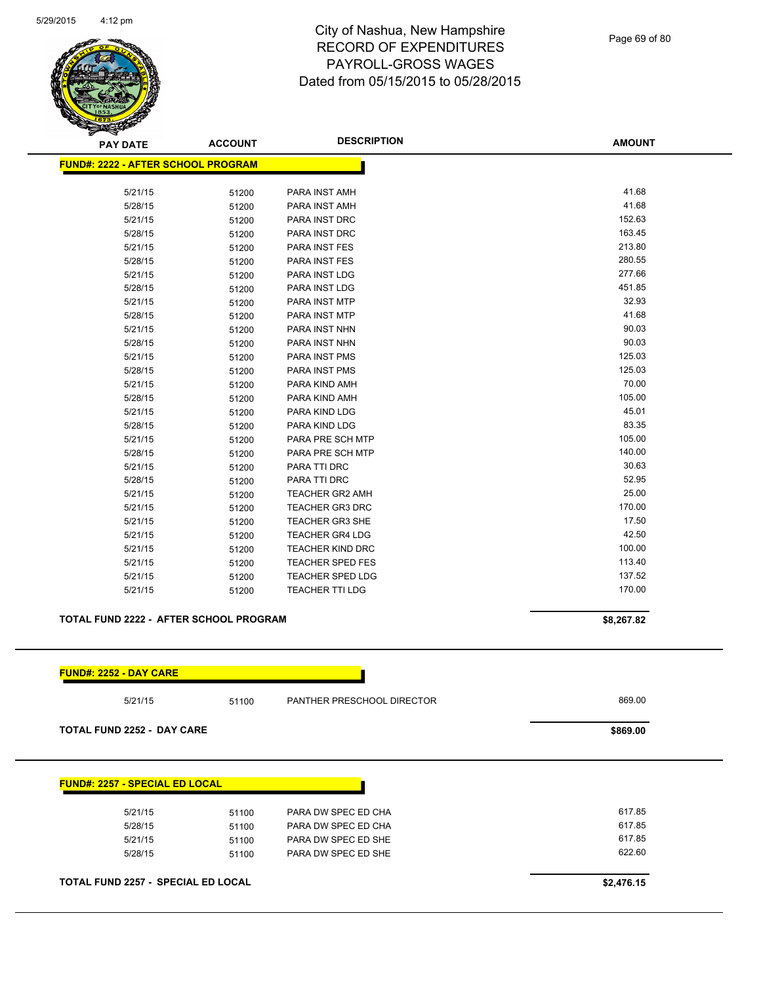

| <b>PAY DATE</b>                           | <b>ACCOUNT</b> | <b>DESCRIPTION</b>      | <b>AMOUNT</b> |
|-------------------------------------------|----------------|-------------------------|---------------|
| <b>FUND#: 2222 - AFTER SCHOOL PROGRAM</b> |                |                         |               |
| 5/21/15                                   | 51200          | PARA INST AMH           | 41.68         |
| 5/28/15                                   | 51200          | PARA INST AMH           | 41.68         |
| 5/21/15                                   | 51200          | PARA INST DRC           | 152.63        |
| 5/28/15                                   | 51200          | PARA INST DRC           | 163.45        |
| 5/21/15                                   | 51200          | PARA INST FES           | 213.80        |
| 5/28/15                                   | 51200          | PARA INST FES           | 280.55        |
| 5/21/15                                   | 51200          | PARA INST LDG           | 277.66        |
| 5/28/15                                   | 51200          | PARA INST LDG           | 451.85        |
| 5/21/15                                   | 51200          | PARA INST MTP           | 32.93         |
| 5/28/15                                   | 51200          | PARA INST MTP           | 41.68         |
| 5/21/15                                   | 51200          | PARA INST NHN           | 90.03         |
| 5/28/15                                   | 51200          | PARA INST NHN           | 90.03         |
| 5/21/15                                   | 51200          | <b>PARA INST PMS</b>    | 125.03        |
| 5/28/15                                   | 51200          | PARA INST PMS           | 125.03        |
| 5/21/15                                   | 51200          | PARA KIND AMH           | 70.00         |
| 5/28/15                                   | 51200          | PARA KIND AMH           | 105.00        |
| 5/21/15                                   | 51200          | PARA KIND LDG           | 45.01         |
| 5/28/15                                   | 51200          | PARA KIND LDG           | 83.35         |
| 5/21/15                                   | 51200          | PARA PRE SCH MTP        | 105.00        |
| 5/28/15                                   | 51200          | PARA PRE SCH MTP        | 140.00        |
| 5/21/15                                   | 51200          | PARA TTI DRC            | 30.63         |
| 5/28/15                                   | 51200          | PARA TTI DRC            | 52.95         |
| 5/21/15                                   | 51200          | <b>TEACHER GR2 AMH</b>  | 25.00         |
| 5/21/15                                   | 51200          | TEACHER GR3 DRC         | 170.00        |
| 5/21/15                                   | 51200          | <b>TEACHER GR3 SHE</b>  | 17.50         |
| 5/21/15                                   | 51200          | <b>TEACHER GR4 LDG</b>  | 42.50         |
| 5/21/15                                   | 51200          | <b>TEACHER KIND DRC</b> | 100.00        |
| 5/21/15                                   | 51200          | <b>TEACHER SPED FES</b> | 113.40        |
| 5/21/15                                   | 51200          | <b>TEACHER SPED LDG</b> | 137.52        |
| 5/21/15                                   | 51200          | <b>TEACHER TTI LDG</b>  | 170.00        |
|                                           |                |                         |               |

#### **TOTAL FUND 2222 - AFTER SCHOOL PROGRAM \$8,267.82**

| 5/21/15                               | 51100 | PANTHER PRESCHOOL DIRECTOR | 869.00 |
|---------------------------------------|-------|----------------------------|--------|
| <b>TOTAL FUND 2252 - DAY CARE</b>     |       | \$869.00                   |        |
|                                       |       |                            |        |
| <b>FUND#: 2257 - SPECIAL ED LOCAL</b> |       |                            |        |
| 5/21/15                               | 51100 | PARA DW SPEC ED CHA        | 617.85 |
| 5/28/15                               | 51100 | PARA DW SPEC ED CHA        | 617.85 |
| 5/21/15                               | 51100 | PARA DW SPEC ED SHE        | 617.85 |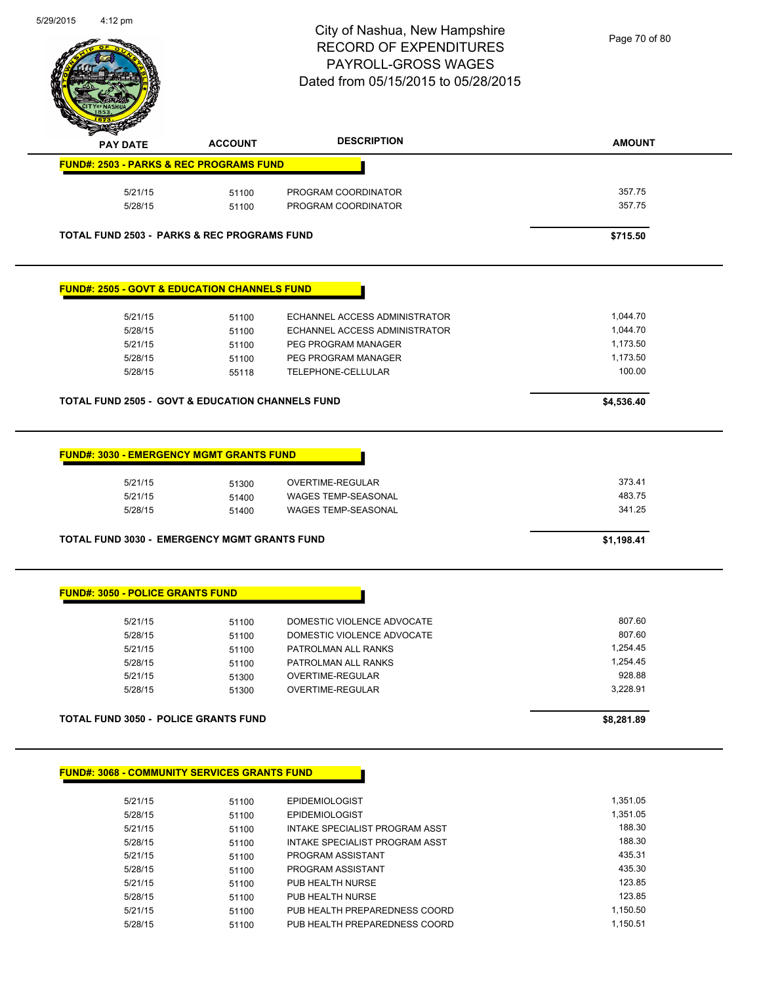

| <b>PAY DATE</b>                                                                                        | <b>ACCOUNT</b> | <b>DESCRIPTION</b>            | <b>AMOUNT</b> |
|--------------------------------------------------------------------------------------------------------|----------------|-------------------------------|---------------|
| <b>FUND#: 2503 - PARKS &amp; REC PROGRAMS FUND</b>                                                     |                |                               |               |
| 5/21/15                                                                                                | 51100          | PROGRAM COORDINATOR           | 357.75        |
| 5/28/15                                                                                                | 51100          | PROGRAM COORDINATOR           | 357.75        |
| <b>TOTAL FUND 2503 - PARKS &amp; REC PROGRAMS FUND</b>                                                 |                |                               | \$715.50      |
| <b>FUND#: 2505 - GOVT &amp; EDUCATION CHANNELS FUND</b>                                                |                |                               |               |
| 5/21/15                                                                                                | 51100          | ECHANNEL ACCESS ADMINISTRATOR | 1,044.70      |
| 5/28/15                                                                                                | 51100          | ECHANNEL ACCESS ADMINISTRATOR | 1,044.70      |
| 5/21/15                                                                                                | 51100          | PEG PROGRAM MANAGER           | 1,173.50      |
| 5/28/15                                                                                                | 51100          | PEG PROGRAM MANAGER           | 1,173.50      |
| 5/28/15                                                                                                | 55118          | <b>TELEPHONE-CELLULAR</b>     | 100.00        |
| <b>TOTAL FUND 2505 - GOVT &amp; EDUCATION CHANNELS FUND</b>                                            |                |                               |               |
|                                                                                                        |                |                               | \$4,536.40    |
|                                                                                                        |                |                               |               |
| 5/21/15                                                                                                | 51300          | <b>OVERTIME-REGULAR</b>       | 373.41        |
| 5/21/15                                                                                                | 51400          | <b>WAGES TEMP-SEASONAL</b>    | 483.75        |
| 5/28/15                                                                                                | 51400          | <b>WAGES TEMP-SEASONAL</b>    | 341.25        |
| <b>FUND#: 3030 - EMERGENCY MGMT GRANTS FUND</b><br><b>TOTAL FUND 3030 - EMERGENCY MGMT GRANTS FUND</b> |                |                               | \$1,198.41    |
| <b>FUND#: 3050 - POLICE GRANTS FUND</b>                                                                |                |                               |               |
| 5/21/15                                                                                                | 51100          | DOMESTIC VIOLENCE ADVOCATE    | 807.60        |
| 5/28/15                                                                                                | 51100          | DOMESTIC VIOLENCE ADVOCATE    | 807.60        |
| 5/21/15                                                                                                | 51100          | PATROLMAN ALL RANKS           | 1,254.45      |
| 5/28/15                                                                                                | 51100          | <b>PATROLMAN ALL RANKS</b>    | 1,254.45      |
| 5/21/15                                                                                                | 51300          | <b>OVERTIME-REGULAR</b>       | 928.88        |
| 5/28/15                                                                                                | 51300          | OVERTIME-REGULAR              | 3,228.91      |

#### **FUND#: 3068 - COMMUNITY SERVICES GRANTS FUND**

| 5/21/15 | 51100 | <b>EPIDEMIOLOGIST</b>          | 1.351.05 |
|---------|-------|--------------------------------|----------|
| 5/28/15 | 51100 | <b>EPIDEMIOLOGIST</b>          | 1.351.05 |
| 5/21/15 | 51100 | INTAKE SPECIALIST PROGRAM ASST | 188.30   |
| 5/28/15 | 51100 | INTAKE SPECIALIST PROGRAM ASST | 188.30   |
| 5/21/15 | 51100 | PROGRAM ASSISTANT              | 435.31   |
| 5/28/15 | 51100 | PROGRAM ASSISTANT              | 435.30   |
| 5/21/15 | 51100 | PUB HEALTH NURSE               | 123.85   |
| 5/28/15 | 51100 | PUB HEALTH NURSE               | 123.85   |
| 5/21/15 | 51100 | PUB HEALTH PREPAREDNESS COORD  | 1,150.50 |
| 5/28/15 | 51100 | PUB HEALTH PREPAREDNESS COORD  | 1.150.51 |

H.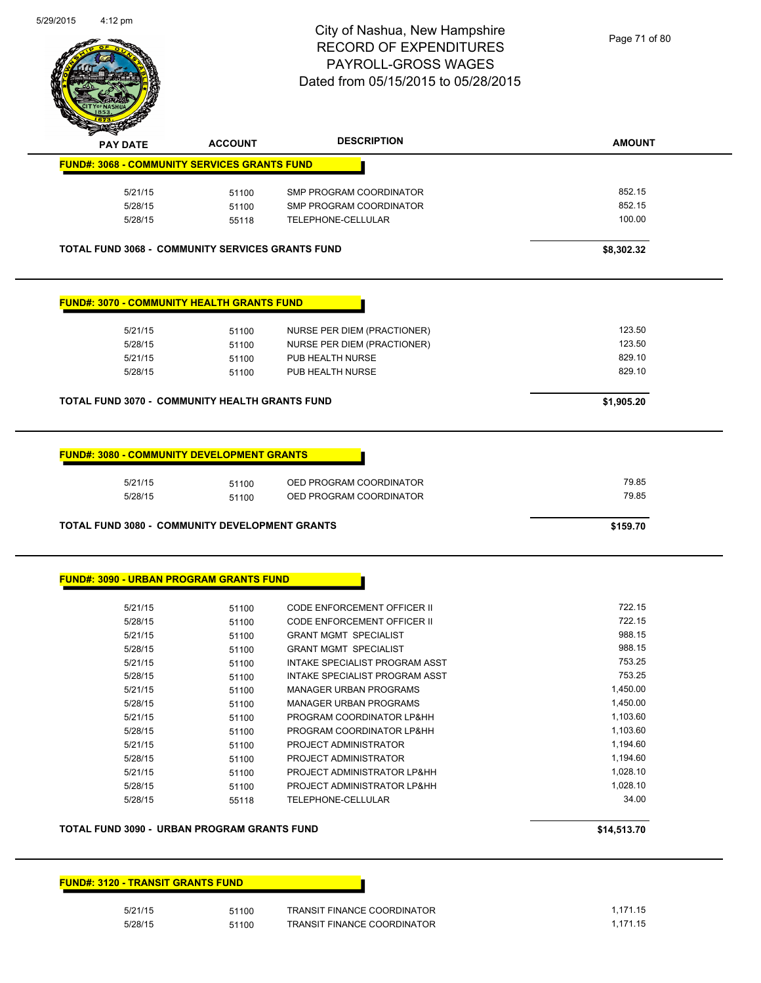

| <b>PAY DATE</b>                                         | <b>ACCOUNT</b> | <b>DESCRIPTION</b>                 | <b>AMOUNT</b> |
|---------------------------------------------------------|----------------|------------------------------------|---------------|
| <b>FUND#: 3068 - COMMUNITY SERVICES GRANTS FUND</b>     |                |                                    |               |
| 5/21/15                                                 | 51100          | SMP PROGRAM COORDINATOR            | 852.15        |
| 5/28/15                                                 | 51100          | SMP PROGRAM COORDINATOR            | 852.15        |
| 5/28/15                                                 | 55118          | TELEPHONE-CELLULAR                 | 100.00        |
| <b>TOTAL FUND 3068 - COMMUNITY SERVICES GRANTS FUND</b> |                |                                    | \$8,302.32    |
| <b>FUND#: 3070 - COMMUNITY HEALTH GRANTS FUND</b>       |                |                                    |               |
| 5/21/15                                                 | 51100          | NURSE PER DIEM (PRACTIONER)        | 123.50        |
| 5/28/15                                                 | 51100          | NURSE PER DIEM (PRACTIONER)        | 123.50        |
| 5/21/15                                                 | 51100          | PUB HEALTH NURSE                   | 829.10        |
| 5/28/15                                                 | 51100          | PUB HEALTH NURSE                   | 829.10        |
| <b>TOTAL FUND 3070 - COMMUNITY HEALTH GRANTS FUND</b>   |                |                                    | \$1,905.20    |
| <b>FUND#: 3080 - COMMUNITY DEVELOPMENT GRANTS</b>       |                |                                    |               |
| 5/21/15                                                 | 51100          | OED PROGRAM COORDINATOR            | 79.85         |
| 5/28/15                                                 | 51100          | OED PROGRAM COORDINATOR            | 79.85         |
| <b>TOTAL FUND 3080 - COMMUNITY DEVELOPMENT GRANTS</b>   |                |                                    | \$159.70      |
| <b>FUND#: 3090 - URBAN PROGRAM GRANTS FUND</b>          |                |                                    |               |
| 5/21/15                                                 | 51100          | <b>CODE ENFORCEMENT OFFICER II</b> | 722.15        |
| 5/28/15                                                 | 51100          | <b>CODE ENFORCEMENT OFFICER II</b> | 722.15        |
| 5/21/15                                                 | 51100          | <b>GRANT MGMT SPECIALIST</b>       | 988.15        |
| 5/28/15                                                 | 51100          | <b>GRANT MGMT SPECIALIST</b>       | 988.15        |
| 5/21/15                                                 | 51100          | INTAKE SPECIALIST PROGRAM ASST     | 753.25        |
| 5/28/15                                                 | 51100          | INTAKE SPECIALIST PROGRAM ASST     | 753.25        |
| 5/21/15                                                 | 51100          | <b>MANAGER URBAN PROGRAMS</b>      | 1,450.00      |
| 5/28/15                                                 | 51100          | <b>MANAGER URBAN PROGRAMS</b>      | 1,450.00      |
| 5/21/15                                                 | 51100          | PROGRAM COORDINATOR LP&HH          | 1,103.60      |
| 5/28/15                                                 | 51100          | PROGRAM COORDINATOR LP&HH          | 1,103.60      |
| 5/21/15                                                 | 51100          | PROJECT ADMINISTRATOR              | 1,194.60      |
| 5/28/15                                                 | 51100          | PROJECT ADMINISTRATOR              | 1,194.60      |
| 5/21/15                                                 | 51100          | PROJECT ADMINISTRATOR LP&HH        | 1,028.10      |
| 5/28/15                                                 | 51100          | PROJECT ADMINISTRATOR LP&HH        | 1,028.10      |
| 5/28/15                                                 | 55118          | TELEPHONE-CELLULAR                 | 34.00         |
| TOTAL FUND 3090 - URBAN PROGRAM GRANTS FUND             |                |                                    | \$14,513.70   |

| ۰, |  |
|----|--|
| ىد |  |

51100 TRANSIT FINANCE COORDINATOR 1,171.15 5/28/15 51100 TRANSIT FINANCE COORDINATOR 51/28/15 1,171.15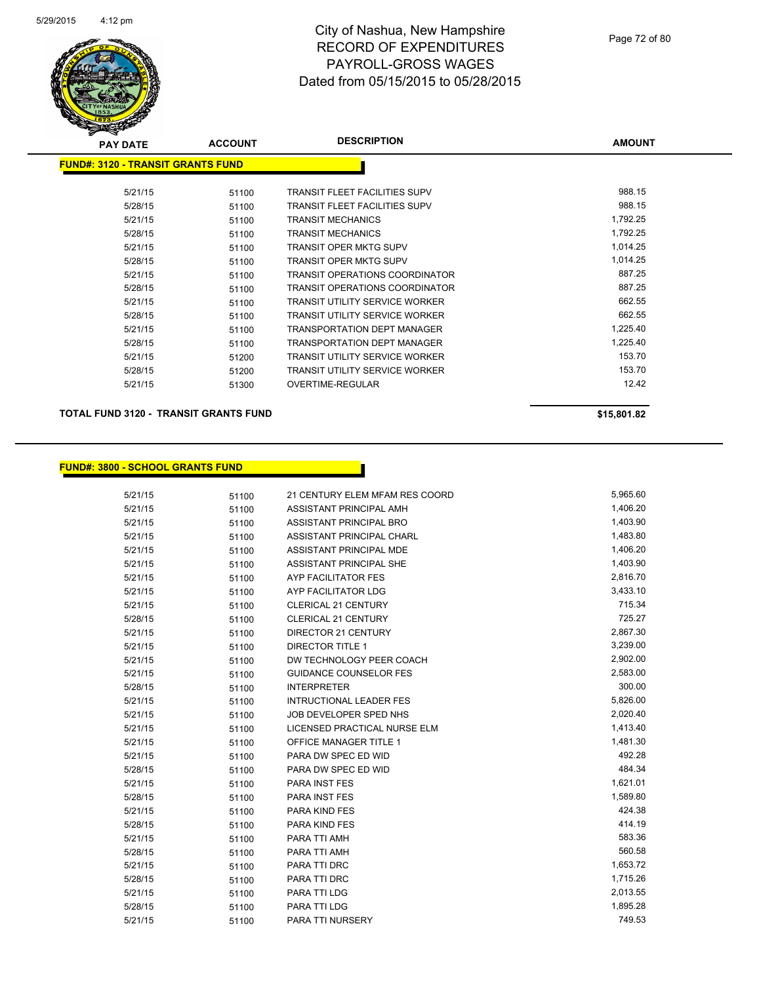

| <b>PAY DATE</b>                          | <b>ACCOUNT</b> | <b>DESCRIPTION</b>                    | <b>AMOUNT</b> |
|------------------------------------------|----------------|---------------------------------------|---------------|
| <b>FUND#: 3120 - TRANSIT GRANTS FUND</b> |                |                                       |               |
| 5/21/15                                  | 51100          | <b>TRANSIT FLEET FACILITIES SUPV</b>  | 988.15        |
| 5/28/15                                  | 51100          | <b>TRANSIT FLEET FACILITIES SUPV</b>  | 988.15        |
| 5/21/15                                  | 51100          | <b>TRANSIT MECHANICS</b>              | 1,792.25      |
| 5/28/15                                  | 51100          | <b>TRANSIT MECHANICS</b>              | 1,792.25      |
| 5/21/15                                  | 51100          | <b>TRANSIT OPER MKTG SUPV</b>         | 1,014.25      |
| 5/28/15                                  | 51100          | <b>TRANSIT OPER MKTG SUPV</b>         | 1,014.25      |
| 5/21/15                                  | 51100          | TRANSIT OPERATIONS COORDINATOR        | 887.25        |
| 5/28/15                                  | 51100          | TRANSIT OPERATIONS COORDINATOR        | 887.25        |
| 5/21/15                                  | 51100          | TRANSIT UTILITY SERVICE WORKER        | 662.55        |
| 5/28/15                                  | 51100          | TRANSIT UTILITY SERVICE WORKER        | 662.55        |
| 5/21/15                                  | 51100          | <b>TRANSPORTATION DEPT MANAGER</b>    | 1,225.40      |
| 5/28/15                                  | 51100          | <b>TRANSPORTATION DEPT MANAGER</b>    | 1,225.40      |
| 5/21/15                                  | 51200          | <b>TRANSIT UTILITY SERVICE WORKER</b> | 153.70        |
| 5/28/15                                  | 51200          | TRANSIT UTILITY SERVICE WORKER        | 153.70        |
| 5/21/15                                  | 51300          | <b>OVERTIME-REGULAR</b>               | 12.42         |

**TOTAL FUND 3120 - TRANSIT GRANTS FUND \$15,801.82** 

#### **FUND#: 3800 - SCHOOL GRANTS FUND**

5/21/15 51100 21 CENTURY ELEM MFAM RES COORD 5,965.60 5/21/15 51100 ASSISTANT PRINCIPAL AMH 1,406.20 5/21/15 51100 ASSISTANT PRINCIPAL BRO 1,403.90 5/21/15 51100 ASSISTANT PRINCIPAL CHARL 500 1,483.80 5/21/15 51100 ASSISTANT PRINCIPAL MDE 1,406.20 5/21/15 51100 ASSISTANT PRINCIPAL SHE 1,403.90 5/21/15 51100 AYP FACILITATOR FES 2,816.70 5/21/15 51100 AYP FACILITATOR LDG 3,433.10 5/21/15 51100 CLERICAL 21 CENTURY 51100 51100 5/28/15 51100 CLERICAL 21 CENTURY 725.27 5/21/15 51100 DIRECTOR 21 CENTURY 2,867.30 5/21/15 51100 DIRECTOR TITLE 1 3,239.00 5/21/15 51100 DW TECHNOLOGY PEER COACH 2,902.00 5/21/15 51100 GUIDANCE COUNSELOR FES 2,583.00 5/28/15 51100 INTERPRETER 300.00 5/21/15 51100 INTRUCTIONAL LEADER FES 5,826.00 5/21/15 51100 JOB DEVELOPER SPED NHS 2,020.40 5/21/15 51100 LICENSED PRACTICAL NURSE ELM 51413.40 5/21/15 51100 OFFICE MANAGER TITLE 1 51100 51100 5/21/15 51100 PARA DW SPEC ED WID 492.28 5/28/15 51100 PARA DW SPEC ED WID 484.34 5/21/15 51100 PARA INST FES 1,621.01 5/28/15 5/100 PARA INST FES 1,589.80 5/21/15 51100 PARA KIND FES 424.38 5/28/15 51100 PARA KIND FES 414.19 5/21/15 51100 PARA TTI AMH 583.36 5/28/15 51100 PARA TTI AMH 560.58 5/21/15 51100 PARA TTI DRC 51100 51100 PARA TTI DRC 5/28/15 51100 PARA TTI DRC 1,715.26 5/21/15 51100 PARA TTI LDG 2,013.55 5/28/15 51100 PARA TTI LDG 1,895.28

5/21/15 51100 PARA TTI NURSERY 5/21/15 749.53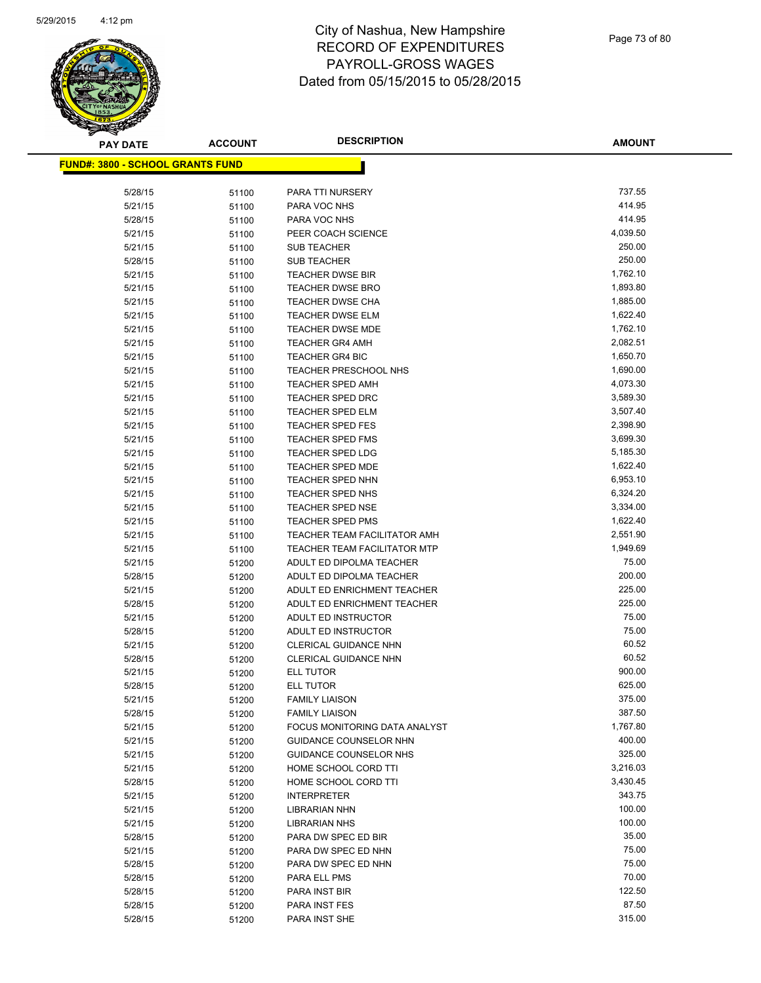

| <b>PAY DATE</b>                         | <b>ACCOUNT</b> | <b>DESCRIPTION</b>                                                  | <b>AMOUNT</b>        |
|-----------------------------------------|----------------|---------------------------------------------------------------------|----------------------|
| <b>FUND#: 3800 - SCHOOL GRANTS FUND</b> |                |                                                                     |                      |
|                                         |                |                                                                     |                      |
| 5/28/15                                 | 51100          | PARA TTI NURSERY                                                    | 737.55               |
| 5/21/15                                 | 51100          | PARA VOC NHS                                                        | 414.95               |
| 5/28/15                                 | 51100          | PARA VOC NHS                                                        | 414.95               |
| 5/21/15                                 | 51100          | PEER COACH SCIENCE                                                  | 4,039.50             |
| 5/21/15                                 | 51100          | <b>SUB TEACHER</b>                                                  | 250.00               |
| 5/28/15                                 | 51100          | <b>SUB TEACHER</b>                                                  | 250.00               |
| 5/21/15                                 | 51100          | TEACHER DWSE BIR                                                    | 1,762.10             |
| 5/21/15                                 | 51100          | <b>TEACHER DWSE BRO</b>                                             | 1,893.80             |
| 5/21/15                                 | 51100          | TEACHER DWSE CHA                                                    | 1,885.00             |
| 5/21/15                                 | 51100          | <b>TEACHER DWSE ELM</b>                                             | 1,622.40             |
| 5/21/15                                 | 51100          | TEACHER DWSE MDE                                                    | 1,762.10             |
| 5/21/15                                 | 51100          | <b>TEACHER GR4 AMH</b>                                              | 2,082.51             |
| 5/21/15                                 | 51100          | <b>TEACHER GR4 BIC</b>                                              | 1,650.70             |
| 5/21/15                                 | 51100          | <b>TEACHER PRESCHOOL NHS</b>                                        | 1,690.00             |
| 5/21/15                                 | 51100          | <b>TEACHER SPED AMH</b>                                             | 4,073.30             |
| 5/21/15                                 | 51100          | <b>TEACHER SPED DRC</b>                                             | 3,589.30             |
| 5/21/15                                 | 51100          | <b>TEACHER SPED ELM</b>                                             | 3,507.40             |
| 5/21/15                                 | 51100          | <b>TEACHER SPED FES</b>                                             | 2,398.90             |
| 5/21/15                                 | 51100          | TEACHER SPED FMS                                                    | 3,699.30             |
| 5/21/15                                 | 51100          | <b>TEACHER SPED LDG</b>                                             | 5,185.30             |
| 5/21/15                                 | 51100          | <b>TEACHER SPED MDE</b>                                             | 1,622.40             |
| 5/21/15                                 | 51100          | TEACHER SPED NHN                                                    | 6,953.10             |
| 5/21/15                                 | 51100          | TEACHER SPED NHS                                                    | 6,324.20             |
| 5/21/15                                 | 51100          | <b>TEACHER SPED NSE</b>                                             | 3,334.00             |
| 5/21/15                                 | 51100          | <b>TEACHER SPED PMS</b>                                             | 1,622.40<br>2,551.90 |
| 5/21/15                                 | 51100          | TEACHER TEAM FACILITATOR AMH<br><b>TEACHER TEAM FACILITATOR MTP</b> | 1,949.69             |
| 5/21/15<br>5/21/15                      | 51100          | ADULT ED DIPOLMA TEACHER                                            | 75.00                |
| 5/28/15                                 | 51200<br>51200 | ADULT ED DIPOLMA TEACHER                                            | 200.00               |
| 5/21/15                                 | 51200          | ADULT ED ENRICHMENT TEACHER                                         | 225.00               |
| 5/28/15                                 | 51200          | ADULT ED ENRICHMENT TEACHER                                         | 225.00               |
| 5/21/15                                 | 51200          | ADULT ED INSTRUCTOR                                                 | 75.00                |
| 5/28/15                                 | 51200          | ADULT ED INSTRUCTOR                                                 | 75.00                |
| 5/21/15                                 | 51200          | <b>CLERICAL GUIDANCE NHN</b>                                        | 60.52                |
| 5/28/15                                 | 51200          | <b>CLERICAL GUIDANCE NHN</b>                                        | 60.52                |
| 5/21/15                                 | 51200          | <b>ELL TUTOR</b>                                                    | 900.00               |
| 5/28/15                                 | 51200          | <b>ELL TUTOR</b>                                                    | 625.00               |
| 5/21/15                                 | 51200          | <b>FAMILY LIAISON</b>                                               | 375.00               |
| 5/28/15                                 | 51200          | <b>FAMILY LIAISON</b>                                               | 387.50               |
| 5/21/15                                 | 51200          | FOCUS MONITORING DATA ANALYST                                       | 1,767.80             |
| 5/21/15                                 | 51200          | <b>GUIDANCE COUNSELOR NHN</b>                                       | 400.00               |
| 5/21/15                                 | 51200          | GUIDANCE COUNSELOR NHS                                              | 325.00               |
| 5/21/15                                 | 51200          | HOME SCHOOL CORD TTI                                                | 3,216.03             |
| 5/28/15                                 | 51200          | HOME SCHOOL CORD TTI                                                | 3,430.45             |
| 5/21/15                                 | 51200          | <b>INTERPRETER</b>                                                  | 343.75               |
| 5/21/15                                 | 51200          | <b>LIBRARIAN NHN</b>                                                | 100.00               |
| 5/21/15                                 | 51200          | <b>LIBRARIAN NHS</b>                                                | 100.00               |
| 5/28/15                                 | 51200          | PARA DW SPEC ED BIR                                                 | 35.00                |
| 5/21/15                                 | 51200          | PARA DW SPEC ED NHN                                                 | 75.00                |
| 5/28/15                                 | 51200          | PARA DW SPEC ED NHN                                                 | 75.00                |
| 5/28/15                                 | 51200          | PARA ELL PMS                                                        | 70.00                |
| 5/28/15                                 | 51200          | PARA INST BIR                                                       | 122.50               |
| 5/28/15                                 | 51200          | PARA INST FES                                                       | 87.50                |
| 5/28/15                                 | 51200          | PARA INST SHE                                                       | 315.00               |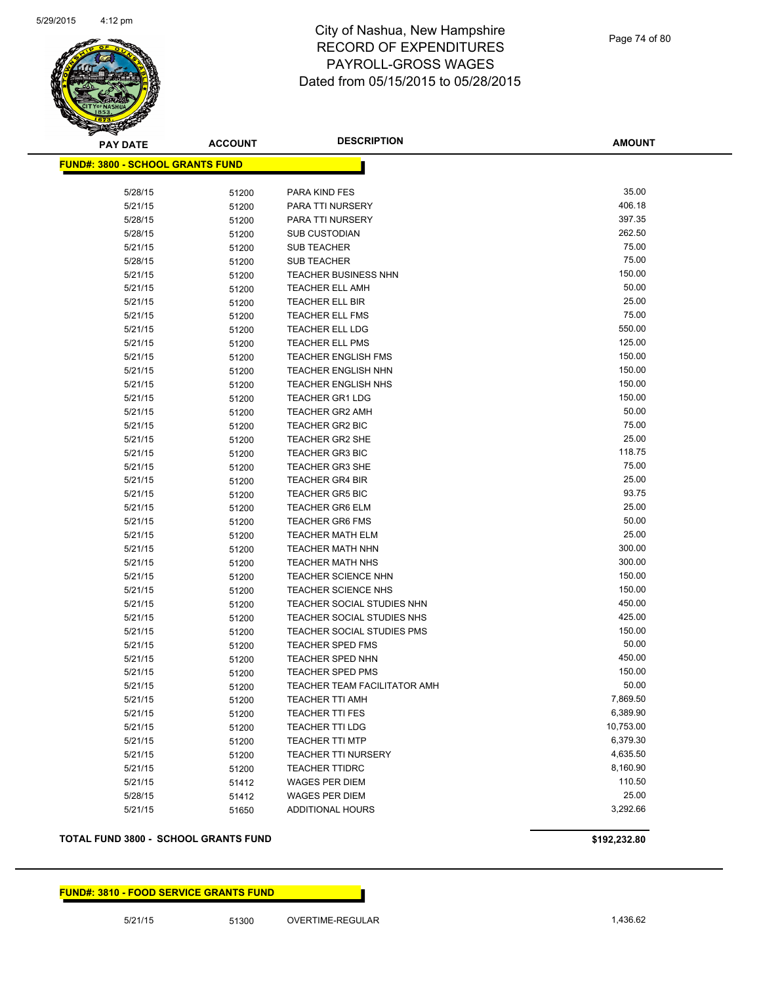

**AMOUNT**

| <b>FUND#: 3800 - SCHOOL GRANTS FUND</b> |       |                                           |                    |
|-----------------------------------------|-------|-------------------------------------------|--------------------|
| 5/28/15                                 | 51200 | PARA KIND FES                             | 35.00              |
| 5/21/15                                 | 51200 | PARA TTI NURSERY                          | 406.18             |
| 5/28/15                                 | 51200 | PARA TTI NURSERY                          | 397.35             |
| 5/28/15                                 | 51200 | <b>SUB CUSTODIAN</b>                      | 262.50             |
| 5/21/15                                 | 51200 | <b>SUB TEACHER</b>                        | 75.00              |
| 5/28/15                                 | 51200 | <b>SUB TEACHER</b>                        | 75.00              |
| 5/21/15                                 | 51200 | <b>TEACHER BUSINESS NHN</b>               | 150.00             |
| 5/21/15                                 | 51200 | <b>TEACHER ELL AMH</b>                    | 50.00              |
| 5/21/15                                 | 51200 | <b>TEACHER ELL BIR</b>                    | 25.00              |
| 5/21/15                                 | 51200 | <b>TEACHER ELL FMS</b>                    | 75.00              |
| 5/21/15                                 | 51200 | <b>TEACHER ELL LDG</b>                    | 550.00             |
| 5/21/15                                 | 51200 | <b>TEACHER ELL PMS</b>                    | 125.00             |
| 5/21/15                                 | 51200 | <b>TEACHER ENGLISH FMS</b>                | 150.00             |
| 5/21/15                                 | 51200 | <b>TEACHER ENGLISH NHN</b>                | 150.00             |
| 5/21/15                                 | 51200 | <b>TEACHER ENGLISH NHS</b>                | 150.00             |
| 5/21/15                                 | 51200 | <b>TEACHER GR1 LDG</b>                    | 150.00             |
| 5/21/15                                 | 51200 | <b>TEACHER GR2 AMH</b>                    | 50.00              |
| 5/21/15                                 | 51200 | <b>TEACHER GR2 BIC</b>                    | 75.00              |
| 5/21/15                                 | 51200 | <b>TEACHER GR2 SHE</b>                    | 25.00              |
| 5/21/15                                 | 51200 | <b>TEACHER GR3 BIC</b>                    | 118.75             |
| 5/21/15                                 | 51200 | <b>TEACHER GR3 SHE</b>                    | 75.00              |
| 5/21/15                                 | 51200 | <b>TEACHER GR4 BIR</b>                    | 25.00              |
| 5/21/15                                 | 51200 | <b>TEACHER GR5 BIC</b>                    | 93.75              |
| 5/21/15                                 | 51200 | <b>TEACHER GR6 ELM</b>                    | 25.00              |
| 5/21/15                                 | 51200 | <b>TEACHER GR6 FMS</b>                    | 50.00              |
| 5/21/15                                 | 51200 | <b>TEACHER MATH ELM</b>                   | 25.00              |
| 5/21/15                                 | 51200 | TEACHER MATH NHN                          | 300.00             |
| 5/21/15                                 | 51200 | <b>TEACHER MATH NHS</b>                   | 300.00             |
| 5/21/15                                 | 51200 | <b>TEACHER SCIENCE NHN</b>                | 150.00             |
| 5/21/15                                 | 51200 | <b>TEACHER SCIENCE NHS</b>                | 150.00             |
| 5/21/15                                 | 51200 | TEACHER SOCIAL STUDIES NHN                | 450.00             |
| 5/21/15                                 | 51200 | TEACHER SOCIAL STUDIES NHS                | 425.00             |
| 5/21/15                                 | 51200 | TEACHER SOCIAL STUDIES PMS                | 150.00             |
| 5/21/15                                 | 51200 | <b>TEACHER SPED FMS</b>                   | 50.00              |
| 5/21/15                                 | 51200 | <b>TEACHER SPED NHN</b>                   | 450.00             |
| 5/21/15                                 | 51200 | <b>TEACHER SPED PMS</b>                   | 150.00             |
| 5/21/15                                 | 51200 | TEACHER TEAM FACILITATOR AMH              | 50.00              |
| 5/21/15                                 | 51200 | <b>TEACHER TTI AMH</b>                    | 7,869.50           |
| 5/21/15                                 | 51200 | <b>TEACHER TTI FES</b>                    | 6,389.90           |
| 5/21/15                                 | 51200 | <b>TEACHER TTI LDG</b>                    | 10,753.00          |
| 5/21/15                                 | 51200 | <b>TEACHER TTI MTP</b>                    | 6,379.30           |
| 5/21/15                                 | 51200 | <b>TEACHER TTI NURSERY</b>                | 4,635.50           |
| 5/21/15                                 | 51200 | <b>TEACHER TTIDRC</b>                     | 8,160.90<br>110.50 |
| 5/21/15                                 | 51412 | <b>WAGES PER DIEM</b>                     | 25.00              |
| 5/28/15<br>5/21/15                      | 51412 | WAGES PER DIEM<br><b>ADDITIONAL HOURS</b> | 3,292.66           |
|                                         | 51650 |                                           |                    |
|                                         |       |                                           |                    |

#### **TOTAL FUND 3800 - SCHOOL GRANTS FUND \$192,232.80**

**FUND#: 3810 - FOOD SERVICE GRANTS FUND**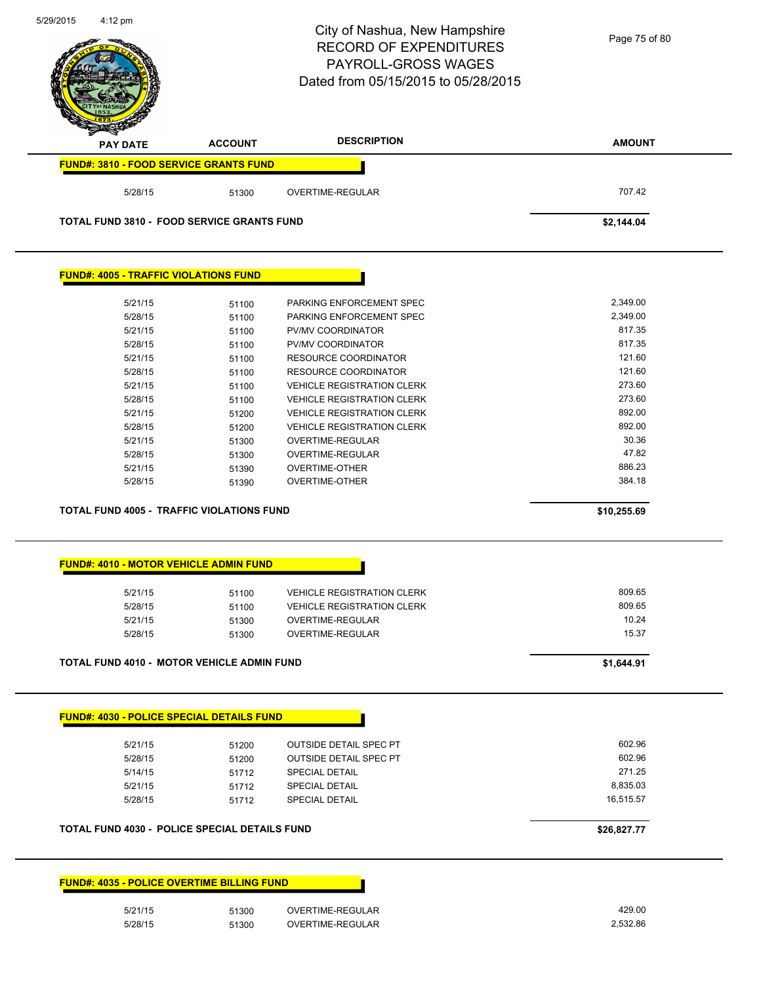| 5/29/2015 | $4:12 \text{ pm}$                                 |                | City of Nashua, New Hampshire<br><b>RECORD OF EXPENDITURES</b><br>PAYROLL-GROSS WAGES<br>Dated from 05/15/2015 to 05/28/2015 | Page 75 of 80    |
|-----------|---------------------------------------------------|----------------|------------------------------------------------------------------------------------------------------------------------------|------------------|
|           | <b>PAY DATE</b>                                   | <b>ACCOUNT</b> | <b>DESCRIPTION</b>                                                                                                           | <b>AMOUNT</b>    |
|           | <b>FUND#: 3810 - FOOD SERVICE GRANTS FUND</b>     |                |                                                                                                                              |                  |
|           | 5/28/15                                           | 51300          | OVERTIME-REGULAR                                                                                                             | 707.42           |
|           | <b>TOTAL FUND 3810 - FOOD SERVICE GRANTS FUND</b> |                |                                                                                                                              | \$2,144.04       |
|           | <b>FUND#: 4005 - TRAFFIC VIOLATIONS FUND</b>      |                |                                                                                                                              |                  |
|           | 5/21/15                                           | 51100          | PARKING ENFORCEMENT SPEC                                                                                                     | 2,349.00         |
|           | 5/28/15                                           | 51100          | PARKING ENFORCEMENT SPEC                                                                                                     | 2,349.00         |
|           | 5/21/15                                           | 51100          | PV/MV COORDINATOR                                                                                                            | 817.35           |
|           | 5/28/15                                           | 51100          | PV/MV COORDINATOR                                                                                                            | 817.35           |
|           | 5/21/15                                           | 51100          | <b>RESOURCE COORDINATOR</b>                                                                                                  | 121.60           |
|           | 5/28/15                                           | 51100          | <b>RESOURCE COORDINATOR</b>                                                                                                  | 121.60           |
|           | 5/21/15                                           | 51100          | <b>VEHICLE REGISTRATION CLERK</b>                                                                                            | 273.60           |
|           | 5/28/15                                           | 51100          | <b>VEHICLE REGISTRATION CLERK</b>                                                                                            | 273.60           |
|           | 5/21/15                                           | 51200          | <b>VEHICLE REGISTRATION CLERK</b>                                                                                            | 892.00           |
|           | 5/28/15                                           | 51200          | <b>VEHICLE REGISTRATION CLERK</b>                                                                                            | 892.00           |
|           | 5/21/15                                           | 51300          | OVERTIME-REGULAR                                                                                                             | 30.36            |
|           | 5/28/15                                           | 51300          | OVERTIME-REGULAR                                                                                                             | 47.82            |
|           | 5/21/15                                           | 51390          | OVERTIME-OTHER                                                                                                               | 886.23           |
|           | 5/28/15                                           | 51390          | <b>OVERTIME-OTHER</b>                                                                                                        | 384.18           |
|           | <b>TOTAL FUND 4005 - TRAFFIC VIOLATIONS FUND</b>  |                |                                                                                                                              | \$10,255.69      |
|           | <b>FUND#: 4010 - MOTOR VEHICLE ADMIN FUND</b>     |                |                                                                                                                              |                  |
|           |                                                   |                |                                                                                                                              |                  |
|           | 5/21/15                                           | 51100          | <b>VEHICLE REGISTRATION CLERK</b>                                                                                            | 809.65<br>809.65 |
|           | 5/28/15                                           | 51100          | <b>VEHICLE REGISTRATION CLERK</b>                                                                                            |                  |
|           | 5/21/15                                           | 51300          | OVERTIME-REGULAR                                                                                                             | 10.24            |
|           | 5/28/15                                           | 51300          | <b>OVERTIME-REGULAR</b>                                                                                                      | 15.37            |
|           | TOTAL FUND 4010 - MOTOR VEHICLE ADMIN FUND        |                |                                                                                                                              | \$1,644.91       |
|           |                                                   |                |                                                                                                                              |                  |
|           | <b>FUND#: 4030 - POLICE SPECIAL DETAILS FUND</b>  |                |                                                                                                                              |                  |
|           | 5/21/15                                           | 51200          | <b>OUTSIDE DETAIL SPEC PT</b>                                                                                                | 602.96           |
|           | 5/28/15                                           | 51200          | <b>OUTSIDE DETAIL SPEC PT</b>                                                                                                | 602.96           |
|           | 5/14/15                                           | 51712          | <b>SPECIAL DETAIL</b>                                                                                                        | 271.25           |
|           | 5/21/15                                           | 51712          | <b>SPECIAL DETAIL</b>                                                                                                        | 8,835.03         |
|           | 5/28/15                                           | 51712          | <b>SPECIAL DETAIL</b>                                                                                                        | 16,515.57        |
|           | TOTAL FUND 4030 - POLICE SPECIAL DETAILS FUND     |                |                                                                                                                              | \$26,827.77      |
|           | <b>FUND#: 4035 - POLICE OVERTIME BILLING FUND</b> |                |                                                                                                                              |                  |
|           |                                                   |                |                                                                                                                              |                  |
|           | 5/21/15                                           | 51300          | OVERTIME-REGULAR                                                                                                             | 429.00           |
|           | 5/28/15                                           | 51300          | OVERTIME-REGULAR                                                                                                             | 2,532.86         |
|           |                                                   |                |                                                                                                                              |                  |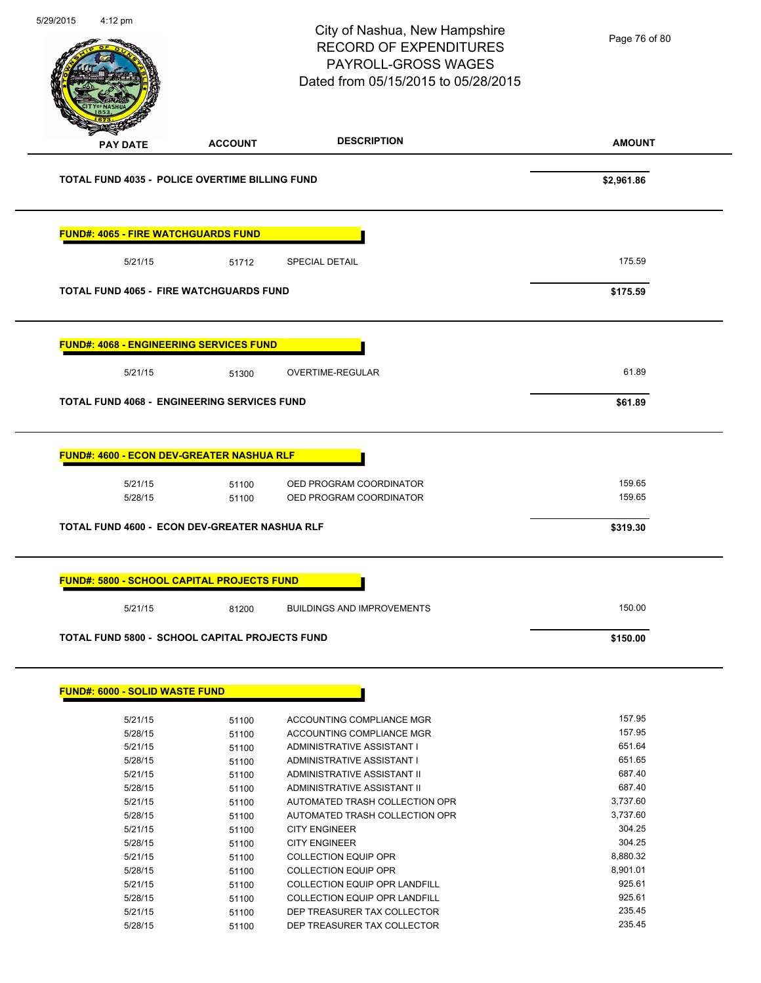Page 76 of 80

# City of Nashua, New Hampshire RECORD OF EXPENDITURES PAYROLL-GROSS WAGES Dated from 05/15/2015 to 05/28/2015

5/29/2015 4:12 pm

| <b>PAY DATE</b>                                                                                                                                                                                                 | <b>ACCOUNT</b> | <b>DESCRIPTION</b>                                           | <b>AMOUNT</b>    |
|-----------------------------------------------------------------------------------------------------------------------------------------------------------------------------------------------------------------|----------------|--------------------------------------------------------------|------------------|
| <b>TOTAL FUND 4035 - POLICE OVERTIME BILLING FUND</b>                                                                                                                                                           |                |                                                              | \$2,961.86       |
| <b>FUND#: 4065 - FIRE WATCHGUARDS FUND</b>                                                                                                                                                                      |                |                                                              |                  |
| 5/21/15                                                                                                                                                                                                         | 51712          | <b>SPECIAL DETAIL</b>                                        | 175.59           |
| TOTAL FUND 4065 - FIRE WATCHGUARDS FUND                                                                                                                                                                         |                |                                                              | \$175.59         |
| <b>FUND#: 4068 - ENGINEERING SERVICES FUND</b>                                                                                                                                                                  |                |                                                              |                  |
| 5/21/15                                                                                                                                                                                                         | 51300          | <b>OVERTIME-REGULAR</b>                                      | 61.89            |
| <b>TOTAL FUND 4068 - ENGINEERING SERVICES FUND</b>                                                                                                                                                              |                |                                                              | \$61.89          |
| <b>FUND#: 4600 - ECON DEV-GREATER NASHUA RLF</b>                                                                                                                                                                |                |                                                              |                  |
| 5/21/15                                                                                                                                                                                                         | 51100          | OED PROGRAM COORDINATOR                                      | 159.65           |
|                                                                                                                                                                                                                 |                |                                                              | 159.65           |
| 5/28/15                                                                                                                                                                                                         | 51100          | OED PROGRAM COORDINATOR                                      | \$319.30         |
|                                                                                                                                                                                                                 |                |                                                              |                  |
| 5/21/15                                                                                                                                                                                                         | 81200          | <b>BUILDINGS AND IMPROVEMENTS</b>                            | 150.00           |
|                                                                                                                                                                                                                 |                |                                                              | \$150.00         |
|                                                                                                                                                                                                                 |                |                                                              |                  |
| 5/21/15                                                                                                                                                                                                         | 51100          | ACCOUNTING COMPLIANCE MGR                                    | 157.95           |
| 5/28/15                                                                                                                                                                                                         | 51100          | ACCOUNTING COMPLIANCE MGR                                    | 157.95           |
| 5/21/15                                                                                                                                                                                                         | 51100          | ADMINISTRATIVE ASSISTANT I                                   | 651.64           |
| 5/28/15                                                                                                                                                                                                         | 51100          | ADMINISTRATIVE ASSISTANT I                                   | 651.65           |
| 5/21/15                                                                                                                                                                                                         | 51100          | ADMINISTRATIVE ASSISTANT II                                  | 687.40           |
| 5/28/15                                                                                                                                                                                                         | 51100          | ADMINISTRATIVE ASSISTANT II                                  | 687.40           |
| 5/21/15                                                                                                                                                                                                         | 51100          | AUTOMATED TRASH COLLECTION OPR                               | 3,737.60         |
| 5/28/15                                                                                                                                                                                                         | 51100          | AUTOMATED TRASH COLLECTION OPR                               | 3,737.60         |
| 5/21/15                                                                                                                                                                                                         | 51100          | <b>CITY ENGINEER</b>                                         | 304.25           |
| 5/28/15                                                                                                                                                                                                         | 51100          | <b>CITY ENGINEER</b>                                         | 304.25           |
| 5/21/15                                                                                                                                                                                                         | 51100          | COLLECTION EQUIP OPR                                         | 8,880.32         |
| <b>TOTAL FUND 4600 - ECON DEV-GREATER NASHUA RLF</b><br><b>FUND#: 5800 - SCHOOL CAPITAL PROJECTS FUND</b><br>TOTAL FUND 5800 - SCHOOL CAPITAL PROJECTS FUND<br><b>FUND#: 6000 - SOLID WASTE FUND</b><br>5/28/15 | 51100          | <b>COLLECTION EQUIP OPR</b>                                  | 8,901.01         |
| 5/21/15                                                                                                                                                                                                         | 51100          | COLLECTION EQUIP OPR LANDFILL                                | 925.61           |
| 5/28/15<br>5/21/15                                                                                                                                                                                              | 51100<br>51100 | COLLECTION EQUIP OPR LANDFILL<br>DEP TREASURER TAX COLLECTOR | 925.61<br>235.45 |

5/28/15 51100 DEP TREASURER TAX COLLECTOR 235.45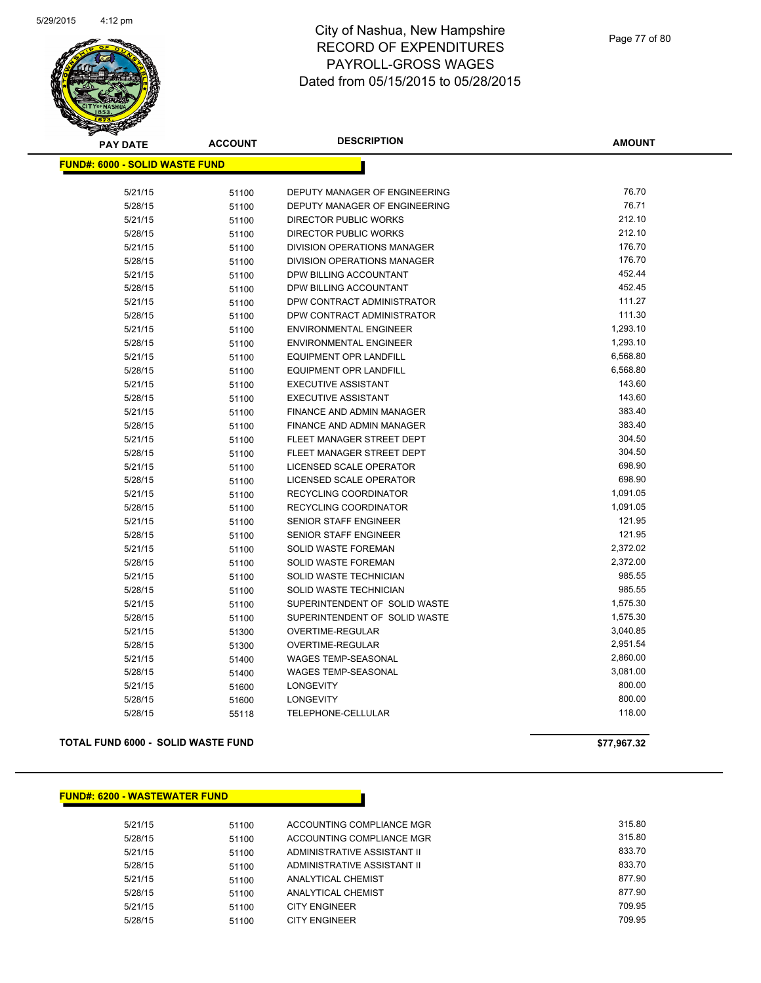

| <b>PAY DATE</b>                       | <b>ACCOUNT</b> | <b>DESCRIPTION</b>               | <b>AMOUNT</b> |
|---------------------------------------|----------------|----------------------------------|---------------|
| <b>FUND#: 6000 - SOLID WASTE FUND</b> |                |                                  |               |
| 5/21/15                               |                | DEPUTY MANAGER OF ENGINEERING    | 76.70         |
| 5/28/15                               | 51100<br>51100 | DEPUTY MANAGER OF ENGINEERING    | 76.71         |
| 5/21/15                               |                | DIRECTOR PUBLIC WORKS            | 212.10        |
| 5/28/15                               | 51100          | <b>DIRECTOR PUBLIC WORKS</b>     | 212.10        |
|                                       | 51100          | DIVISION OPERATIONS MANAGER      | 176.70        |
| 5/21/15                               | 51100          | DIVISION OPERATIONS MANAGER      | 176.70        |
| 5/28/15                               | 51100          |                                  | 452.44        |
| 5/21/15                               | 51100          | DPW BILLING ACCOUNTANT           | 452.45        |
| 5/28/15                               | 51100          | DPW BILLING ACCOUNTANT           | 111.27        |
| 5/21/15                               | 51100          | DPW CONTRACT ADMINISTRATOR       | 111.30        |
| 5/28/15                               | 51100          | DPW CONTRACT ADMINISTRATOR       |               |
| 5/21/15                               | 51100          | <b>ENVIRONMENTAL ENGINEER</b>    | 1,293.10      |
| 5/28/15                               | 51100          | <b>ENVIRONMENTAL ENGINEER</b>    | 1,293.10      |
| 5/21/15                               | 51100          | <b>EQUIPMENT OPR LANDFILL</b>    | 6,568.80      |
| 5/28/15                               | 51100          | <b>EQUIPMENT OPR LANDFILL</b>    | 6,568.80      |
| 5/21/15                               | 51100          | <b>EXECUTIVE ASSISTANT</b>       | 143.60        |
| 5/28/15                               | 51100          | <b>EXECUTIVE ASSISTANT</b>       | 143.60        |
| 5/21/15                               | 51100          | FINANCE AND ADMIN MANAGER        | 383.40        |
| 5/28/15                               | 51100          | <b>FINANCE AND ADMIN MANAGER</b> | 383.40        |
| 5/21/15                               | 51100          | FLEET MANAGER STREET DEPT        | 304.50        |
| 5/28/15                               | 51100          | FLEET MANAGER STREET DEPT        | 304.50        |
| 5/21/15                               | 51100          | LICENSED SCALE OPERATOR          | 698.90        |
| 5/28/15                               | 51100          | LICENSED SCALE OPERATOR          | 698.90        |
| 5/21/15                               | 51100          | RECYCLING COORDINATOR            | 1,091.05      |
| 5/28/15                               | 51100          | <b>RECYCLING COORDINATOR</b>     | 1,091.05      |
| 5/21/15                               | 51100          | SENIOR STAFF ENGINEER            | 121.95        |
| 5/28/15                               | 51100          | <b>SENIOR STAFF ENGINEER</b>     | 121.95        |
| 5/21/15                               | 51100          | SOLID WASTE FOREMAN              | 2,372.02      |
| 5/28/15                               | 51100          | SOLID WASTE FOREMAN              | 2,372.00      |
| 5/21/15                               | 51100          | SOLID WASTE TECHNICIAN           | 985.55        |
| 5/28/15                               | 51100          | SOLID WASTE TECHNICIAN           | 985.55        |
| 5/21/15                               | 51100          | SUPERINTENDENT OF SOLID WASTE    | 1,575.30      |
| 5/28/15                               | 51100          | SUPERINTENDENT OF SOLID WASTE    | 1,575.30      |
| 5/21/15                               | 51300          | OVERTIME-REGULAR                 | 3,040.85      |
| 5/28/15                               | 51300          | OVERTIME-REGULAR                 | 2,951.54      |
| 5/21/15                               | 51400          | <b>WAGES TEMP-SEASONAL</b>       | 2,860.00      |
| 5/28/15                               | 51400          | WAGES TEMP-SEASONAL              | 3,081.00      |
| 5/21/15                               | 51600          | <b>LONGEVITY</b>                 | 800.00        |
| 5/28/15                               | 51600          | <b>LONGEVITY</b>                 | 800.00        |
| 5/28/15                               | 55118          | TELEPHONE-CELLULAR               | 118.00        |
|                                       |                |                                  |               |

**TOTAL FUND 6000 - SOLID WASTE FUND \$77,967.32** 

### **FUND#: 6200 - WASTEWATER FUND**

5/21/15 51100 ACCOUNTING COMPLIANCE MGR 315.80 5/28/15 51100 ACCOUNTING COMPLIANCE MGR 315.80 5/21/15 51100 ADMINISTRATIVE ASSISTANT II 833.70 5/28/15 51100 ADMINISTRATIVE ASSISTANT II 833.70 5/21/15 51100 ANALYTICAL CHEMIST 877.90 5/28/15 51100 ANALYTICAL CHEMIST 877.90 5/21/15 51100 CITY ENGINEER 709.95 5/28/15 51100 CITY ENGINEER **709.95**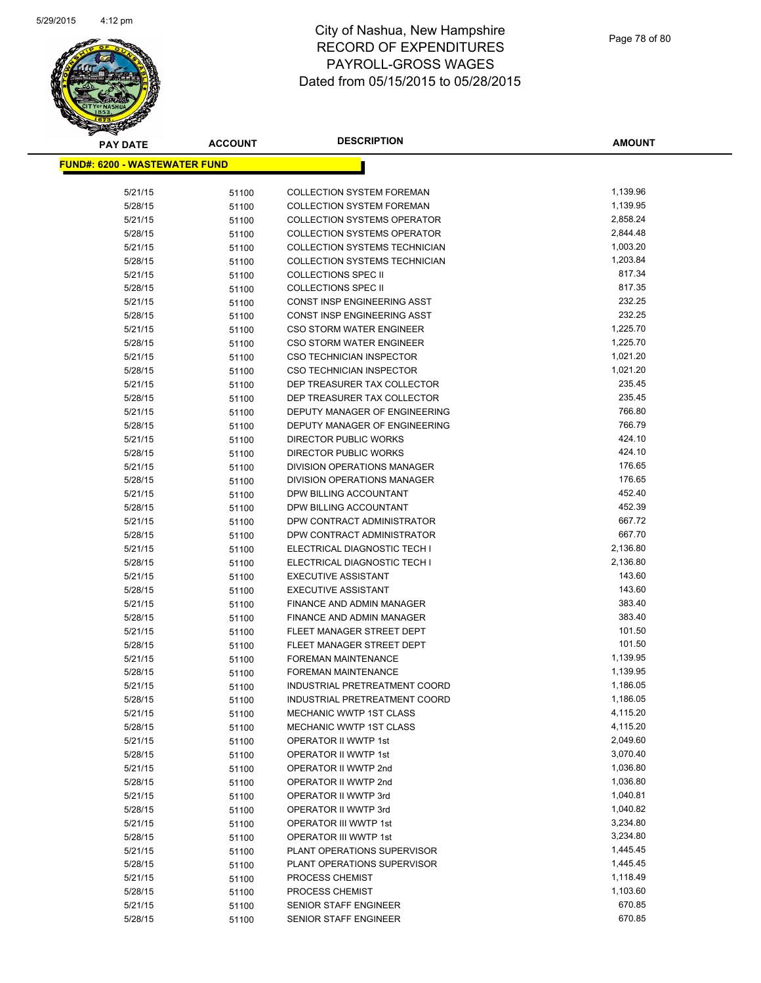

| <b>PAY DATE</b>                       | <b>ACCOUNT</b> | <b>DESCRIPTION</b>                                        | <b>AMOUNT</b>        |
|---------------------------------------|----------------|-----------------------------------------------------------|----------------------|
| <u> FUND#: 6200 - WASTEWATER FUND</u> |                |                                                           |                      |
|                                       |                |                                                           |                      |
| 5/21/15                               | 51100          | <b>COLLECTION SYSTEM FOREMAN</b>                          | 1,139.96             |
| 5/28/15                               | 51100          | <b>COLLECTION SYSTEM FOREMAN</b>                          | 1,139.95             |
| 5/21/15                               | 51100          | <b>COLLECTION SYSTEMS OPERATOR</b>                        | 2,858.24             |
| 5/28/15                               | 51100          | <b>COLLECTION SYSTEMS OPERATOR</b>                        | 2,844.48             |
| 5/21/15                               | 51100          | COLLECTION SYSTEMS TECHNICIAN                             | 1,003.20             |
| 5/28/15                               | 51100          | <b>COLLECTION SYSTEMS TECHNICIAN</b>                      | 1,203.84             |
| 5/21/15                               | 51100          | <b>COLLECTIONS SPEC II</b>                                | 817.34               |
| 5/28/15                               | 51100          | <b>COLLECTIONS SPEC II</b>                                | 817.35               |
| 5/21/15                               | 51100          | CONST INSP ENGINEERING ASST                               | 232.25               |
| 5/28/15                               | 51100          | CONST INSP ENGINEERING ASST                               | 232.25               |
| 5/21/15                               | 51100          | <b>CSO STORM WATER ENGINEER</b>                           | 1,225.70             |
| 5/28/15                               | 51100          | CSO STORM WATER ENGINEER                                  | 1,225.70             |
| 5/21/15                               | 51100          | <b>CSO TECHNICIAN INSPECTOR</b>                           | 1,021.20             |
| 5/28/15                               | 51100          | CSO TECHNICIAN INSPECTOR                                  | 1,021.20             |
| 5/21/15                               | 51100          | DEP TREASURER TAX COLLECTOR                               | 235.45               |
| 5/28/15                               | 51100          | DEP TREASURER TAX COLLECTOR                               | 235.45               |
| 5/21/15                               | 51100          | DEPUTY MANAGER OF ENGINEERING                             | 766.80               |
| 5/28/15                               | 51100          | DEPUTY MANAGER OF ENGINEERING                             | 766.79               |
| 5/21/15                               | 51100          | <b>DIRECTOR PUBLIC WORKS</b>                              | 424.10               |
| 5/28/15                               | 51100          | DIRECTOR PUBLIC WORKS                                     | 424.10               |
| 5/21/15                               | 51100          | DIVISION OPERATIONS MANAGER                               | 176.65               |
| 5/28/15                               | 51100          | DIVISION OPERATIONS MANAGER                               | 176.65               |
| 5/21/15                               | 51100          | DPW BILLING ACCOUNTANT                                    | 452.40               |
| 5/28/15                               | 51100          | DPW BILLING ACCOUNTANT                                    | 452.39               |
| 5/21/15                               | 51100          | DPW CONTRACT ADMINISTRATOR                                | 667.72               |
| 5/28/15                               | 51100          | DPW CONTRACT ADMINISTRATOR                                | 667.70               |
| 5/21/15                               | 51100          | ELECTRICAL DIAGNOSTIC TECH I                              | 2,136.80             |
| 5/28/15                               | 51100          | ELECTRICAL DIAGNOSTIC TECH I                              | 2,136.80             |
| 5/21/15                               | 51100          | <b>EXECUTIVE ASSISTANT</b>                                | 143.60               |
| 5/28/15                               | 51100          | <b>EXECUTIVE ASSISTANT</b>                                | 143.60               |
| 5/21/15                               | 51100          | FINANCE AND ADMIN MANAGER                                 | 383.40               |
| 5/28/15                               | 51100          | <b>FINANCE AND ADMIN MANAGER</b>                          | 383.40               |
| 5/21/15                               | 51100          | FLEET MANAGER STREET DEPT                                 | 101.50               |
| 5/28/15                               | 51100          | FLEET MANAGER STREET DEPT                                 | 101.50               |
| 5/21/15                               | 51100          | <b>FOREMAN MAINTENANCE</b>                                | 1,139.95             |
| 5/28/15                               | 51100          | <b>FOREMAN MAINTENANCE</b>                                | 1,139.95             |
| 5/21/15                               | 51100          | INDUSTRIAL PRETREATMENT COORD                             | 1,186.05             |
| 5/28/15                               | 51100          | INDUSTRIAL PRETREATMENT COORD                             | 1,186.05             |
| 5/21/15                               | 51100          | <b>MECHANIC WWTP 1ST CLASS</b><br>MECHANIC WWTP 1ST CLASS | 4,115.20             |
| 5/28/15                               | 51100          |                                                           | 4,115.20<br>2,049.60 |
| 5/21/15<br>5/28/15                    | 51100          | OPERATOR II WWTP 1st<br>OPERATOR II WWTP 1st              | 3,070.40             |
| 5/21/15                               | 51100          | OPERATOR II WWTP 2nd                                      | 1,036.80             |
| 5/28/15                               | 51100          | OPERATOR II WWTP 2nd                                      | 1,036.80             |
| 5/21/15                               | 51100<br>51100 | OPERATOR II WWTP 3rd                                      | 1,040.81             |
| 5/28/15                               | 51100          | OPERATOR II WWTP 3rd                                      | 1,040.82             |
| 5/21/15                               | 51100          | OPERATOR III WWTP 1st                                     | 3,234.80             |
| 5/28/15                               | 51100          | OPERATOR III WWTP 1st                                     | 3,234.80             |
| 5/21/15                               | 51100          | PLANT OPERATIONS SUPERVISOR                               | 1,445.45             |
| 5/28/15                               | 51100          | PLANT OPERATIONS SUPERVISOR                               | 1,445.45             |
| 5/21/15                               | 51100          | PROCESS CHEMIST                                           | 1,118.49             |
| 5/28/15                               | 51100          | PROCESS CHEMIST                                           | 1,103.60             |
| 5/21/15                               | 51100          | SENIOR STAFF ENGINEER                                     | 670.85               |
| 5/28/15                               | 51100          | SENIOR STAFF ENGINEER                                     | 670.85               |
|                                       |                |                                                           |                      |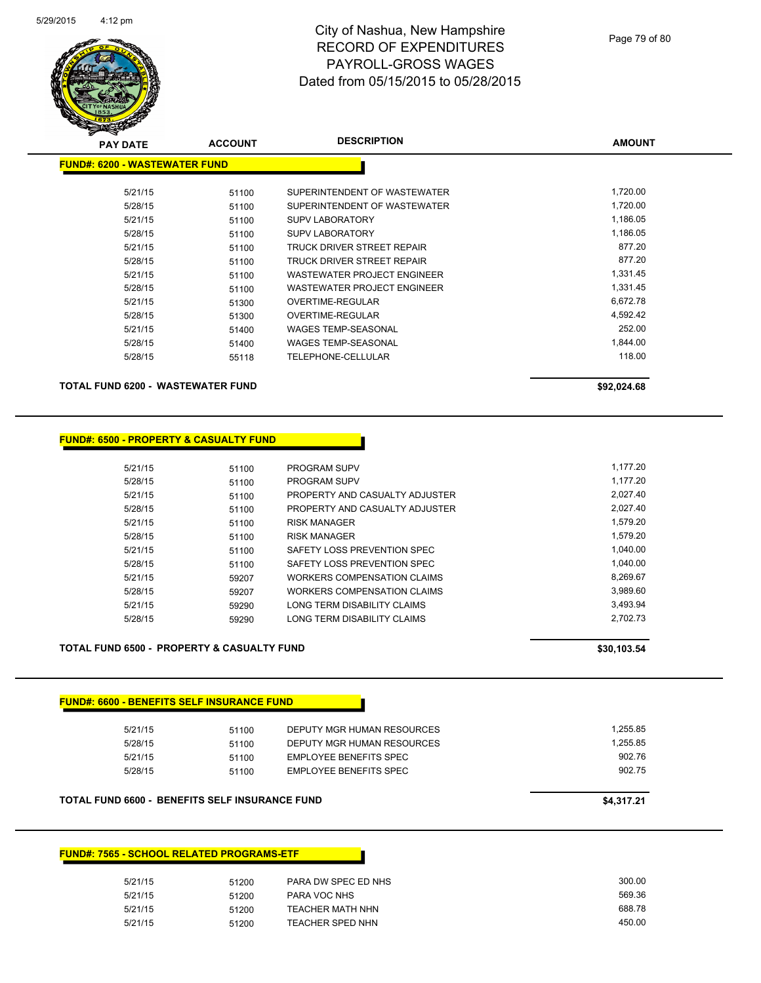

| <b>PAY DATE</b>                      | <b>ACCOUNT</b> | <b>DESCRIPTION</b>           | <b>AMOUNT</b> |
|--------------------------------------|----------------|------------------------------|---------------|
| <b>FUND#: 6200 - WASTEWATER FUND</b> |                |                              |               |
| 5/21/15                              | 51100          | SUPERINTENDENT OF WASTEWATER | 1,720.00      |
| 5/28/15                              | 51100          | SUPERINTENDENT OF WASTEWATER | 1,720.00      |
| 5/21/15                              | 51100          | <b>SUPV LABORATORY</b>       | 1,186.05      |
| 5/28/15                              | 51100          | <b>SUPV LABORATORY</b>       | 1,186.05      |
| 5/21/15                              | 51100          | TRUCK DRIVER STREET REPAIR   | 877.20        |
| 5/28/15                              | 51100          | TRUCK DRIVER STREET REPAIR   | 877.20        |
| 5/21/15                              | 51100          | WASTEWATER PROJECT ENGINEER  | 1,331.45      |
| 5/28/15                              | 51100          | WASTEWATER PROJECT ENGINEER  | 1,331.45      |
| 5/21/15                              | 51300          | <b>OVERTIME-REGULAR</b>      | 6,672.78      |
| 5/28/15                              | 51300          | OVERTIME-REGULAR             | 4,592.42      |
| 5/21/15                              | 51400          | <b>WAGES TEMP-SEASONAL</b>   | 252.00        |
| 5/28/15                              | 51400          | <b>WAGES TEMP-SEASONAL</b>   | 1,844.00      |
| 5/28/15                              | 55118          | TELEPHONE-CELLULAR           | 118.00        |
| TOTAL FUND 6200 - WASTEWATER FUND    |                |                              | \$92,024.68   |

**FUND#: 6500 - PROPERTY & CASUALTY FUND**

| 5/21/15 | 51100 | <b>PROGRAM SUPV</b>                | 1.177.20 |
|---------|-------|------------------------------------|----------|
| 5/28/15 | 51100 | <b>PROGRAM SUPV</b>                | 1.177.20 |
| 5/21/15 | 51100 | PROPERTY AND CASUALTY ADJUSTER     | 2.027.40 |
| 5/28/15 | 51100 | PROPERTY AND CASUALTY ADJUSTER     | 2.027.40 |
| 5/21/15 | 51100 | <b>RISK MANAGER</b>                | 1.579.20 |
| 5/28/15 | 51100 | <b>RISK MANAGER</b>                | 1.579.20 |
| 5/21/15 | 51100 | SAFETY LOSS PREVENTION SPEC        | 1.040.00 |
| 5/28/15 | 51100 | SAFETY LOSS PREVENTION SPEC        | 1.040.00 |
| 5/21/15 | 59207 | WORKERS COMPENSATION CLAIMS        | 8.269.67 |
| 5/28/15 | 59207 | <b>WORKERS COMPENSATION CLAIMS</b> | 3,989.60 |
| 5/21/15 | 59290 | LONG TERM DISABILITY CLAIMS        | 3.493.94 |
| 5/28/15 | 59290 | LONG TERM DISABILITY CLAIMS        | 2.702.73 |
|         |       |                                    |          |

Г

TOTAL FUND 6500 - PROPERTY & CASUALTY FUND **\$30,103.54** \$30,103.54

| 5/21/15 | 51100 | DEPUTY MGR HUMAN RESOURCES | 1,255.85 |
|---------|-------|----------------------------|----------|
| 5/28/15 | 51100 | DEPUTY MGR HUMAN RESOURCES | 1,255.85 |
| 5/21/15 | 51100 | EMPLOYEE BENEFITS SPEC     | 902.76   |
| 5/28/15 | 51100 | EMPLOYEE BENEFITS SPEC     | 902.75   |

#### **FUND#: 7565 - SCHOOL RELATED PROGRAMS-ETF**

| 5/21/15 | 51200 | PARA DW SPEC ED NHS     | 300.00 |
|---------|-------|-------------------------|--------|
| 5/21/15 | 51200 | PARA VOC NHS            | 569.36 |
| 5/21/15 | 51200 | <b>TEACHER MATH NHN</b> | 688.78 |
| 5/21/15 | 51200 | <b>TEACHER SPED NHN</b> | 450.00 |